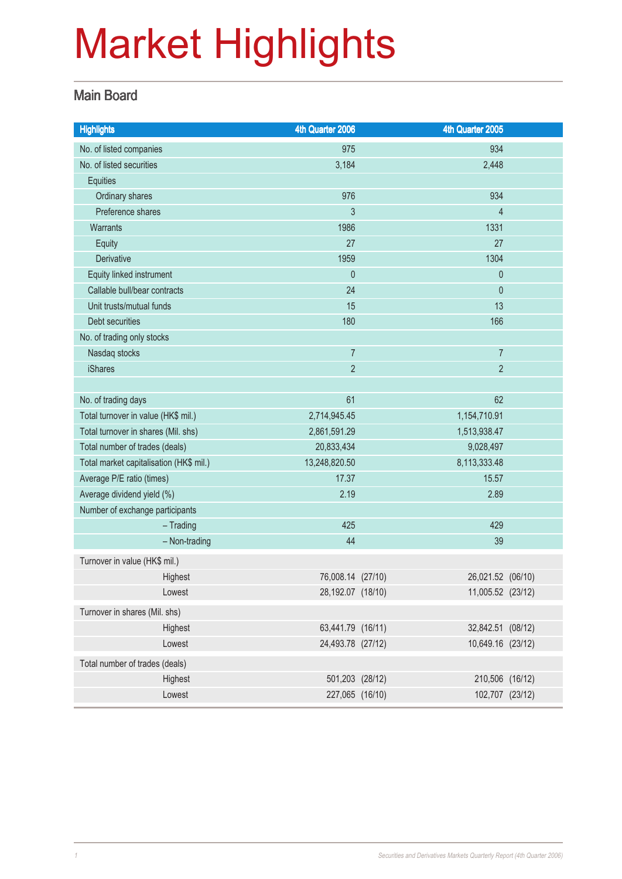### Main Board

| <b>Highlights</b>                       | 4th Quarter 2006  | 4th Quarter 2005  |  |
|-----------------------------------------|-------------------|-------------------|--|
| No. of listed companies                 | 975               | 934               |  |
| No. of listed securities                | 3,184             | 2,448             |  |
| Equities                                |                   |                   |  |
| Ordinary shares                         | 976               | 934               |  |
| Preference shares                       | $\mathfrak{Z}$    | $\overline{4}$    |  |
| Warrants                                | 1986              | 1331              |  |
| <b>Equity</b>                           | 27                | 27                |  |
| Derivative                              | 1959              | 1304              |  |
| Equity linked instrument                | $\theta$          | 0                 |  |
| Callable bull/bear contracts            | 24                | 0                 |  |
| Unit trusts/mutual funds                | 15                | 13                |  |
| Debt securities                         | 180               | 166               |  |
| No. of trading only stocks              |                   |                   |  |
| Nasdaq stocks                           | $\overline{7}$    | $\overline{7}$    |  |
| <b>iShares</b>                          | $\overline{2}$    | $\overline{2}$    |  |
|                                         |                   |                   |  |
| No. of trading days                     | 61                | 62                |  |
| Total turnover in value (HK\$ mil.)     | 2,714,945.45      | 1,154,710.91      |  |
| Total turnover in shares (Mil. shs)     | 2,861,591.29      | 1,513,938.47      |  |
| Total number of trades (deals)          | 20,833,434        | 9,028,497         |  |
| Total market capitalisation (HK\$ mil.) | 13,248,820.50     | 8,113,333.48      |  |
| Average P/E ratio (times)               | 17.37             | 15.57             |  |
| Average dividend yield (%)              | 2.19              | 2.89              |  |
| Number of exchange participants         |                   |                   |  |
| $-$ Trading                             | 425               | 429               |  |
| - Non-trading                           | 44                | 39                |  |
| Turnover in value (HK\$ mil.)           |                   |                   |  |
| Highest                                 | 76,008.14 (27/10) | 26,021.52 (06/10) |  |
| Lowest                                  | 28,192.07 (18/10) | 11,005.52 (23/12) |  |
| Turnover in shares (Mil. shs)           |                   |                   |  |
| Highest                                 | 63,441.79 (16/11) | 32,842.51 (08/12) |  |
| Lowest                                  | 24,493.78 (27/12) | 10,649.16 (23/12) |  |
| Total number of trades (deals)          |                   |                   |  |
| Highest                                 | 501,203 (28/12)   | 210,506 (16/12)   |  |
| Lowest                                  | 227,065 (16/10)   | 102,707 (23/12)   |  |
|                                         |                   |                   |  |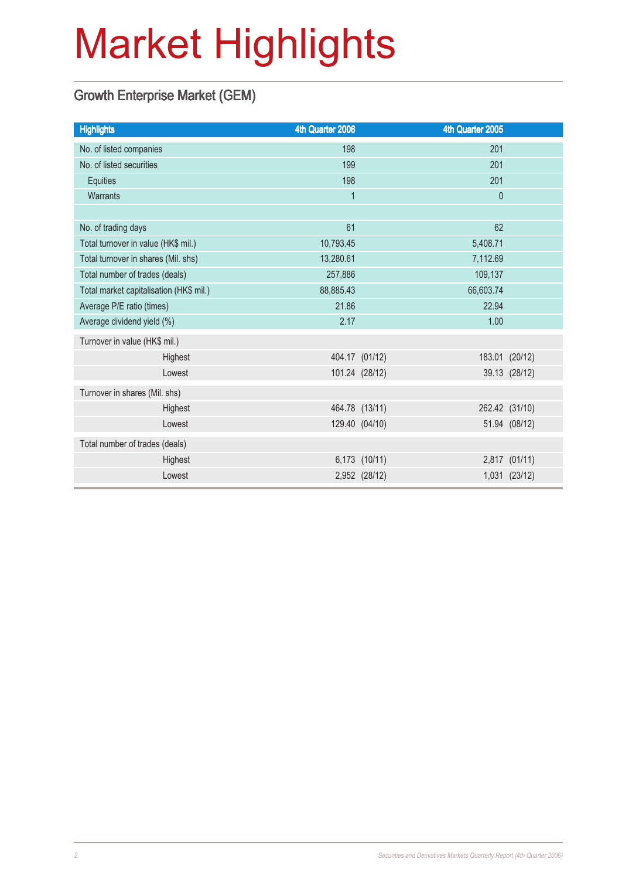### Growth Enterprise Market (GEM)

| <b>Highlights</b>                       | 4th Quarter 2006 |                | 4th Quarter 2005 |                |
|-----------------------------------------|------------------|----------------|------------------|----------------|
| No. of listed companies                 | 198              |                | 201              |                |
| No. of listed securities                | 199              |                | 201              |                |
| Equities                                | 198              |                | 201              |                |
| Warrants                                | 1                |                | $\mathbf 0$      |                |
|                                         |                  |                |                  |                |
| No. of trading days                     | 61               |                | 62               |                |
| Total turnover in value (HK\$ mil.)     | 10,793.45        |                | 5,408.71         |                |
| Total turnover in shares (Mil. shs)     | 13,280.61        |                | 7,112.69         |                |
| Total number of trades (deals)          | 257,886          |                |                  |                |
| Total market capitalisation (HK\$ mil.) | 88,885.43        | 66,603.74      |                  |                |
| Average P/E ratio (times)               | 21.86            |                | 22.94            |                |
| Average dividend yield (%)              | 2.17             |                | 1.00             |                |
| Turnover in value (HK\$ mil.)           |                  |                |                  |                |
| Highest                                 |                  | 404.17 (01/12) |                  | 183.01 (20/12) |
| Lowest                                  |                  | 101.24 (28/12) |                  | 39.13 (28/12)  |
| Turnover in shares (Mil. shs)           |                  |                |                  |                |
| Highest                                 |                  | 464.78 (13/11) |                  | 262.42 (31/10) |
| Lowest                                  |                  | 129.40 (04/10) |                  | 51.94 (08/12)  |
| Total number of trades (deals)          |                  |                |                  |                |
| Highest                                 |                  | 6,173 (10/11)  |                  | 2,817 (01/11)  |
| Lowest                                  |                  | 2,952 (28/12)  |                  | 1,031 (23/12)  |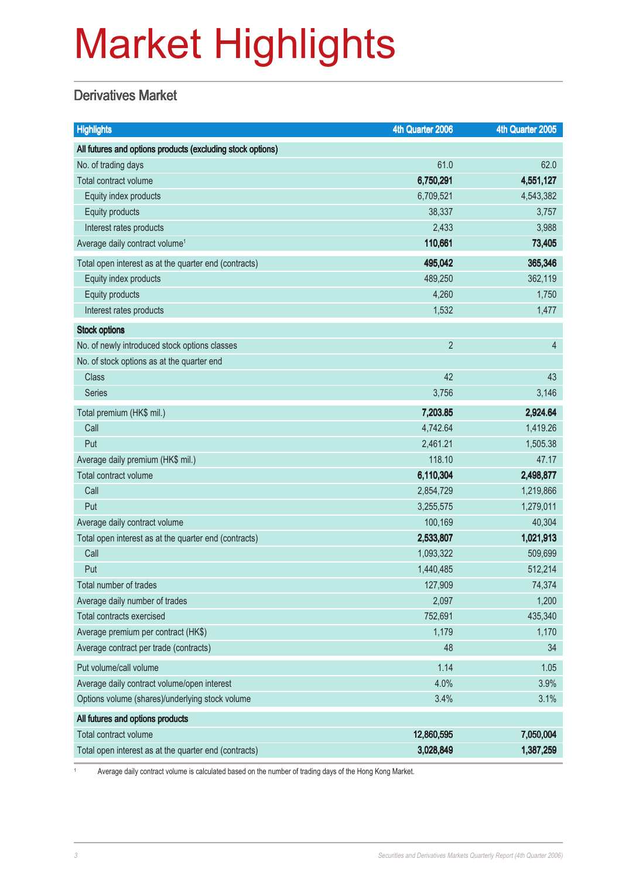### **Derivatives Market**

| <b>Highlights</b>                                          | 4th Quarter 2006 | 4th Quarter 2005 |
|------------------------------------------------------------|------------------|------------------|
| All futures and options products (excluding stock options) |                  |                  |
| No. of trading days                                        | 61.0             | 62.0             |
| Total contract volume                                      | 6,750,291        | 4,551,127        |
| Equity index products                                      | 6,709,521        | 4,543,382        |
| Equity products                                            | 38,337           | 3,757            |
| Interest rates products                                    | 2,433            | 3,988            |
| Average daily contract volume <sup>1</sup>                 | 110,661          | 73,405           |
| Total open interest as at the quarter end (contracts)      | 495,042          | 365,346          |
| Equity index products                                      | 489,250          | 362,119          |
| Equity products                                            | 4,260            | 1,750            |
| Interest rates products                                    | 1,532            | 1,477            |
| <b>Stock options</b>                                       |                  |                  |
| No. of newly introduced stock options classes              | $\overline{2}$   | $\overline{4}$   |
| No. of stock options as at the quarter end                 |                  |                  |
| <b>Class</b>                                               | 42               | 43               |
| <b>Series</b>                                              | 3,756            | 3,146            |
| Total premium (HK\$ mil.)                                  | 7,203.85         | 2,924.64         |
| Call                                                       | 4,742.64         | 1,419.26         |
| Put                                                        | 2,461.21         | 1,505.38         |
| Average daily premium (HK\$ mil.)                          | 118.10           | 47.17            |
| Total contract volume                                      | 6,110,304        | 2,498,877        |
| Call                                                       | 2,854,729        | 1,219,866        |
| Put                                                        | 3,255,575        | 1,279,011        |
| Average daily contract volume                              | 100,169          | 40,304           |
| Total open interest as at the quarter end (contracts)      | 2,533,807        | 1,021,913        |
| Call                                                       | 1,093,322        | 509,699          |
| Put                                                        | 1,440,485        | 512,214          |
| Total number of trades                                     | 127,909          | 74,374           |
| Average daily number of trades                             | 2,097            | 1,200            |
| <b>Total contracts exercised</b>                           | 752,691          | 435,340          |
| Average premium per contract (HK\$)                        | 1,179            | 1,170            |
| Average contract per trade (contracts)                     | 48               | 34               |
| Put volume/call volume                                     | 1.14             | 1.05             |
| Average daily contract volume/open interest                | 4.0%             | 3.9%             |
| Options volume (shares)/underlying stock volume            | 3.4%             | 3.1%             |
| All futures and options products                           |                  |                  |
| Total contract volume                                      | 12,860,595       | 7,050,004        |
| Total open interest as at the quarter end (contracts)      | 3,028,849        | 1,387,259        |

<sup>1</sup> Average daily contract volume is calculated based on the number of trading days of the Hong Kong Market.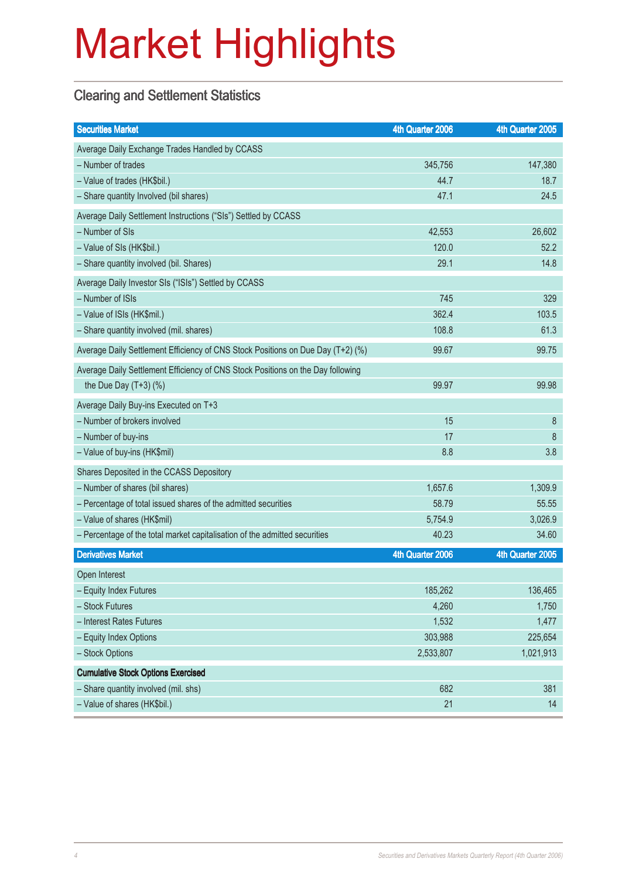### Clearing and Settlement Statistics

| <b>Securities Market</b>                                                        | 4th Quarter 2006 | 4th Quarter 2005 |
|---------------------------------------------------------------------------------|------------------|------------------|
| Average Daily Exchange Trades Handled by CCASS                                  |                  |                  |
| - Number of trades                                                              | 345,756          | 147,380          |
| - Value of trades (HK\$bil.)                                                    | 44.7             | 18.7             |
| - Share quantity Involved (bil shares)                                          | 47.1             | 24.5             |
| Average Daily Settlement Instructions ("SIs") Settled by CCASS                  |                  |                  |
| - Number of SIs                                                                 | 42,553           | 26,602           |
| - Value of SIs (HK\$bil.)                                                       | 120.0            | 52.2             |
| - Share quantity involved (bil. Shares)                                         | 29.1             | 14.8             |
| Average Daily Investor SIs ("ISIs") Settled by CCASS                            |                  |                  |
| - Number of ISIs                                                                | 745              | 329              |
| - Value of ISIs (HK\$mil.)                                                      | 362.4            | 103.5            |
| - Share quantity involved (mil. shares)                                         | 108.8            | 61.3             |
| Average Daily Settlement Efficiency of CNS Stock Positions on Due Day (T+2) (%) | 99.67            | 99.75            |
| Average Daily Settlement Efficiency of CNS Stock Positions on the Day following |                  |                  |
| the Due Day $(T+3)$ (%)                                                         | 99.97            | 99.98            |
| Average Daily Buy-ins Executed on T+3                                           |                  |                  |
| - Number of brokers involved                                                    | 15               | 8                |
| - Number of buy-ins                                                             | 17               | 8                |
| - Value of buy-ins (HK\$mil)                                                    | 8.8              | 3.8              |
| Shares Deposited in the CCASS Depository                                        |                  |                  |
| - Number of shares (bil shares)                                                 | 1,657.6          | 1,309.9          |
| - Percentage of total issued shares of the admitted securities                  | 58.79            | 55.55            |
| - Value of shares (HK\$mil)                                                     | 5,754.9          | 3,026.9          |
| - Percentage of the total market capitalisation of the admitted securities      | 40.23            | 34.60            |
| <b>Derivatives Market</b>                                                       | 4th Quarter 2006 | 4th Quarter 2005 |
| Open Interest                                                                   |                  |                  |
| - Equity Index Futures                                                          | 185,262          | 136,465          |
| - Stock Futures                                                                 | 4,260            | 1,750            |
| - Interest Rates Futures                                                        | 1,532            | 1,477            |
| - Equity Index Options                                                          | 303,988          | 225,654          |
| - Stock Options                                                                 | 2,533,807        | 1,021,913        |
| <b>Cumulative Stock Options Exercised</b>                                       |                  |                  |
| - Share quantity involved (mil. shs)                                            | 682              | 381              |
| - Value of shares (HK\$bil.)                                                    | 21               | 14               |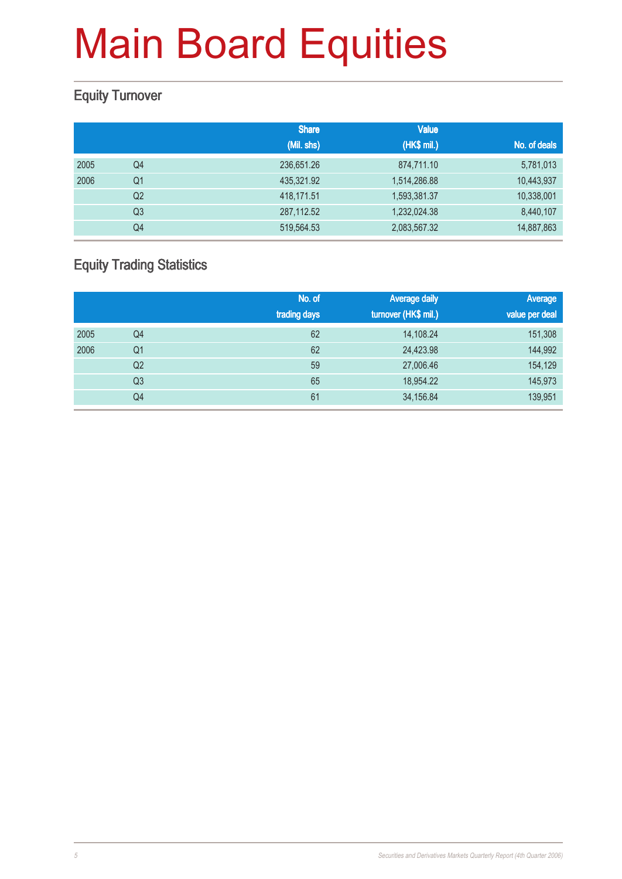### Equity Turnover

|      |                | <b>Share</b> | <b>Value</b> |              |
|------|----------------|--------------|--------------|--------------|
|      |                | (Mil. shs)   | (HK\$ mil.)  | No. of deals |
| 2005 | Q4             | 236,651.26   | 874,711.10   | 5,781,013    |
| 2006 | Q <sub>1</sub> | 435,321.92   | 1,514,286.88 | 10,443,937   |
|      | Q <sub>2</sub> | 418,171.51   | 1,593,381.37 | 10,338,001   |
|      | Q <sub>3</sub> | 287,112.52   | 1,232,024.38 | 8,440,107    |
|      | Q4             | 519,564.53   | 2,083,567.32 | 14,887,863   |

### Equity Trading Statistics

|      |                | No. of<br>trading days | <b>Average daily</b><br>turnover (HK\$ mil.) | Average<br>value per deal |
|------|----------------|------------------------|----------------------------------------------|---------------------------|
| 2005 | Q4             | 62                     | 14,108.24                                    | 151,308                   |
| 2006 | Q <sub>1</sub> | 62                     | 24,423.98                                    | 144,992                   |
|      | Q2             | 59                     | 27,006.46                                    | 154,129                   |
|      | Q <sub>3</sub> | 65                     | 18,954.22                                    | 145,973                   |
|      | Q4             | 61                     | 34,156.84                                    | 139,951                   |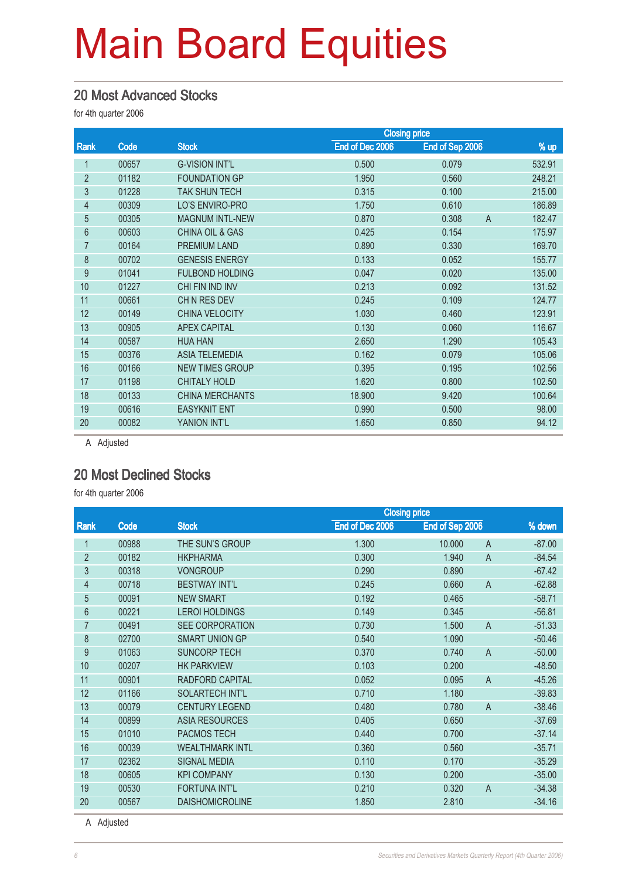#### 20 Most Advanced Stocks

for 4th quarter 2006

|                |       |                            | <b>Closing price</b> |                         |        |
|----------------|-------|----------------------------|----------------------|-------------------------|--------|
| Rank           | Code  | <b>Stock</b>               | End of Dec 2006      | End of Sep 2006         | $%$ up |
| 1              | 00657 | <b>G-VISION INT'L</b>      | 0.500                | 0.079                   | 532.91 |
| $\overline{2}$ | 01182 | <b>FOUNDATION GP</b>       | 1.950                | 0.560                   | 248.21 |
| 3              | 01228 | <b>TAK SHUN TECH</b>       | 0.315                | 0.100                   | 215.00 |
| 4              | 00309 | LO'S ENVIRO-PRO            | 1.750                | 0.610                   | 186.89 |
| 5              | 00305 | <b>MAGNUM INTL-NEW</b>     | 0.870                | 0.308<br>$\overline{A}$ | 182.47 |
| 6              | 00603 | <b>CHINA OIL &amp; GAS</b> | 0.425                | 0.154                   | 175.97 |
| 7              | 00164 | PREMIUM LAND               | 0.890                | 0.330                   | 169.70 |
| 8              | 00702 | <b>GENESIS ENERGY</b>      | 0.133                | 0.052                   | 155.77 |
| 9              | 01041 | <b>FULBOND HOLDING</b>     | 0.047                | 0.020                   | 135.00 |
| 10             | 01227 | CHI FIN IND INV            | 0.213                | 0.092                   | 131.52 |
| 11             | 00661 | CHN RES DEV                | 0.245                | 0.109                   | 124.77 |
| 12             | 00149 | <b>CHINA VELOCITY</b>      | 1.030                | 0.460                   | 123.91 |
| 13             | 00905 | <b>APEX CAPITAL</b>        | 0.130                | 0.060                   | 116.67 |
| 14             | 00587 | <b>HUA HAN</b>             | 2.650                | 1.290                   | 105.43 |
| 15             | 00376 | <b>ASIA TELEMEDIA</b>      | 0.162                | 0.079                   | 105.06 |
| 16             | 00166 | <b>NEW TIMES GROUP</b>     | 0.395                | 0.195                   | 102.56 |
| 17             | 01198 | <b>CHITALY HOLD</b>        | 1.620                | 0.800                   | 102.50 |
| 18             | 00133 | <b>CHINA MERCHANTS</b>     | 18.900               | 9.420                   | 100.64 |
| 19             | 00616 | <b>EASYKNIT ENT</b>        | 0.990                | 0.500                   | 98.00  |
| 20             | 00082 | YANION INT'L               | 1.650                | 0.850                   | 94.12  |
|                |       |                            |                      |                         |        |

A Adjusted

#### 20 Most Declined Stocks

for 4th quarter 2006

|                |       |                        | <b>Closing price</b> |                 |                |          |
|----------------|-------|------------------------|----------------------|-----------------|----------------|----------|
| Rank           | Code  | <b>Stock</b>           | End of Dec 2006      | End of Sep 2006 |                | % down   |
|                | 00988 | THE SUN'S GROUP        | 1.300                | 10,000          | $\overline{A}$ | $-87.00$ |
| $\overline{2}$ | 00182 | <b>HKPHARMA</b>        | 0.300                | 1.940           | $\overline{A}$ | $-84.54$ |
| 3              | 00318 | <b>VONGROUP</b>        | 0.290                | 0.890           |                | $-67.42$ |
| 4              | 00718 | <b>BESTWAY INT'L</b>   | 0.245                | 0.660           | $\overline{A}$ | $-62.88$ |
| 5              | 00091 | <b>NEW SMART</b>       | 0.192                | 0.465           |                | $-58.71$ |
| 6              | 00221 | <b>LEROI HOLDINGS</b>  | 0.149                | 0.345           |                | $-56.81$ |
| $\overline{7}$ | 00491 | <b>SEE CORPORATION</b> | 0.730                | 1.500           | $\overline{A}$ | $-51.33$ |
| 8              | 02700 | <b>SMART UNION GP</b>  | 0.540                | 1.090           |                | $-50.46$ |
| 9              | 01063 | <b>SUNCORP TECH</b>    | 0.370                | 0.740           | $\overline{A}$ | $-50.00$ |
| 10             | 00207 | <b>HK PARKVIEW</b>     | 0.103                | 0.200           |                | $-48.50$ |
| 11             | 00901 | <b>RADFORD CAPITAL</b> | 0.052                | 0.095           | $\overline{A}$ | $-45.26$ |
| 12             | 01166 | SOLARTECH INT'L        | 0.710                | 1.180           |                | $-39.83$ |
| 13             | 00079 | <b>CENTURY LEGEND</b>  | 0.480                | 0.780           | $\overline{A}$ | $-38.46$ |
| 14             | 00899 | <b>ASIA RESOURCES</b>  | 0.405                | 0.650           |                | $-37.69$ |
| 15             | 01010 | PACMOS TECH            | 0.440                | 0.700           |                | $-37.14$ |
| 16             | 00039 | <b>WEALTHMARK INTL</b> | 0.360                | 0.560           |                | $-35.71$ |
| 17             | 02362 | <b>SIGNAL MEDIA</b>    | 0.110                | 0.170           |                | $-35.29$ |
| 18             | 00605 | <b>KPI COMPANY</b>     | 0.130                | 0.200           |                | $-35.00$ |
| 19             | 00530 | <b>FORTUNA INT'L</b>   | 0.210                | 0.320           | $\overline{A}$ | $-34.38$ |
| 20             | 00567 | <b>DAISHOMICROLINE</b> | 1.850                | 2.810           |                | $-34.16$ |

A Adjusted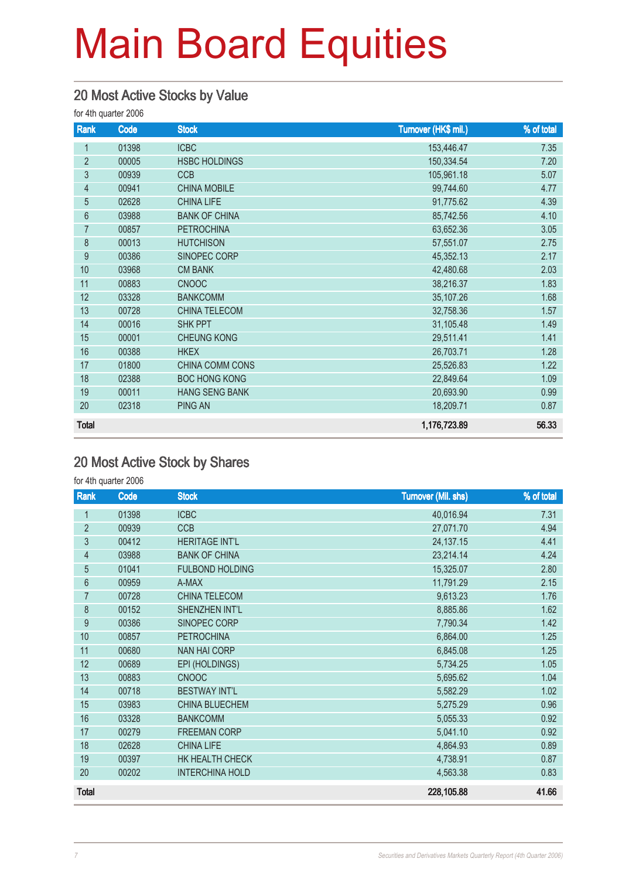### 20 Most Active Stocks by Value

for 4th quarter 2006

| Rank           | Code  | <b>Stock</b>          | Turnover (HK\$ mil.) | % of total |
|----------------|-------|-----------------------|----------------------|------------|
| $\mathbf{1}$   | 01398 | <b>ICBC</b>           | 153,446.47           | 7.35       |
| $\overline{2}$ | 00005 | <b>HSBC HOLDINGS</b>  | 150,334.54           | 7.20       |
| $\mathfrak{Z}$ | 00939 | <b>CCB</b>            | 105,961.18           | 5.07       |
| $\overline{4}$ | 00941 | <b>CHINA MOBILE</b>   | 99,744.60            | 4.77       |
| $\overline{5}$ | 02628 | <b>CHINA LIFE</b>     | 91,775.62            | 4.39       |
| 6              | 03988 | <b>BANK OF CHINA</b>  | 85,742.56            | 4.10       |
| 7              | 00857 | <b>PETROCHINA</b>     | 63,652.36            | 3.05       |
| 8              | 00013 | <b>HUTCHISON</b>      | 57,551.07            | 2.75       |
| 9              | 00386 | SINOPEC CORP          | 45,352.13            | 2.17       |
| 10             | 03968 | <b>CM BANK</b>        | 42,480.68            | 2.03       |
| 11             | 00883 | <b>CNOOC</b>          | 38,216.37            | 1.83       |
| 12             | 03328 | <b>BANKCOMM</b>       | 35,107.26            | 1.68       |
| 13             | 00728 | <b>CHINA TELECOM</b>  | 32,758.36            | 1.57       |
| 14             | 00016 | SHK PPT               | 31,105.48            | 1.49       |
| 15             | 00001 | <b>CHEUNG KONG</b>    | 29,511.41            | 1.41       |
| 16             | 00388 | <b>HKEX</b>           | 26,703.71            | 1.28       |
| 17             | 01800 | CHINA COMM CONS       | 25,526.83            | 1.22       |
| 18             | 02388 | <b>BOC HONG KONG</b>  | 22,849.64            | 1.09       |
| 19             | 00011 | <b>HANG SENG BANK</b> | 20,693.90            | 0.99       |
| 20             | 02318 | <b>PING AN</b>        | 18,209.71            | 0.87       |
| <b>Total</b>   |       |                       | 1,176,723.89         | 56.33      |

### 20 Most Active Stock by Shares

for 4th quarter 2006

| Rank           | Code  | <b>Stock</b>           | <b>Turnover (Mil. shs)</b> | % of total |
|----------------|-------|------------------------|----------------------------|------------|
| $\mathbf{1}$   | 01398 | <b>ICBC</b>            | 40,016.94                  | 7.31       |
| $\overline{2}$ | 00939 | CCB                    | 27,071.70                  | 4.94       |
| $\mathfrak{Z}$ | 00412 | <b>HERITAGE INT'L</b>  | 24, 137. 15                | 4.41       |
| $\overline{4}$ | 03988 | <b>BANK OF CHINA</b>   | 23,214.14                  | 4.24       |
| $\overline{5}$ | 01041 | <b>FULBOND HOLDING</b> | 15,325.07                  | 2.80       |
| $6\phantom{a}$ | 00959 | A-MAX                  | 11,791.29                  | 2.15       |
| $\overline{7}$ | 00728 | <b>CHINA TELECOM</b>   | 9,613.23                   | 1.76       |
| 8              | 00152 | SHENZHEN INT'L         | 8,885.86                   | 1.62       |
| $\overline{9}$ | 00386 | SINOPEC CORP           | 7,790.34                   | 1.42       |
| 10             | 00857 | <b>PETROCHINA</b>      | 6,864.00                   | 1.25       |
| 11             | 00680 | <b>NAN HAI CORP</b>    | 6,845.08                   | 1.25       |
| 12             | 00689 | EPI (HOLDINGS)         | 5,734.25                   | 1.05       |
| 13             | 00883 | <b>CNOOC</b>           | 5,695.62                   | 1.04       |
| 14             | 00718 | <b>BESTWAY INT'L</b>   | 5,582.29                   | 1.02       |
| 15             | 03983 | <b>CHINA BLUECHEM</b>  | 5,275.29                   | 0.96       |
| 16             | 03328 | <b>BANKCOMM</b>        | 5,055.33                   | 0.92       |
| 17             | 00279 | <b>FREEMAN CORP</b>    | 5,041.10                   | 0.92       |
| 18             | 02628 | <b>CHINA LIFE</b>      | 4,864.93                   | 0.89       |
| 19             | 00397 | HK HEALTH CHECK        | 4,738.91                   | 0.87       |
| 20             | 00202 | <b>INTERCHINA HOLD</b> | 4,563.38                   | 0.83       |
| <b>Total</b>   |       |                        | 228,105.88                 | 41.66      |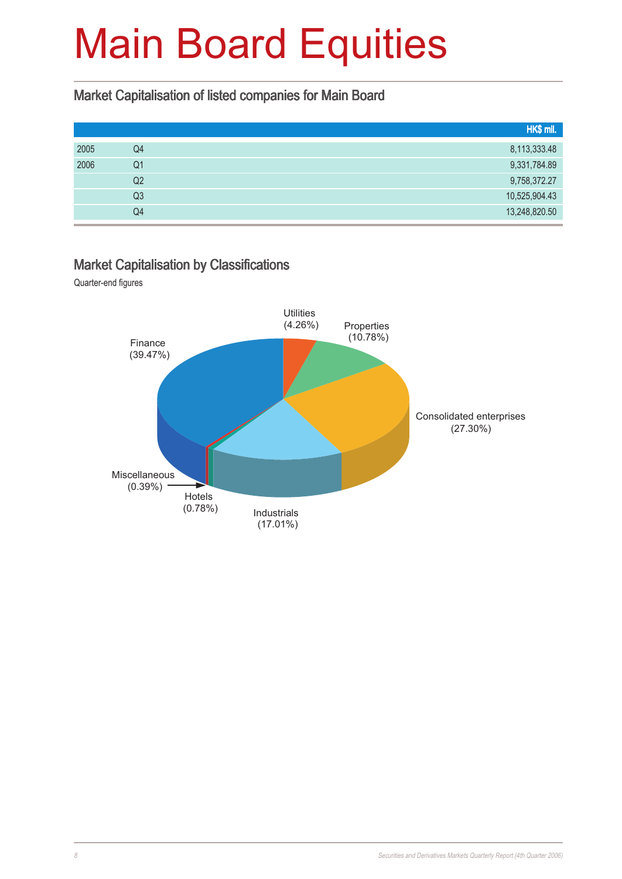#### Market Capitalisation of listed companies for Main Board

| HK\$ mil.     |
|---------------|
| 8,113,333.48  |
| 9,331,784.89  |
| 9,758,372.27  |
| 10,525,904.43 |
| 13,248,820.50 |
|               |

#### Market Capitalisation by Classifications

Quarter-end figures

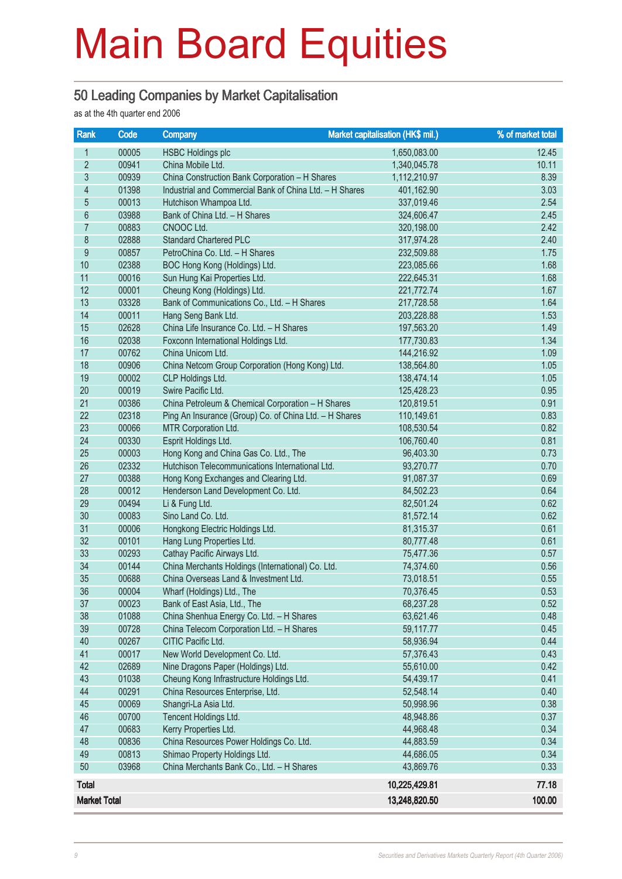#### 50 Leading Companies by Market Capitalisation

as at the 4th quarter end 2006

| Rank                     | Code  | <b>Company</b>                                          | Market capitalisation (HK\$ mil.) | % of market total |
|--------------------------|-------|---------------------------------------------------------|-----------------------------------|-------------------|
| 1                        | 00005 | <b>HSBC Holdings plc</b>                                | 1,650,083.00                      | 12.45             |
| $\overline{2}$           | 00941 | China Mobile Ltd.                                       | 1,340,045.78                      | 10.11             |
| $\overline{3}$           | 00939 | China Construction Bank Corporation - H Shares          | 1,112,210.97                      | 8.39              |
| $\overline{\mathcal{A}}$ | 01398 | Industrial and Commercial Bank of China Ltd. - H Shares | 401,162.90                        | 3.03              |
| $\overline{5}$           | 00013 | Hutchison Whampoa Ltd.                                  | 337,019.46                        | 2.54              |
| 6                        | 03988 | Bank of China Ltd. - H Shares                           | 324,606.47                        | 2.45              |
| 7                        | 00883 | CNOOC Ltd.                                              | 320,198.00                        | 2.42              |
| 8                        | 02888 | <b>Standard Chartered PLC</b>                           | 317,974.28                        | 2.40              |
| $\overline{9}$           | 00857 | PetroChina Co. Ltd. - H Shares                          | 232,509.88                        | 1.75              |
| 10                       | 02388 | BOC Hong Kong (Holdings) Ltd.                           | 223,085.66                        | 1.68              |
| 11                       | 00016 | Sun Hung Kai Properties Ltd.                            | 222,645.31                        | 1.68              |
| 12                       | 00001 | Cheung Kong (Holdings) Ltd.                             | 221,772.74                        | 1.67              |
| 13                       | 03328 | Bank of Communications Co., Ltd. - H Shares             | 217,728.58                        | 1.64              |
| 14                       | 00011 | Hang Seng Bank Ltd.                                     | 203,228.88                        | 1.53              |
| 15                       | 02628 | China Life Insurance Co. Ltd. - H Shares                | 197,563.20                        | 1.49              |
| 16                       | 02038 | Foxconn International Holdings Ltd.                     | 177,730.83                        | 1.34              |
| 17                       | 00762 | China Unicom Ltd.                                       | 144,216.92                        | 1.09              |
| 18                       | 00906 | China Netcom Group Corporation (Hong Kong) Ltd.         | 138,564.80                        | 1.05              |
| 19                       | 00002 | CLP Holdings Ltd.                                       | 138,474.14                        | 1.05              |
| 20                       | 00019 | Swire Pacific Ltd.                                      | 125,428.23                        | 0.95              |
| 21                       | 00386 | China Petroleum & Chemical Corporation - H Shares       | 120,819.51                        | 0.91              |
| 22                       | 02318 | Ping An Insurance (Group) Co. of China Ltd. - H Shares  | 110,149.61                        | 0.83              |
| 23                       | 00066 | MTR Corporation Ltd.                                    | 108,530.54                        | 0.82              |
| 24                       | 00330 | Esprit Holdings Ltd.                                    | 106,760.40                        | 0.81              |
| 25                       | 00003 | Hong Kong and China Gas Co. Ltd., The                   | 96,403.30                         | 0.73              |
| 26                       | 02332 | Hutchison Telecommunications International Ltd.         | 93,270.77                         | 0.70              |
| 27                       | 00388 | Hong Kong Exchanges and Clearing Ltd.                   | 91,087.37                         | 0.69              |
| 28                       | 00012 | Henderson Land Development Co. Ltd.                     | 84,502.23                         | 0.64              |
| 29                       | 00494 | Li & Fung Ltd.                                          | 82,501.24                         | 0.62              |
| 30                       | 00083 | Sino Land Co. Ltd.                                      | 81,572.14                         | 0.62              |
| 31                       | 00006 | Hongkong Electric Holdings Ltd.                         | 81,315.37                         | 0.61              |
| 32                       | 00101 | Hang Lung Properties Ltd.                               | 80,777.48                         | 0.61              |
| 33                       | 00293 | Cathay Pacific Airways Ltd.                             | 75,477.36                         | 0.57              |
| 34                       | 00144 | China Merchants Holdings (International) Co. Ltd.       | 74,374.60                         | 0.56              |
| 35                       | 00688 | China Overseas Land & Investment Ltd.                   | 73,018.51                         | 0.55              |
| 36                       | 00004 | Wharf (Holdings) Ltd., The                              | 70,376.45                         | 0.53              |
| 37                       | 00023 | Bank of East Asia, Ltd., The                            | 68,237.28                         | 0.52              |
| 38                       | 01088 | China Shenhua Energy Co. Ltd. - H Shares                | 63,621.46                         | 0.48              |
| 39                       | 00728 | China Telecom Corporation Ltd. - H Shares               | 59,117.77                         | 0.45              |
| 40                       | 00267 | CITIC Pacific Ltd.                                      | 58,936.94                         | 0.44              |
| 41                       | 00017 | New World Development Co. Ltd.                          | 57,376.43                         | 0.43              |
| 42                       | 02689 | Nine Dragons Paper (Holdings) Ltd.                      | 55,610.00                         | 0.42              |
| 43                       | 01038 | Cheung Kong Infrastructure Holdings Ltd.                | 54,439.17                         | 0.41              |
| 44                       | 00291 | China Resources Enterprise, Ltd.                        | 52,548.14                         | 0.40              |
| 45                       | 00069 | Shangri-La Asia Ltd.                                    | 50,998.96                         | 0.38              |
| 46                       | 00700 | Tencent Holdings Ltd.                                   | 48,948.86                         | 0.37              |
| 47                       | 00683 | Kerry Properties Ltd.                                   | 44,968.48                         | 0.34              |
| 48                       | 00836 | China Resources Power Holdings Co. Ltd.                 | 44,883.59                         | 0.34              |
| 49                       | 00813 | Shimao Property Holdings Ltd.                           | 44,686.05                         | 0.34              |
| 50                       | 03968 | China Merchants Bank Co., Ltd. - H Shares               | 43,869.76                         | 0.33              |
| <b>Total</b>             |       |                                                         | 10,225,429.81                     | 77.18             |
| <b>Market Total</b>      |       |                                                         | 13,248,820.50                     | 100.00            |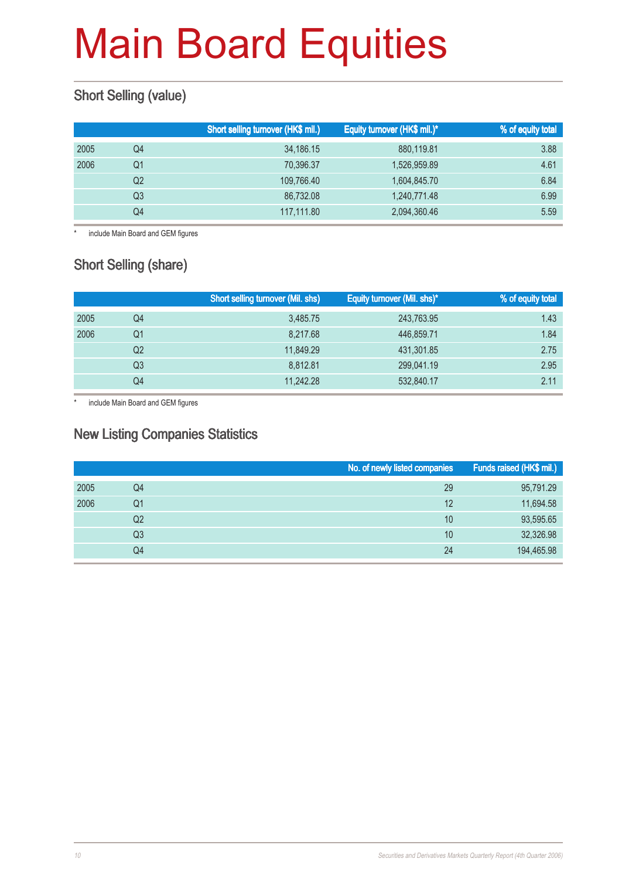### **Short Selling (value)**

|      |                | Short selling turnover (HK\$ mil.) | Equity turnover (HK\$ mil.)* | % of equity total |
|------|----------------|------------------------------------|------------------------------|-------------------|
| 2005 | Q4             | 34,186.15                          | 880,119.81                   | 3.88              |
| 2006 | Q1             | 70,396.37                          | 1,526,959.89                 | 4.61              |
|      | Q <sub>2</sub> | 109,766.40                         | 1,604,845.70                 | 6.84              |
|      | Q3             | 86.732.08                          | 1,240,771.48                 | 6.99              |
|      | Q4             | 117,111.80                         | 2,094,360.46                 | 5.59              |

\* include Main Board and GEM figures

### Short Selling (share)

|      |                | <b>Short selling turnover (Mil. shs)</b> | Equity turnover (Mil. shs)* | % of equity total |
|------|----------------|------------------------------------------|-----------------------------|-------------------|
| 2005 | Q4             | 3.485.75                                 | 243,763.95                  | 1.43              |
| 2006 | Q1             | 8,217.68                                 | 446,859.71                  | 1.84              |
|      | Q <sub>2</sub> | 11,849.29                                | 431,301.85                  | 2.75              |
|      | Q3             | 8.812.81                                 | 299,041.19                  | 2.95              |
|      | Q4             | 11,242.28                                | 532,840.17                  | 2.11              |

\* include Main Board and GEM figures

#### New Listing Companies Statistics

|      |                | No. of newly listed companies | Funds raised (HK\$ mil.) |
|------|----------------|-------------------------------|--------------------------|
| 2005 | Q4             | 29                            | 95,791.29                |
| 2006 | Q1             | 12                            | 11,694.58                |
|      | Q2             | 10                            | 93,595.65                |
|      | Q <sub>3</sub> | 10                            | 32,326.98                |
|      | Q4             | 24                            | 194,465.98               |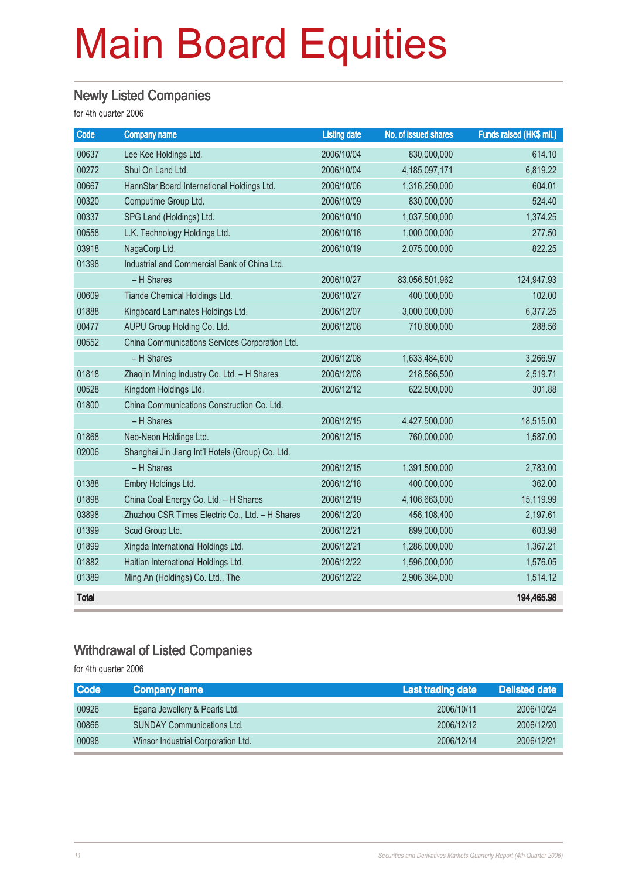### Newly Listed Companies

for 4th quarter 2006

| Code         | <b>Company name</b>                              | <b>Listing date</b> | No. of issued shares | Funds raised (HK\$ mil.) |
|--------------|--------------------------------------------------|---------------------|----------------------|--------------------------|
| 00637        | Lee Kee Holdings Ltd.                            | 2006/10/04          | 830,000,000          | 614.10                   |
| 00272        | Shui On Land Ltd.                                | 2006/10/04          | 4, 185, 097, 171     | 6,819.22                 |
| 00667        | HannStar Board International Holdings Ltd.       | 2006/10/06          | 1,316,250,000        | 604.01                   |
| 00320        | Computime Group Ltd.                             | 2006/10/09          | 830,000,000          | 524.40                   |
| 00337        | SPG Land (Holdings) Ltd.                         | 2006/10/10          | 1,037,500,000        | 1,374.25                 |
| 00558        | L.K. Technology Holdings Ltd.                    | 2006/10/16          | 1,000,000,000        | 277.50                   |
| 03918        | NagaCorp Ltd.                                    | 2006/10/19          | 2,075,000,000        | 822.25                   |
| 01398        | Industrial and Commercial Bank of China Ltd.     |                     |                      |                          |
|              | - H Shares                                       | 2006/10/27          | 83,056,501,962       | 124,947.93               |
| 00609        | Tiande Chemical Holdings Ltd.                    | 2006/10/27          | 400,000,000          | 102.00                   |
| 01888        | Kingboard Laminates Holdings Ltd.                | 2006/12/07          | 3,000,000,000        | 6,377.25                 |
| 00477        | AUPU Group Holding Co. Ltd.                      | 2006/12/08          | 710,600,000          | 288.56                   |
| 00552        | China Communications Services Corporation Ltd.   |                     |                      |                          |
|              | - H Shares                                       | 2006/12/08          | 1,633,484,600        | 3,266.97                 |
| 01818        | Zhaojin Mining Industry Co. Ltd. - H Shares      | 2006/12/08          | 218,586,500          | 2,519.71                 |
| 00528        | Kingdom Holdings Ltd.                            | 2006/12/12          | 622,500,000          | 301.88                   |
| 01800        | China Communications Construction Co. Ltd.       |                     |                      |                          |
|              | - H Shares                                       | 2006/12/15          | 4,427,500,000        | 18,515.00                |
| 01868        | Neo-Neon Holdings Ltd.                           | 2006/12/15          | 760,000,000          | 1,587.00                 |
| 02006        | Shanghai Jin Jiang Int'l Hotels (Group) Co. Ltd. |                     |                      |                          |
|              | - H Shares                                       | 2006/12/15          | 1,391,500,000        | 2,783.00                 |
| 01388        | Embry Holdings Ltd.                              | 2006/12/18          | 400,000,000          | 362.00                   |
| 01898        | China Coal Energy Co. Ltd. - H Shares            | 2006/12/19          | 4,106,663,000        | 15,119.99                |
| 03898        | Zhuzhou CSR Times Electric Co., Ltd. - H Shares  | 2006/12/20          | 456,108,400          | 2,197.61                 |
| 01399        | Scud Group Ltd.                                  | 2006/12/21          | 899,000,000          | 603.98                   |
| 01899        | Xingda International Holdings Ltd.               | 2006/12/21          | 1,286,000,000        | 1,367.21                 |
| 01882        | Haitian International Holdings Ltd.              | 2006/12/22          | 1,596,000,000        | 1,576.05                 |
| 01389        | Ming An (Holdings) Co. Ltd., The                 | 2006/12/22          | 2,906,384,000        | 1,514.12                 |
| <b>Total</b> |                                                  |                     |                      | 194,465.98               |

### Withdrawal of Listed Companies

for 4th quarter 2006

| <b>Code</b> | <b>Company name</b>                | Last trading date | <b>Delisted date</b> |
|-------------|------------------------------------|-------------------|----------------------|
| 00926       | Egana Jewellery & Pearls Ltd.      | 2006/10/11        | 2006/10/24           |
| 00866       | <b>SUNDAY Communications Ltd.</b>  | 2006/12/12        | 2006/12/20           |
| 00098       | Winsor Industrial Corporation Ltd. | 2006/12/14        | 2006/12/21           |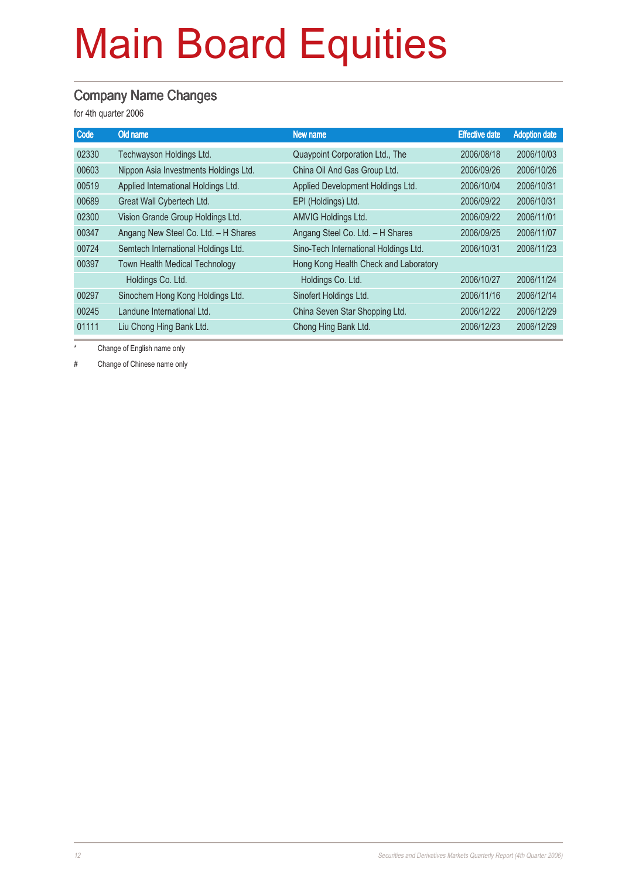#### Company Name Changes

for 4th quarter 2006

| Code  | Old name                              | New name                              | <b>Effective date</b> | <b>Adoption date</b> |
|-------|---------------------------------------|---------------------------------------|-----------------------|----------------------|
| 02330 | Techwayson Holdings Ltd.              | Quaypoint Corporation Ltd., The       | 2006/08/18            | 2006/10/03           |
| 00603 | Nippon Asia Investments Holdings Ltd. | China Oil And Gas Group Ltd.          | 2006/09/26            | 2006/10/26           |
| 00519 | Applied International Holdings Ltd.   | Applied Development Holdings Ltd.     | 2006/10/04            | 2006/10/31           |
| 00689 | Great Wall Cybertech Ltd.             | EPI (Holdings) Ltd.                   | 2006/09/22            | 2006/10/31           |
| 02300 | Vision Grande Group Holdings Ltd.     | AMVIG Holdings Ltd.                   | 2006/09/22            | 2006/11/01           |
| 00347 | Angang New Steel Co. Ltd. - H Shares  | Angang Steel Co. Ltd. - H Shares      | 2006/09/25            | 2006/11/07           |
| 00724 | Semtech International Holdings Ltd.   | Sino-Tech International Holdings Ltd. | 2006/10/31            | 2006/11/23           |
| 00397 | <b>Town Health Medical Technology</b> | Hong Kong Health Check and Laboratory |                       |                      |
|       | Holdings Co. Ltd.                     | Holdings Co. Ltd.                     | 2006/10/27            | 2006/11/24           |
| 00297 | Sinochem Hong Kong Holdings Ltd.      | Sinofert Holdings Ltd.                | 2006/11/16            | 2006/12/14           |
| 00245 | Landune International Ltd.            | China Seven Star Shopping Ltd.        | 2006/12/22            | 2006/12/29           |
| 01111 | Liu Chong Hing Bank Ltd.              | Chong Hing Bank Ltd.                  | 2006/12/23            | 2006/12/29           |
|       |                                       |                                       |                       |                      |

Change of English name only

# Change of Chinese name only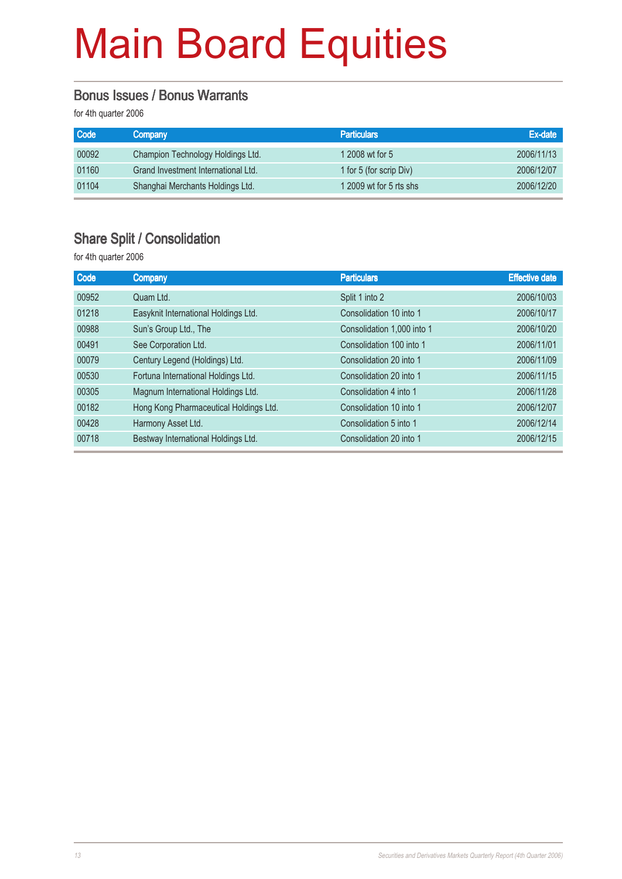#### Bonus Issues / Bonus Warrants

for 4th quarter 2006

| <b>Code</b> | Company                             | <b>Particulars</b>      | Ex-date    |
|-------------|-------------------------------------|-------------------------|------------|
| 00092       | Champion Technology Holdings Ltd.   | 1 2008 wt for 5         | 2006/11/13 |
| 01160       | Grand Investment International Ltd. | 1 for 5 (for scrip Div) | 2006/12/07 |
| 01104       | Shanghai Merchants Holdings Ltd.    | 1 2009 wt for 5 rts shs | 2006/12/20 |

### Share Split / Consolidation

for 4th quarter 2006

| Code  | <b>Company</b>                         | <b>Particulars</b>         | <b>Effective date</b> |
|-------|----------------------------------------|----------------------------|-----------------------|
| 00952 | Quam Ltd.                              | Split 1 into 2             | 2006/10/03            |
| 01218 | Easyknit International Holdings Ltd.   | Consolidation 10 into 1    | 2006/10/17            |
| 00988 | Sun's Group Ltd., The                  | Consolidation 1,000 into 1 | 2006/10/20            |
| 00491 | See Corporation Ltd.                   | Consolidation 100 into 1   | 2006/11/01            |
| 00079 | Century Legend (Holdings) Ltd.         | Consolidation 20 into 1    | 2006/11/09            |
| 00530 | Fortuna International Holdings Ltd.    | Consolidation 20 into 1    | 2006/11/15            |
| 00305 | Magnum International Holdings Ltd.     | Consolidation 4 into 1     | 2006/11/28            |
| 00182 | Hong Kong Pharmaceutical Holdings Ltd. | Consolidation 10 into 1    | 2006/12/07            |
| 00428 | Harmony Asset Ltd.                     | Consolidation 5 into 1     | 2006/12/14            |
| 00718 | Bestway International Holdings Ltd.    | Consolidation 20 into 1    | 2006/12/15            |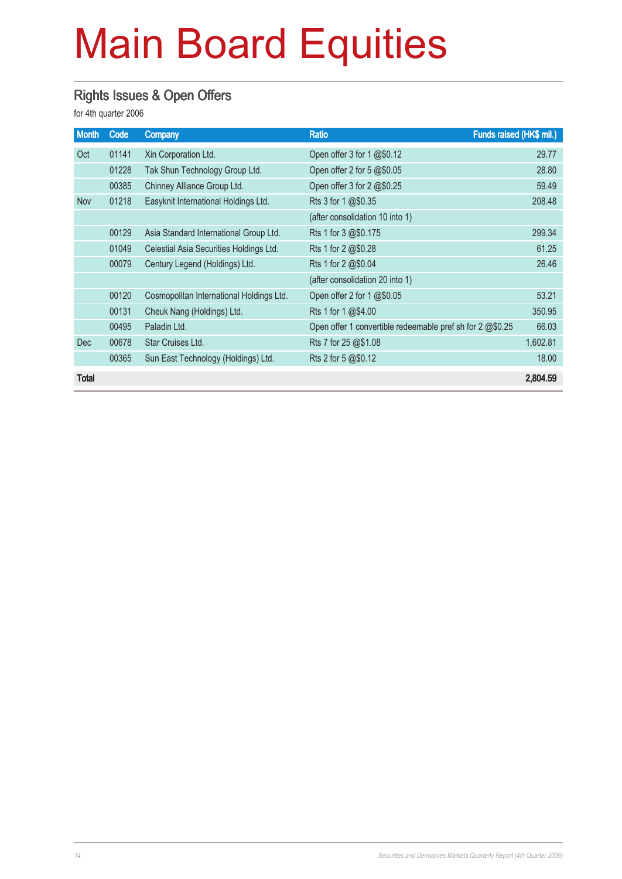### Rights Issues & Open Offers

for 4th quarter 2006

| <b>Month</b> | Code  | <b>Company</b>                           | <b>Ratio</b>                                              | Funds raised (HK\$ mil.) |
|--------------|-------|------------------------------------------|-----------------------------------------------------------|--------------------------|
| Oct          | 01141 | Xin Corporation Ltd.                     | Open offer 3 for 1 @\$0.12                                | 29.77                    |
|              | 01228 | Tak Shun Technology Group Ltd.           | Open offer 2 for 5 @\$0.05                                | 28.80                    |
|              | 00385 | Chinney Alliance Group Ltd.              | Open offer 3 for 2 @\$0.25                                | 59.49                    |
| Nov          | 01218 | Easyknit International Holdings Ltd.     | Rts 3 for $1 \, \textcircled{a} 10.35$                    | 208.48                   |
|              |       |                                          | (after consolidation 10 into 1)                           |                          |
|              | 00129 | Asia Standard International Group Ltd.   | Rts 1 for 3 @\$0.175                                      | 299.34                   |
|              | 01049 | Celestial Asia Securities Holdings Ltd.  | Rts 1 for 2 @\$0.28                                       | 61.25                    |
|              | 00079 | Century Legend (Holdings) Ltd.           | Rts 1 for 2 @\$0.04                                       | 26.46                    |
|              |       |                                          | (after consolidation 20 into 1)                           |                          |
|              | 00120 | Cosmopolitan International Holdings Ltd. | Open offer 2 for 1 @\$0.05                                | 53.21                    |
|              | 00131 | Cheuk Nang (Holdings) Ltd.               | Rts 1 for 1 @\$4.00                                       | 350.95                   |
|              | 00495 | Paladin Ltd.                             | Open offer 1 convertible redeemable pref sh for 2 @\$0.25 | 66.03                    |
| <b>Dec</b>   | 00678 | Star Cruises Ltd.                        | Rts 7 for 25 @\$1.08                                      | 1,602.81                 |
|              | 00365 | Sun East Technology (Holdings) Ltd.      | Rts 2 for 5 @\$0.12                                       | 18.00                    |
| Total        |       |                                          |                                                           | 2,804.59                 |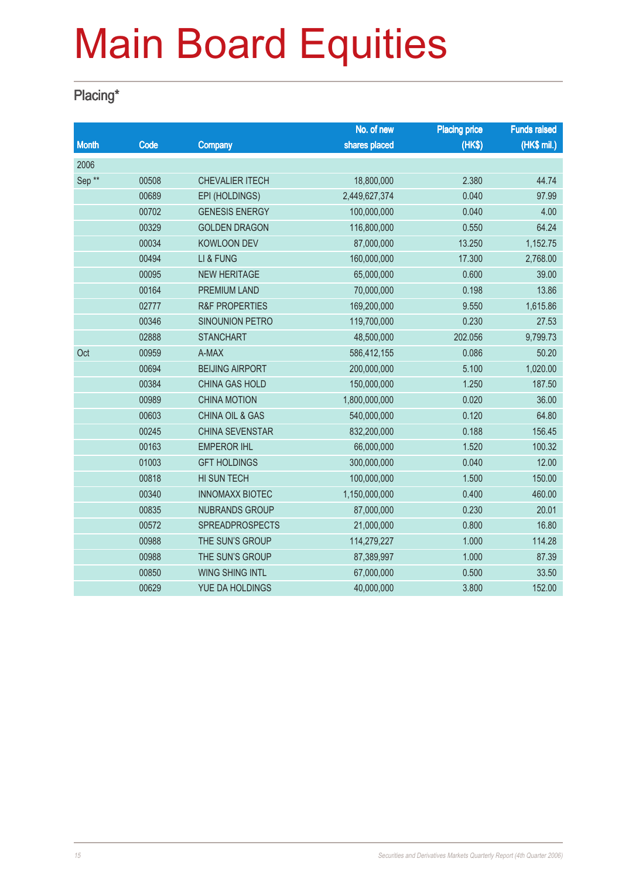### Placing\*

|                   |       |                            | No. of new    | <b>Placing price</b> | <b>Funds raised</b> |
|-------------------|-------|----------------------------|---------------|----------------------|---------------------|
| <b>Month</b>      | Code  | Company                    | shares placed | (HK\$)               | (HK\$ mil.)         |
| 2006              |       |                            |               |                      |                     |
| Sep <sup>**</sup> | 00508 | <b>CHEVALIER ITECH</b>     | 18,800,000    | 2.380                | 44.74               |
|                   | 00689 | EPI (HOLDINGS)             | 2,449,627,374 | 0.040                | 97.99               |
|                   | 00702 | <b>GENESIS ENERGY</b>      | 100,000,000   | 0.040                | 4.00                |
|                   | 00329 | <b>GOLDEN DRAGON</b>       | 116,800,000   | 0.550                | 64.24               |
|                   | 00034 | <b>KOWLOON DEV</b>         | 87,000,000    | 13.250               | 1,152.75            |
|                   | 00494 | LI & FUNG                  | 160,000,000   | 17.300               | 2,768.00            |
|                   | 00095 | <b>NEW HERITAGE</b>        | 65,000,000    | 0.600                | 39.00               |
|                   | 00164 | <b>PREMIUM LAND</b>        | 70,000,000    | 0.198                | 13.86               |
|                   | 02777 | <b>R&amp;F PROPERTIES</b>  | 169,200,000   | 9.550                | 1,615.86            |
|                   | 00346 | SINOUNION PETRO            | 119,700,000   | 0.230                | 27.53               |
|                   | 02888 | <b>STANCHART</b>           | 48,500,000    | 202.056              | 9,799.73            |
| Oct               | 00959 | A-MAX                      | 586,412,155   | 0.086                | 50.20               |
|                   | 00694 | <b>BEIJING AIRPORT</b>     | 200,000,000   | 5.100                | 1,020.00            |
|                   | 00384 | <b>CHINA GAS HOLD</b>      | 150,000,000   | 1.250                | 187.50              |
|                   | 00989 | <b>CHINA MOTION</b>        | 1,800,000,000 | 0.020                | 36.00               |
|                   | 00603 | <b>CHINA OIL &amp; GAS</b> | 540,000,000   | 0.120                | 64.80               |
|                   | 00245 | <b>CHINA SEVENSTAR</b>     | 832,200,000   | 0.188                | 156.45              |
|                   | 00163 | <b>EMPEROR IHL</b>         | 66,000,000    | 1.520                | 100.32              |
|                   | 01003 | <b>GFT HOLDINGS</b>        | 300,000,000   | 0.040                | 12.00               |
|                   | 00818 | HI SUN TECH                | 100,000,000   | 1.500                | 150.00              |
|                   | 00340 | <b>INNOMAXX BIOTEC</b>     | 1,150,000,000 | 0.400                | 460.00              |
|                   | 00835 | <b>NUBRANDS GROUP</b>      | 87,000,000    | 0.230                | 20.01               |
|                   | 00572 | <b>SPREADPROSPECTS</b>     | 21,000,000    | 0.800                | 16.80               |
|                   | 00988 | THE SUN'S GROUP            | 114,279,227   | 1.000                | 114.28              |
|                   | 00988 | THE SUN'S GROUP            | 87,389,997    | 1.000                | 87.39               |
|                   | 00850 | <b>WING SHING INTL</b>     | 67,000,000    | 0.500                | 33.50               |
|                   | 00629 | YUE DA HOLDINGS            | 40,000,000    | 3.800                | 152.00              |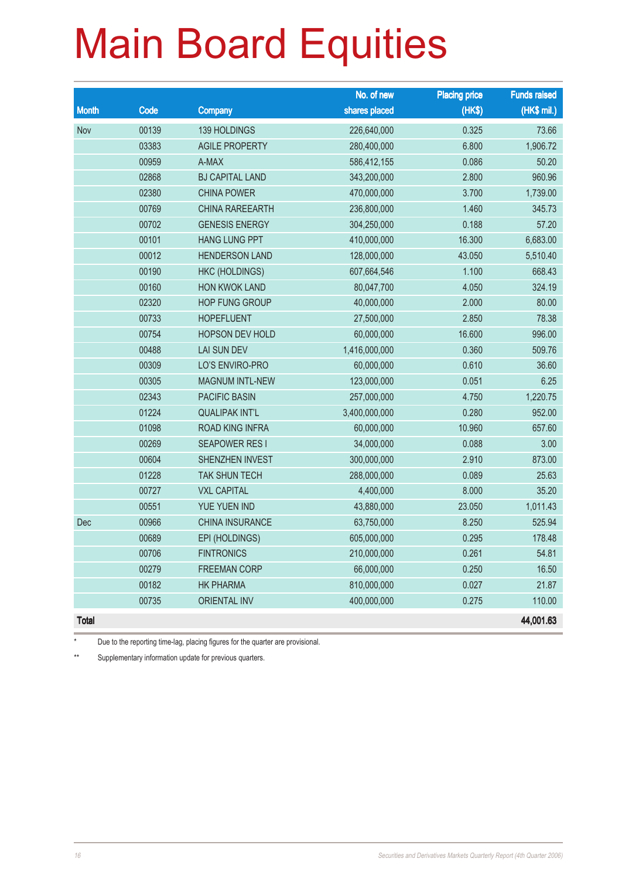|              |       |                        | No. of new    | <b>Placing price</b> | <b>Funds raised</b> |
|--------------|-------|------------------------|---------------|----------------------|---------------------|
| <b>Month</b> | Code  | Company                | shares placed | (HK\$)               | (HK\$ mil.)         |
| Nov          | 00139 | 139 HOLDINGS           | 226,640,000   | 0.325                | 73.66               |
|              | 03383 | <b>AGILE PROPERTY</b>  | 280,400,000   | 6.800                | 1,906.72            |
|              | 00959 | A-MAX                  | 586,412,155   | 0.086                | 50.20               |
|              | 02868 | <b>BJ CAPITAL LAND</b> | 343,200,000   | 2.800                | 960.96              |
|              | 02380 | <b>CHINA POWER</b>     | 470,000,000   | 3.700                | 1,739.00            |
|              | 00769 | <b>CHINA RAREEARTH</b> | 236,800,000   | 1.460                | 345.73              |
|              | 00702 | <b>GENESIS ENERGY</b>  | 304,250,000   | 0.188                | 57.20               |
|              | 00101 | <b>HANG LUNG PPT</b>   | 410,000,000   | 16.300               | 6,683.00            |
|              | 00012 | <b>HENDERSON LAND</b>  | 128,000,000   | 43.050               | 5,510.40            |
|              | 00190 | HKC (HOLDINGS)         | 607,664,546   | 1.100                | 668.43              |
|              | 00160 | HON KWOK LAND          | 80,047,700    | 4.050                | 324.19              |
|              | 02320 | <b>HOP FUNG GROUP</b>  | 40,000,000    | 2.000                | 80.00               |
|              | 00733 | <b>HOPEFLUENT</b>      | 27,500,000    | 2.850                | 78.38               |
|              | 00754 | HOPSON DEV HOLD        | 60,000,000    | 16.600               | 996.00              |
|              | 00488 | <b>LAI SUN DEV</b>     | 1,416,000,000 | 0.360                | 509.76              |
|              | 00309 | LO'S ENVIRO-PRO        | 60,000,000    | 0.610                | 36.60               |
|              | 00305 | <b>MAGNUM INTL-NEW</b> | 123,000,000   | 0.051                | 6.25                |
|              | 02343 | <b>PACIFIC BASIN</b>   | 257,000,000   | 4.750                | 1,220.75            |
|              | 01224 | <b>QUALIPAK INT'L</b>  | 3,400,000,000 | 0.280                | 952.00              |
|              | 01098 | ROAD KING INFRA        | 60,000,000    | 10.960               | 657.60              |
|              | 00269 | <b>SEAPOWER RESI</b>   | 34,000,000    | 0.088                | 3.00                |
|              | 00604 | SHENZHEN INVEST        | 300,000,000   | 2.910                | 873.00              |
|              | 01228 | <b>TAK SHUN TECH</b>   | 288,000,000   | 0.089                | 25.63               |
|              | 00727 | <b>VXL CAPITAL</b>     | 4,400,000     | 8.000                | 35.20               |
|              | 00551 | YUE YUEN IND           | 43,880,000    | 23.050               | 1,011.43            |
| Dec          | 00966 | CHINA INSURANCE        | 63,750,000    | 8.250                | 525.94              |
|              | 00689 | EPI (HOLDINGS)         | 605,000,000   | 0.295                | 178.48              |
|              | 00706 | <b>FINTRONICS</b>      | 210,000,000   | 0.261                | 54.81               |
|              | 00279 | <b>FREEMAN CORP</b>    | 66,000,000    | 0.250                | 16.50               |
|              | 00182 | <b>HK PHARMA</b>       | 810,000,000   | 0.027                | 21.87               |
|              | 00735 | <b>ORIENTAL INV</b>    | 400,000,000   | 0.275                | 110.00              |
| <b>Total</b> |       |                        |               |                      | 44,001.63           |

Due to the reporting time-lag, placing figures for the quarter are provisional.

\*\* Supplementary information update for previous quarters.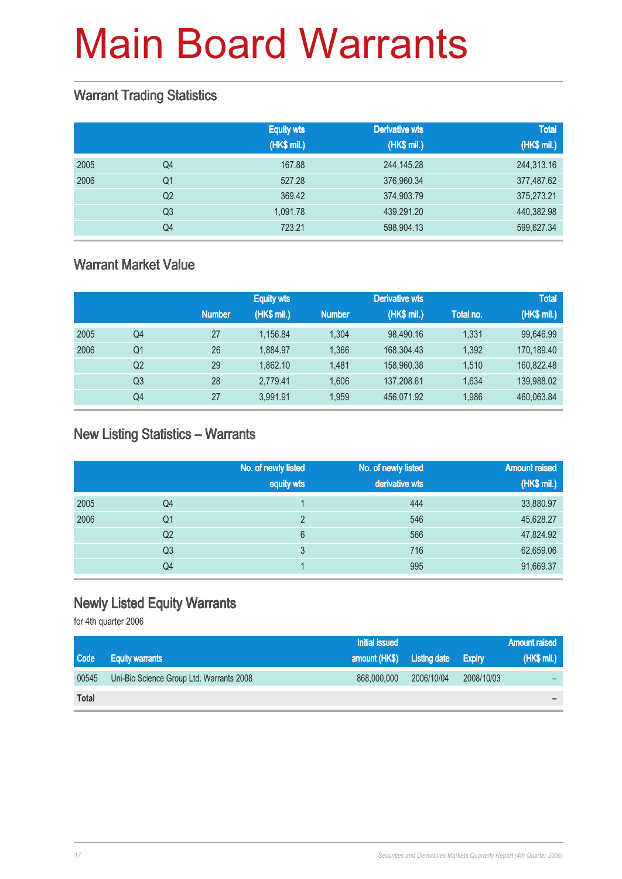#### Warrant Trading Statistics

|      |                | <b>Equity wts</b><br>(HK\$ mil.) | <b>Derivative wts</b><br>(HK\$ mil.) | <b>Total</b><br>(HK\$ mil.) |
|------|----------------|----------------------------------|--------------------------------------|-----------------------------|
| 2005 | Q <sub>4</sub> | 167.88                           | 244, 145. 28                         | 244,313.16                  |
| 2006 | Q <sub>1</sub> | 527.28                           | 376,960.34                           | 377,487.62                  |
|      | Q <sub>2</sub> | 369.42                           | 374,903.79                           | 375,273.21                  |
|      | Q <sub>3</sub> | 1.091.78                         | 439,291.20                           | 440,382.98                  |
|      | Q4             | 723.21                           | 598,904.13                           | 599,627.34                  |

### Warrant Market Value

|      |    |               | <b>Equity wts</b> |               | <b>Derivative wts</b> |           | <b>Total</b> |
|------|----|---------------|-------------------|---------------|-----------------------|-----------|--------------|
|      |    | <b>Number</b> | (HK\$ mil.)       | <b>Number</b> | (HK\$ mil.)           | Total no. | (HK\$ mil.)  |
| 2005 | Q4 | 27            | 1.156.84          | 1.304         | 98.490.16             | 1.331     | 99,646.99    |
| 2006 | Q1 | 26            | 1.884.97          | 1.366         | 168,304.43            | 1,392     | 170,189.40   |
|      | Q2 | 29            | 1.862.10          | 1.481         | 158,960,38            | 1.510     | 160.822.48   |
|      | Q3 | 28            | 2.779.41          | 1.606         | 137,208.61            | 1.634     | 139,988.02   |
|      | Q4 | 27            | 3.991.91          | 1.959         | 456.071.92            | 1.986     | 460,063.84   |

#### New Listing Statistics – Warrants

|      |                | No. of newly listed<br>equity wts | No. of newly listed<br>derivative wts | <b>Amount raised</b><br>(HK\$ mil.) |
|------|----------------|-----------------------------------|---------------------------------------|-------------------------------------|
| 2005 | Q4             |                                   | 444                                   | 33,880.97                           |
| 2006 | Q1             | っ                                 | 546                                   | 45,628.27                           |
|      | Q <sub>2</sub> | 6                                 | 566                                   | 47,824.92                           |
|      | Q <sub>3</sub> | 3                                 | 716                                   | 62,659.06                           |
|      | Q4             |                                   | 995                                   | 91,669.37                           |

### Newly Listed Equity Warrants

for 4th quarter 2006

|              |                                          | <b>Initial issued</b>      |            |               | <b>Amount raised</b> |
|--------------|------------------------------------------|----------------------------|------------|---------------|----------------------|
| <b>Code</b>  | <b>Equity warrants</b>                   | amount (HK\$) Listing date |            | <b>Expiry</b> | (HK\$ mil.)          |
| 00545        | Uni-Bio Science Group Ltd. Warrants 2008 | 868,000,000                | 2006/10/04 | 2008/10/03    |                      |
| <b>Total</b> |                                          |                            |            |               |                      |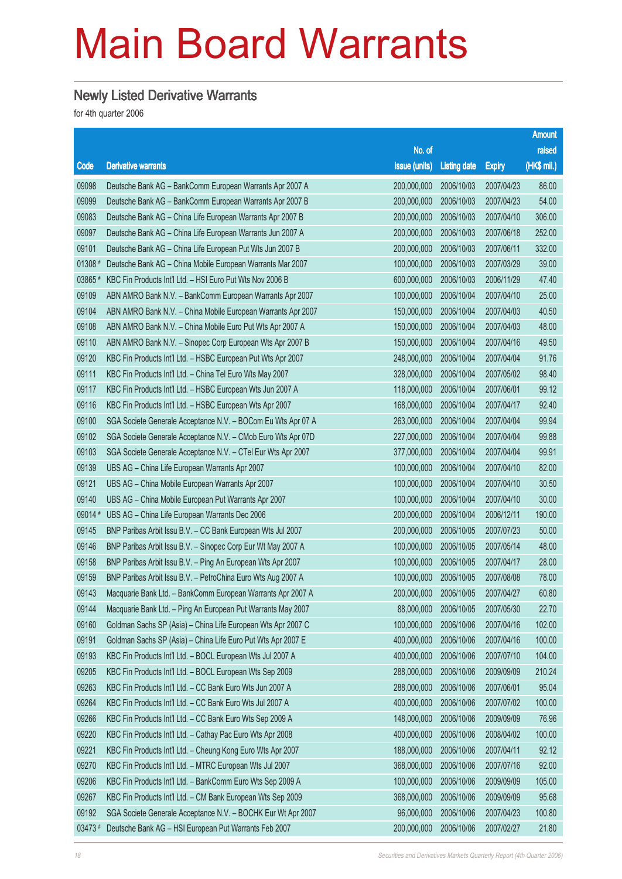### Newly Listed Derivative Warrants

for 4th quarter 2006

|         |                                                              |               |                     |               | <b>Amount</b> |
|---------|--------------------------------------------------------------|---------------|---------------------|---------------|---------------|
|         |                                                              | No. of        |                     |               | raised        |
| Code    | <b>Derivative warrants</b>                                   | issue (units) | <b>Listing date</b> | <b>Expiry</b> | (HK\$ mil.)   |
| 09098   | Deutsche Bank AG - BankComm European Warrants Apr 2007 A     | 200,000,000   | 2006/10/03          | 2007/04/23    | 86.00         |
| 09099   | Deutsche Bank AG - BankComm European Warrants Apr 2007 B     | 200,000,000   | 2006/10/03          | 2007/04/23    | 54.00         |
| 09083   | Deutsche Bank AG - China Life European Warrants Apr 2007 B   | 200,000,000   | 2006/10/03          | 2007/04/10    | 306.00        |
| 09097   | Deutsche Bank AG - China Life European Warrants Jun 2007 A   | 200,000,000   | 2006/10/03          | 2007/06/18    | 252.00        |
| 09101   | Deutsche Bank AG - China Life European Put Wts Jun 2007 B    | 200,000,000   | 2006/10/03          | 2007/06/11    | 332.00        |
| 01308 # | Deutsche Bank AG - China Mobile European Warrants Mar 2007   | 100,000,000   | 2006/10/03          | 2007/03/29    | 39.00         |
| 03865 # | KBC Fin Products Int'l Ltd. - HSI Euro Put Wts Nov 2006 B    | 600,000,000   | 2006/10/03          | 2006/11/29    | 47.40         |
| 09109   | ABN AMRO Bank N.V. - BankComm European Warrants Apr 2007     | 100,000,000   | 2006/10/04          | 2007/04/10    | 25.00         |
| 09104   | ABN AMRO Bank N.V. - China Mobile European Warrants Apr 2007 | 150,000,000   | 2006/10/04          | 2007/04/03    | 40.50         |
| 09108   | ABN AMRO Bank N.V. - China Mobile Euro Put Wts Apr 2007 A    | 150,000,000   | 2006/10/04          | 2007/04/03    | 48.00         |
| 09110   | ABN AMRO Bank N.V. - Sinopec Corp European Wts Apr 2007 B    | 150,000,000   | 2006/10/04          | 2007/04/16    | 49.50         |
| 09120   | KBC Fin Products Int'l Ltd. - HSBC European Put Wts Apr 2007 | 248,000,000   | 2006/10/04          | 2007/04/04    | 91.76         |
| 09111   | KBC Fin Products Int'l Ltd. - China Tel Euro Wts May 2007    | 328,000,000   | 2006/10/04          | 2007/05/02    | 98.40         |
| 09117   | KBC Fin Products Int'l Ltd. - HSBC European Wts Jun 2007 A   | 118,000,000   | 2006/10/04          | 2007/06/01    | 99.12         |
| 09116   | KBC Fin Products Int'l Ltd. - HSBC European Wts Apr 2007     | 168,000,000   | 2006/10/04          | 2007/04/17    | 92.40         |
| 09100   | SGA Societe Generale Acceptance N.V. - BOCom Eu Wts Apr 07 A | 263,000,000   | 2006/10/04          | 2007/04/04    | 99.94         |
| 09102   | SGA Societe Generale Acceptance N.V. - CMob Euro Wts Apr 07D | 227,000,000   | 2006/10/04          | 2007/04/04    | 99.88         |
| 09103   | SGA Societe Generale Acceptance N.V. - CTel Eur Wts Apr 2007 | 377,000,000   | 2006/10/04          | 2007/04/04    | 99.91         |
| 09139   | UBS AG - China Life European Warrants Apr 2007               | 100,000,000   | 2006/10/04          | 2007/04/10    | 82.00         |
| 09121   | UBS AG - China Mobile European Warrants Apr 2007             | 100,000,000   | 2006/10/04          | 2007/04/10    | 30.50         |
| 09140   | UBS AG - China Mobile European Put Warrants Apr 2007         | 100,000,000   | 2006/10/04          | 2007/04/10    | 30.00         |
| 09014 # | UBS AG - China Life European Warrants Dec 2006               | 200,000,000   | 2006/10/04          | 2006/12/11    | 190.00        |
| 09145   | BNP Paribas Arbit Issu B.V. - CC Bank European Wts Jul 2007  | 200,000,000   | 2006/10/05          | 2007/07/23    | 50.00         |
| 09146   | BNP Paribas Arbit Issu B.V. - Sinopec Corp Eur Wt May 2007 A | 100,000,000   | 2006/10/05          | 2007/05/14    | 48.00         |
| 09158   | BNP Paribas Arbit Issu B.V. - Ping An European Wts Apr 2007  | 100,000,000   | 2006/10/05          | 2007/04/17    | 28.00         |
| 09159   | BNP Paribas Arbit Issu B.V. - PetroChina Euro Wts Aug 2007 A | 100,000,000   | 2006/10/05          | 2007/08/08    | 78.00         |
| 09143   | Macquarie Bank Ltd. - BankComm European Warrants Apr 2007 A  | 200,000,000   | 2006/10/05          | 2007/04/27    | 60.80         |
| 09144   | Macquarie Bank Ltd. - Ping An European Put Warrants May 2007 | 88,000,000    | 2006/10/05          | 2007/05/30    | 22.70         |
| 09160   | Goldman Sachs SP (Asia) - China Life European Wts Apr 2007 C | 100,000,000   | 2006/10/06          | 2007/04/16    | 102.00        |
| 09191   | Goldman Sachs SP (Asia) - China Life Euro Put Wts Apr 2007 E | 400,000,000   | 2006/10/06          | 2007/04/16    | 100.00        |
| 09193   | KBC Fin Products Int'l Ltd. - BOCL European Wts Jul 2007 A   | 400,000,000   | 2006/10/06          | 2007/07/10    | 104.00        |
| 09205   | KBC Fin Products Int'l Ltd. - BOCL European Wts Sep 2009     | 288,000,000   | 2006/10/06          | 2009/09/09    | 210.24        |
| 09263   | KBC Fin Products Int'l Ltd. - CC Bank Euro Wts Jun 2007 A    | 288,000,000   | 2006/10/06          | 2007/06/01    | 95.04         |
| 09264   | KBC Fin Products Int'l Ltd. - CC Bank Euro Wts Jul 2007 A    | 400,000,000   | 2006/10/06          | 2007/07/02    | 100.00        |
| 09266   | KBC Fin Products Int'l Ltd. - CC Bank Euro Wts Sep 2009 A    | 148,000,000   | 2006/10/06          | 2009/09/09    | 76.96         |
| 09220   | KBC Fin Products Int'l Ltd. - Cathay Pac Euro Wts Apr 2008   | 400,000,000   | 2006/10/06          | 2008/04/02    | 100.00        |
| 09221   | KBC Fin Products Int'l Ltd. - Cheung Kong Euro Wts Apr 2007  | 188,000,000   | 2006/10/06          | 2007/04/11    | 92.12         |
| 09270   | KBC Fin Products Int'l Ltd. - MTRC European Wts Jul 2007     | 368,000,000   | 2006/10/06          | 2007/07/16    | 92.00         |
| 09206   | KBC Fin Products Int'l Ltd. - BankComm Euro Wts Sep 2009 A   | 100,000,000   | 2006/10/06          | 2009/09/09    | 105.00        |
| 09267   | KBC Fin Products Int'l Ltd. - CM Bank European Wts Sep 2009  | 368,000,000   | 2006/10/06          | 2009/09/09    | 95.68         |
| 09192   | SGA Societe Generale Acceptance N.V. - BOCHK Eur Wt Apr 2007 | 96,000,000    | 2006/10/06          | 2007/04/23    | 100.80        |
| 03473 # | Deutsche Bank AG - HSI European Put Warrants Feb 2007        | 200,000,000   | 2006/10/06          | 2007/02/27    | 21.80         |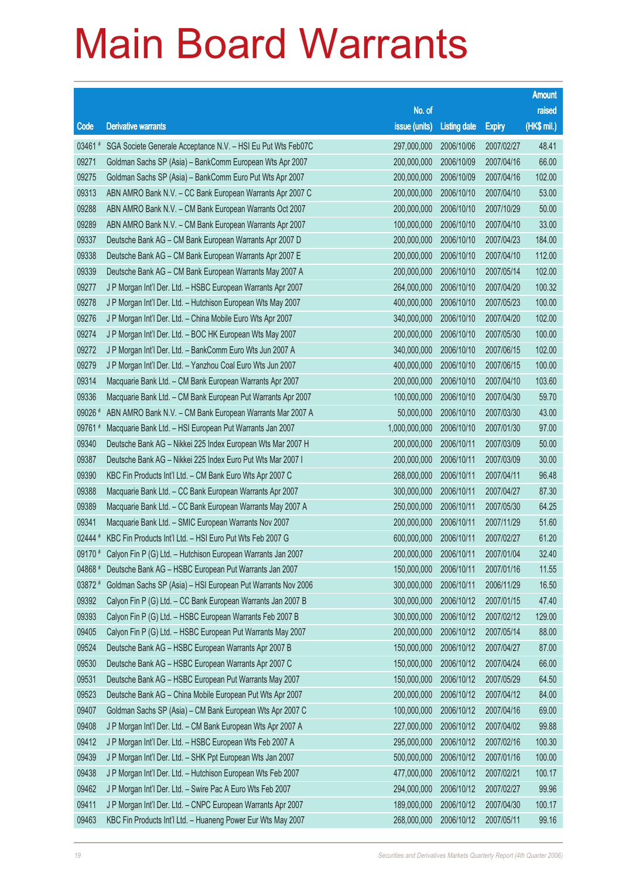|         |                                                                      |                        |                     |               | <b>Amount</b> |
|---------|----------------------------------------------------------------------|------------------------|---------------------|---------------|---------------|
|         |                                                                      | No. of                 |                     |               | raised        |
| Code    | <b>Derivative warrants</b>                                           | issue (units)          | <b>Listing date</b> | <b>Expiry</b> | (HK\$ mil.)   |
| 03461 # | SGA Societe Generale Acceptance N.V. - HSI Eu Put Wts Feb07C         | 297,000,000            | 2006/10/06          | 2007/02/27    | 48.41         |
| 09271   | Goldman Sachs SP (Asia) - BankComm European Wts Apr 2007             | 200,000,000            | 2006/10/09          | 2007/04/16    | 66.00         |
| 09275   | Goldman Sachs SP (Asia) - BankComm Euro Put Wts Apr 2007             | 200,000,000            | 2006/10/09          | 2007/04/16    | 102.00        |
| 09313   | ABN AMRO Bank N.V. - CC Bank European Warrants Apr 2007 C            | 200,000,000            | 2006/10/10          | 2007/04/10    | 53.00         |
| 09288   | ABN AMRO Bank N.V. - CM Bank European Warrants Oct 2007              | 200,000,000            | 2006/10/10          | 2007/10/29    | 50.00         |
| 09289   | ABN AMRO Bank N.V. - CM Bank European Warrants Apr 2007              | 100,000,000            | 2006/10/10          | 2007/04/10    | 33.00         |
| 09337   | Deutsche Bank AG - CM Bank European Warrants Apr 2007 D              | 200,000,000            | 2006/10/10          | 2007/04/23    | 184.00        |
| 09338   | Deutsche Bank AG - CM Bank European Warrants Apr 2007 E              | 200,000,000            | 2006/10/10          | 2007/04/10    | 112.00        |
| 09339   | Deutsche Bank AG - CM Bank European Warrants May 2007 A              | 200,000,000            | 2006/10/10          | 2007/05/14    | 102.00        |
| 09277   | J P Morgan Int'l Der. Ltd. - HSBC European Warrants Apr 2007         | 264,000,000            | 2006/10/10          | 2007/04/20    | 100.32        |
| 09278   | J P Morgan Int'l Der. Ltd. - Hutchison European Wts May 2007         | 400,000,000            | 2006/10/10          | 2007/05/23    | 100.00        |
| 09276   | J P Morgan Int'l Der. Ltd. - China Mobile Euro Wts Apr 2007          | 340,000,000            | 2006/10/10          | 2007/04/20    | 102.00        |
| 09274   | J P Morgan Int'l Der. Ltd. - BOC HK European Wts May 2007            | 200,000,000            | 2006/10/10          | 2007/05/30    | 100.00        |
| 09272   | J P Morgan Int'l Der. Ltd. - BankComm Euro Wts Jun 2007 A            | 340,000,000            | 2006/10/10          | 2007/06/15    | 102.00        |
| 09279   | J P Morgan Int'l Der. Ltd. - Yanzhou Coal Euro Wts Jun 2007          | 400,000,000            | 2006/10/10          | 2007/06/15    | 100.00        |
| 09314   | Macquarie Bank Ltd. - CM Bank European Warrants Apr 2007             | 200,000,000            | 2006/10/10          | 2007/04/10    | 103.60        |
| 09336   | Macquarie Bank Ltd. - CM Bank European Put Warrants Apr 2007         | 100,000,000            | 2006/10/10          | 2007/04/30    | 59.70         |
| 09026 # | ABN AMRO Bank N.V. - CM Bank European Warrants Mar 2007 A            | 50,000,000             | 2006/10/10          | 2007/03/30    | 43.00         |
| 09761#  | Macquarie Bank Ltd. - HSI European Put Warrants Jan 2007             | 1,000,000,000          | 2006/10/10          | 2007/01/30    | 97.00         |
| 09340   | Deutsche Bank AG - Nikkei 225 Index European Wts Mar 2007 H          | 200,000,000            | 2006/10/11          | 2007/03/09    | 50.00         |
| 09387   | Deutsche Bank AG - Nikkei 225 Index Euro Put Wts Mar 2007 I          | 200,000,000            | 2006/10/11          | 2007/03/09    | 30.00         |
| 09390   | KBC Fin Products Int'l Ltd. - CM Bank Euro Wts Apr 2007 C            | 268,000,000            | 2006/10/11          | 2007/04/11    | 96.48         |
| 09388   | Macquarie Bank Ltd. - CC Bank European Warrants Apr 2007             | 300,000,000            | 2006/10/11          | 2007/04/27    | 87.30         |
| 09389   | Macquarie Bank Ltd. - CC Bank European Warrants May 2007 A           | 250,000,000            | 2006/10/11          | 2007/05/30    | 64.25         |
| 09341   | Macquarie Bank Ltd. - SMIC European Warrants Nov 2007                | 200,000,000            | 2006/10/11          | 2007/11/29    | 51.60         |
| 02444 # | KBC Fin Products Int'l Ltd. - HSI Euro Put Wts Feb 2007 G            | 600,000,000            | 2006/10/11          | 2007/02/27    | 61.20         |
|         | 09170 # Calyon Fin P (G) Ltd. - Hutchison European Warrants Jan 2007 | 200,000,000 2006/10/11 |                     | 2007/01/04    | 32.40         |
| 04868 # | Deutsche Bank AG - HSBC European Put Warrants Jan 2007               | 150,000,000            | 2006/10/11          | 2007/01/16    | 11.55         |
| 03872 # | Goldman Sachs SP (Asia) - HSI European Put Warrants Nov 2006         | 300,000,000            | 2006/10/11          | 2006/11/29    | 16.50         |
| 09392   | Calyon Fin P (G) Ltd. - CC Bank European Warrants Jan 2007 B         | 300,000,000            | 2006/10/12          | 2007/01/15    | 47.40         |
| 09393   | Calyon Fin P (G) Ltd. - HSBC European Warrants Feb 2007 B            | 300,000,000            | 2006/10/12          | 2007/02/12    | 129.00        |
| 09405   | Calyon Fin P (G) Ltd. - HSBC European Put Warrants May 2007          | 200,000,000            | 2006/10/12          | 2007/05/14    | 88.00         |
| 09524   | Deutsche Bank AG - HSBC European Warrants Apr 2007 B                 | 150,000,000            | 2006/10/12          | 2007/04/27    | 87.00         |
| 09530   | Deutsche Bank AG - HSBC European Warrants Apr 2007 C                 | 150,000,000            | 2006/10/12          | 2007/04/24    | 66.00         |
| 09531   | Deutsche Bank AG - HSBC European Put Warrants May 2007               | 150,000,000            | 2006/10/12          | 2007/05/29    | 64.50         |
| 09523   | Deutsche Bank AG - China Mobile European Put Wts Apr 2007            | 200,000,000            | 2006/10/12          | 2007/04/12    | 84.00         |
| 09407   | Goldman Sachs SP (Asia) - CM Bank European Wts Apr 2007 C            | 100,000,000            | 2006/10/12          | 2007/04/16    | 69.00         |
| 09408   | J P Morgan Int'l Der. Ltd. - CM Bank European Wts Apr 2007 A         | 227,000,000            | 2006/10/12          | 2007/04/02    | 99.88         |
| 09412   | J P Morgan Int'l Der. Ltd. - HSBC European Wts Feb 2007 A            | 295,000,000            | 2006/10/12          | 2007/02/16    | 100.30        |
| 09439   | J P Morgan Int'l Der. Ltd. - SHK Ppt European Wts Jan 2007           | 500,000,000            | 2006/10/12          | 2007/01/16    | 100.00        |
| 09438   | J P Morgan Int'l Der. Ltd. - Hutchison European Wts Feb 2007         | 477,000,000            | 2006/10/12          | 2007/02/21    | 100.17        |
| 09462   | J P Morgan Int'l Der. Ltd. - Swire Pac A Euro Wts Feb 2007           | 294,000,000            | 2006/10/12          | 2007/02/27    | 99.96         |
| 09411   | J P Morgan Int'l Der. Ltd. - CNPC European Warrants Apr 2007         | 189,000,000            | 2006/10/12          | 2007/04/30    | 100.17        |
| 09463   | KBC Fin Products Int'l Ltd. - Huaneng Power Eur Wts May 2007         | 268,000,000            | 2006/10/12          | 2007/05/11    | 99.16         |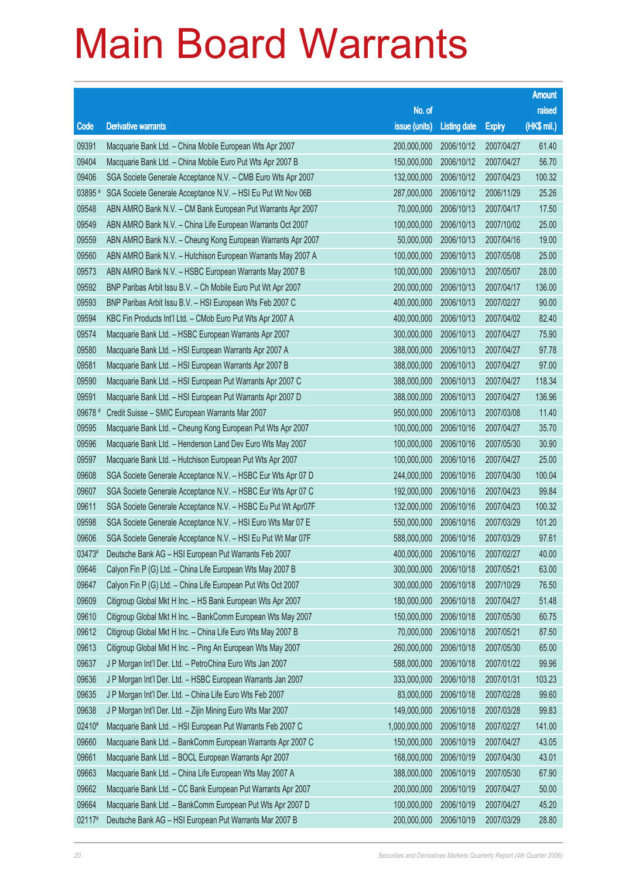|         |                                                              |                        |                     |               | <b>Amount</b> |
|---------|--------------------------------------------------------------|------------------------|---------------------|---------------|---------------|
|         |                                                              | No. of                 |                     |               | raised        |
| Code    | <b>Derivative warrants</b>                                   | issue (units)          | <b>Listing date</b> | <b>Expiry</b> | (HK\$ mil.)   |
| 09391   | Macquarie Bank Ltd. - China Mobile European Wts Apr 2007     | 200,000,000            | 2006/10/12          | 2007/04/27    | 61.40         |
| 09404   | Macquarie Bank Ltd. - China Mobile Euro Put Wts Apr 2007 B   | 150,000,000            | 2006/10/12          | 2007/04/27    | 56.70         |
| 09406   | SGA Societe Generale Acceptance N.V. - CMB Euro Wts Apr 2007 | 132,000,000            | 2006/10/12          | 2007/04/23    | 100.32        |
| 03895 # | SGA Societe Generale Acceptance N.V. - HSI Eu Put Wt Nov 06B | 287,000,000            | 2006/10/12          | 2006/11/29    | 25.26         |
| 09548   | ABN AMRO Bank N.V. - CM Bank European Put Warrants Apr 2007  | 70,000,000             | 2006/10/13          | 2007/04/17    | 17.50         |
| 09549   | ABN AMRO Bank N.V. - China Life European Warrants Oct 2007   | 100,000,000            | 2006/10/13          | 2007/10/02    | 25.00         |
| 09559   | ABN AMRO Bank N.V. - Cheung Kong European Warrants Apr 2007  | 50,000,000             | 2006/10/13          | 2007/04/16    | 19.00         |
| 09560   | ABN AMRO Bank N.V. - Hutchison European Warrants May 2007 A  | 100,000,000            | 2006/10/13          | 2007/05/08    | 25.00         |
| 09573   | ABN AMRO Bank N.V. - HSBC European Warrants May 2007 B       | 100,000,000            | 2006/10/13          | 2007/05/07    | 28.00         |
| 09592   | BNP Paribas Arbit Issu B.V. - Ch Mobile Euro Put Wt Apr 2007 | 200,000,000            | 2006/10/13          | 2007/04/17    | 136.00        |
| 09593   | BNP Paribas Arbit Issu B.V. - HSI European Wts Feb 2007 C    | 400,000,000            | 2006/10/13          | 2007/02/27    | 90.00         |
| 09594   | KBC Fin Products Int'l Ltd. - CMob Euro Put Wts Apr 2007 A   | 400,000,000            | 2006/10/13          | 2007/04/02    | 82.40         |
| 09574   | Macquarie Bank Ltd. - HSBC European Warrants Apr 2007        | 300,000,000            | 2006/10/13          | 2007/04/27    | 75.90         |
| 09580   | Macquarie Bank Ltd. - HSI European Warrants Apr 2007 A       | 388,000,000            | 2006/10/13          | 2007/04/27    | 97.78         |
| 09581   | Macquarie Bank Ltd. - HSI European Warrants Apr 2007 B       | 388,000,000            | 2006/10/13          | 2007/04/27    | 97.00         |
| 09590   | Macquarie Bank Ltd. - HSI European Put Warrants Apr 2007 C   | 388,000,000            | 2006/10/13          | 2007/04/27    | 118.34        |
| 09591   | Macquarie Bank Ltd. - HSI European Put Warrants Apr 2007 D   | 388,000,000            | 2006/10/13          | 2007/04/27    | 136.96        |
| 09678 # | Credit Suisse - SMIC European Warrants Mar 2007              | 950,000,000            | 2006/10/13          | 2007/03/08    | 11.40         |
| 09595   | Macquarie Bank Ltd. - Cheung Kong European Put Wts Apr 2007  | 100,000,000            | 2006/10/16          | 2007/04/27    | 35.70         |
| 09596   | Macquarie Bank Ltd. - Henderson Land Dev Euro Wts May 2007   | 100,000,000            | 2006/10/16          | 2007/05/30    | 30.90         |
| 09597   | Macquarie Bank Ltd. - Hutchison European Put Wts Apr 2007    | 100,000,000            | 2006/10/16          | 2007/04/27    | 25.00         |
| 09608   | SGA Societe Generale Acceptance N.V. - HSBC Eur Wts Apr 07 D | 244,000,000            | 2006/10/16          | 2007/04/30    | 100.04        |
| 09607   | SGA Societe Generale Acceptance N.V. - HSBC Eur Wts Apr 07 C | 192,000,000            | 2006/10/16          | 2007/04/23    | 99.84         |
| 09611   | SGA Societe Generale Acceptance N.V. - HSBC Eu Put Wt Apr07F | 132,000,000            | 2006/10/16          | 2007/04/23    | 100.32        |
| 09598   | SGA Societe Generale Acceptance N.V. - HSI Euro Wts Mar 07 E | 550,000,000            | 2006/10/16          | 2007/03/29    | 101.20        |
| 09606   | SGA Societe Generale Acceptance N.V. - HSI Eu Put Wt Mar 07F | 588,000,000            | 2006/10/16          | 2007/03/29    | 97.61         |
| 03473#  | Deutsche Bank AG - HSI European Put Warrants Feb 2007        | 400,000,000 2006/10/16 |                     | 2007/02/27    | 40.00         |
| 09646   | Calyon Fin P (G) Ltd. - China Life European Wts May 2007 B   | 300,000,000            | 2006/10/18          | 2007/05/21    | 63.00         |
| 09647   | Calyon Fin P (G) Ltd. - China Life European Put Wts Oct 2007 | 300,000,000            | 2006/10/18          | 2007/10/29    | 76.50         |
| 09609   | Citigroup Global Mkt H Inc. - HS Bank European Wts Apr 2007  | 180,000,000            | 2006/10/18          | 2007/04/27    | 51.48         |
| 09610   | Citigroup Global Mkt H Inc. - BankComm European Wts May 2007 | 150,000,000            | 2006/10/18          | 2007/05/30    | 60.75         |
| 09612   | Citigroup Global Mkt H Inc. - China Life Euro Wts May 2007 B | 70,000,000             | 2006/10/18          | 2007/05/21    | 87.50         |
| 09613   | Citigroup Global Mkt H Inc. - Ping An European Wts May 2007  | 260,000,000            | 2006/10/18          | 2007/05/30    | 65.00         |
| 09637   | J P Morgan Int'l Der. Ltd. - PetroChina Euro Wts Jan 2007    | 588,000,000            | 2006/10/18          | 2007/01/22    | 99.96         |
| 09636   | J P Morgan Int'l Der. Ltd. - HSBC European Warrants Jan 2007 | 333,000,000            | 2006/10/18          | 2007/01/31    | 103.23        |
| 09635   | J P Morgan Int'l Der. Ltd. - China Life Euro Wts Feb 2007    | 83,000,000             | 2006/10/18          | 2007/02/28    | 99.60         |
| 09638   | J P Morgan Int'l Der. Ltd. - Zijin Mining Euro Wts Mar 2007  | 149,000,000            | 2006/10/18          | 2007/03/28    | 99.83         |
| 02410#  | Macquarie Bank Ltd. - HSI European Put Warrants Feb 2007 C   | 1,000,000,000          | 2006/10/18          | 2007/02/27    | 141.00        |
| 09660   | Macquarie Bank Ltd. - BankComm European Warrants Apr 2007 C  | 150,000,000            | 2006/10/19          | 2007/04/27    | 43.05         |
| 09661   | Macquarie Bank Ltd. - BOCL European Warrants Apr 2007        | 168,000,000            | 2006/10/19          | 2007/04/30    | 43.01         |
| 09663   | Macquarie Bank Ltd. - China Life European Wts May 2007 A     | 388,000,000            | 2006/10/19          | 2007/05/30    | 67.90         |
| 09662   | Macquarie Bank Ltd. - CC Bank European Put Warrants Apr 2007 | 200,000,000            | 2006/10/19          | 2007/04/27    | 50.00         |
| 09664   | Macquarie Bank Ltd. - BankComm European Put Wts Apr 2007 D   | 100,000,000            | 2006/10/19          | 2007/04/27    | 45.20         |
| 02117#  | Deutsche Bank AG - HSI European Put Warrants Mar 2007 B      | 200,000,000            | 2006/10/19          | 2007/03/29    | 28.80         |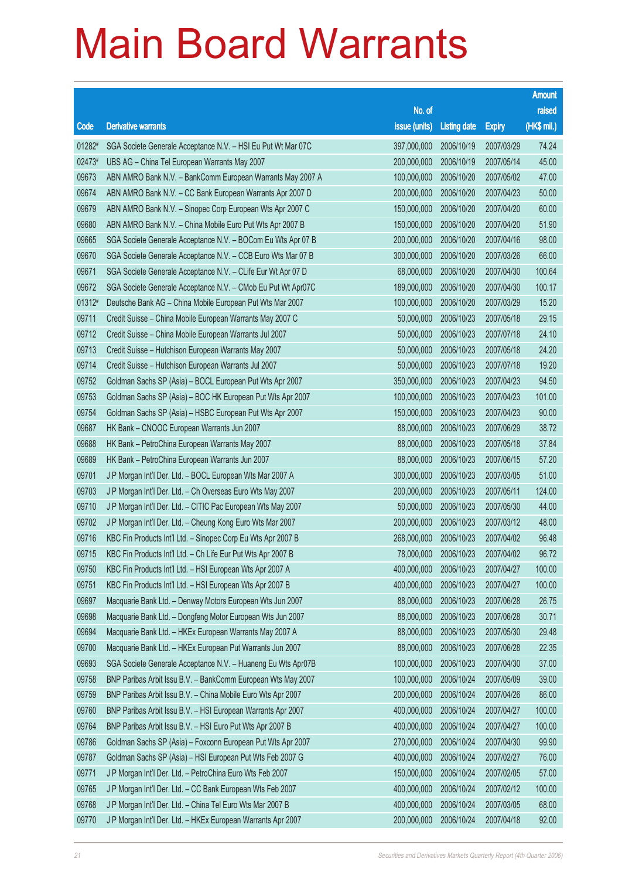|        |                                                              |               |                       |               | <b>Amount</b> |
|--------|--------------------------------------------------------------|---------------|-----------------------|---------------|---------------|
|        |                                                              | No. of        |                       |               | raised        |
| Code   | <b>Derivative warrants</b>                                   | issue (units) | <b>Listing date</b>   | <b>Expiry</b> | (HK\$ mil.)   |
| 01282# | SGA Societe Generale Acceptance N.V. - HSI Eu Put Wt Mar 07C | 397,000,000   | 2006/10/19            | 2007/03/29    | 74.24         |
| 02473# | UBS AG - China Tel European Warrants May 2007                | 200,000,000   | 2006/10/19            | 2007/05/14    | 45.00         |
| 09673  | ABN AMRO Bank N.V. - BankComm European Warrants May 2007 A   | 100,000,000   | 2006/10/20            | 2007/05/02    | 47.00         |
| 09674  | ABN AMRO Bank N.V. - CC Bank European Warrants Apr 2007 D    | 200,000,000   | 2006/10/20            | 2007/04/23    | 50.00         |
| 09679  | ABN AMRO Bank N.V. - Sinopec Corp European Wts Apr 2007 C    | 150,000,000   | 2006/10/20            | 2007/04/20    | 60.00         |
| 09680  | ABN AMRO Bank N.V. - China Mobile Euro Put Wts Apr 2007 B    | 150,000,000   | 2006/10/20            | 2007/04/20    | 51.90         |
| 09665  | SGA Societe Generale Acceptance N.V. - BOCom Eu Wts Apr 07 B | 200,000,000   | 2006/10/20            | 2007/04/16    | 98.00         |
| 09670  | SGA Societe Generale Acceptance N.V. - CCB Euro Wts Mar 07 B | 300,000,000   | 2006/10/20            | 2007/03/26    | 66.00         |
| 09671  | SGA Societe Generale Acceptance N.V. - CLife Eur Wt Apr 07 D | 68,000,000    | 2006/10/20            | 2007/04/30    | 100.64        |
| 09672  | SGA Societe Generale Acceptance N.V. - CMob Eu Put Wt Apr07C | 189,000,000   | 2006/10/20            | 2007/04/30    | 100.17        |
| 01312# | Deutsche Bank AG - China Mobile European Put Wts Mar 2007    | 100,000,000   | 2006/10/20            | 2007/03/29    | 15.20         |
| 09711  | Credit Suisse - China Mobile European Warrants May 2007 C    | 50,000,000    | 2006/10/23            | 2007/05/18    | 29.15         |
| 09712  | Credit Suisse - China Mobile European Warrants Jul 2007      | 50,000,000    | 2006/10/23            | 2007/07/18    | 24.10         |
| 09713  | Credit Suisse - Hutchison European Warrants May 2007         | 50,000,000    | 2006/10/23            | 2007/05/18    | 24.20         |
| 09714  | Credit Suisse - Hutchison European Warrants Jul 2007         | 50,000,000    | 2006/10/23            | 2007/07/18    | 19.20         |
| 09752  | Goldman Sachs SP (Asia) - BOCL European Put Wts Apr 2007     | 350,000,000   | 2006/10/23            | 2007/04/23    | 94.50         |
| 09753  | Goldman Sachs SP (Asia) - BOC HK European Put Wts Apr 2007   | 100,000,000   | 2006/10/23            | 2007/04/23    | 101.00        |
| 09754  | Goldman Sachs SP (Asia) - HSBC European Put Wts Apr 2007     | 150,000,000   | 2006/10/23            | 2007/04/23    | 90.00         |
| 09687  | HK Bank - CNOOC European Warrants Jun 2007                   | 88,000,000    | 2006/10/23            | 2007/06/29    | 38.72         |
| 09688  | HK Bank - PetroChina European Warrants May 2007              | 88,000,000    | 2006/10/23            | 2007/05/18    | 37.84         |
| 09689  | HK Bank - PetroChina European Warrants Jun 2007              | 88,000,000    | 2006/10/23            | 2007/06/15    | 57.20         |
| 09701  | J P Morgan Int'l Der. Ltd. - BOCL European Wts Mar 2007 A    | 300,000,000   | 2006/10/23            | 2007/03/05    | 51.00         |
| 09703  | J P Morgan Int'l Der. Ltd. - Ch Overseas Euro Wts May 2007   | 200,000,000   | 2006/10/23            | 2007/05/11    | 124.00        |
| 09710  | J P Morgan Int'l Der. Ltd. - CITIC Pac European Wts May 2007 | 50,000,000    | 2006/10/23            | 2007/05/30    | 44.00         |
| 09702  | J P Morgan Int'l Der. Ltd. - Cheung Kong Euro Wts Mar 2007   | 200,000,000   | 2006/10/23            | 2007/03/12    | 48.00         |
| 09716  | KBC Fin Products Int'l Ltd. - Sinopec Corp Eu Wts Apr 2007 B | 268,000,000   | 2006/10/23            | 2007/04/02    | 96.48         |
| 09715  | KBC Fin Products Int'l Ltd. - Ch Life Eur Put Wts Apr 2007 B |               | 78,000,000 2006/10/23 | 2007/04/02    | 96.72         |
| 09750  | KBC Fin Products Int'l Ltd. - HSI European Wts Apr 2007 A    | 400,000,000   | 2006/10/23            | 2007/04/27    | 100.00        |
| 09751  | KBC Fin Products Int'l Ltd. - HSI European Wts Apr 2007 B    | 400,000,000   | 2006/10/23            | 2007/04/27    | 100.00        |
| 09697  | Macquarie Bank Ltd. - Denway Motors European Wts Jun 2007    | 88,000,000    | 2006/10/23            | 2007/06/28    | 26.75         |
| 09698  | Macquarie Bank Ltd. - Dongfeng Motor European Wts Jun 2007   | 88,000,000    | 2006/10/23            | 2007/06/28    | 30.71         |
| 09694  | Macquarie Bank Ltd. - HKEx European Warrants May 2007 A      | 88,000,000    | 2006/10/23            | 2007/05/30    | 29.48         |
| 09700  | Macquarie Bank Ltd. - HKEx European Put Warrants Jun 2007    | 88,000,000    | 2006/10/23            | 2007/06/28    | 22.35         |
| 09693  | SGA Societe Generale Acceptance N.V. - Huaneng Eu Wts Apr07B | 100,000,000   | 2006/10/23            | 2007/04/30    | 37.00         |
| 09758  | BNP Paribas Arbit Issu B.V. - BankComm European Wts May 2007 | 100,000,000   | 2006/10/24            | 2007/05/09    | 39.00         |
| 09759  | BNP Paribas Arbit Issu B.V. - China Mobile Euro Wts Apr 2007 | 200,000,000   | 2006/10/24            | 2007/04/26    | 86.00         |
| 09760  | BNP Paribas Arbit Issu B.V. - HSI European Warrants Apr 2007 | 400,000,000   | 2006/10/24            | 2007/04/27    | 100.00        |
| 09764  | BNP Paribas Arbit Issu B.V. - HSI Euro Put Wts Apr 2007 B    | 400,000,000   | 2006/10/24            | 2007/04/27    | 100.00        |
| 09786  | Goldman Sachs SP (Asia) - Foxconn European Put Wts Apr 2007  | 270,000,000   | 2006/10/24            | 2007/04/30    | 99.90         |
| 09787  | Goldman Sachs SP (Asia) - HSI European Put Wts Feb 2007 G    | 400,000,000   | 2006/10/24            | 2007/02/27    | 76.00         |
| 09771  | J P Morgan Int'l Der. Ltd. - PetroChina Euro Wts Feb 2007    | 150,000,000   | 2006/10/24            | 2007/02/05    | 57.00         |
| 09765  | J P Morgan Int'l Der. Ltd. - CC Bank European Wts Feb 2007   | 400,000,000   | 2006/10/24            | 2007/02/12    | 100.00        |
| 09768  | J P Morgan Int'l Der. Ltd. - China Tel Euro Wts Mar 2007 B   | 400,000,000   | 2006/10/24            | 2007/03/05    | 68.00         |
| 09770  | J P Morgan Int'l Der. Ltd. - HKEx European Warrants Apr 2007 | 200,000,000   | 2006/10/24            | 2007/04/18    | 92.00         |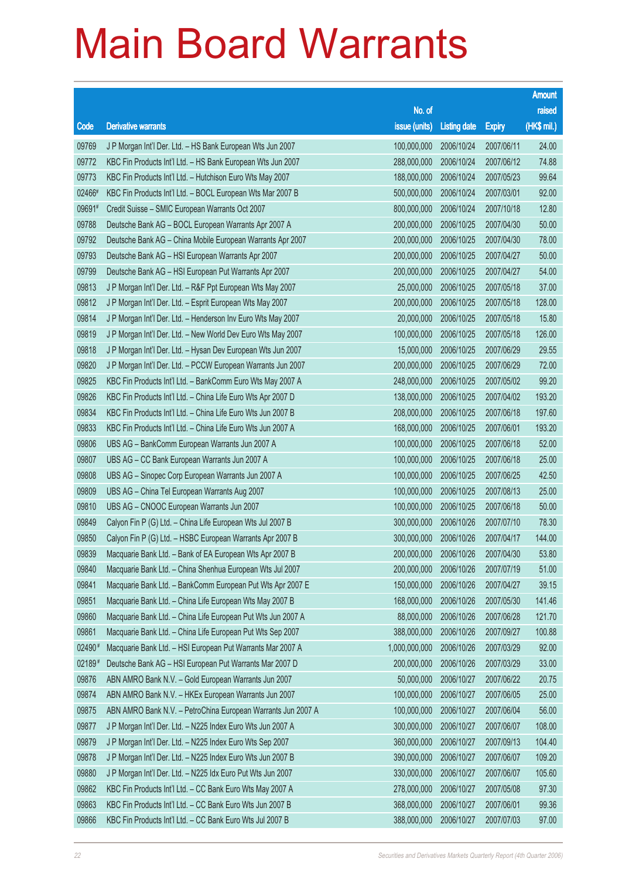|        |                                                              |                        |                     |               | <b>Amount</b> |
|--------|--------------------------------------------------------------|------------------------|---------------------|---------------|---------------|
|        |                                                              | No. of                 |                     |               | raised        |
| Code   | <b>Derivative warrants</b>                                   | issue (units)          | <b>Listing date</b> | <b>Expiry</b> | (HK\$ mil.)   |
| 09769  | J P Morgan Int'l Der. Ltd. - HS Bank European Wts Jun 2007   | 100,000,000            | 2006/10/24          | 2007/06/11    | 24.00         |
| 09772  | KBC Fin Products Int'l Ltd. - HS Bank European Wts Jun 2007  | 288,000,000            | 2006/10/24          | 2007/06/12    | 74.88         |
| 09773  | KBC Fin Products Int'l Ltd. - Hutchison Euro Wts May 2007    | 188,000,000            | 2006/10/24          | 2007/05/23    | 99.64         |
| 02466# | KBC Fin Products Int'l Ltd. - BOCL European Wts Mar 2007 B   | 500,000,000            | 2006/10/24          | 2007/03/01    | 92.00         |
| 09691# | Credit Suisse - SMIC European Warrants Oct 2007              | 800,000,000            | 2006/10/24          | 2007/10/18    | 12.80         |
| 09788  | Deutsche Bank AG - BOCL European Warrants Apr 2007 A         | 200,000,000            | 2006/10/25          | 2007/04/30    | 50.00         |
| 09792  | Deutsche Bank AG - China Mobile European Warrants Apr 2007   | 200,000,000            | 2006/10/25          | 2007/04/30    | 78.00         |
| 09793  | Deutsche Bank AG - HSI European Warrants Apr 2007            | 200,000,000            | 2006/10/25          | 2007/04/27    | 50.00         |
| 09799  | Deutsche Bank AG - HSI European Put Warrants Apr 2007        | 200,000,000            | 2006/10/25          | 2007/04/27    | 54.00         |
| 09813  | J P Morgan Int'l Der. Ltd. - R&F Ppt European Wts May 2007   | 25,000,000             | 2006/10/25          | 2007/05/18    | 37.00         |
| 09812  | J P Morgan Int'l Der. Ltd. - Esprit European Wts May 2007    | 200,000,000            | 2006/10/25          | 2007/05/18    | 128.00        |
| 09814  | J P Morgan Int'l Der. Ltd. - Henderson Inv Euro Wts May 2007 | 20,000,000             | 2006/10/25          | 2007/05/18    | 15.80         |
| 09819  | J P Morgan Int'l Der. Ltd. - New World Dev Euro Wts May 2007 | 100,000,000            | 2006/10/25          | 2007/05/18    | 126.00        |
| 09818  | J P Morgan Int'l Der. Ltd. - Hysan Dev European Wts Jun 2007 | 15,000,000             | 2006/10/25          | 2007/06/29    | 29.55         |
| 09820  | J P Morgan Int'l Der. Ltd. - PCCW European Warrants Jun 2007 | 200,000,000            | 2006/10/25          | 2007/06/29    | 72.00         |
| 09825  | KBC Fin Products Int'l Ltd. - BankComm Euro Wts May 2007 A   | 248,000,000            | 2006/10/25          | 2007/05/02    | 99.20         |
| 09826  | KBC Fin Products Int'l Ltd. - China Life Euro Wts Apr 2007 D | 138,000,000            | 2006/10/25          | 2007/04/02    | 193.20        |
| 09834  | KBC Fin Products Int'l Ltd. - China Life Euro Wts Jun 2007 B | 208,000,000            | 2006/10/25          | 2007/06/18    | 197.60        |
| 09833  | KBC Fin Products Int'l Ltd. - China Life Euro Wts Jun 2007 A | 168,000,000            | 2006/10/25          | 2007/06/01    | 193.20        |
| 09806  | UBS AG - BankComm European Warrants Jun 2007 A               | 100,000,000            | 2006/10/25          | 2007/06/18    | 52.00         |
| 09807  | UBS AG - CC Bank European Warrants Jun 2007 A                | 100,000,000            | 2006/10/25          | 2007/06/18    | 25.00         |
| 09808  | UBS AG - Sinopec Corp European Warrants Jun 2007 A           | 100,000,000            | 2006/10/25          | 2007/06/25    | 42.50         |
| 09809  | UBS AG - China Tel European Warrants Aug 2007                | 100,000,000            | 2006/10/25          | 2007/08/13    | 25.00         |
| 09810  | UBS AG - CNOOC European Warrants Jun 2007                    | 100,000,000            | 2006/10/25          | 2007/06/18    | 50.00         |
| 09849  | Calyon Fin P (G) Ltd. - China Life European Wts Jul 2007 B   | 300,000,000            | 2006/10/26          | 2007/07/10    | 78.30         |
| 09850  | Calyon Fin P (G) Ltd. - HSBC European Warrants Apr 2007 B    | 300,000,000            | 2006/10/26          | 2007/04/17    | 144.00        |
| 09839  | Macquarie Bank Ltd. - Bank of EA European Wts Apr 2007 B     | 200,000,000 2006/10/26 |                     | 2007/04/30    | 53.80         |
| 09840  | Macquarie Bank Ltd. - China Shenhua European Wts Jul 2007    | 200,000,000            | 2006/10/26          | 2007/07/19    | 51.00         |
| 09841  | Macquarie Bank Ltd. - BankComm European Put Wts Apr 2007 E   | 150,000,000            | 2006/10/26          | 2007/04/27    | 39.15         |
| 09851  | Macquarie Bank Ltd. - China Life European Wts May 2007 B     | 168,000,000            | 2006/10/26          | 2007/05/30    | 141.46        |
| 09860  | Macquarie Bank Ltd. - China Life European Put Wts Jun 2007 A | 88,000,000             | 2006/10/26          | 2007/06/28    | 121.70        |
| 09861  | Macquarie Bank Ltd. - China Life European Put Wts Sep 2007   | 388,000,000            | 2006/10/26          | 2007/09/27    | 100.88        |
| 02490# | Macquarie Bank Ltd. - HSI European Put Warrants Mar 2007 A   | 1,000,000,000          | 2006/10/26          | 2007/03/29    | 92.00         |
| 02189# | Deutsche Bank AG - HSI European Put Warrants Mar 2007 D      | 200,000,000            | 2006/10/26          | 2007/03/29    | 33.00         |
| 09876  | ABN AMRO Bank N.V. - Gold European Warrants Jun 2007         | 50,000,000             | 2006/10/27          | 2007/06/22    | 20.75         |
| 09874  | ABN AMRO Bank N.V. - HKEx European Warrants Jun 2007         | 100,000,000            | 2006/10/27          | 2007/06/05    | 25.00         |
| 09875  | ABN AMRO Bank N.V. - PetroChina European Warrants Jun 2007 A | 100,000,000            | 2006/10/27          | 2007/06/04    | 56.00         |
| 09877  | J P Morgan Int'l Der. Ltd. - N225 Index Euro Wts Jun 2007 A  | 300,000,000            | 2006/10/27          | 2007/06/07    | 108.00        |
| 09879  | J P Morgan Int'l Der. Ltd. - N225 Index Euro Wts Sep 2007    | 360,000,000            | 2006/10/27          | 2007/09/13    | 104.40        |
| 09878  | J P Morgan Int'l Der. Ltd. - N225 Index Euro Wts Jun 2007 B  | 390,000,000            | 2006/10/27          | 2007/06/07    | 109.20        |
| 09880  | J P Morgan Int'l Der. Ltd. - N225 Idx Euro Put Wts Jun 2007  | 330,000,000            | 2006/10/27          | 2007/06/07    | 105.60        |
| 09862  | KBC Fin Products Int'l Ltd. - CC Bank Euro Wts May 2007 A    | 278,000,000            | 2006/10/27          | 2007/05/08    | 97.30         |
| 09863  | KBC Fin Products Int'l Ltd. - CC Bank Euro Wts Jun 2007 B    | 368,000,000            | 2006/10/27          | 2007/06/01    | 99.36         |
| 09866  | KBC Fin Products Int'l Ltd. - CC Bank Euro Wts Jul 2007 B    | 388,000,000            | 2006/10/27          | 2007/07/03    | 97.00         |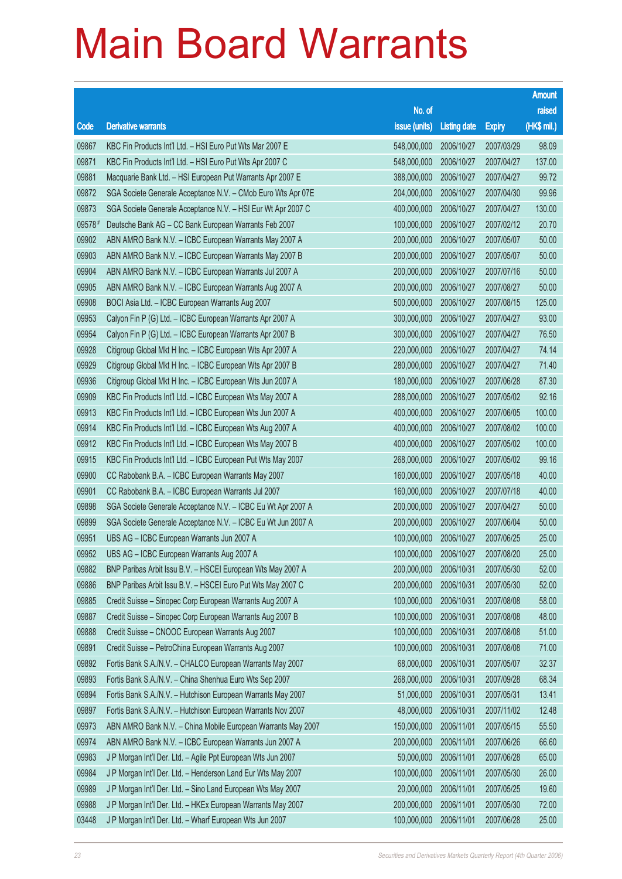|        |                                                              |               |                     |               | <b>Amount</b> |
|--------|--------------------------------------------------------------|---------------|---------------------|---------------|---------------|
|        |                                                              | No. of        |                     |               | raised        |
| Code   | <b>Derivative warrants</b>                                   | issue (units) | <b>Listing date</b> | <b>Expiry</b> | (HK\$ mil.)   |
| 09867  | KBC Fin Products Int'l Ltd. - HSI Euro Put Wts Mar 2007 E    | 548,000,000   | 2006/10/27          | 2007/03/29    | 98.09         |
| 09871  | KBC Fin Products Int'l Ltd. - HSI Euro Put Wts Apr 2007 C    | 548,000,000   | 2006/10/27          | 2007/04/27    | 137.00        |
| 09881  | Macquarie Bank Ltd. - HSI European Put Warrants Apr 2007 E   | 388,000,000   | 2006/10/27          | 2007/04/27    | 99.72         |
| 09872  | SGA Societe Generale Acceptance N.V. - CMob Euro Wts Apr 07E | 204,000,000   | 2006/10/27          | 2007/04/30    | 99.96         |
| 09873  | SGA Societe Generale Acceptance N.V. - HSI Eur Wt Apr 2007 C | 400,000,000   | 2006/10/27          | 2007/04/27    | 130.00        |
| 09578# | Deutsche Bank AG - CC Bank European Warrants Feb 2007        | 100,000,000   | 2006/10/27          | 2007/02/12    | 20.70         |
| 09902  | ABN AMRO Bank N.V. - ICBC European Warrants May 2007 A       | 200,000,000   | 2006/10/27          | 2007/05/07    | 50.00         |
| 09903  | ABN AMRO Bank N.V. - ICBC European Warrants May 2007 B       | 200,000,000   | 2006/10/27          | 2007/05/07    | 50.00         |
| 09904  | ABN AMRO Bank N.V. - ICBC European Warrants Jul 2007 A       | 200,000,000   | 2006/10/27          | 2007/07/16    | 50.00         |
| 09905  | ABN AMRO Bank N.V. - ICBC European Warrants Aug 2007 A       | 200,000,000   | 2006/10/27          | 2007/08/27    | 50.00         |
| 09908  | BOCI Asia Ltd. - ICBC European Warrants Aug 2007             | 500,000,000   | 2006/10/27          | 2007/08/15    | 125.00        |
| 09953  | Calyon Fin P (G) Ltd. - ICBC European Warrants Apr 2007 A    | 300,000,000   | 2006/10/27          | 2007/04/27    | 93.00         |
| 09954  | Calyon Fin P (G) Ltd. - ICBC European Warrants Apr 2007 B    | 300,000,000   | 2006/10/27          | 2007/04/27    | 76.50         |
| 09928  | Citigroup Global Mkt H Inc. - ICBC European Wts Apr 2007 A   | 220,000,000   | 2006/10/27          | 2007/04/27    | 74.14         |
| 09929  | Citigroup Global Mkt H Inc. - ICBC European Wts Apr 2007 B   | 280,000,000   | 2006/10/27          | 2007/04/27    | 71.40         |
| 09936  | Citigroup Global Mkt H Inc. - ICBC European Wts Jun 2007 A   | 180,000,000   | 2006/10/27          | 2007/06/28    | 87.30         |
| 09909  | KBC Fin Products Int'l Ltd. - ICBC European Wts May 2007 A   | 288,000,000   | 2006/10/27          | 2007/05/02    | 92.16         |
| 09913  | KBC Fin Products Int'l Ltd. - ICBC European Wts Jun 2007 A   | 400,000,000   | 2006/10/27          | 2007/06/05    | 100.00        |
| 09914  | KBC Fin Products Int'l Ltd. - ICBC European Wts Aug 2007 A   | 400,000,000   | 2006/10/27          | 2007/08/02    | 100.00        |
| 09912  | KBC Fin Products Int'l Ltd. - ICBC European Wts May 2007 B   | 400,000,000   | 2006/10/27          | 2007/05/02    | 100.00        |
| 09915  | KBC Fin Products Int'l Ltd. - ICBC European Put Wts May 2007 | 268,000,000   | 2006/10/27          | 2007/05/02    | 99.16         |
| 09900  | CC Rabobank B.A. - ICBC European Warrants May 2007           | 160,000,000   | 2006/10/27          | 2007/05/18    | 40.00         |
| 09901  | CC Rabobank B.A. - ICBC European Warrants Jul 2007           | 160,000,000   | 2006/10/27          | 2007/07/18    | 40.00         |
| 09898  | SGA Societe Generale Acceptance N.V. - ICBC Eu Wt Apr 2007 A | 200,000,000   | 2006/10/27          | 2007/04/27    | 50.00         |
| 09899  | SGA Societe Generale Acceptance N.V. - ICBC Eu Wt Jun 2007 A | 200,000,000   | 2006/10/27          | 2007/06/04    | 50.00         |
| 09951  | UBS AG - ICBC European Warrants Jun 2007 A                   | 100,000,000   | 2006/10/27          | 2007/06/25    | 25.00         |
| 09952  | UBS AG - ICBC European Warrants Aug 2007 A                   | 100,000,000   | 2006/10/27          | 2007/08/20    | 25.00         |
| 09882  | BNP Paribas Arbit Issu B.V. - HSCEI European Wts May 2007 A  | 200,000,000   | 2006/10/31          | 2007/05/30    | 52.00         |
| 09886  | BNP Paribas Arbit Issu B.V. - HSCEI Euro Put Wts May 2007 C  | 200,000,000   | 2006/10/31          | 2007/05/30    | 52.00         |
| 09885  | Credit Suisse - Sinopec Corp European Warrants Aug 2007 A    | 100,000,000   | 2006/10/31          | 2007/08/08    | 58.00         |
| 09887  | Credit Suisse - Sinopec Corp European Warrants Aug 2007 B    | 100,000,000   | 2006/10/31          | 2007/08/08    | 48.00         |
| 09888  | Credit Suisse - CNOOC European Warrants Aug 2007             | 100,000,000   | 2006/10/31          | 2007/08/08    | 51.00         |
| 09891  | Credit Suisse - PetroChina European Warrants Aug 2007        | 100,000,000   | 2006/10/31          | 2007/08/08    | 71.00         |
| 09892  | Fortis Bank S.A./N.V. - CHALCO European Warrants May 2007    | 68,000,000    | 2006/10/31          | 2007/05/07    | 32.37         |
| 09893  | Fortis Bank S.A./N.V. - China Shenhua Euro Wts Sep 2007      | 268,000,000   | 2006/10/31          | 2007/09/28    | 68.34         |
| 09894  | Fortis Bank S.A./N.V. - Hutchison European Warrants May 2007 | 51,000,000    | 2006/10/31          | 2007/05/31    | 13.41         |
| 09897  | Fortis Bank S.A./N.V. - Hutchison European Warrants Nov 2007 | 48,000,000    | 2006/10/31          | 2007/11/02    | 12.48         |
| 09973  | ABN AMRO Bank N.V. - China Mobile European Warrants May 2007 | 150,000,000   | 2006/11/01          | 2007/05/15    | 55.50         |
| 09974  | ABN AMRO Bank N.V. - ICBC European Warrants Jun 2007 A       | 200,000,000   | 2006/11/01          | 2007/06/26    | 66.60         |
| 09983  | J P Morgan Int'l Der. Ltd. - Agile Ppt European Wts Jun 2007 | 50,000,000    | 2006/11/01          | 2007/06/28    | 65.00         |
| 09984  | J P Morgan Int'l Der. Ltd. - Henderson Land Eur Wts May 2007 | 100,000,000   | 2006/11/01          | 2007/05/30    | 26.00         |
| 09989  | J P Morgan Int'l Der. Ltd. - Sino Land European Wts May 2007 | 20,000,000    | 2006/11/01          | 2007/05/25    | 19.60         |
| 09988  | J P Morgan Int'l Der. Ltd. - HKEx European Warrants May 2007 | 200,000,000   | 2006/11/01          | 2007/05/30    | 72.00         |
| 03448  | J P Morgan Int'l Der. Ltd. - Wharf European Wts Jun 2007     | 100,000,000   | 2006/11/01          | 2007/06/28    | 25.00         |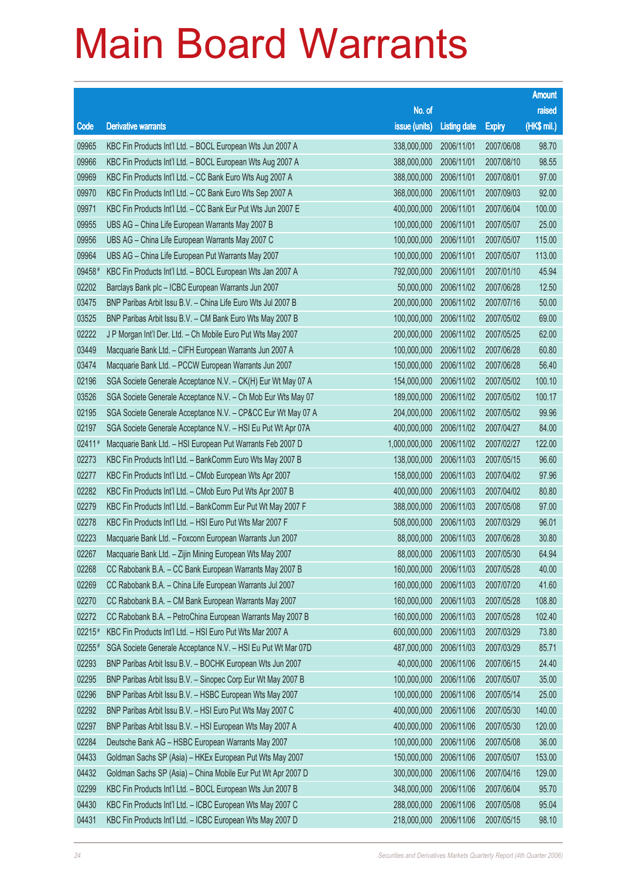|        |                                                              |               |                       |               | <b>Amount</b> |
|--------|--------------------------------------------------------------|---------------|-----------------------|---------------|---------------|
|        |                                                              | No. of        |                       |               | raised        |
| Code   | <b>Derivative warrants</b>                                   | issue (units) | <b>Listing date</b>   | <b>Expiry</b> | (HK\$ mil.)   |
| 09965  | KBC Fin Products Int'l Ltd. - BOCL European Wts Jun 2007 A   | 338,000,000   | 2006/11/01            | 2007/06/08    | 98.70         |
| 09966  | KBC Fin Products Int'l Ltd. - BOCL European Wts Aug 2007 A   | 388,000,000   | 2006/11/01            | 2007/08/10    | 98.55         |
| 09969  | KBC Fin Products Int'l Ltd. - CC Bank Euro Wts Aug 2007 A    | 388,000,000   | 2006/11/01            | 2007/08/01    | 97.00         |
| 09970  | KBC Fin Products Int'l Ltd. - CC Bank Euro Wts Sep 2007 A    | 368,000,000   | 2006/11/01            | 2007/09/03    | 92.00         |
| 09971  | KBC Fin Products Int'l Ltd. - CC Bank Eur Put Wts Jun 2007 E | 400,000,000   | 2006/11/01            | 2007/06/04    | 100.00        |
| 09955  | UBS AG - China Life European Warrants May 2007 B             | 100,000,000   | 2006/11/01            | 2007/05/07    | 25.00         |
| 09956  | UBS AG - China Life European Warrants May 2007 C             | 100,000,000   | 2006/11/01            | 2007/05/07    | 115.00        |
| 09964  | UBS AG - China Life European Put Warrants May 2007           | 100,000,000   | 2006/11/01            | 2007/05/07    | 113.00        |
| 09458# | KBC Fin Products Int'l Ltd. - BOCL European Wts Jan 2007 A   | 792,000,000   | 2006/11/01            | 2007/01/10    | 45.94         |
| 02202  | Barclays Bank plc - ICBC European Warrants Jun 2007          | 50,000,000    | 2006/11/02            | 2007/06/28    | 12.50         |
| 03475  | BNP Paribas Arbit Issu B.V. - China Life Euro Wts Jul 2007 B | 200,000,000   | 2006/11/02            | 2007/07/16    | 50.00         |
| 03525  | BNP Paribas Arbit Issu B.V. - CM Bank Euro Wts May 2007 B    | 100,000,000   | 2006/11/02            | 2007/05/02    | 69.00         |
| 02222  | J P Morgan Int'l Der. Ltd. - Ch Mobile Euro Put Wts May 2007 | 200,000,000   | 2006/11/02            | 2007/05/25    | 62.00         |
| 03449  | Macquarie Bank Ltd. - CIFH European Warrants Jun 2007 A      | 100,000,000   | 2006/11/02            | 2007/06/28    | 60.80         |
| 03474  | Macquarie Bank Ltd. - PCCW European Warrants Jun 2007        | 150,000,000   | 2006/11/02            | 2007/06/28    | 56.40         |
| 02196  | SGA Societe Generale Acceptance N.V. - CK(H) Eur Wt May 07 A | 154,000,000   | 2006/11/02            | 2007/05/02    | 100.10        |
| 03526  | SGA Societe Generale Acceptance N.V. - Ch Mob Eur Wts May 07 | 189,000,000   | 2006/11/02            | 2007/05/02    | 100.17        |
| 02195  | SGA Societe Generale Acceptance N.V. - CP&CC Eur Wt May 07 A | 204,000,000   | 2006/11/02            | 2007/05/02    | 99.96         |
| 02197  | SGA Societe Generale Acceptance N.V. - HSI Eu Put Wt Apr 07A | 400,000,000   | 2006/11/02            | 2007/04/27    | 84.00         |
| 02411# | Macquarie Bank Ltd. - HSI European Put Warrants Feb 2007 D   | 1,000,000,000 | 2006/11/02            | 2007/02/27    | 122.00        |
| 02273  | KBC Fin Products Int'l Ltd. - BankComm Euro Wts May 2007 B   | 138,000,000   | 2006/11/03            | 2007/05/15    | 96.60         |
| 02277  | KBC Fin Products Int'l Ltd. - CMob European Wts Apr 2007     | 158,000,000   | 2006/11/03            | 2007/04/02    | 97.96         |
| 02282  | KBC Fin Products Int'l Ltd. - CMob Euro Put Wts Apr 2007 B   | 400,000,000   | 2006/11/03            | 2007/04/02    | 80.80         |
| 02279  | KBC Fin Products Int'l Ltd. - BankComm Eur Put Wt May 2007 F | 388,000,000   | 2006/11/03            | 2007/05/08    | 97.00         |
| 02278  | KBC Fin Products Int'l Ltd. - HSI Euro Put Wts Mar 2007 F    | 508,000,000   | 2006/11/03            | 2007/03/29    | 96.01         |
| 02223  | Macquarie Bank Ltd. - Foxconn European Warrants Jun 2007     | 88,000,000    | 2006/11/03            | 2007/06/28    | 30.80         |
| 02267  | Macquarie Bank Ltd. - Zijin Mining European Wts May 2007     |               | 88,000,000 2006/11/03 | 2007/05/30    | 64.94         |
| 02268  | CC Rabobank B.A. - CC Bank European Warrants May 2007 B      | 160,000,000   | 2006/11/03            | 2007/05/28    | 40.00         |
| 02269  | CC Rabobank B.A. - China Life European Warrants Jul 2007     | 160,000,000   | 2006/11/03            | 2007/07/20    | 41.60         |
| 02270  | CC Rabobank B.A. - CM Bank European Warrants May 2007        | 160,000,000   | 2006/11/03            | 2007/05/28    | 108.80        |
| 02272  | CC Rabobank B.A. - PetroChina European Warrants May 2007 B   | 160,000,000   | 2006/11/03            | 2007/05/28    | 102.40        |
| 02215# | KBC Fin Products Int'l Ltd. - HSI Euro Put Wts Mar 2007 A    | 600,000,000   | 2006/11/03            | 2007/03/29    | 73.80         |
| 02255# | SGA Societe Generale Acceptance N.V. - HSI Eu Put Wt Mar 07D | 487,000,000   | 2006/11/03            | 2007/03/29    | 85.71         |
| 02293  | BNP Paribas Arbit Issu B.V. - BOCHK European Wts Jun 2007    | 40,000,000    | 2006/11/06            | 2007/06/15    | 24.40         |
| 02295  | BNP Paribas Arbit Issu B.V. - Sinopec Corp Eur Wt May 2007 B | 100,000,000   | 2006/11/06            | 2007/05/07    | 35.00         |
| 02296  | BNP Paribas Arbit Issu B.V. - HSBC European Wts May 2007     | 100,000,000   | 2006/11/06            | 2007/05/14    | 25.00         |
| 02292  | BNP Paribas Arbit Issu B.V. - HSI Euro Put Wts May 2007 C    | 400,000,000   | 2006/11/06            | 2007/05/30    | 140.00        |
| 02297  | BNP Paribas Arbit Issu B.V. - HSI European Wts May 2007 A    | 400,000,000   | 2006/11/06            | 2007/05/30    | 120.00        |
| 02284  | Deutsche Bank AG - HSBC European Warrants May 2007           | 100,000,000   | 2006/11/06            | 2007/05/08    | 36.00         |
| 04433  | Goldman Sachs SP (Asia) - HKEx European Put Wts May 2007     | 150,000,000   | 2006/11/06            | 2007/05/07    | 153.00        |
| 04432  | Goldman Sachs SP (Asia) - China Mobile Eur Put Wt Apr 2007 D | 300,000,000   | 2006/11/06            | 2007/04/16    | 129.00        |
| 02299  | KBC Fin Products Int'l Ltd. - BOCL European Wts Jun 2007 B   | 348,000,000   | 2006/11/06            | 2007/06/04    | 95.70         |
| 04430  | KBC Fin Products Int'l Ltd. - ICBC European Wts May 2007 C   | 288,000,000   | 2006/11/06            | 2007/05/08    | 95.04         |
| 04431  | KBC Fin Products Int'l Ltd. - ICBC European Wts May 2007 D   | 218,000,000   | 2006/11/06            | 2007/05/15    | 98.10         |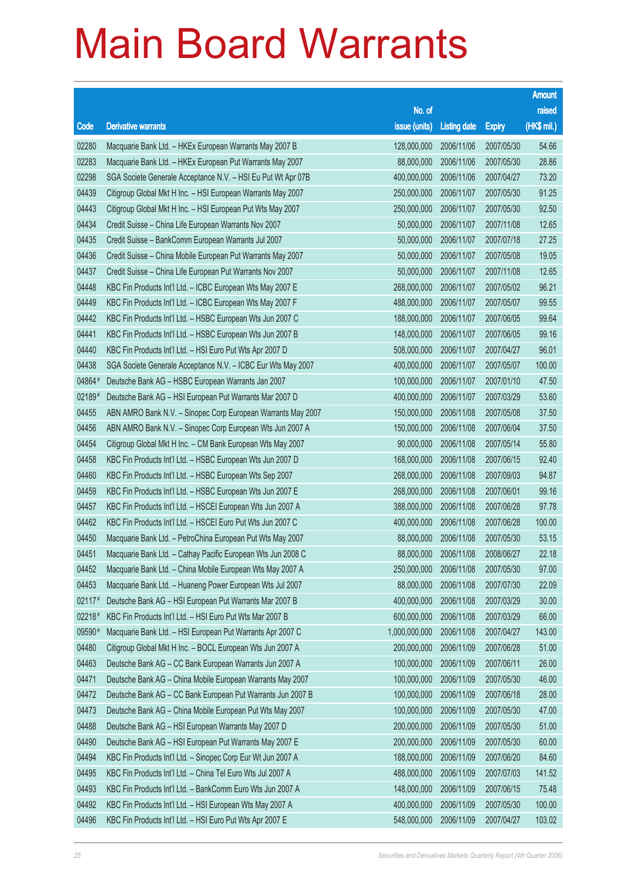|        |                                                              |               |                       |               | <b>Amount</b> |
|--------|--------------------------------------------------------------|---------------|-----------------------|---------------|---------------|
|        |                                                              | No. of        |                       |               | raised        |
| Code   | <b>Derivative warrants</b>                                   | issue (units) | <b>Listing date</b>   | <b>Expiry</b> | $(HK$$ mil.)  |
| 02280  | Macquarie Bank Ltd. - HKEx European Warrants May 2007 B      | 128,000,000   | 2006/11/06            | 2007/05/30    | 54.66         |
| 02283  | Macquarie Bank Ltd. - HKEx European Put Warrants May 2007    | 88,000,000    | 2006/11/06            | 2007/05/30    | 28.86         |
| 02298  | SGA Societe Generale Acceptance N.V. - HSI Eu Put Wt Apr 07B | 400,000,000   | 2006/11/06            | 2007/04/27    | 73.20         |
| 04439  | Citigroup Global Mkt H Inc. - HSI European Warrants May 2007 | 250,000,000   | 2006/11/07            | 2007/05/30    | 91.25         |
| 04443  | Citigroup Global Mkt H Inc. - HSI European Put Wts May 2007  | 250,000,000   | 2006/11/07            | 2007/05/30    | 92.50         |
| 04434  | Credit Suisse - China Life European Warrants Nov 2007        | 50,000,000    | 2006/11/07            | 2007/11/08    | 12.65         |
| 04435  | Credit Suisse - BankComm European Warrants Jul 2007          | 50,000,000    | 2006/11/07            | 2007/07/18    | 27.25         |
| 04436  | Credit Suisse - China Mobile European Put Warrants May 2007  | 50,000,000    | 2006/11/07            | 2007/05/08    | 19.05         |
| 04437  | Credit Suisse - China Life European Put Warrants Nov 2007    | 50,000,000    | 2006/11/07            | 2007/11/08    | 12.65         |
| 04448  | KBC Fin Products Int'l Ltd. - ICBC European Wts May 2007 E   | 268,000,000   | 2006/11/07            | 2007/05/02    | 96.21         |
| 04449  | KBC Fin Products Int'l Ltd. - ICBC European Wts May 2007 F   | 488,000,000   | 2006/11/07            | 2007/05/07    | 99.55         |
| 04442  | KBC Fin Products Int'l Ltd. - HSBC European Wts Jun 2007 C   | 188,000,000   | 2006/11/07            | 2007/06/05    | 99.64         |
| 04441  | KBC Fin Products Int'l Ltd. - HSBC European Wts Jun 2007 B   | 148,000,000   | 2006/11/07            | 2007/06/05    | 99.16         |
| 04440  | KBC Fin Products Int'l Ltd. - HSI Euro Put Wts Apr 2007 D    | 508,000,000   | 2006/11/07            | 2007/04/27    | 96.01         |
| 04438  | SGA Societe Generale Acceptance N.V. - ICBC Eur Wts May 2007 | 400,000,000   | 2006/11/07            | 2007/05/07    | 100.00        |
| 04864# | Deutsche Bank AG - HSBC European Warrants Jan 2007           | 100,000,000   | 2006/11/07            | 2007/01/10    | 47.50         |
| 02189# | Deutsche Bank AG - HSI European Put Warrants Mar 2007 D      | 400,000,000   | 2006/11/07            | 2007/03/29    | 53.60         |
| 04455  | ABN AMRO Bank N.V. - Sinopec Corp European Warrants May 2007 | 150,000,000   | 2006/11/08            | 2007/05/08    | 37.50         |
| 04456  | ABN AMRO Bank N.V. - Sinopec Corp European Wts Jun 2007 A    | 150,000,000   | 2006/11/08            | 2007/06/04    | 37.50         |
| 04454  | Citigroup Global Mkt H Inc. - CM Bank European Wts May 2007  | 90,000,000    | 2006/11/08            | 2007/05/14    | 55.80         |
| 04458  | KBC Fin Products Int'l Ltd. - HSBC European Wts Jun 2007 D   | 168,000,000   | 2006/11/08            | 2007/06/15    | 92.40         |
| 04460  | KBC Fin Products Int'l Ltd. - HSBC European Wts Sep 2007     | 268,000,000   | 2006/11/08            | 2007/09/03    | 94.87         |
| 04459  | KBC Fin Products Int'l Ltd. - HSBC European Wts Jun 2007 E   | 268,000,000   | 2006/11/08            | 2007/06/01    | 99.16         |
| 04457  | KBC Fin Products Int'l Ltd. - HSCEI European Wts Jun 2007 A  | 388,000,000   | 2006/11/08            | 2007/06/28    | 97.78         |
| 04462  | KBC Fin Products Int'l Ltd. - HSCEI Euro Put Wts Jun 2007 C  | 400,000,000   | 2006/11/08            | 2007/06/28    | 100.00        |
| 04450  | Macquarie Bank Ltd. - PetroChina European Put Wts May 2007   | 88,000,000    | 2006/11/08            | 2007/05/30    | 53.15         |
| 04451  | Macquarie Bank Ltd. - Cathay Pacific European Wts Jun 2008 C |               | 88,000,000 2006/11/08 | 2008/06/27    | 22.18         |
| 04452  | Macquarie Bank Ltd. - China Mobile European Wts May 2007 A   | 250,000,000   | 2006/11/08            | 2007/05/30    | 97.00         |
| 04453  | Macquarie Bank Ltd. - Huaneng Power European Wts Jul 2007    | 88,000,000    | 2006/11/08            | 2007/07/30    | 22.09         |
| 02117# | Deutsche Bank AG - HSI European Put Warrants Mar 2007 B      | 400,000,000   | 2006/11/08            | 2007/03/29    | 30.00         |
| 02218# | KBC Fin Products Int'l Ltd. - HSI Euro Put Wts Mar 2007 B    | 600,000,000   | 2006/11/08            | 2007/03/29    | 66.00         |
| 09590# | Macquarie Bank Ltd. - HSI European Put Warrants Apr 2007 C   | 1,000,000,000 | 2006/11/08            | 2007/04/27    | 143.00        |
| 04480  | Citigroup Global Mkt H Inc. - BOCL European Wts Jun 2007 A   | 200,000,000   | 2006/11/09            | 2007/06/28    | 51.00         |
| 04463  | Deutsche Bank AG - CC Bank European Warrants Jun 2007 A      | 100,000,000   | 2006/11/09            | 2007/06/11    | 26.00         |
| 04471  | Deutsche Bank AG - China Mobile European Warrants May 2007   | 100,000,000   | 2006/11/09            | 2007/05/30    | 46.00         |
| 04472  | Deutsche Bank AG - CC Bank European Put Warrants Jun 2007 B  | 100,000,000   | 2006/11/09            | 2007/06/18    | 28.00         |
| 04473  | Deutsche Bank AG - China Mobile European Put Wts May 2007    | 100,000,000   | 2006/11/09            | 2007/05/30    | 47.00         |
| 04488  | Deutsche Bank AG - HSI European Warrants May 2007 D          | 200,000,000   | 2006/11/09            | 2007/05/30    | 51.00         |
| 04490  | Deutsche Bank AG - HSI European Put Warrants May 2007 E      | 200,000,000   | 2006/11/09            | 2007/05/30    | 60.00         |
| 04494  | KBC Fin Products Int'l Ltd. - Sinopec Corp Eur Wt Jun 2007 A | 188,000,000   | 2006/11/09            | 2007/06/20    | 84.60         |
| 04495  | KBC Fin Products Int'l Ltd. - China Tel Euro Wts Jul 2007 A  | 488,000,000   | 2006/11/09            | 2007/07/03    | 141.52        |
| 04493  | KBC Fin Products Int'l Ltd. - BankComm Euro Wts Jun 2007 A   | 148,000,000   | 2006/11/09            | 2007/06/15    | 75.48         |
| 04492  | KBC Fin Products Int'l Ltd. - HSI European Wts May 2007 A    | 400,000,000   | 2006/11/09            | 2007/05/30    | 100.00        |
| 04496  | KBC Fin Products Int'l Ltd. - HSI Euro Put Wts Apr 2007 E    | 548,000,000   | 2006/11/09            | 2007/04/27    | 103.02        |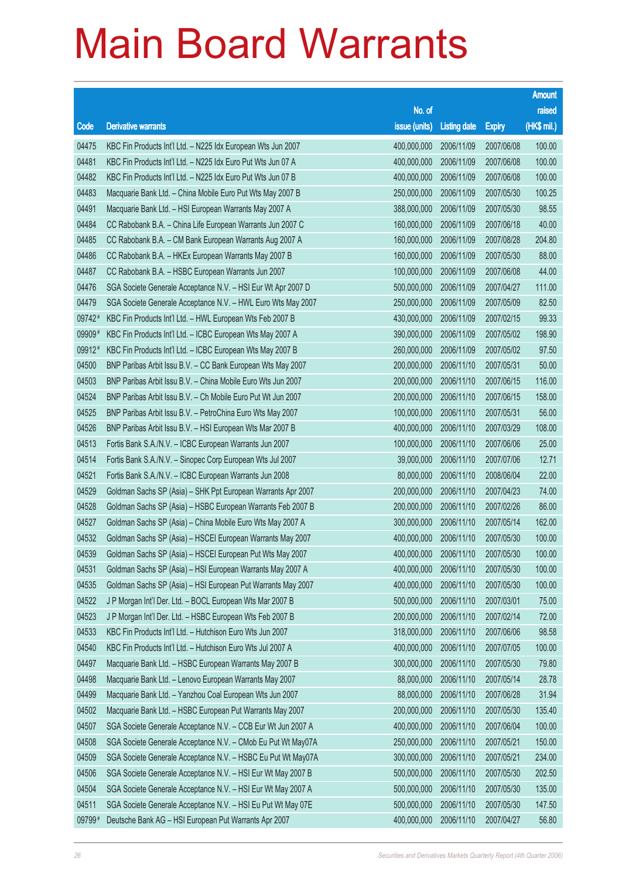|        |                                                              |                        |                     |               | <b>Amount</b> |
|--------|--------------------------------------------------------------|------------------------|---------------------|---------------|---------------|
|        |                                                              | No. of                 |                     |               | raised        |
| Code   | <b>Derivative warrants</b>                                   | issue (units)          | <b>Listing date</b> | <b>Expiry</b> | (HK\$ mil.)   |
| 04475  | KBC Fin Products Int'l Ltd. - N225 Idx European Wts Jun 2007 | 400,000,000            | 2006/11/09          | 2007/06/08    | 100.00        |
| 04481  | KBC Fin Products Int'l Ltd. - N225 Idx Euro Put Wts Jun 07 A | 400,000,000            | 2006/11/09          | 2007/06/08    | 100.00        |
| 04482  | KBC Fin Products Int'l Ltd. - N225 Idx Euro Put Wts Jun 07 B | 400,000,000            | 2006/11/09          | 2007/06/08    | 100.00        |
| 04483  | Macquarie Bank Ltd. - China Mobile Euro Put Wts May 2007 B   | 250,000,000            | 2006/11/09          | 2007/05/30    | 100.25        |
| 04491  | Macquarie Bank Ltd. - HSI European Warrants May 2007 A       | 388,000,000            | 2006/11/09          | 2007/05/30    | 98.55         |
| 04484  | CC Rabobank B.A. - China Life European Warrants Jun 2007 C   | 160,000,000            | 2006/11/09          | 2007/06/18    | 40.00         |
| 04485  | CC Rabobank B.A. - CM Bank European Warrants Aug 2007 A      | 160,000,000            | 2006/11/09          | 2007/08/28    | 204.80        |
| 04486  | CC Rabobank B.A. - HKEx European Warrants May 2007 B         | 160,000,000            | 2006/11/09          | 2007/05/30    | 88.00         |
| 04487  | CC Rabobank B.A. - HSBC European Warrants Jun 2007           | 100,000,000            | 2006/11/09          | 2007/06/08    | 44.00         |
| 04476  | SGA Societe Generale Acceptance N.V. - HSI Eur Wt Apr 2007 D | 500,000,000            | 2006/11/09          | 2007/04/27    | 111.00        |
| 04479  | SGA Societe Generale Acceptance N.V. - HWL Euro Wts May 2007 | 250,000,000            | 2006/11/09          | 2007/05/09    | 82.50         |
| 09742# | KBC Fin Products Int'l Ltd. - HWL European Wts Feb 2007 B    | 430,000,000            | 2006/11/09          | 2007/02/15    | 99.33         |
| 09909# | KBC Fin Products Int'l Ltd. - ICBC European Wts May 2007 A   | 390,000,000            | 2006/11/09          | 2007/05/02    | 198.90        |
| 09912# | KBC Fin Products Int'l Ltd. - ICBC European Wts May 2007 B   | 260,000,000            | 2006/11/09          | 2007/05/02    | 97.50         |
| 04500  | BNP Paribas Arbit Issu B.V. - CC Bank European Wts May 2007  | 200,000,000            | 2006/11/10          | 2007/05/31    | 50.00         |
| 04503  | BNP Paribas Arbit Issu B.V. - China Mobile Euro Wts Jun 2007 | 200,000,000            | 2006/11/10          | 2007/06/15    | 116.00        |
| 04524  | BNP Paribas Arbit Issu B.V. - Ch Mobile Euro Put Wt Jun 2007 | 200,000,000            | 2006/11/10          | 2007/06/15    | 158.00        |
| 04525  | BNP Paribas Arbit Issu B.V. - PetroChina Euro Wts May 2007   | 100,000,000            | 2006/11/10          | 2007/05/31    | 56.00         |
| 04526  | BNP Paribas Arbit Issu B.V. - HSI European Wts Mar 2007 B    | 400,000,000            | 2006/11/10          | 2007/03/29    | 108.00        |
| 04513  | Fortis Bank S.A./N.V. - ICBC European Warrants Jun 2007      | 100,000,000            | 2006/11/10          | 2007/06/06    | 25.00         |
| 04514  | Fortis Bank S.A./N.V. - Sinopec Corp European Wts Jul 2007   | 39,000,000             | 2006/11/10          | 2007/07/06    | 12.71         |
| 04521  | Fortis Bank S.A./N.V. - ICBC European Warrants Jun 2008      | 80,000,000             | 2006/11/10          | 2008/06/04    | 22.00         |
| 04529  | Goldman Sachs SP (Asia) - SHK Ppt European Warrants Apr 2007 | 200,000,000            | 2006/11/10          | 2007/04/23    | 74.00         |
| 04528  | Goldman Sachs SP (Asia) - HSBC European Warrants Feb 2007 B  | 200,000,000            | 2006/11/10          | 2007/02/26    | 86.00         |
| 04527  | Goldman Sachs SP (Asia) - China Mobile Euro Wts May 2007 A   | 300,000,000            | 2006/11/10          | 2007/05/14    | 162.00        |
| 04532  | Goldman Sachs SP (Asia) - HSCEI European Warrants May 2007   | 400,000,000            | 2006/11/10          | 2007/05/30    | 100.00        |
| 04539  | Goldman Sachs SP (Asia) - HSCEI European Put Wts May 2007    | 400,000,000 2006/11/10 |                     | 2007/05/30    | 100.00        |
| 04531  | Goldman Sachs SP (Asia) - HSI European Warrants May 2007 A   | 400,000,000            | 2006/11/10          | 2007/05/30    | 100.00        |
| 04535  | Goldman Sachs SP (Asia) - HSI European Put Warrants May 2007 | 400,000,000            | 2006/11/10          | 2007/05/30    | 100.00        |
| 04522  | J P Morgan Int'l Der. Ltd. - BOCL European Wts Mar 2007 B    | 500,000,000            | 2006/11/10          | 2007/03/01    | 75.00         |
| 04523  | J P Morgan Int'l Der. Ltd. - HSBC European Wts Feb 2007 B    | 200,000,000            | 2006/11/10          | 2007/02/14    | 72.00         |
| 04533  | KBC Fin Products Int'l Ltd. - Hutchison Euro Wts Jun 2007    | 318,000,000            | 2006/11/10          | 2007/06/06    | 98.58         |
| 04540  | KBC Fin Products Int'l Ltd. - Hutchison Euro Wts Jul 2007 A  | 400,000,000            | 2006/11/10          | 2007/07/05    | 100.00        |
| 04497  | Macquarie Bank Ltd. - HSBC European Warrants May 2007 B      | 300,000,000            | 2006/11/10          | 2007/05/30    | 79.80         |
| 04498  | Macquarie Bank Ltd. - Lenovo European Warrants May 2007      | 88,000,000             | 2006/11/10          | 2007/05/14    | 28.78         |
| 04499  | Macquarie Bank Ltd. - Yanzhou Coal European Wts Jun 2007     | 88,000,000             | 2006/11/10          | 2007/06/28    | 31.94         |
| 04502  | Macquarie Bank Ltd. - HSBC European Put Warrants May 2007    | 200,000,000            | 2006/11/10          | 2007/05/30    | 135.40        |
| 04507  | SGA Societe Generale Acceptance N.V. - CCB Eur Wt Jun 2007 A | 400,000,000            | 2006/11/10          | 2007/06/04    | 100.00        |
| 04508  | SGA Societe Generale Acceptance N.V. - CMob Eu Put Wt May07A | 250,000,000            | 2006/11/10          | 2007/05/21    | 150.00        |
| 04509  | SGA Societe Generale Acceptance N.V. - HSBC Eu Put Wt May07A | 300,000,000            | 2006/11/10          | 2007/05/21    | 234.00        |
| 04506  | SGA Societe Generale Acceptance N.V. - HSI Eur Wt May 2007 B | 500,000,000            | 2006/11/10          | 2007/05/30    | 202.50        |
| 04504  | SGA Societe Generale Acceptance N.V. - HSI Eur Wt May 2007 A | 500,000,000            | 2006/11/10          | 2007/05/30    | 135.00        |
| 04511  | SGA Societe Generale Acceptance N.V. - HSI Eu Put Wt May 07E | 500,000,000            | 2006/11/10          | 2007/05/30    | 147.50        |
| 09799# | Deutsche Bank AG - HSI European Put Warrants Apr 2007        | 400,000,000            | 2006/11/10          | 2007/04/27    | 56.80         |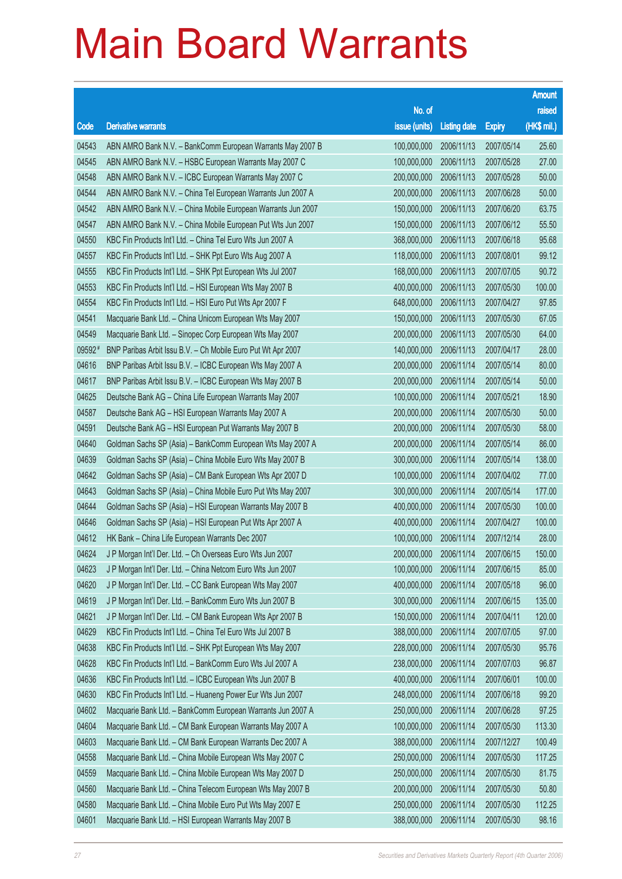|        |                                                              |               |                     |               | <b>Amount</b> |
|--------|--------------------------------------------------------------|---------------|---------------------|---------------|---------------|
|        |                                                              | No. of        |                     |               | raised        |
| Code   | <b>Derivative warrants</b>                                   | issue (units) | <b>Listing date</b> | <b>Expiry</b> | (HK\$ mil.)   |
| 04543  | ABN AMRO Bank N.V. - BankComm European Warrants May 2007 B   | 100,000,000   | 2006/11/13          | 2007/05/14    | 25.60         |
| 04545  | ABN AMRO Bank N.V. - HSBC European Warrants May 2007 C       | 100,000,000   | 2006/11/13          | 2007/05/28    | 27.00         |
| 04548  | ABN AMRO Bank N.V. - ICBC European Warrants May 2007 C       | 200,000,000   | 2006/11/13          | 2007/05/28    | 50.00         |
| 04544  | ABN AMRO Bank N.V. - China Tel European Warrants Jun 2007 A  | 200,000,000   | 2006/11/13          | 2007/06/28    | 50.00         |
| 04542  | ABN AMRO Bank N.V. - China Mobile European Warrants Jun 2007 | 150,000,000   | 2006/11/13          | 2007/06/20    | 63.75         |
| 04547  | ABN AMRO Bank N.V. - China Mobile European Put Wts Jun 2007  | 150,000,000   | 2006/11/13          | 2007/06/12    | 55.50         |
| 04550  | KBC Fin Products Int'l Ltd. - China Tel Euro Wts Jun 2007 A  | 368,000,000   | 2006/11/13          | 2007/06/18    | 95.68         |
| 04557  | KBC Fin Products Int'l Ltd. - SHK Ppt Euro Wts Aug 2007 A    | 118,000,000   | 2006/11/13          | 2007/08/01    | 99.12         |
| 04555  | KBC Fin Products Int'l Ltd. - SHK Ppt European Wts Jul 2007  | 168,000,000   | 2006/11/13          | 2007/07/05    | 90.72         |
| 04553  | KBC Fin Products Int'l Ltd. - HSI European Wts May 2007 B    | 400,000,000   | 2006/11/13          | 2007/05/30    | 100.00        |
| 04554  | KBC Fin Products Int'l Ltd. - HSI Euro Put Wts Apr 2007 F    | 648,000,000   | 2006/11/13          | 2007/04/27    | 97.85         |
| 04541  | Macquarie Bank Ltd. - China Unicom European Wts May 2007     | 150,000,000   | 2006/11/13          | 2007/05/30    | 67.05         |
| 04549  | Macquarie Bank Ltd. - Sinopec Corp European Wts May 2007     | 200,000,000   | 2006/11/13          | 2007/05/30    | 64.00         |
| 09592# | BNP Paribas Arbit Issu B.V. - Ch Mobile Euro Put Wt Apr 2007 | 140,000,000   | 2006/11/13          | 2007/04/17    | 28.00         |
| 04616  | BNP Paribas Arbit Issu B.V. - ICBC European Wts May 2007 A   | 200,000,000   | 2006/11/14          | 2007/05/14    | 80.00         |
| 04617  | BNP Paribas Arbit Issu B.V. - ICBC European Wts May 2007 B   | 200,000,000   | 2006/11/14          | 2007/05/14    | 50.00         |
| 04625  | Deutsche Bank AG - China Life European Warrants May 2007     | 100,000,000   | 2006/11/14          | 2007/05/21    | 18.90         |
| 04587  | Deutsche Bank AG - HSI European Warrants May 2007 A          | 200,000,000   | 2006/11/14          | 2007/05/30    | 50.00         |
| 04591  | Deutsche Bank AG - HSI European Put Warrants May 2007 B      | 200,000,000   | 2006/11/14          | 2007/05/30    | 58.00         |
| 04640  | Goldman Sachs SP (Asia) - BankComm European Wts May 2007 A   | 200,000,000   | 2006/11/14          | 2007/05/14    | 86.00         |
| 04639  | Goldman Sachs SP (Asia) - China Mobile Euro Wts May 2007 B   | 300,000,000   | 2006/11/14          | 2007/05/14    | 138.00        |
| 04642  | Goldman Sachs SP (Asia) - CM Bank European Wts Apr 2007 D    | 100,000,000   | 2006/11/14          | 2007/04/02    | 77.00         |
| 04643  | Goldman Sachs SP (Asia) - China Mobile Euro Put Wts May 2007 | 300,000,000   | 2006/11/14          | 2007/05/14    | 177.00        |
| 04644  | Goldman Sachs SP (Asia) - HSI European Warrants May 2007 B   | 400,000,000   | 2006/11/14          | 2007/05/30    | 100.00        |
| 04646  | Goldman Sachs SP (Asia) - HSI European Put Wts Apr 2007 A    | 400,000,000   | 2006/11/14          | 2007/04/27    | 100.00        |
| 04612  | HK Bank - China Life European Warrants Dec 2007              | 100,000,000   | 2006/11/14          | 2007/12/14    | 28.00         |
| 04624  | J P Morgan Int'l Der. Ltd. - Ch Overseas Euro Wts Jun 2007   | 200,000,000   | 2006/11/14          | 2007/06/15    | 150.00        |
| 04623  | J P Morgan Int'l Der. Ltd. - China Netcom Euro Wts Jun 2007  | 100,000,000   | 2006/11/14          | 2007/06/15    | 85.00         |
| 04620  | J P Morgan Int'l Der. Ltd. - CC Bank European Wts May 2007   | 400,000,000   | 2006/11/14          | 2007/05/18    | 96.00         |
| 04619  | J P Morgan Int'l Der. Ltd. - BankComm Euro Wts Jun 2007 B    | 300,000,000   | 2006/11/14          | 2007/06/15    | 135.00        |
| 04621  | J P Morgan Int'l Der. Ltd. - CM Bank European Wts Apr 2007 B | 150,000,000   | 2006/11/14          | 2007/04/11    | 120.00        |
| 04629  | KBC Fin Products Int'l Ltd. - China Tel Euro Wts Jul 2007 B  | 388,000,000   | 2006/11/14          | 2007/07/05    | 97.00         |
| 04638  | KBC Fin Products Int'l Ltd. - SHK Ppt European Wts May 2007  | 228,000,000   | 2006/11/14          | 2007/05/30    | 95.76         |
| 04628  | KBC Fin Products Int'l Ltd. - BankComm Euro Wts Jul 2007 A   | 238,000,000   | 2006/11/14          | 2007/07/03    | 96.87         |
| 04636  | KBC Fin Products Int'l Ltd. - ICBC European Wts Jun 2007 B   | 400,000,000   | 2006/11/14          | 2007/06/01    | 100.00        |
| 04630  | KBC Fin Products Int'l Ltd. - Huaneng Power Eur Wts Jun 2007 | 248,000,000   | 2006/11/14          | 2007/06/18    | 99.20         |
| 04602  | Macquarie Bank Ltd. - BankComm European Warrants Jun 2007 A  | 250,000,000   | 2006/11/14          | 2007/06/28    | 97.25         |
| 04604  | Macquarie Bank Ltd. - CM Bank European Warrants May 2007 A   | 100,000,000   | 2006/11/14          | 2007/05/30    | 113.30        |
| 04603  | Macquarie Bank Ltd. - CM Bank European Warrants Dec 2007 A   | 388,000,000   | 2006/11/14          | 2007/12/27    | 100.49        |
| 04558  | Macquarie Bank Ltd. - China Mobile European Wts May 2007 C   | 250,000,000   | 2006/11/14          | 2007/05/30    | 117.25        |
| 04559  | Macquarie Bank Ltd. - China Mobile European Wts May 2007 D   | 250,000,000   | 2006/11/14          | 2007/05/30    | 81.75         |
| 04560  | Macquarie Bank Ltd. - China Telecom European Wts May 2007 B  | 200,000,000   | 2006/11/14          | 2007/05/30    | 50.80         |
| 04580  | Macquarie Bank Ltd. - China Mobile Euro Put Wts May 2007 E   | 250,000,000   | 2006/11/14          | 2007/05/30    | 112.25        |
| 04601  | Macquarie Bank Ltd. - HSI European Warrants May 2007 B       | 388,000,000   | 2006/11/14          | 2007/05/30    | 98.16         |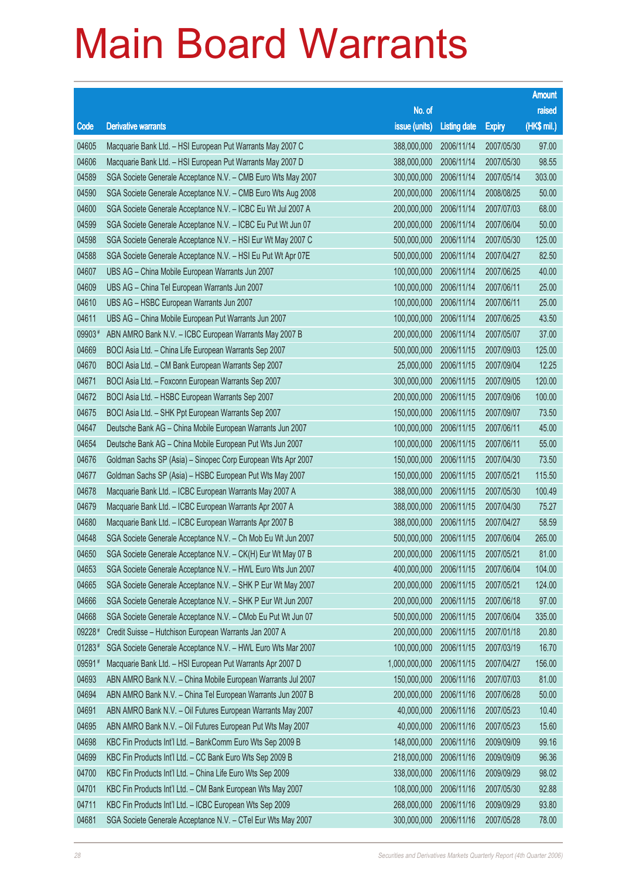|        |                                                              |               |                     |               | <b>Amount</b> |
|--------|--------------------------------------------------------------|---------------|---------------------|---------------|---------------|
|        |                                                              | No. of        |                     |               | raised        |
| Code   | <b>Derivative warrants</b>                                   | issue (units) | <b>Listing date</b> | <b>Expiry</b> | (HK\$ mil.)   |
| 04605  | Macquarie Bank Ltd. - HSI European Put Warrants May 2007 C   | 388,000,000   | 2006/11/14          | 2007/05/30    | 97.00         |
| 04606  | Macquarie Bank Ltd. - HSI European Put Warrants May 2007 D   | 388,000,000   | 2006/11/14          | 2007/05/30    | 98.55         |
| 04589  | SGA Societe Generale Acceptance N.V. - CMB Euro Wts May 2007 | 300,000,000   | 2006/11/14          | 2007/05/14    | 303.00        |
| 04590  | SGA Societe Generale Acceptance N.V. - CMB Euro Wts Aug 2008 | 200,000,000   | 2006/11/14          | 2008/08/25    | 50.00         |
| 04600  | SGA Societe Generale Acceptance N.V. - ICBC Eu Wt Jul 2007 A | 200,000,000   | 2006/11/14          | 2007/07/03    | 68.00         |
| 04599  | SGA Societe Generale Acceptance N.V. - ICBC Eu Put Wt Jun 07 | 200,000,000   | 2006/11/14          | 2007/06/04    | 50.00         |
| 04598  | SGA Societe Generale Acceptance N.V. - HSI Eur Wt May 2007 C | 500,000,000   | 2006/11/14          | 2007/05/30    | 125.00        |
| 04588  | SGA Societe Generale Acceptance N.V. - HSI Eu Put Wt Apr 07E | 500,000,000   | 2006/11/14          | 2007/04/27    | 82.50         |
| 04607  | UBS AG - China Mobile European Warrants Jun 2007             | 100,000,000   | 2006/11/14          | 2007/06/25    | 40.00         |
| 04609  | UBS AG - China Tel European Warrants Jun 2007                | 100,000,000   | 2006/11/14          | 2007/06/11    | 25.00         |
| 04610  | UBS AG - HSBC European Warrants Jun 2007                     | 100,000,000   | 2006/11/14          | 2007/06/11    | 25.00         |
| 04611  | UBS AG - China Mobile European Put Warrants Jun 2007         | 100,000,000   | 2006/11/14          | 2007/06/25    | 43.50         |
| 09903# | ABN AMRO Bank N.V. - ICBC European Warrants May 2007 B       | 200,000,000   | 2006/11/14          | 2007/05/07    | 37.00         |
| 04669  | BOCI Asia Ltd. - China Life European Warrants Sep 2007       | 500,000,000   | 2006/11/15          | 2007/09/03    | 125.00        |
| 04670  | BOCI Asia Ltd. - CM Bank European Warrants Sep 2007          | 25,000,000    | 2006/11/15          | 2007/09/04    | 12.25         |
| 04671  | BOCI Asia Ltd. - Foxconn European Warrants Sep 2007          | 300,000,000   | 2006/11/15          | 2007/09/05    | 120.00        |
| 04672  | BOCI Asia Ltd. - HSBC European Warrants Sep 2007             | 200,000,000   | 2006/11/15          | 2007/09/06    | 100.00        |
| 04675  | BOCI Asia Ltd. - SHK Ppt European Warrants Sep 2007          | 150,000,000   | 2006/11/15          | 2007/09/07    | 73.50         |
| 04647  | Deutsche Bank AG - China Mobile European Warrants Jun 2007   | 100,000,000   | 2006/11/15          | 2007/06/11    | 45.00         |
| 04654  | Deutsche Bank AG - China Mobile European Put Wts Jun 2007    | 100,000,000   | 2006/11/15          | 2007/06/11    | 55.00         |
| 04676  | Goldman Sachs SP (Asia) - Sinopec Corp European Wts Apr 2007 | 150,000,000   | 2006/11/15          | 2007/04/30    | 73.50         |
| 04677  | Goldman Sachs SP (Asia) - HSBC European Put Wts May 2007     | 150,000,000   | 2006/11/15          | 2007/05/21    | 115.50        |
| 04678  | Macquarie Bank Ltd. - ICBC European Warrants May 2007 A      | 388,000,000   | 2006/11/15          | 2007/05/30    | 100.49        |
| 04679  | Macquarie Bank Ltd. - ICBC European Warrants Apr 2007 A      | 388,000,000   | 2006/11/15          | 2007/04/30    | 75.27         |
| 04680  | Macquarie Bank Ltd. - ICBC European Warrants Apr 2007 B      | 388,000,000   | 2006/11/15          | 2007/04/27    | 58.59         |
| 04648  | SGA Societe Generale Acceptance N.V. - Ch Mob Eu Wt Jun 2007 | 500,000,000   | 2006/11/15          | 2007/06/04    | 265.00        |
| 04650  | SGA Societe Generale Acceptance N.V. - CK(H) Eur Wt May 07 B | 200,000,000   | 2006/11/15          | 2007/05/21    | 81.00         |
| 04653  | SGA Societe Generale Acceptance N.V. - HWL Euro Wts Jun 2007 | 400,000,000   | 2006/11/15          | 2007/06/04    | 104.00        |
| 04665  | SGA Societe Generale Acceptance N.V. - SHK P Eur Wt May 2007 | 200,000,000   | 2006/11/15          | 2007/05/21    | 124.00        |
| 04666  | SGA Societe Generale Acceptance N.V. - SHK P Eur Wt Jun 2007 | 200,000,000   | 2006/11/15          | 2007/06/18    | 97.00         |
| 04668  | SGA Societe Generale Acceptance N.V. - CMob Eu Put Wt Jun 07 | 500,000,000   | 2006/11/15          | 2007/06/04    | 335.00        |
| 09228# | Credit Suisse - Hutchison European Warrants Jan 2007 A       | 200,000,000   | 2006/11/15          | 2007/01/18    | 20.80         |
| 01283# | SGA Societe Generale Acceptance N.V. - HWL Euro Wts Mar 2007 | 100,000,000   | 2006/11/15          | 2007/03/19    | 16.70         |
| 09591# | Macquarie Bank Ltd. - HSI European Put Warrants Apr 2007 D   | 1,000,000,000 | 2006/11/15          | 2007/04/27    | 156.00        |
| 04693  | ABN AMRO Bank N.V. - China Mobile European Warrants Jul 2007 | 150,000,000   | 2006/11/16          | 2007/07/03    | 81.00         |
| 04694  | ABN AMRO Bank N.V. - China Tel European Warrants Jun 2007 B  | 200,000,000   | 2006/11/16          | 2007/06/28    | 50.00         |
| 04691  | ABN AMRO Bank N.V. - Oil Futures European Warrants May 2007  | 40,000,000    | 2006/11/16          | 2007/05/23    | 10.40         |
| 04695  | ABN AMRO Bank N.V. - Oil Futures European Put Wts May 2007   | 40,000,000    | 2006/11/16          | 2007/05/23    | 15.60         |
| 04698  | KBC Fin Products Int'l Ltd. - BankComm Euro Wts Sep 2009 B   | 148,000,000   | 2006/11/16          | 2009/09/09    | 99.16         |
| 04699  | KBC Fin Products Int'l Ltd. - CC Bank Euro Wts Sep 2009 B    | 218,000,000   | 2006/11/16          | 2009/09/09    | 96.36         |
| 04700  | KBC Fin Products Int'l Ltd. - China Life Euro Wts Sep 2009   | 338,000,000   | 2006/11/16          | 2009/09/29    | 98.02         |
| 04701  | KBC Fin Products Int'l Ltd. - CM Bank European Wts May 2007  | 108,000,000   | 2006/11/16          | 2007/05/30    | 92.88         |
| 04711  | KBC Fin Products Int'l Ltd. - ICBC European Wts Sep 2009     | 268,000,000   | 2006/11/16          | 2009/09/29    | 93.80         |
| 04681  | SGA Societe Generale Acceptance N.V. - CTel Eur Wts May 2007 | 300,000,000   | 2006/11/16          | 2007/05/28    | 78.00         |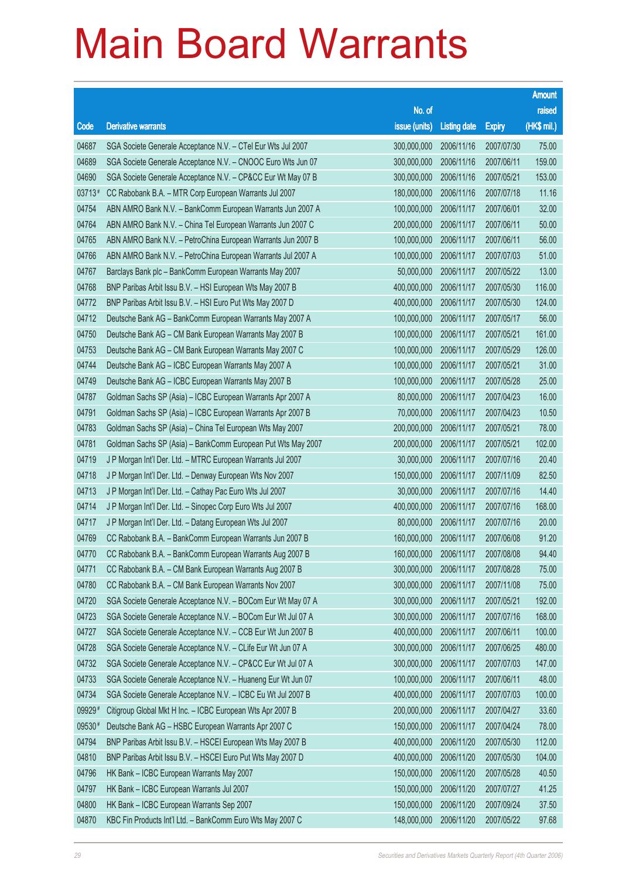|          |                                                              |                        |                     |               | <b>Amount</b> |
|----------|--------------------------------------------------------------|------------------------|---------------------|---------------|---------------|
|          |                                                              | No. of                 |                     |               | raised        |
| Code     | <b>Derivative warrants</b>                                   | issue (units)          | <b>Listing date</b> | <b>Expiry</b> | (HK\$ mil.)   |
| 04687    | SGA Societe Generale Acceptance N.V. - CTel Eur Wts Jul 2007 | 300,000,000            | 2006/11/16          | 2007/07/30    | 75.00         |
| 04689    | SGA Societe Generale Acceptance N.V. - CNOOC Euro Wts Jun 07 | 300,000,000            | 2006/11/16          | 2007/06/11    | 159.00        |
| 04690    | SGA Societe Generale Acceptance N.V. - CP&CC Eur Wt May 07 B | 300,000,000            | 2006/11/16          | 2007/05/21    | 153.00        |
| $03713*$ | CC Rabobank B.A. - MTR Corp European Warrants Jul 2007       | 180,000,000            | 2006/11/16          | 2007/07/18    | 11.16         |
| 04754    | ABN AMRO Bank N.V. - BankComm European Warrants Jun 2007 A   | 100,000,000            | 2006/11/17          | 2007/06/01    | 32.00         |
| 04764    | ABN AMRO Bank N.V. - China Tel European Warrants Jun 2007 C  | 200,000,000            | 2006/11/17          | 2007/06/11    | 50.00         |
| 04765    | ABN AMRO Bank N.V. - PetroChina European Warrants Jun 2007 B | 100,000,000            | 2006/11/17          | 2007/06/11    | 56.00         |
| 04766    | ABN AMRO Bank N.V. - PetroChina European Warrants Jul 2007 A | 100,000,000            | 2006/11/17          | 2007/07/03    | 51.00         |
| 04767    | Barclays Bank plc - BankComm European Warrants May 2007      | 50,000,000             | 2006/11/17          | 2007/05/22    | 13.00         |
| 04768    | BNP Paribas Arbit Issu B.V. - HSI European Wts May 2007 B    | 400,000,000            | 2006/11/17          | 2007/05/30    | 116.00        |
| 04772    | BNP Paribas Arbit Issu B.V. - HSI Euro Put Wts May 2007 D    | 400,000,000            | 2006/11/17          | 2007/05/30    | 124.00        |
| 04712    | Deutsche Bank AG - BankComm European Warrants May 2007 A     | 100,000,000            | 2006/11/17          | 2007/05/17    | 56.00         |
| 04750    | Deutsche Bank AG - CM Bank European Warrants May 2007 B      | 100,000,000            | 2006/11/17          | 2007/05/21    | 161.00        |
| 04753    | Deutsche Bank AG - CM Bank European Warrants May 2007 C      | 100,000,000            | 2006/11/17          | 2007/05/29    | 126.00        |
| 04744    | Deutsche Bank AG - ICBC European Warrants May 2007 A         | 100,000,000            | 2006/11/17          | 2007/05/21    | 31.00         |
| 04749    | Deutsche Bank AG - ICBC European Warrants May 2007 B         | 100,000,000            | 2006/11/17          | 2007/05/28    | 25.00         |
| 04787    | Goldman Sachs SP (Asia) - ICBC European Warrants Apr 2007 A  | 80,000,000             | 2006/11/17          | 2007/04/23    | 16.00         |
| 04791    | Goldman Sachs SP (Asia) - ICBC European Warrants Apr 2007 B  | 70,000,000             | 2006/11/17          | 2007/04/23    | 10.50         |
| 04783    | Goldman Sachs SP (Asia) - China Tel European Wts May 2007    | 200,000,000            | 2006/11/17          | 2007/05/21    | 78.00         |
| 04781    | Goldman Sachs SP (Asia) - BankComm European Put Wts May 2007 | 200,000,000            | 2006/11/17          | 2007/05/21    | 102.00        |
| 04719    | J P Morgan Int'l Der. Ltd. - MTRC European Warrants Jul 2007 | 30,000,000             | 2006/11/17          | 2007/07/16    | 20.40         |
| 04718    | J P Morgan Int'l Der. Ltd. - Denway European Wts Nov 2007    | 150,000,000            | 2006/11/17          | 2007/11/09    | 82.50         |
| 04713    | J P Morgan Int'l Der. Ltd. - Cathay Pac Euro Wts Jul 2007    | 30,000,000             | 2006/11/17          | 2007/07/16    | 14.40         |
| 04714    | J P Morgan Int'l Der. Ltd. - Sinopec Corp Euro Wts Jul 2007  | 400,000,000            | 2006/11/17          | 2007/07/16    | 168.00        |
| 04717    | J P Morgan Int'l Der. Ltd. - Datang European Wts Jul 2007    | 80,000,000             | 2006/11/17          | 2007/07/16    | 20.00         |
| 04769    | CC Rabobank B.A. - BankComm European Warrants Jun 2007 B     | 160,000,000            | 2006/11/17          | 2007/06/08    | 91.20         |
| 04770    | CC Rabobank B.A. - BankComm European Warrants Aug 2007 B     | 160,000,000 2006/11/17 |                     | 2007/08/08    | 94.40         |
| 04771    | CC Rabobank B.A. - CM Bank European Warrants Aug 2007 B      | 300,000,000            | 2006/11/17          | 2007/08/28    | 75.00         |
| 04780    | CC Rabobank B.A. - CM Bank European Warrants Nov 2007        | 300,000,000            | 2006/11/17          | 2007/11/08    | 75.00         |
| 04720    | SGA Societe Generale Acceptance N.V. - BOCom Eur Wt May 07 A | 300,000,000            | 2006/11/17          | 2007/05/21    | 192.00        |
| 04723    | SGA Societe Generale Acceptance N.V. - BOCom Eur Wt Jul 07 A | 300,000,000            | 2006/11/17          | 2007/07/16    | 168.00        |
| 04727    | SGA Societe Generale Acceptance N.V. - CCB Eur Wt Jun 2007 B | 400,000,000            | 2006/11/17          | 2007/06/11    | 100.00        |
| 04728    | SGA Societe Generale Acceptance N.V. - CLife Eur Wt Jun 07 A | 300,000,000            | 2006/11/17          | 2007/06/25    | 480.00        |
| 04732    | SGA Societe Generale Acceptance N.V. - CP&CC Eur Wt Jul 07 A | 300,000,000            | 2006/11/17          | 2007/07/03    | 147.00        |
| 04733    | SGA Societe Generale Acceptance N.V. - Huaneng Eur Wt Jun 07 | 100,000,000            | 2006/11/17          | 2007/06/11    | 48.00         |
| 04734    | SGA Societe Generale Acceptance N.V. - ICBC Eu Wt Jul 2007 B | 400,000,000            | 2006/11/17          | 2007/07/03    | 100.00        |
| 09929#   | Citigroup Global Mkt H Inc. - ICBC European Wts Apr 2007 B   | 200,000,000            | 2006/11/17          | 2007/04/27    | 33.60         |
| 09530#   | Deutsche Bank AG - HSBC European Warrants Apr 2007 C         | 150,000,000            | 2006/11/17          | 2007/04/24    | 78.00         |
| 04794    | BNP Paribas Arbit Issu B.V. - HSCEI European Wts May 2007 B  | 400,000,000            | 2006/11/20          | 2007/05/30    | 112.00        |
| 04810    | BNP Paribas Arbit Issu B.V. - HSCEI Euro Put Wts May 2007 D  | 400,000,000            | 2006/11/20          | 2007/05/30    | 104.00        |
| 04796    | HK Bank - ICBC European Warrants May 2007                    | 150,000,000            | 2006/11/20          | 2007/05/28    | 40.50         |
| 04797    | HK Bank - ICBC European Warrants Jul 2007                    | 150,000,000            | 2006/11/20          | 2007/07/27    | 41.25         |
| 04800    | HK Bank - ICBC European Warrants Sep 2007                    | 150,000,000            | 2006/11/20          | 2007/09/24    | 37.50         |
| 04870    | KBC Fin Products Int'l Ltd. - BankComm Euro Wts May 2007 C   | 148,000,000            | 2006/11/20          | 2007/05/22    | 97.68         |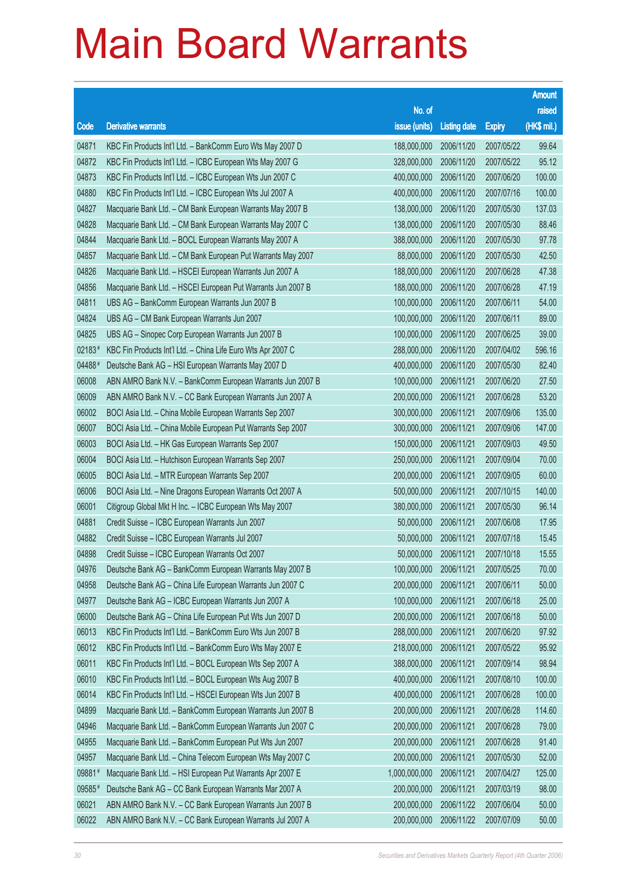|        |                                                              |               |                       |               | <b>Amount</b> |
|--------|--------------------------------------------------------------|---------------|-----------------------|---------------|---------------|
|        |                                                              | No. of        |                       |               | raised        |
| Code   | <b>Derivative warrants</b>                                   | issue (units) | <b>Listing date</b>   | <b>Expiry</b> | (HK\$ mil.)   |
| 04871  | KBC Fin Products Int'l Ltd. - BankComm Euro Wts May 2007 D   | 188,000,000   | 2006/11/20            | 2007/05/22    | 99.64         |
| 04872  | KBC Fin Products Int'l Ltd. - ICBC European Wts May 2007 G   | 328,000,000   | 2006/11/20            | 2007/05/22    | 95.12         |
| 04873  | KBC Fin Products Int'l Ltd. - ICBC European Wts Jun 2007 C   | 400,000,000   | 2006/11/20            | 2007/06/20    | 100.00        |
| 04880  | KBC Fin Products Int'l Ltd. - ICBC European Wts Jul 2007 A   | 400,000,000   | 2006/11/20            | 2007/07/16    | 100.00        |
| 04827  | Macquarie Bank Ltd. - CM Bank European Warrants May 2007 B   | 138,000,000   | 2006/11/20            | 2007/05/30    | 137.03        |
| 04828  | Macquarie Bank Ltd. - CM Bank European Warrants May 2007 C   | 138,000,000   | 2006/11/20            | 2007/05/30    | 88.46         |
| 04844  | Macquarie Bank Ltd. - BOCL European Warrants May 2007 A      | 388,000,000   | 2006/11/20            | 2007/05/30    | 97.78         |
| 04857  | Macquarie Bank Ltd. - CM Bank European Put Warrants May 2007 | 88,000,000    | 2006/11/20            | 2007/05/30    | 42.50         |
| 04826  | Macquarie Bank Ltd. - HSCEI European Warrants Jun 2007 A     | 188,000,000   | 2006/11/20            | 2007/06/28    | 47.38         |
| 04856  | Macquarie Bank Ltd. - HSCEI European Put Warrants Jun 2007 B | 188,000,000   | 2006/11/20            | 2007/06/28    | 47.19         |
| 04811  | UBS AG - BankComm European Warrants Jun 2007 B               | 100,000,000   | 2006/11/20            | 2007/06/11    | 54.00         |
| 04824  | UBS AG - CM Bank European Warrants Jun 2007                  | 100,000,000   | 2006/11/20            | 2007/06/11    | 89.00         |
| 04825  | UBS AG - Sinopec Corp European Warrants Jun 2007 B           | 100,000,000   | 2006/11/20            | 2007/06/25    | 39.00         |
| 02183# | KBC Fin Products Int'l Ltd. - China Life Euro Wts Apr 2007 C | 288,000,000   | 2006/11/20            | 2007/04/02    | 596.16        |
| 04488# | Deutsche Bank AG - HSI European Warrants May 2007 D          | 400,000,000   | 2006/11/20            | 2007/05/30    | 82.40         |
| 06008  | ABN AMRO Bank N.V. - BankComm European Warrants Jun 2007 B   | 100,000,000   | 2006/11/21            | 2007/06/20    | 27.50         |
| 06009  | ABN AMRO Bank N.V. - CC Bank European Warrants Jun 2007 A    | 200,000,000   | 2006/11/21            | 2007/06/28    | 53.20         |
| 06002  | BOCI Asia Ltd. - China Mobile European Warrants Sep 2007     | 300,000,000   | 2006/11/21            | 2007/09/06    | 135.00        |
| 06007  | BOCI Asia Ltd. - China Mobile European Put Warrants Sep 2007 | 300,000,000   | 2006/11/21            | 2007/09/06    | 147.00        |
| 06003  | BOCI Asia Ltd. - HK Gas European Warrants Sep 2007           | 150,000,000   | 2006/11/21            | 2007/09/03    | 49.50         |
| 06004  | BOCI Asia Ltd. - Hutchison European Warrants Sep 2007        | 250,000,000   | 2006/11/21            | 2007/09/04    | 70.00         |
| 06005  | BOCI Asia Ltd. - MTR European Warrants Sep 2007              | 200,000,000   | 2006/11/21            | 2007/09/05    | 60.00         |
| 06006  | BOCI Asia Ltd. - Nine Dragons European Warrants Oct 2007 A   | 500,000,000   | 2006/11/21            | 2007/10/15    | 140.00        |
| 06001  | Citigroup Global Mkt H Inc. - ICBC European Wts May 2007     | 380,000,000   | 2006/11/21            | 2007/05/30    | 96.14         |
| 04881  | Credit Suisse - ICBC European Warrants Jun 2007              | 50,000,000    | 2006/11/21            | 2007/06/08    | 17.95         |
| 04882  | Credit Suisse - ICBC European Warrants Jul 2007              | 50,000,000    | 2006/11/21            | 2007/07/18    | 15.45         |
| 04898  | Credit Suisse - ICBC European Warrants Oct 2007              |               | 50,000,000 2006/11/21 | 2007/10/18    | 15.55         |
| 04976  | Deutsche Bank AG - BankComm European Warrants May 2007 B     | 100,000,000   | 2006/11/21            | 2007/05/25    | 70.00         |
| 04958  | Deutsche Bank AG - China Life European Warrants Jun 2007 C   | 200,000,000   | 2006/11/21            | 2007/06/11    | 50.00         |
| 04977  | Deutsche Bank AG - ICBC European Warrants Jun 2007 A         | 100,000,000   | 2006/11/21            | 2007/06/18    | 25.00         |
| 06000  | Deutsche Bank AG - China Life European Put Wts Jun 2007 D    | 200,000,000   | 2006/11/21            | 2007/06/18    | 50.00         |
| 06013  | KBC Fin Products Int'l Ltd. - BankComm Euro Wts Jun 2007 B   | 288,000,000   | 2006/11/21            | 2007/06/20    | 97.92         |
| 06012  | KBC Fin Products Int'l Ltd. - BankComm Euro Wts May 2007 E   | 218,000,000   | 2006/11/21            | 2007/05/22    | 95.92         |
| 06011  | KBC Fin Products Int'l Ltd. - BOCL European Wts Sep 2007 A   | 388,000,000   | 2006/11/21            | 2007/09/14    | 98.94         |
| 06010  | KBC Fin Products Int'l Ltd. - BOCL European Wts Aug 2007 B   | 400,000,000   | 2006/11/21            | 2007/08/10    | 100.00        |
| 06014  | KBC Fin Products Int'l Ltd. - HSCEI European Wts Jun 2007 B  | 400,000,000   | 2006/11/21            | 2007/06/28    | 100.00        |
| 04899  | Macquarie Bank Ltd. - BankComm European Warrants Jun 2007 B  | 200,000,000   | 2006/11/21            | 2007/06/28    | 114.60        |
| 04946  | Macquarie Bank Ltd. - BankComm European Warrants Jun 2007 C  | 200,000,000   | 2006/11/21            | 2007/06/28    | 79.00         |
| 04955  | Macquarie Bank Ltd. - BankComm European Put Wts Jun 2007     | 200,000,000   | 2006/11/21            | 2007/06/28    | 91.40         |
| 04957  | Macquarie Bank Ltd. - China Telecom European Wts May 2007 C  | 200,000,000   | 2006/11/21            | 2007/05/30    | 52.00         |
| 09881# | Macquarie Bank Ltd. - HSI European Put Warrants Apr 2007 E   | 1,000,000,000 | 2006/11/21            | 2007/04/27    | 125.00        |
| 09585# | Deutsche Bank AG - CC Bank European Warrants Mar 2007 A      | 200,000,000   | 2006/11/21            | 2007/03/19    | 98.00         |
| 06021  | ABN AMRO Bank N.V. - CC Bank European Warrants Jun 2007 B    | 200,000,000   | 2006/11/22            | 2007/06/04    | 50.00         |
| 06022  | ABN AMRO Bank N.V. - CC Bank European Warrants Jul 2007 A    | 200,000,000   | 2006/11/22            | 2007/07/09    | 50.00         |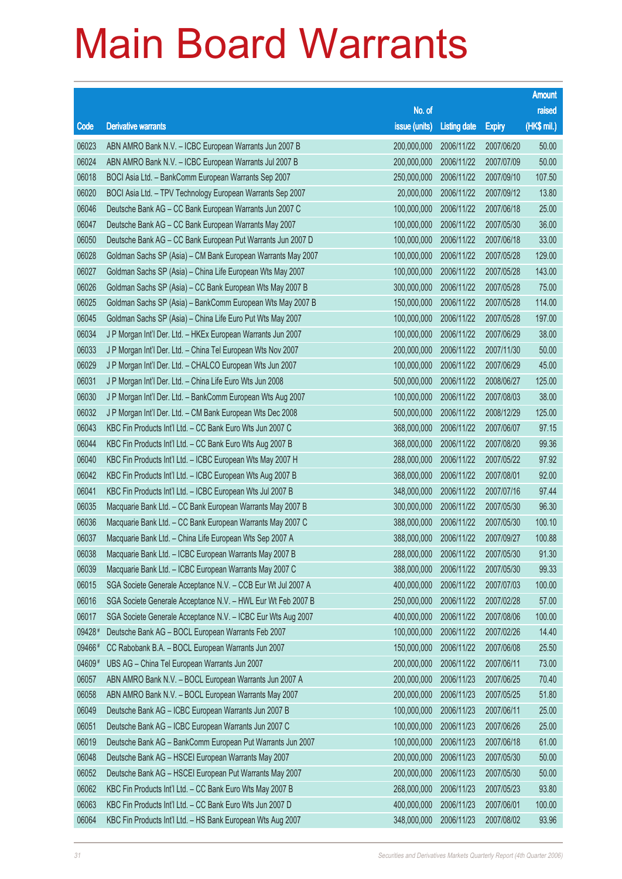|        |                                                              |               |                     |               | <b>Amount</b> |
|--------|--------------------------------------------------------------|---------------|---------------------|---------------|---------------|
|        |                                                              | No. of        |                     |               | raised        |
| Code   | <b>Derivative warrants</b>                                   | issue (units) | <b>Listing date</b> | <b>Expiry</b> | (HK\$ mil.)   |
| 06023  | ABN AMRO Bank N.V. - ICBC European Warrants Jun 2007 B       | 200,000,000   | 2006/11/22          | 2007/06/20    | 50.00         |
| 06024  | ABN AMRO Bank N.V. - ICBC European Warrants Jul 2007 B       | 200,000,000   | 2006/11/22          | 2007/07/09    | 50.00         |
| 06018  | BOCI Asia Ltd. - BankComm European Warrants Sep 2007         | 250,000,000   | 2006/11/22          | 2007/09/10    | 107.50        |
| 06020  | BOCI Asia Ltd. - TPV Technology European Warrants Sep 2007   | 20,000,000    | 2006/11/22          | 2007/09/12    | 13.80         |
| 06046  | Deutsche Bank AG - CC Bank European Warrants Jun 2007 C      | 100,000,000   | 2006/11/22          | 2007/06/18    | 25.00         |
| 06047  | Deutsche Bank AG - CC Bank European Warrants May 2007        | 100,000,000   | 2006/11/22          | 2007/05/30    | 36.00         |
| 06050  | Deutsche Bank AG - CC Bank European Put Warrants Jun 2007 D  | 100,000,000   | 2006/11/22          | 2007/06/18    | 33.00         |
| 06028  | Goldman Sachs SP (Asia) - CM Bank European Warrants May 2007 | 100,000,000   | 2006/11/22          | 2007/05/28    | 129.00        |
| 06027  | Goldman Sachs SP (Asia) - China Life European Wts May 2007   | 100,000,000   | 2006/11/22          | 2007/05/28    | 143.00        |
| 06026  | Goldman Sachs SP (Asia) - CC Bank European Wts May 2007 B    | 300,000,000   | 2006/11/22          | 2007/05/28    | 75.00         |
| 06025  | Goldman Sachs SP (Asia) - BankComm European Wts May 2007 B   | 150,000,000   | 2006/11/22          | 2007/05/28    | 114.00        |
| 06045  | Goldman Sachs SP (Asia) - China Life Euro Put Wts May 2007   | 100,000,000   | 2006/11/22          | 2007/05/28    | 197.00        |
| 06034  | J P Morgan Int'l Der. Ltd. - HKEx European Warrants Jun 2007 | 100,000,000   | 2006/11/22          | 2007/06/29    | 38.00         |
| 06033  | J P Morgan Int'l Der. Ltd. - China Tel European Wts Nov 2007 | 200,000,000   | 2006/11/22          | 2007/11/30    | 50.00         |
| 06029  | J P Morgan Int'l Der. Ltd. - CHALCO European Wts Jun 2007    | 100,000,000   | 2006/11/22          | 2007/06/29    | 45.00         |
| 06031  | J P Morgan Int'l Der. Ltd. - China Life Euro Wts Jun 2008    | 500,000,000   | 2006/11/22          | 2008/06/27    | 125.00        |
| 06030  | J P Morgan Int'l Der. Ltd. - BankComm European Wts Aug 2007  | 100,000,000   | 2006/11/22          | 2007/08/03    | 38.00         |
| 06032  | J P Morgan Int'l Der. Ltd. - CM Bank European Wts Dec 2008   | 500,000,000   | 2006/11/22          | 2008/12/29    | 125.00        |
| 06043  | KBC Fin Products Int'l Ltd. - CC Bank Euro Wts Jun 2007 C    | 368,000,000   | 2006/11/22          | 2007/06/07    | 97.15         |
| 06044  | KBC Fin Products Int'l Ltd. - CC Bank Euro Wts Aug 2007 B    | 368,000,000   | 2006/11/22          | 2007/08/20    | 99.36         |
| 06040  | KBC Fin Products Int'l Ltd. - ICBC European Wts May 2007 H   | 288,000,000   | 2006/11/22          | 2007/05/22    | 97.92         |
| 06042  | KBC Fin Products Int'l Ltd. - ICBC European Wts Aug 2007 B   | 368,000,000   | 2006/11/22          | 2007/08/01    | 92.00         |
| 06041  | KBC Fin Products Int'l Ltd. - ICBC European Wts Jul 2007 B   | 348,000,000   | 2006/11/22          | 2007/07/16    | 97.44         |
| 06035  | Macquarie Bank Ltd. - CC Bank European Warrants May 2007 B   | 300,000,000   | 2006/11/22          | 2007/05/30    | 96.30         |
| 06036  | Macquarie Bank Ltd. - CC Bank European Warrants May 2007 C   | 388,000,000   | 2006/11/22          | 2007/05/30    | 100.10        |
| 06037  | Macquarie Bank Ltd. - China Life European Wts Sep 2007 A     | 388,000,000   | 2006/11/22          | 2007/09/27    | 100.88        |
| 06038  | Macquarie Bank Ltd. - ICBC European Warrants May 2007 B      | 288,000,000   | 2006/11/22          | 2007/05/30    | 91.30         |
| 06039  | Macquarie Bank Ltd. - ICBC European Warrants May 2007 C      | 388,000,000   | 2006/11/22          | 2007/05/30    | 99.33         |
| 06015  | SGA Societe Generale Acceptance N.V. - CCB Eur Wt Jul 2007 A | 400,000,000   | 2006/11/22          | 2007/07/03    | 100.00        |
| 06016  | SGA Societe Generale Acceptance N.V. - HWL Eur Wt Feb 2007 B | 250,000,000   | 2006/11/22          | 2007/02/28    | 57.00         |
| 06017  | SGA Societe Generale Acceptance N.V. - ICBC Eur Wts Aug 2007 | 400,000,000   | 2006/11/22          | 2007/08/06    | 100.00        |
| 09428# | Deutsche Bank AG - BOCL European Warrants Feb 2007           | 100,000,000   | 2006/11/22          | 2007/02/26    | 14.40         |
| 09466# | CC Rabobank B.A. - BOCL European Warrants Jun 2007           | 150,000,000   | 2006/11/22          | 2007/06/08    | 25.50         |
| 04609# | UBS AG - China Tel European Warrants Jun 2007                | 200,000,000   | 2006/11/22          | 2007/06/11    | 73.00         |
| 06057  | ABN AMRO Bank N.V. - BOCL European Warrants Jun 2007 A       | 200,000,000   | 2006/11/23          | 2007/06/25    | 70.40         |
| 06058  | ABN AMRO Bank N.V. - BOCL European Warrants May 2007         | 200,000,000   | 2006/11/23          | 2007/05/25    | 51.80         |
| 06049  | Deutsche Bank AG - ICBC European Warrants Jun 2007 B         | 100,000,000   | 2006/11/23          | 2007/06/11    | 25.00         |
| 06051  | Deutsche Bank AG - ICBC European Warrants Jun 2007 C         | 100,000,000   | 2006/11/23          | 2007/06/26    | 25.00         |
| 06019  | Deutsche Bank AG - BankComm European Put Warrants Jun 2007   | 100,000,000   | 2006/11/23          | 2007/06/18    | 61.00         |
| 06048  | Deutsche Bank AG - HSCEI European Warrants May 2007          | 200,000,000   | 2006/11/23          | 2007/05/30    | 50.00         |
| 06052  | Deutsche Bank AG - HSCEI European Put Warrants May 2007      | 200,000,000   | 2006/11/23          | 2007/05/30    | 50.00         |
| 06062  | KBC Fin Products Int'l Ltd. - CC Bank Euro Wts May 2007 B    | 268,000,000   | 2006/11/23          | 2007/05/23    | 93.80         |
| 06063  | KBC Fin Products Int'l Ltd. - CC Bank Euro Wts Jun 2007 D    | 400,000,000   | 2006/11/23          | 2007/06/01    | 100.00        |
| 06064  | KBC Fin Products Int'l Ltd. - HS Bank European Wts Aug 2007  | 348,000,000   | 2006/11/23          | 2007/08/02    | 93.96         |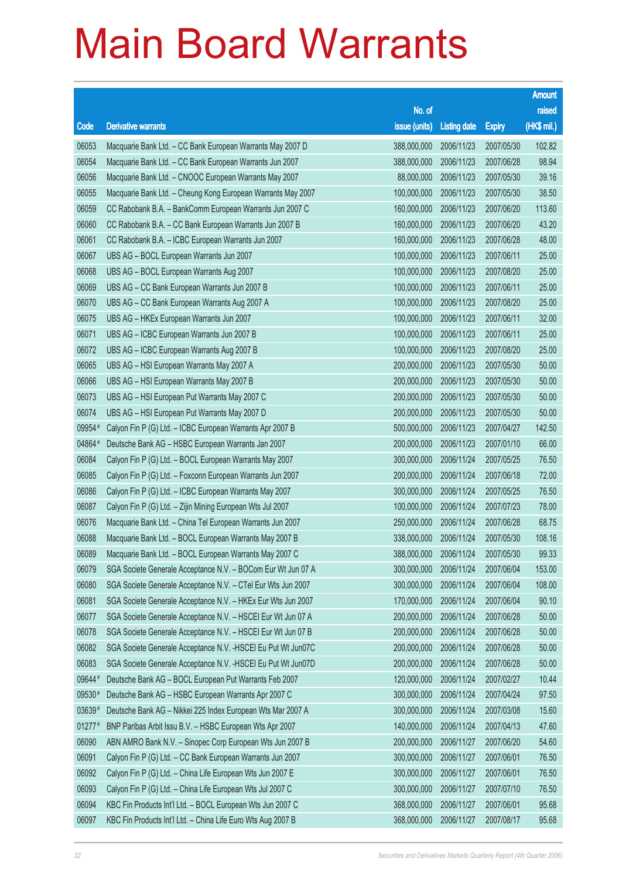|          |                                                               |                        |                     |               | <b>Amount</b> |
|----------|---------------------------------------------------------------|------------------------|---------------------|---------------|---------------|
|          |                                                               | No. of                 |                     |               | raised        |
| Code     | <b>Derivative warrants</b>                                    | issue (units)          | <b>Listing date</b> | <b>Expiry</b> | (HK\$ mil.)   |
| 06053    | Macquarie Bank Ltd. - CC Bank European Warrants May 2007 D    | 388,000,000            | 2006/11/23          | 2007/05/30    | 102.82        |
| 06054    | Macquarie Bank Ltd. - CC Bank European Warrants Jun 2007      | 388,000,000            | 2006/11/23          | 2007/06/28    | 98.94         |
| 06056    | Macquarie Bank Ltd. - CNOOC European Warrants May 2007        | 88,000,000             | 2006/11/23          | 2007/05/30    | 39.16         |
| 06055    | Macquarie Bank Ltd. - Cheung Kong European Warrants May 2007  | 100,000,000            | 2006/11/23          | 2007/05/30    | 38.50         |
| 06059    | CC Rabobank B.A. - BankComm European Warrants Jun 2007 C      | 160,000,000            | 2006/11/23          | 2007/06/20    | 113.60        |
| 06060    | CC Rabobank B.A. - CC Bank European Warrants Jun 2007 B       | 160,000,000            | 2006/11/23          | 2007/06/20    | 43.20         |
| 06061    | CC Rabobank B.A. - ICBC European Warrants Jun 2007            | 160,000,000            | 2006/11/23          | 2007/06/28    | 48.00         |
| 06067    | UBS AG - BOCL European Warrants Jun 2007                      | 100,000,000            | 2006/11/23          | 2007/06/11    | 25.00         |
| 06068    | UBS AG - BOCL European Warrants Aug 2007                      | 100,000,000            | 2006/11/23          | 2007/08/20    | 25.00         |
| 06069    | UBS AG - CC Bank European Warrants Jun 2007 B                 | 100,000,000            | 2006/11/23          | 2007/06/11    | 25.00         |
| 06070    | UBS AG - CC Bank European Warrants Aug 2007 A                 | 100,000,000            | 2006/11/23          | 2007/08/20    | 25.00         |
| 06075    | UBS AG - HKEx European Warrants Jun 2007                      | 100,000,000            | 2006/11/23          | 2007/06/11    | 32.00         |
| 06071    | UBS AG - ICBC European Warrants Jun 2007 B                    | 100,000,000            | 2006/11/23          | 2007/06/11    | 25.00         |
| 06072    | UBS AG - ICBC European Warrants Aug 2007 B                    | 100,000,000            | 2006/11/23          | 2007/08/20    | 25.00         |
| 06065    | UBS AG - HSI European Warrants May 2007 A                     | 200,000,000            | 2006/11/23          | 2007/05/30    | 50.00         |
| 06066    | UBS AG - HSI European Warrants May 2007 B                     | 200,000,000            | 2006/11/23          | 2007/05/30    | 50.00         |
| 06073    | UBS AG - HSI European Put Warrants May 2007 C                 | 200,000,000            | 2006/11/23          | 2007/05/30    | 50.00         |
| 06074    | UBS AG - HSI European Put Warrants May 2007 D                 | 200,000,000            | 2006/11/23          | 2007/05/30    | 50.00         |
| 09954#   | Calyon Fin P (G) Ltd. - ICBC European Warrants Apr 2007 B     | 500,000,000            | 2006/11/23          | 2007/04/27    | 142.50        |
| 04864#   | Deutsche Bank AG - HSBC European Warrants Jan 2007            | 200,000,000            | 2006/11/23          | 2007/01/10    | 66.00         |
| 06084    | Calyon Fin P (G) Ltd. - BOCL European Warrants May 2007       | 300,000,000            | 2006/11/24          | 2007/05/25    | 76.50         |
| 06085    | Calyon Fin P (G) Ltd. - Foxconn European Warrants Jun 2007    | 200,000,000            | 2006/11/24          | 2007/06/18    | 72.00         |
| 06086    | Calyon Fin P (G) Ltd. - ICBC European Warrants May 2007       | 300,000,000            | 2006/11/24          | 2007/05/25    | 76.50         |
| 06087    | Calyon Fin P (G) Ltd. - Zijin Mining European Wts Jul 2007    | 100,000,000            | 2006/11/24          | 2007/07/23    | 78.00         |
| 06076    | Macquarie Bank Ltd. - China Tel European Warrants Jun 2007    | 250,000,000            | 2006/11/24          | 2007/06/28    | 68.75         |
| 06088    | Macquarie Bank Ltd. - BOCL European Warrants May 2007 B       | 338,000,000            | 2006/11/24          | 2007/05/30    | 108.16        |
| 06089    | Macquarie Bank Ltd. - BOCL European Warrants May 2007 C       | 388,000,000 2006/11/24 |                     | 2007/05/30    | 99.33         |
| 06079    | SGA Societe Generale Acceptance N.V. - BOCom Eur Wt Jun 07 A  | 300,000,000            | 2006/11/24          | 2007/06/04    | 153.00        |
| 06080    | SGA Societe Generale Acceptance N.V. - CTel Eur Wts Jun 2007  | 300,000,000            | 2006/11/24          | 2007/06/04    | 108.00        |
| 06081    | SGA Societe Generale Acceptance N.V. - HKEx Eur Wts Jun 2007  | 170,000,000            | 2006/11/24          | 2007/06/04    | 90.10         |
| 06077    | SGA Societe Generale Acceptance N.V. - HSCEI Eur Wt Jun 07 A  | 200,000,000            | 2006/11/24          | 2007/06/28    | 50.00         |
| 06078    | SGA Societe Generale Acceptance N.V. - HSCEI Eur Wt Jun 07 B  | 200,000,000            | 2006/11/24          | 2007/06/28    | 50.00         |
| 06082    | SGA Societe Generale Acceptance N.V. - HSCEI Eu Put Wt Jun07C | 200,000,000            | 2006/11/24          | 2007/06/28    | 50.00         |
| 06083    | SGA Societe Generale Acceptance N.V. - HSCEI Eu Put Wt Jun07D | 200,000,000            | 2006/11/24          | 2007/06/28    | 50.00         |
| 09644#   | Deutsche Bank AG - BOCL European Put Warrants Feb 2007        | 120,000,000            | 2006/11/24          | 2007/02/27    | 10.44         |
| 09530#   | Deutsche Bank AG - HSBC European Warrants Apr 2007 C          | 300,000,000            | 2006/11/24          | 2007/04/24    | 97.50         |
| 03639#   | Deutsche Bank AG - Nikkei 225 Index European Wts Mar 2007 A   | 300,000,000            | 2006/11/24          | 2007/03/08    | 15.60         |
| $01277*$ | BNP Paribas Arbit Issu B.V. - HSBC European Wts Apr 2007      | 140,000,000            | 2006/11/24          | 2007/04/13    | 47.60         |
| 06090    | ABN AMRO Bank N.V. - Sinopec Corp European Wts Jun 2007 B     | 200,000,000            | 2006/11/27          | 2007/06/20    | 54.60         |
| 06091    | Calyon Fin P (G) Ltd. - CC Bank European Warrants Jun 2007    | 300,000,000            | 2006/11/27          | 2007/06/01    | 76.50         |
| 06092    | Calyon Fin P (G) Ltd. - China Life European Wts Jun 2007 E    | 300,000,000            | 2006/11/27          | 2007/06/01    | 76.50         |
| 06093    | Calyon Fin P (G) Ltd. - China Life European Wts Jul 2007 C    | 300,000,000            | 2006/11/27          | 2007/07/10    | 76.50         |
| 06094    | KBC Fin Products Int'l Ltd. - BOCL European Wts Jun 2007 C    | 368,000,000            | 2006/11/27          | 2007/06/01    | 95.68         |
| 06097    | KBC Fin Products Int'l Ltd. - China Life Euro Wts Aug 2007 B  | 368,000,000            | 2006/11/27          | 2007/08/17    | 95.68         |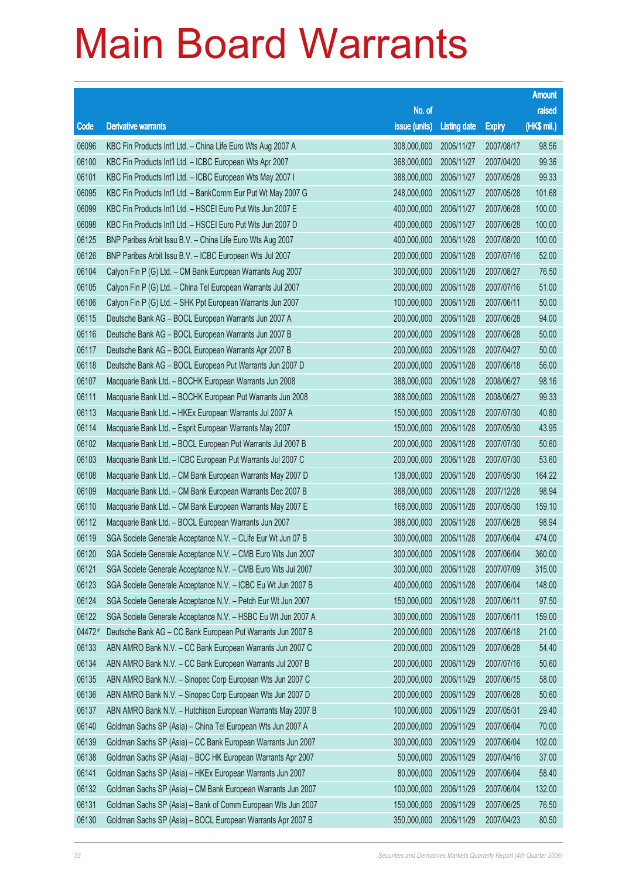|        |                                                              |                        |                     |               | <b>Amount</b> |
|--------|--------------------------------------------------------------|------------------------|---------------------|---------------|---------------|
|        |                                                              | No. of                 |                     |               | raised        |
| Code   | <b>Derivative warrants</b>                                   | issue (units)          | <b>Listing date</b> | <b>Expiry</b> | (HK\$ mil.)   |
| 06096  | KBC Fin Products Int'l Ltd. - China Life Euro Wts Aug 2007 A | 308,000,000            | 2006/11/27          | 2007/08/17    | 98.56         |
| 06100  | KBC Fin Products Int'l Ltd. - ICBC European Wts Apr 2007     | 368,000,000            | 2006/11/27          | 2007/04/20    | 99.36         |
| 06101  | KBC Fin Products Int'l Ltd. - ICBC European Wts May 2007 I   | 388,000,000            | 2006/11/27          | 2007/05/28    | 99.33         |
| 06095  | KBC Fin Products Int'l Ltd. - BankComm Eur Put Wt May 2007 G | 248,000,000            | 2006/11/27          | 2007/05/28    | 101.68        |
| 06099  | KBC Fin Products Int'l Ltd. - HSCEI Euro Put Wts Jun 2007 E  | 400,000,000            | 2006/11/27          | 2007/06/28    | 100.00        |
| 06098  | KBC Fin Products Int'l Ltd. - HSCEI Euro Put Wts Jun 2007 D  | 400,000,000            | 2006/11/27          | 2007/06/28    | 100.00        |
| 06125  | BNP Paribas Arbit Issu B.V. - China Life Euro Wts Aug 2007   | 400,000,000            | 2006/11/28          | 2007/08/20    | 100.00        |
| 06126  | BNP Paribas Arbit Issu B.V. - ICBC European Wts Jul 2007     | 200,000,000            | 2006/11/28          | 2007/07/16    | 52.00         |
| 06104  | Calyon Fin P (G) Ltd. - CM Bank European Warrants Aug 2007   | 300,000,000            | 2006/11/28          | 2007/08/27    | 76.50         |
| 06105  | Calyon Fin P (G) Ltd. - China Tel European Warrants Jul 2007 | 200,000,000            | 2006/11/28          | 2007/07/16    | 51.00         |
| 06106  | Calyon Fin P (G) Ltd. - SHK Ppt European Warrants Jun 2007   | 100,000,000            | 2006/11/28          | 2007/06/11    | 50.00         |
| 06115  | Deutsche Bank AG - BOCL European Warrants Jun 2007 A         | 200,000,000            | 2006/11/28          | 2007/06/28    | 94.00         |
| 06116  | Deutsche Bank AG - BOCL European Warrants Jun 2007 B         | 200,000,000            | 2006/11/28          | 2007/06/28    | 50.00         |
| 06117  | Deutsche Bank AG - BOCL European Warrants Apr 2007 B         | 200,000,000            | 2006/11/28          | 2007/04/27    | 50.00         |
| 06118  | Deutsche Bank AG - BOCL European Put Warrants Jun 2007 D     | 200,000,000            | 2006/11/28          | 2007/06/18    | 56.00         |
| 06107  | Macquarie Bank Ltd. - BOCHK European Warrants Jun 2008       | 388,000,000            | 2006/11/28          | 2008/06/27    | 98.16         |
| 06111  | Macquarie Bank Ltd. - BOCHK European Put Warrants Jun 2008   | 388,000,000            | 2006/11/28          | 2008/06/27    | 99.33         |
| 06113  | Macquarie Bank Ltd. - HKEx European Warrants Jul 2007 A      | 150,000,000            | 2006/11/28          | 2007/07/30    | 40.80         |
| 06114  | Macquarie Bank Ltd. - Esprit European Warrants May 2007      | 150,000,000            | 2006/11/28          | 2007/05/30    | 43.95         |
| 06102  | Macquarie Bank Ltd. - BOCL European Put Warrants Jul 2007 B  | 200,000,000            | 2006/11/28          | 2007/07/30    | 50.60         |
| 06103  | Macquarie Bank Ltd. - ICBC European Put Warrants Jul 2007 C  | 200,000,000            | 2006/11/28          | 2007/07/30    | 53.60         |
| 06108  | Macquarie Bank Ltd. - CM Bank European Warrants May 2007 D   | 138,000,000            | 2006/11/28          | 2007/05/30    | 164.22        |
| 06109  | Macquarie Bank Ltd. - CM Bank European Warrants Dec 2007 B   | 388,000,000            | 2006/11/28          | 2007/12/28    | 98.94         |
| 06110  | Macquarie Bank Ltd. - CM Bank European Warrants May 2007 E   | 168,000,000            | 2006/11/28          | 2007/05/30    | 159.10        |
| 06112  | Macquarie Bank Ltd. - BOCL European Warrants Jun 2007        | 388,000,000            | 2006/11/28          | 2007/06/28    | 98.94         |
| 06119  | SGA Societe Generale Acceptance N.V. - CLife Eur Wt Jun 07 B | 300,000,000            | 2006/11/28          | 2007/06/04    | 474.00        |
| 06120  | SGA Societe Generale Acceptance N.V. - CMB Euro Wts Jun 2007 | 300,000,000 2006/11/28 |                     | 2007/06/04    | 360.00        |
| 06121  | SGA Societe Generale Acceptance N.V. - CMB Euro Wts Jul 2007 | 300,000,000            | 2006/11/28          | 2007/07/09    | 315.00        |
| 06123  | SGA Societe Generale Acceptance N.V. - ICBC Eu Wt Jun 2007 B | 400,000,000            | 2006/11/28          | 2007/06/04    | 148.00        |
| 06124  | SGA Societe Generale Acceptance N.V. - Petch Eur Wt Jun 2007 | 150,000,000            | 2006/11/28          | 2007/06/11    | 97.50         |
| 06122  | SGA Societe Generale Acceptance N.V. - HSBC Eu Wt Jun 2007 A | 300,000,000            | 2006/11/28          | 2007/06/11    | 159.00        |
| 04472# | Deutsche Bank AG - CC Bank European Put Warrants Jun 2007 B  | 200,000,000            | 2006/11/28          | 2007/06/18    | 21.00         |
| 06133  | ABN AMRO Bank N.V. - CC Bank European Warrants Jun 2007 C    | 200,000,000            | 2006/11/29          | 2007/06/28    | 54.40         |
| 06134  | ABN AMRO Bank N.V. - CC Bank European Warrants Jul 2007 B    | 200,000,000            | 2006/11/29          | 2007/07/16    | 50.60         |
| 06135  | ABN AMRO Bank N.V. - Sinopec Corp European Wts Jun 2007 C    | 200,000,000            | 2006/11/29          | 2007/06/15    | 58.00         |
| 06136  | ABN AMRO Bank N.V. - Sinopec Corp European Wts Jun 2007 D    | 200,000,000            | 2006/11/29          | 2007/06/28    | 50.60         |
| 06137  | ABN AMRO Bank N.V. - Hutchison European Warrants May 2007 B  | 100,000,000            | 2006/11/29          | 2007/05/31    | 29.40         |
| 06140  | Goldman Sachs SP (Asia) - China Tel European Wts Jun 2007 A  | 200,000,000            | 2006/11/29          | 2007/06/04    | 70.00         |
| 06139  | Goldman Sachs SP (Asia) - CC Bank European Warrants Jun 2007 | 300,000,000            | 2006/11/29          | 2007/06/04    | 102.00        |
| 06138  | Goldman Sachs SP (Asia) - BOC HK European Warrants Apr 2007  | 50,000,000             | 2006/11/29          | 2007/04/16    | 37.00         |
| 06141  | Goldman Sachs SP (Asia) - HKEx European Warrants Jun 2007    | 80,000,000             | 2006/11/29          | 2007/06/04    | 58.40         |
| 06132  | Goldman Sachs SP (Asia) - CM Bank European Warrants Jun 2007 | 100,000,000            | 2006/11/29          | 2007/06/04    | 132.00        |
| 06131  | Goldman Sachs SP (Asia) - Bank of Comm European Wts Jun 2007 | 150,000,000            | 2006/11/29          | 2007/06/25    | 76.50         |
| 06130  | Goldman Sachs SP (Asia) - BOCL European Warrants Apr 2007 B  | 350,000,000            | 2006/11/29          | 2007/04/23    | 80.50         |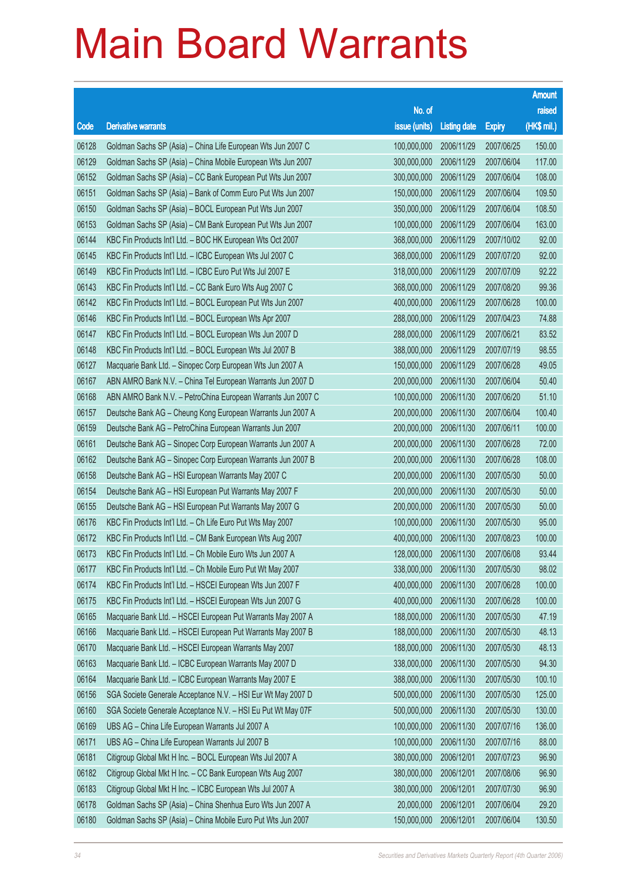|       |                                                              |               |                     |               | <b>Amount</b> |
|-------|--------------------------------------------------------------|---------------|---------------------|---------------|---------------|
|       |                                                              | No. of        |                     |               | raised        |
| Code  | <b>Derivative warrants</b>                                   | issue (units) | <b>Listing date</b> | <b>Expiry</b> | (HK\$ mil.)   |
| 06128 | Goldman Sachs SP (Asia) - China Life European Wts Jun 2007 C | 100,000,000   | 2006/11/29          | 2007/06/25    | 150.00        |
| 06129 | Goldman Sachs SP (Asia) - China Mobile European Wts Jun 2007 | 300,000,000   | 2006/11/29          | 2007/06/04    | 117.00        |
| 06152 | Goldman Sachs SP (Asia) - CC Bank European Put Wts Jun 2007  | 300,000,000   | 2006/11/29          | 2007/06/04    | 108.00        |
| 06151 | Goldman Sachs SP (Asia) - Bank of Comm Euro Put Wts Jun 2007 | 150,000,000   | 2006/11/29          | 2007/06/04    | 109.50        |
| 06150 | Goldman Sachs SP (Asia) - BOCL European Put Wts Jun 2007     | 350,000,000   | 2006/11/29          | 2007/06/04    | 108.50        |
| 06153 | Goldman Sachs SP (Asia) - CM Bank European Put Wts Jun 2007  | 100,000,000   | 2006/11/29          | 2007/06/04    | 163.00        |
| 06144 | KBC Fin Products Int'l Ltd. - BOC HK European Wts Oct 2007   | 368,000,000   | 2006/11/29          | 2007/10/02    | 92.00         |
| 06145 | KBC Fin Products Int'l Ltd. - ICBC European Wts Jul 2007 C   | 368,000,000   | 2006/11/29          | 2007/07/20    | 92.00         |
| 06149 | KBC Fin Products Int'l Ltd. - ICBC Euro Put Wts Jul 2007 E   | 318,000,000   | 2006/11/29          | 2007/07/09    | 92.22         |
| 06143 | KBC Fin Products Int'l Ltd. - CC Bank Euro Wts Aug 2007 C    | 368,000,000   | 2006/11/29          | 2007/08/20    | 99.36         |
| 06142 | KBC Fin Products Int'l Ltd. - BOCL European Put Wts Jun 2007 | 400,000,000   | 2006/11/29          | 2007/06/28    | 100.00        |
| 06146 | KBC Fin Products Int'l Ltd. - BOCL European Wts Apr 2007     | 288,000,000   | 2006/11/29          | 2007/04/23    | 74.88         |
| 06147 | KBC Fin Products Int'l Ltd. - BOCL European Wts Jun 2007 D   | 288,000,000   | 2006/11/29          | 2007/06/21    | 83.52         |
| 06148 | KBC Fin Products Int'l Ltd. - BOCL European Wts Jul 2007 B   | 388,000,000   | 2006/11/29          | 2007/07/19    | 98.55         |
| 06127 | Macquarie Bank Ltd. - Sinopec Corp European Wts Jun 2007 A   | 150,000,000   | 2006/11/29          | 2007/06/28    | 49.05         |
| 06167 | ABN AMRO Bank N.V. - China Tel European Warrants Jun 2007 D  | 200,000,000   | 2006/11/30          | 2007/06/04    | 50.40         |
| 06168 | ABN AMRO Bank N.V. - PetroChina European Warrants Jun 2007 C | 100,000,000   | 2006/11/30          | 2007/06/20    | 51.10         |
| 06157 | Deutsche Bank AG - Cheung Kong European Warrants Jun 2007 A  | 200,000,000   | 2006/11/30          | 2007/06/04    | 100.40        |
| 06159 | Deutsche Bank AG - PetroChina European Warrants Jun 2007     | 200,000,000   | 2006/11/30          | 2007/06/11    | 100.00        |
| 06161 | Deutsche Bank AG - Sinopec Corp European Warrants Jun 2007 A | 200,000,000   | 2006/11/30          | 2007/06/28    | 72.00         |
| 06162 | Deutsche Bank AG - Sinopec Corp European Warrants Jun 2007 B | 200,000,000   | 2006/11/30          | 2007/06/28    | 108.00        |
| 06158 | Deutsche Bank AG - HSI European Warrants May 2007 C          | 200,000,000   | 2006/11/30          | 2007/05/30    | 50.00         |
| 06154 | Deutsche Bank AG - HSI European Put Warrants May 2007 F      | 200,000,000   | 2006/11/30          | 2007/05/30    | 50.00         |
| 06155 | Deutsche Bank AG - HSI European Put Warrants May 2007 G      | 200,000,000   | 2006/11/30          | 2007/05/30    | 50.00         |
| 06176 | KBC Fin Products Int'l Ltd. - Ch Life Euro Put Wts May 2007  | 100,000,000   | 2006/11/30          | 2007/05/30    | 95.00         |
| 06172 | KBC Fin Products Int'l Ltd. - CM Bank European Wts Aug 2007  | 400,000,000   | 2006/11/30          | 2007/08/23    | 100.00        |
| 06173 | KBC Fin Products Int'l Ltd. - Ch Mobile Euro Wts Jun 2007 A  | 128,000,000   | 2006/11/30          | 2007/06/08    | 93.44         |
| 06177 | KBC Fin Products Int'l Ltd. - Ch Mobile Euro Put Wt May 2007 | 338,000,000   | 2006/11/30          | 2007/05/30    | 98.02         |
| 06174 | KBC Fin Products Int'l Ltd. - HSCEI European Wts Jun 2007 F  | 400,000,000   | 2006/11/30          | 2007/06/28    | 100.00        |
| 06175 | KBC Fin Products Int'l Ltd. - HSCEI European Wts Jun 2007 G  | 400,000,000   | 2006/11/30          | 2007/06/28    | 100.00        |
| 06165 | Macquarie Bank Ltd. - HSCEI European Put Warrants May 2007 A | 188,000,000   | 2006/11/30          | 2007/05/30    | 47.19         |
| 06166 | Macquarie Bank Ltd. - HSCEI European Put Warrants May 2007 B | 188,000,000   | 2006/11/30          | 2007/05/30    | 48.13         |
| 06170 | Macquarie Bank Ltd. - HSCEI European Warrants May 2007       | 188,000,000   | 2006/11/30          | 2007/05/30    | 48.13         |
| 06163 | Macquarie Bank Ltd. - ICBC European Warrants May 2007 D      | 338,000,000   | 2006/11/30          | 2007/05/30    | 94.30         |
| 06164 | Macquarie Bank Ltd. - ICBC European Warrants May 2007 E      | 388,000,000   | 2006/11/30          | 2007/05/30    | 100.10        |
| 06156 | SGA Societe Generale Acceptance N.V. - HSI Eur Wt May 2007 D | 500,000,000   | 2006/11/30          | 2007/05/30    | 125.00        |
| 06160 | SGA Societe Generale Acceptance N.V. - HSI Eu Put Wt May 07F | 500,000,000   | 2006/11/30          | 2007/05/30    | 130.00        |
| 06169 | UBS AG - China Life European Warrants Jul 2007 A             | 100,000,000   | 2006/11/30          | 2007/07/16    | 136.00        |
| 06171 | UBS AG - China Life European Warrants Jul 2007 B             | 100,000,000   | 2006/11/30          | 2007/07/16    | 88.00         |
| 06181 | Citigroup Global Mkt H Inc. - BOCL European Wts Jul 2007 A   | 380,000,000   | 2006/12/01          | 2007/07/23    | 96.90         |
| 06182 | Citigroup Global Mkt H Inc. - CC Bank European Wts Aug 2007  | 380,000,000   | 2006/12/01          | 2007/08/06    | 96.90         |
| 06183 | Citigroup Global Mkt H Inc. - ICBC European Wts Jul 2007 A   | 380,000,000   | 2006/12/01          | 2007/07/30    | 96.90         |
| 06178 | Goldman Sachs SP (Asia) - China Shenhua Euro Wts Jun 2007 A  | 20,000,000    | 2006/12/01          | 2007/06/04    | 29.20         |
| 06180 | Goldman Sachs SP (Asia) - China Mobile Euro Put Wts Jun 2007 | 150,000,000   | 2006/12/01          | 2007/06/04    | 130.50        |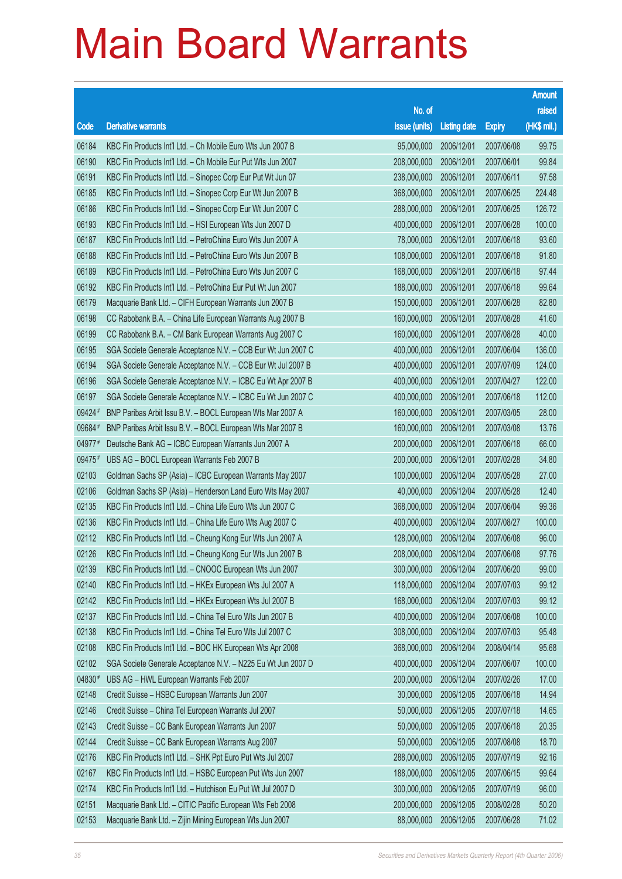|        |                                                              |                        |                     |               | <b>Amount</b> |
|--------|--------------------------------------------------------------|------------------------|---------------------|---------------|---------------|
|        |                                                              | No. of                 |                     |               | raised        |
| Code   | <b>Derivative warrants</b>                                   | issue (units)          | <b>Listing date</b> | <b>Expiry</b> | $(HK$$ mil.)  |
| 06184  | KBC Fin Products Int'l Ltd. - Ch Mobile Euro Wts Jun 2007 B  | 95,000,000             | 2006/12/01          | 2007/06/08    | 99.75         |
| 06190  | KBC Fin Products Int'l Ltd. - Ch Mobile Eur Put Wts Jun 2007 | 208,000,000            | 2006/12/01          | 2007/06/01    | 99.84         |
| 06191  | KBC Fin Products Int'l Ltd. - Sinopec Corp Eur Put Wt Jun 07 | 238,000,000            | 2006/12/01          | 2007/06/11    | 97.58         |
| 06185  | KBC Fin Products Int'l Ltd. - Sinopec Corp Eur Wt Jun 2007 B | 368,000,000            | 2006/12/01          | 2007/06/25    | 224.48        |
| 06186  | KBC Fin Products Int'l Ltd. - Sinopec Corp Eur Wt Jun 2007 C | 288,000,000            | 2006/12/01          | 2007/06/25    | 126.72        |
| 06193  | KBC Fin Products Int'l Ltd. - HSI European Wts Jun 2007 D    | 400,000,000            | 2006/12/01          | 2007/06/28    | 100.00        |
| 06187  | KBC Fin Products Int'l Ltd. - PetroChina Euro Wts Jun 2007 A | 78,000,000             | 2006/12/01          | 2007/06/18    | 93.60         |
| 06188  | KBC Fin Products Int'l Ltd. - PetroChina Euro Wts Jun 2007 B | 108,000,000            | 2006/12/01          | 2007/06/18    | 91.80         |
| 06189  | KBC Fin Products Int'l Ltd. - PetroChina Euro Wts Jun 2007 C | 168,000,000            | 2006/12/01          | 2007/06/18    | 97.44         |
| 06192  | KBC Fin Products Int'l Ltd. - PetroChina Eur Put Wt Jun 2007 | 188,000,000            | 2006/12/01          | 2007/06/18    | 99.64         |
| 06179  | Macquarie Bank Ltd. - CIFH European Warrants Jun 2007 B      | 150,000,000            | 2006/12/01          | 2007/06/28    | 82.80         |
| 06198  | CC Rabobank B.A. - China Life European Warrants Aug 2007 B   | 160,000,000            | 2006/12/01          | 2007/08/28    | 41.60         |
| 06199  | CC Rabobank B.A. - CM Bank European Warrants Aug 2007 C      | 160,000,000            | 2006/12/01          | 2007/08/28    | 40.00         |
| 06195  | SGA Societe Generale Acceptance N.V. - CCB Eur Wt Jun 2007 C | 400,000,000            | 2006/12/01          | 2007/06/04    | 136.00        |
| 06194  | SGA Societe Generale Acceptance N.V. - CCB Eur Wt Jul 2007 B | 400,000,000            | 2006/12/01          | 2007/07/09    | 124.00        |
| 06196  | SGA Societe Generale Acceptance N.V. - ICBC Eu Wt Apr 2007 B | 400,000,000            | 2006/12/01          | 2007/04/27    | 122.00        |
| 06197  | SGA Societe Generale Acceptance N.V. - ICBC Eu Wt Jun 2007 C | 400,000,000            | 2006/12/01          | 2007/06/18    | 112.00        |
| 09424# | BNP Paribas Arbit Issu B.V. - BOCL European Wts Mar 2007 A   | 160,000,000            | 2006/12/01          | 2007/03/05    | 28.00         |
| 09684# | BNP Paribas Arbit Issu B.V. - BOCL European Wts Mar 2007 B   | 160,000,000            | 2006/12/01          | 2007/03/08    | 13.76         |
| 04977# | Deutsche Bank AG - ICBC European Warrants Jun 2007 A         | 200,000,000            | 2006/12/01          | 2007/06/18    | 66.00         |
| 09475# | UBS AG - BOCL European Warrants Feb 2007 B                   | 200,000,000            | 2006/12/01          | 2007/02/28    | 34.80         |
| 02103  | Goldman Sachs SP (Asia) - ICBC European Warrants May 2007    | 100,000,000            | 2006/12/04          | 2007/05/28    | 27.00         |
| 02106  | Goldman Sachs SP (Asia) - Henderson Land Euro Wts May 2007   | 40,000,000             | 2006/12/04          | 2007/05/28    | 12.40         |
| 02135  | KBC Fin Products Int'l Ltd. - China Life Euro Wts Jun 2007 C | 368,000,000            | 2006/12/04          | 2007/06/04    | 99.36         |
| 02136  | KBC Fin Products Int'l Ltd. - China Life Euro Wts Aug 2007 C | 400,000,000            | 2006/12/04          | 2007/08/27    | 100.00        |
| 02112  | KBC Fin Products Int'l Ltd. - Cheung Kong Eur Wts Jun 2007 A | 128,000,000            | 2006/12/04          | 2007/06/08    | 96.00         |
| 02126  | KBC Fin Products Int'l Ltd. - Cheung Kong Eur Wts Jun 2007 B | 208,000,000 2006/12/04 |                     | 2007/06/08    | 97.76         |
| 02139  | KBC Fin Products Int'l Ltd. - CNOOC European Wts Jun 2007    | 300,000,000            | 2006/12/04          | 2007/06/20    | 99.00         |
| 02140  | KBC Fin Products Int'l Ltd. - HKEx European Wts Jul 2007 A   | 118,000,000            | 2006/12/04          | 2007/07/03    | 99.12         |
| 02142  | KBC Fin Products Int'l Ltd. - HKEx European Wts Jul 2007 B   | 168,000,000            | 2006/12/04          | 2007/07/03    | 99.12         |
| 02137  | KBC Fin Products Int'l Ltd. - China Tel Euro Wts Jun 2007 B  | 400,000,000            | 2006/12/04          | 2007/06/08    | 100.00        |
| 02138  | KBC Fin Products Int'l Ltd. - China Tel Euro Wts Jul 2007 C  | 308,000,000            | 2006/12/04          | 2007/07/03    | 95.48         |
| 02108  | KBC Fin Products Int'l Ltd. - BOC HK European Wts Apr 2008   | 368,000,000            | 2006/12/04          | 2008/04/14    | 95.68         |
| 02102  | SGA Societe Generale Acceptance N.V. - N225 Eu Wt Jun 2007 D | 400,000,000            | 2006/12/04          | 2007/06/07    | 100.00        |
| 04830# | UBS AG - HWL European Warrants Feb 2007                      | 200,000,000            | 2006/12/04          | 2007/02/26    | 17.00         |
| 02148  | Credit Suisse - HSBC European Warrants Jun 2007              | 30,000,000             | 2006/12/05          | 2007/06/18    | 14.94         |
| 02146  | Credit Suisse - China Tel European Warrants Jul 2007         | 50,000,000             | 2006/12/05          | 2007/07/18    | 14.65         |
| 02143  | Credit Suisse - CC Bank European Warrants Jun 2007           | 50,000,000             | 2006/12/05          | 2007/06/18    | 20.35         |
| 02144  | Credit Suisse - CC Bank European Warrants Aug 2007           | 50,000,000             | 2006/12/05          | 2007/08/08    | 18.70         |
| 02176  | KBC Fin Products Int'l Ltd. - SHK Ppt Euro Put Wts Jul 2007  | 288,000,000            | 2006/12/05          | 2007/07/19    | 92.16         |
| 02167  | KBC Fin Products Int'l Ltd. - HSBC European Put Wts Jun 2007 | 188,000,000            | 2006/12/05          | 2007/06/15    | 99.64         |
| 02174  | KBC Fin Products Int'l Ltd. - Hutchison Eu Put Wt Jul 2007 D | 300,000,000            | 2006/12/05          | 2007/07/19    | 96.00         |
| 02151  | Macquarie Bank Ltd. - CITIC Pacific European Wts Feb 2008    | 200,000,000            | 2006/12/05          | 2008/02/28    | 50.20         |
| 02153  | Macquarie Bank Ltd. - Zijin Mining European Wts Jun 2007     | 88,000,000             | 2006/12/05          | 2007/06/28    | 71.02         |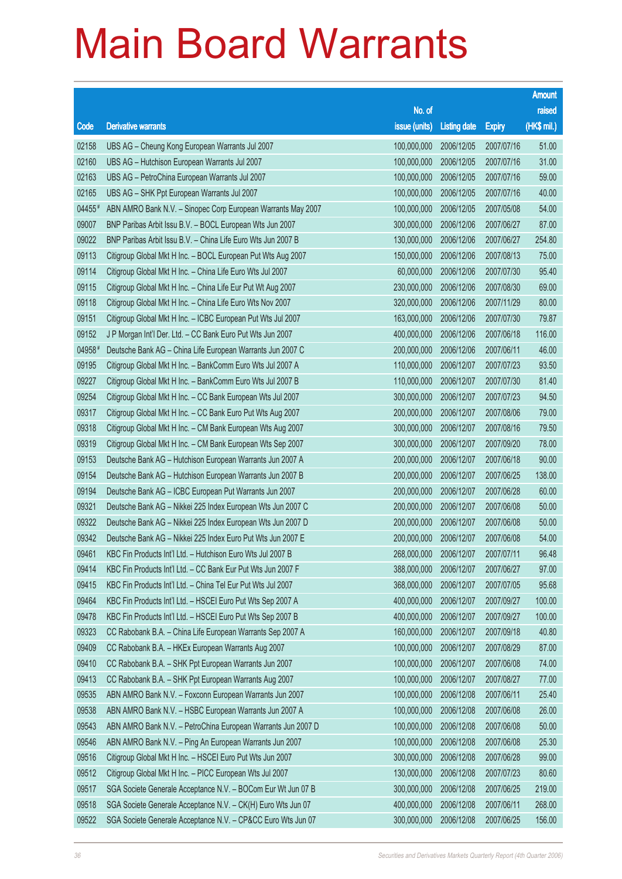|        |                                                              |                        |                     |               | <b>Amount</b> |
|--------|--------------------------------------------------------------|------------------------|---------------------|---------------|---------------|
|        |                                                              | No. of                 |                     |               | raised        |
| Code   | <b>Derivative warrants</b>                                   | issue (units)          | <b>Listing date</b> | <b>Expiry</b> | (HK\$ mil.)   |
| 02158  | UBS AG - Cheung Kong European Warrants Jul 2007              | 100,000,000            | 2006/12/05          | 2007/07/16    | 51.00         |
| 02160  | UBS AG - Hutchison European Warrants Jul 2007                | 100,000,000            | 2006/12/05          | 2007/07/16    | 31.00         |
| 02163  | UBS AG - PetroChina European Warrants Jul 2007               | 100,000,000            | 2006/12/05          | 2007/07/16    | 59.00         |
| 02165  | UBS AG - SHK Ppt European Warrants Jul 2007                  | 100,000,000            | 2006/12/05          | 2007/07/16    | 40.00         |
| 04455# | ABN AMRO Bank N.V. - Sinopec Corp European Warrants May 2007 | 100,000,000            | 2006/12/05          | 2007/05/08    | 54.00         |
| 09007  | BNP Paribas Arbit Issu B.V. - BOCL European Wts Jun 2007     | 300,000,000            | 2006/12/06          | 2007/06/27    | 87.00         |
| 09022  | BNP Paribas Arbit Issu B.V. - China Life Euro Wts Jun 2007 B | 130,000,000            | 2006/12/06          | 2007/06/27    | 254.80        |
| 09113  | Citigroup Global Mkt H Inc. - BOCL European Put Wts Aug 2007 | 150,000,000            | 2006/12/06          | 2007/08/13    | 75.00         |
| 09114  | Citigroup Global Mkt H Inc. - China Life Euro Wts Jul 2007   | 60,000,000             | 2006/12/06          | 2007/07/30    | 95.40         |
| 09115  | Citigroup Global Mkt H Inc. - China Life Eur Put Wt Aug 2007 | 230,000,000            | 2006/12/06          | 2007/08/30    | 69.00         |
| 09118  | Citigroup Global Mkt H Inc. - China Life Euro Wts Nov 2007   | 320,000,000            | 2006/12/06          | 2007/11/29    | 80.00         |
| 09151  | Citigroup Global Mkt H Inc. - ICBC European Put Wts Jul 2007 | 163,000,000            | 2006/12/06          | 2007/07/30    | 79.87         |
| 09152  | J P Morgan Int'l Der. Ltd. - CC Bank Euro Put Wts Jun 2007   | 400,000,000            | 2006/12/06          | 2007/06/18    | 116.00        |
| 04958# | Deutsche Bank AG - China Life European Warrants Jun 2007 C   | 200,000,000            | 2006/12/06          | 2007/06/11    | 46.00         |
| 09195  | Citigroup Global Mkt H Inc. - BankComm Euro Wts Jul 2007 A   | 110,000,000            | 2006/12/07          | 2007/07/23    | 93.50         |
| 09227  | Citigroup Global Mkt H Inc. - BankComm Euro Wts Jul 2007 B   | 110,000,000            | 2006/12/07          | 2007/07/30    | 81.40         |
| 09254  | Citigroup Global Mkt H Inc. - CC Bank European Wts Jul 2007  | 300,000,000            | 2006/12/07          | 2007/07/23    | 94.50         |
| 09317  | Citigroup Global Mkt H Inc. - CC Bank Euro Put Wts Aug 2007  | 200,000,000            | 2006/12/07          | 2007/08/06    | 79.00         |
| 09318  | Citigroup Global Mkt H Inc. - CM Bank European Wts Aug 2007  | 300,000,000            | 2006/12/07          | 2007/08/16    | 79.50         |
| 09319  | Citigroup Global Mkt H Inc. - CM Bank European Wts Sep 2007  | 300,000,000            | 2006/12/07          | 2007/09/20    | 78.00         |
| 09153  | Deutsche Bank AG - Hutchison European Warrants Jun 2007 A    | 200,000,000            | 2006/12/07          | 2007/06/18    | 90.00         |
| 09154  | Deutsche Bank AG - Hutchison European Warrants Jun 2007 B    | 200,000,000            | 2006/12/07          | 2007/06/25    | 138.00        |
| 09194  | Deutsche Bank AG - ICBC European Put Warrants Jun 2007       | 200,000,000            | 2006/12/07          | 2007/06/28    | 60.00         |
| 09321  | Deutsche Bank AG - Nikkei 225 Index European Wts Jun 2007 C  | 200,000,000            | 2006/12/07          | 2007/06/08    | 50.00         |
| 09322  | Deutsche Bank AG - Nikkei 225 Index European Wts Jun 2007 D  | 200,000,000            | 2006/12/07          | 2007/06/08    | 50.00         |
| 09342  | Deutsche Bank AG - Nikkei 225 Index Euro Put Wts Jun 2007 E  | 200,000,000            | 2006/12/07          | 2007/06/08    | 54.00         |
| 09461  | KBC Fin Products Int'l Ltd. - Hutchison Euro Wts Jul 2007 B  | 268,000,000 2006/12/07 |                     | 2007/07/11    | 96.48         |
| 09414  | KBC Fin Products Int'l Ltd. - CC Bank Eur Put Wts Jun 2007 F | 388,000,000            | 2006/12/07          | 2007/06/27    | 97.00         |
| 09415  | KBC Fin Products Int'l Ltd. - China Tel Eur Put Wts Jul 2007 | 368,000,000            | 2006/12/07          | 2007/07/05    | 95.68         |
| 09464  | KBC Fin Products Int'l Ltd. - HSCEI Euro Put Wts Sep 2007 A  | 400,000,000            | 2006/12/07          | 2007/09/27    | 100.00        |
| 09478  | KBC Fin Products Int'l Ltd. - HSCEI Euro Put Wts Sep 2007 B  | 400,000,000            | 2006/12/07          | 2007/09/27    | 100.00        |
| 09323  | CC Rabobank B.A. - China Life European Warrants Sep 2007 A   | 160,000,000            | 2006/12/07          | 2007/09/18    | 40.80         |
| 09409  | CC Rabobank B.A. - HKEx European Warrants Aug 2007           | 100,000,000            | 2006/12/07          | 2007/08/29    | 87.00         |
| 09410  | CC Rabobank B.A. - SHK Ppt European Warrants Jun 2007        | 100,000,000            | 2006/12/07          | 2007/06/08    | 74.00         |
| 09413  | CC Rabobank B.A. - SHK Ppt European Warrants Aug 2007        | 100,000,000            | 2006/12/07          | 2007/08/27    | 77.00         |
| 09535  | ABN AMRO Bank N.V. - Foxconn European Warrants Jun 2007      | 100,000,000            | 2006/12/08          | 2007/06/11    | 25.40         |
| 09538  | ABN AMRO Bank N.V. - HSBC European Warrants Jun 2007 A       | 100,000,000            | 2006/12/08          | 2007/06/08    | 26.00         |
| 09543  | ABN AMRO Bank N.V. - PetroChina European Warrants Jun 2007 D | 100,000,000            | 2006/12/08          | 2007/06/08    | 50.00         |
| 09546  | ABN AMRO Bank N.V. - Ping An European Warrants Jun 2007      | 100,000,000            | 2006/12/08          | 2007/06/08    | 25.30         |
| 09516  | Citigroup Global Mkt H Inc. - HSCEI Euro Put Wts Jun 2007    | 300,000,000            | 2006/12/08          | 2007/06/28    | 99.00         |
| 09512  | Citigroup Global Mkt H Inc. - PICC European Wts Jul 2007     | 130,000,000            | 2006/12/08          | 2007/07/23    | 80.60         |
| 09517  | SGA Societe Generale Acceptance N.V. - BOCom Eur Wt Jun 07 B | 300,000,000            | 2006/12/08          | 2007/06/25    | 219.00        |
| 09518  | SGA Societe Generale Acceptance N.V. - CK(H) Euro Wts Jun 07 | 400,000,000            | 2006/12/08          | 2007/06/11    | 268.00        |
| 09522  | SGA Societe Generale Acceptance N.V. - CP&CC Euro Wts Jun 07 | 300,000,000            | 2006/12/08          | 2007/06/25    | 156.00        |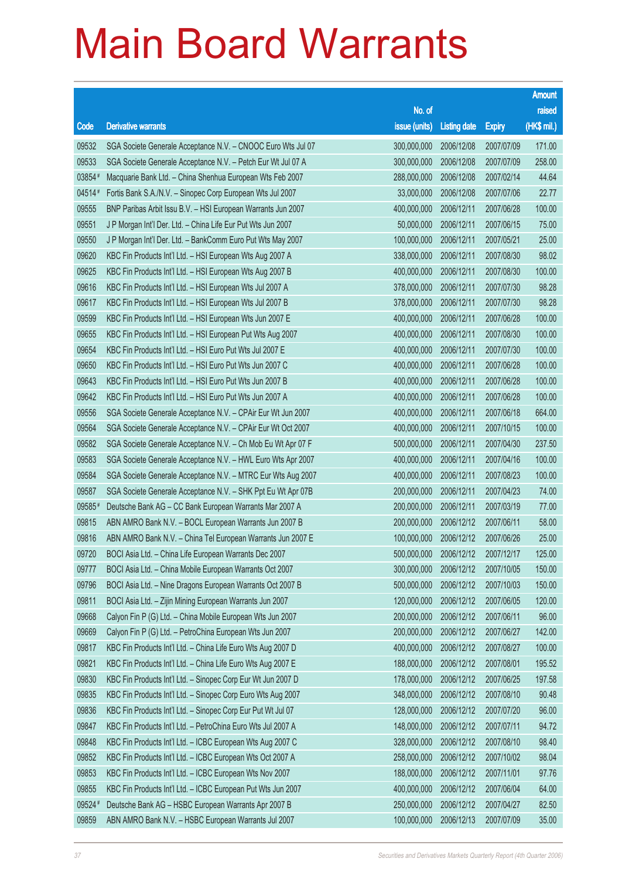|        |                                                              |                        |                     |               | <b>Amount</b> |
|--------|--------------------------------------------------------------|------------------------|---------------------|---------------|---------------|
|        |                                                              | No. of                 |                     |               | raised        |
| Code   | <b>Derivative warrants</b>                                   | issue (units)          | <b>Listing date</b> | <b>Expiry</b> | (HK\$ mil.)   |
| 09532  | SGA Societe Generale Acceptance N.V. - CNOOC Euro Wts Jul 07 | 300,000,000            | 2006/12/08          | 2007/07/09    | 171.00        |
| 09533  | SGA Societe Generale Acceptance N.V. - Petch Eur Wt Jul 07 A | 300,000,000            | 2006/12/08          | 2007/07/09    | 258.00        |
| 03854# | Macquarie Bank Ltd. - China Shenhua European Wts Feb 2007    | 288,000,000            | 2006/12/08          | 2007/02/14    | 44.64         |
| 04514# | Fortis Bank S.A./N.V. - Sinopec Corp European Wts Jul 2007   | 33,000,000             | 2006/12/08          | 2007/07/06    | 22.77         |
| 09555  | BNP Paribas Arbit Issu B.V. - HSI European Warrants Jun 2007 | 400,000,000            | 2006/12/11          | 2007/06/28    | 100.00        |
| 09551  | J P Morgan Int'l Der. Ltd. - China Life Eur Put Wts Jun 2007 | 50,000,000             | 2006/12/11          | 2007/06/15    | 75.00         |
| 09550  | J P Morgan Int'l Der. Ltd. - BankComm Euro Put Wts May 2007  | 100,000,000            | 2006/12/11          | 2007/05/21    | 25.00         |
| 09620  | KBC Fin Products Int'l Ltd. - HSI European Wts Aug 2007 A    | 338,000,000            | 2006/12/11          | 2007/08/30    | 98.02         |
| 09625  | KBC Fin Products Int'l Ltd. - HSI European Wts Aug 2007 B    | 400,000,000            | 2006/12/11          | 2007/08/30    | 100.00        |
| 09616  | KBC Fin Products Int'l Ltd. - HSI European Wts Jul 2007 A    | 378,000,000            | 2006/12/11          | 2007/07/30    | 98.28         |
| 09617  | KBC Fin Products Int'l Ltd. - HSI European Wts Jul 2007 B    | 378,000,000            | 2006/12/11          | 2007/07/30    | 98.28         |
| 09599  | KBC Fin Products Int'l Ltd. - HSI European Wts Jun 2007 E    | 400,000,000            | 2006/12/11          | 2007/06/28    | 100.00        |
| 09655  | KBC Fin Products Int'l Ltd. - HSI European Put Wts Aug 2007  | 400,000,000            | 2006/12/11          | 2007/08/30    | 100.00        |
| 09654  | KBC Fin Products Int'l Ltd. - HSI Euro Put Wts Jul 2007 E    | 400,000,000            | 2006/12/11          | 2007/07/30    | 100.00        |
| 09650  | KBC Fin Products Int'l Ltd. - HSI Euro Put Wts Jun 2007 C    | 400,000,000            | 2006/12/11          | 2007/06/28    | 100.00        |
| 09643  | KBC Fin Products Int'l Ltd. - HSI Euro Put Wts Jun 2007 B    | 400,000,000            | 2006/12/11          | 2007/06/28    | 100.00        |
| 09642  | KBC Fin Products Int'l Ltd. - HSI Euro Put Wts Jun 2007 A    | 400,000,000            | 2006/12/11          | 2007/06/28    | 100.00        |
| 09556  | SGA Societe Generale Acceptance N.V. - CPAir Eur Wt Jun 2007 | 400,000,000            | 2006/12/11          | 2007/06/18    | 664.00        |
| 09564  | SGA Societe Generale Acceptance N.V. - CPAir Eur Wt Oct 2007 | 400,000,000            | 2006/12/11          | 2007/10/15    | 100.00        |
| 09582  | SGA Societe Generale Acceptance N.V. - Ch Mob Eu Wt Apr 07 F | 500,000,000            | 2006/12/11          | 2007/04/30    | 237.50        |
| 09583  | SGA Societe Generale Acceptance N.V. - HWL Euro Wts Apr 2007 | 400,000,000            | 2006/12/11          | 2007/04/16    | 100.00        |
| 09584  | SGA Societe Generale Acceptance N.V. - MTRC Eur Wts Aug 2007 | 400,000,000            | 2006/12/11          | 2007/08/23    | 100.00        |
| 09587  | SGA Societe Generale Acceptance N.V. - SHK Ppt Eu Wt Apr 07B | 200,000,000            | 2006/12/11          | 2007/04/23    | 74.00         |
| 09585# | Deutsche Bank AG - CC Bank European Warrants Mar 2007 A      | 200,000,000            | 2006/12/11          | 2007/03/19    | 77.00         |
| 09815  | ABN AMRO Bank N.V. - BOCL European Warrants Jun 2007 B       | 200,000,000            | 2006/12/12          | 2007/06/11    | 58.00         |
| 09816  | ABN AMRO Bank N.V. - China Tel European Warrants Jun 2007 E  | 100,000,000            | 2006/12/12          | 2007/06/26    | 25.00         |
| 09720  | BOCI Asia Ltd. - China Life European Warrants Dec 2007       | 500,000,000 2006/12/12 |                     | 2007/12/17    | 125.00        |
| 09777  | BOCI Asia Ltd. - China Mobile European Warrants Oct 2007     | 300,000,000            | 2006/12/12          | 2007/10/05    | 150.00        |
| 09796  | BOCI Asia Ltd. - Nine Dragons European Warrants Oct 2007 B   | 500,000,000            | 2006/12/12          | 2007/10/03    | 150.00        |
| 09811  | BOCI Asia Ltd. - Zijin Mining European Warrants Jun 2007     | 120,000,000            | 2006/12/12          | 2007/06/05    | 120.00        |
| 09668  | Calyon Fin P (G) Ltd. - China Mobile European Wts Jun 2007   | 200,000,000            | 2006/12/12          | 2007/06/11    | 96.00         |
| 09669  | Calyon Fin P (G) Ltd. - PetroChina European Wts Jun 2007     | 200,000,000            | 2006/12/12          | 2007/06/27    | 142.00        |
| 09817  | KBC Fin Products Int'l Ltd. - China Life Euro Wts Aug 2007 D | 400,000,000            | 2006/12/12          | 2007/08/27    | 100.00        |
| 09821  | KBC Fin Products Int'l Ltd. - China Life Euro Wts Aug 2007 E | 188,000,000            | 2006/12/12          | 2007/08/01    | 195.52        |
| 09830  | KBC Fin Products Int'l Ltd. - Sinopec Corp Eur Wt Jun 2007 D | 178,000,000            | 2006/12/12          | 2007/06/25    | 197.58        |
| 09835  | KBC Fin Products Int'l Ltd. - Sinopec Corp Euro Wts Aug 2007 | 348,000,000            | 2006/12/12          | 2007/08/10    | 90.48         |
| 09836  | KBC Fin Products Int'l Ltd. - Sinopec Corp Eur Put Wt Jul 07 | 128,000,000            | 2006/12/12          | 2007/07/20    | 96.00         |
| 09847  | KBC Fin Products Int'l Ltd. - PetroChina Euro Wts Jul 2007 A | 148,000,000            | 2006/12/12          | 2007/07/11    | 94.72         |
| 09848  | KBC Fin Products Int'l Ltd. - ICBC European Wts Aug 2007 C   | 328,000,000            | 2006/12/12          | 2007/08/10    | 98.40         |
| 09852  | KBC Fin Products Int'l Ltd. - ICBC European Wts Oct 2007 A   | 258,000,000            | 2006/12/12          | 2007/10/02    | 98.04         |
| 09853  | KBC Fin Products Int'l Ltd. - ICBC European Wts Nov 2007     | 188,000,000            | 2006/12/12          | 2007/11/01    | 97.76         |
| 09855  | KBC Fin Products Int'l Ltd. - ICBC European Put Wts Jun 2007 | 400,000,000            | 2006/12/12          | 2007/06/04    | 64.00         |
| 09524# | Deutsche Bank AG - HSBC European Warrants Apr 2007 B         | 250,000,000            | 2006/12/12          | 2007/04/27    | 82.50         |
| 09859  | ABN AMRO Bank N.V. - HSBC European Warrants Jul 2007         | 100,000,000            | 2006/12/13          | 2007/07/09    | 35.00         |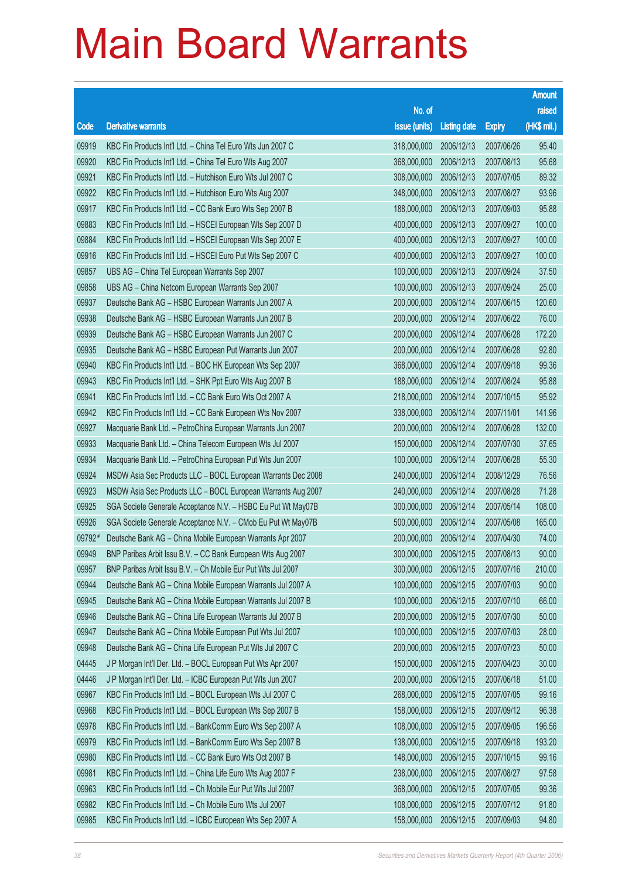|        |                                                              |               |                     |               | <b>Amount</b> |
|--------|--------------------------------------------------------------|---------------|---------------------|---------------|---------------|
|        |                                                              | No. of        |                     |               | raised        |
| Code   | <b>Derivative warrants</b>                                   | issue (units) | <b>Listing date</b> | <b>Expiry</b> | (HK\$ mil.)   |
| 09919  | KBC Fin Products Int'l Ltd. - China Tel Euro Wts Jun 2007 C  | 318,000,000   | 2006/12/13          | 2007/06/26    | 95.40         |
| 09920  | KBC Fin Products Int'l Ltd. - China Tel Euro Wts Aug 2007    | 368,000,000   | 2006/12/13          | 2007/08/13    | 95.68         |
| 09921  | KBC Fin Products Int'l Ltd. - Hutchison Euro Wts Jul 2007 C  | 308,000,000   | 2006/12/13          | 2007/07/05    | 89.32         |
| 09922  | KBC Fin Products Int'l Ltd. - Hutchison Euro Wts Aug 2007    | 348,000,000   | 2006/12/13          | 2007/08/27    | 93.96         |
| 09917  | KBC Fin Products Int'l Ltd. - CC Bank Euro Wts Sep 2007 B    | 188,000,000   | 2006/12/13          | 2007/09/03    | 95.88         |
| 09883  | KBC Fin Products Int'l Ltd. - HSCEI European Wts Sep 2007 D  | 400,000,000   | 2006/12/13          | 2007/09/27    | 100.00        |
| 09884  | KBC Fin Products Int'l Ltd. - HSCEI European Wts Sep 2007 E  | 400,000,000   | 2006/12/13          | 2007/09/27    | 100.00        |
| 09916  | KBC Fin Products Int'l Ltd. - HSCEI Euro Put Wts Sep 2007 C  | 400,000,000   | 2006/12/13          | 2007/09/27    | 100.00        |
| 09857  | UBS AG - China Tel European Warrants Sep 2007                | 100,000,000   | 2006/12/13          | 2007/09/24    | 37.50         |
| 09858  | UBS AG - China Netcom European Warrants Sep 2007             | 100,000,000   | 2006/12/13          | 2007/09/24    | 25.00         |
| 09937  | Deutsche Bank AG - HSBC European Warrants Jun 2007 A         | 200,000,000   | 2006/12/14          | 2007/06/15    | 120.60        |
| 09938  | Deutsche Bank AG - HSBC European Warrants Jun 2007 B         | 200,000,000   | 2006/12/14          | 2007/06/22    | 76.00         |
| 09939  | Deutsche Bank AG - HSBC European Warrants Jun 2007 C         | 200,000,000   | 2006/12/14          | 2007/06/28    | 172.20        |
| 09935  | Deutsche Bank AG - HSBC European Put Warrants Jun 2007       | 200,000,000   | 2006/12/14          | 2007/06/28    | 92.80         |
| 09940  | KBC Fin Products Int'l Ltd. - BOC HK European Wts Sep 2007   | 368,000,000   | 2006/12/14          | 2007/09/18    | 99.36         |
| 09943  | KBC Fin Products Int'l Ltd. - SHK Ppt Euro Wts Aug 2007 B    | 188,000,000   | 2006/12/14          | 2007/08/24    | 95.88         |
| 09941  | KBC Fin Products Int'l Ltd. - CC Bank Euro Wts Oct 2007 A    | 218,000,000   | 2006/12/14          | 2007/10/15    | 95.92         |
| 09942  | KBC Fin Products Int'l Ltd. - CC Bank European Wts Nov 2007  | 338,000,000   | 2006/12/14          | 2007/11/01    | 141.96        |
| 09927  | Macquarie Bank Ltd. - PetroChina European Warrants Jun 2007  | 200,000,000   | 2006/12/14          | 2007/06/28    | 132.00        |
| 09933  | Macquarie Bank Ltd. - China Telecom European Wts Jul 2007    | 150,000,000   | 2006/12/14          | 2007/07/30    | 37.65         |
| 09934  | Macquarie Bank Ltd. - PetroChina European Put Wts Jun 2007   | 100,000,000   | 2006/12/14          | 2007/06/28    | 55.30         |
| 09924  | MSDW Asia Sec Products LLC - BOCL European Warrants Dec 2008 | 240,000,000   | 2006/12/14          | 2008/12/29    | 76.56         |
| 09923  | MSDW Asia Sec Products LLC - BOCL European Warrants Aug 2007 | 240,000,000   | 2006/12/14          | 2007/08/28    | 71.28         |
| 09925  | SGA Societe Generale Acceptance N.V. - HSBC Eu Put Wt May07B | 300,000,000   | 2006/12/14          | 2007/05/14    | 108.00        |
| 09926  | SGA Societe Generale Acceptance N.V. - CMob Eu Put Wt May07B | 500,000,000   | 2006/12/14          | 2007/05/08    | 165.00        |
| 09792# | Deutsche Bank AG - China Mobile European Warrants Apr 2007   | 200,000,000   | 2006/12/14          | 2007/04/30    | 74.00         |
| 09949  | BNP Paribas Arbit Issu B.V. - CC Bank European Wts Aug 2007  | 300,000,000   | 2006/12/15          | 2007/08/13    | 90.00         |
| 09957  | BNP Paribas Arbit Issu B.V. - Ch Mobile Eur Put Wts Jul 2007 | 300,000,000   | 2006/12/15          | 2007/07/16    | 210.00        |
| 09944  | Deutsche Bank AG - China Mobile European Warrants Jul 2007 A | 100,000,000   | 2006/12/15          | 2007/07/03    | 90.00         |
| 09945  | Deutsche Bank AG - China Mobile European Warrants Jul 2007 B | 100,000,000   | 2006/12/15          | 2007/07/10    | 66.00         |
| 09946  | Deutsche Bank AG - China Life European Warrants Jul 2007 B   | 200,000,000   | 2006/12/15          | 2007/07/30    | 50.00         |
| 09947  | Deutsche Bank AG - China Mobile European Put Wts Jul 2007    | 100,000,000   | 2006/12/15          | 2007/07/03    | 28.00         |
| 09948  | Deutsche Bank AG - China Life European Put Wts Jul 2007 C    | 200,000,000   | 2006/12/15          | 2007/07/23    | 50.00         |
| 04445  | J P Morgan Int'l Der. Ltd. - BOCL European Put Wts Apr 2007  | 150,000,000   | 2006/12/15          | 2007/04/23    | 30.00         |
| 04446  | J P Morgan Int'l Der. Ltd. - ICBC European Put Wts Jun 2007  | 200,000,000   | 2006/12/15          | 2007/06/18    | 51.00         |
| 09967  | KBC Fin Products Int'l Ltd. - BOCL European Wts Jul 2007 C   | 268,000,000   | 2006/12/15          | 2007/07/05    | 99.16         |
| 09968  | KBC Fin Products Int'l Ltd. - BOCL European Wts Sep 2007 B   | 158,000,000   | 2006/12/15          | 2007/09/12    | 96.38         |
| 09978  | KBC Fin Products Int'l Ltd. - BankComm Euro Wts Sep 2007 A   | 108,000,000   | 2006/12/15          | 2007/09/05    | 196.56        |
| 09979  | KBC Fin Products Int'l Ltd. - BankComm Euro Wts Sep 2007 B   | 138,000,000   | 2006/12/15          | 2007/09/18    | 193.20        |
| 09980  | KBC Fin Products Int'l Ltd. - CC Bank Euro Wts Oct 2007 B    | 148,000,000   | 2006/12/15          | 2007/10/15    | 99.16         |
| 09981  | KBC Fin Products Int'l Ltd. - China Life Euro Wts Aug 2007 F | 238,000,000   | 2006/12/15          | 2007/08/27    | 97.58         |
| 09963  | KBC Fin Products Int'l Ltd. - Ch Mobile Eur Put Wts Jul 2007 | 368,000,000   | 2006/12/15          | 2007/07/05    | 99.36         |
| 09982  | KBC Fin Products Int'l Ltd. - Ch Mobile Euro Wts Jul 2007    | 108,000,000   | 2006/12/15          | 2007/07/12    | 91.80         |
| 09985  | KBC Fin Products Int'l Ltd. - ICBC European Wts Sep 2007 A   | 158,000,000   | 2006/12/15          | 2007/09/03    | 94.80         |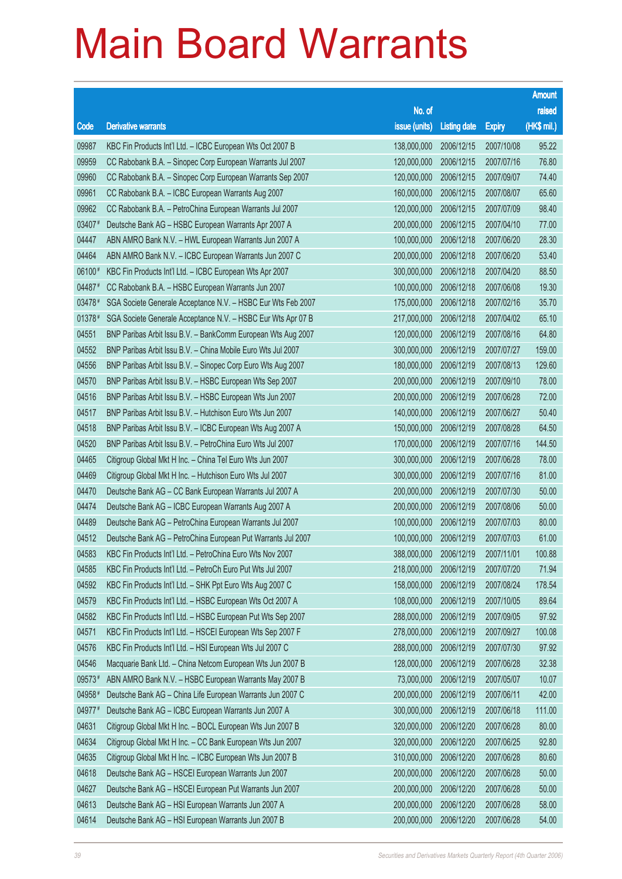|        |                                                              |               |                     |               | <b>Amount</b> |
|--------|--------------------------------------------------------------|---------------|---------------------|---------------|---------------|
|        |                                                              | No. of        |                     |               | raised        |
| Code   | <b>Derivative warrants</b>                                   | issue (units) | <b>Listing date</b> | <b>Expiry</b> | (HK\$ mil.)   |
| 09987  | KBC Fin Products Int'l Ltd. - ICBC European Wts Oct 2007 B   | 138,000,000   | 2006/12/15          | 2007/10/08    | 95.22         |
| 09959  | CC Rabobank B.A. - Sinopec Corp European Warrants Jul 2007   | 120,000,000   | 2006/12/15          | 2007/07/16    | 76.80         |
| 09960  | CC Rabobank B.A. - Sinopec Corp European Warrants Sep 2007   | 120,000,000   | 2006/12/15          | 2007/09/07    | 74.40         |
| 09961  | CC Rabobank B.A. - ICBC European Warrants Aug 2007           | 160,000,000   | 2006/12/15          | 2007/08/07    | 65.60         |
| 09962  | CC Rabobank B.A. - PetroChina European Warrants Jul 2007     | 120,000,000   | 2006/12/15          | 2007/07/09    | 98.40         |
| 03407# | Deutsche Bank AG - HSBC European Warrants Apr 2007 A         | 200,000,000   | 2006/12/15          | 2007/04/10    | 77.00         |
| 04447  | ABN AMRO Bank N.V. - HWL European Warrants Jun 2007 A        | 100,000,000   | 2006/12/18          | 2007/06/20    | 28.30         |
| 04464  | ABN AMRO Bank N.V. - ICBC European Warrants Jun 2007 C       | 200,000,000   | 2006/12/18          | 2007/06/20    | 53.40         |
| 06100# | KBC Fin Products Int'l Ltd. - ICBC European Wts Apr 2007     | 300,000,000   | 2006/12/18          | 2007/04/20    | 88.50         |
| 04487# | CC Rabobank B.A. - HSBC European Warrants Jun 2007           | 100,000,000   | 2006/12/18          | 2007/06/08    | 19.30         |
| 03478# | SGA Societe Generale Acceptance N.V. - HSBC Eur Wts Feb 2007 | 175,000,000   | 2006/12/18          | 2007/02/16    | 35.70         |
| 01378# | SGA Societe Generale Acceptance N.V. - HSBC Eur Wts Apr 07 B | 217,000,000   | 2006/12/18          | 2007/04/02    | 65.10         |
| 04551  | BNP Paribas Arbit Issu B.V. - BankComm European Wts Aug 2007 | 120,000,000   | 2006/12/19          | 2007/08/16    | 64.80         |
| 04552  | BNP Paribas Arbit Issu B.V. - China Mobile Euro Wts Jul 2007 | 300,000,000   | 2006/12/19          | 2007/07/27    | 159.00        |
| 04556  | BNP Paribas Arbit Issu B.V. - Sinopec Corp Euro Wts Aug 2007 | 180,000,000   | 2006/12/19          | 2007/08/13    | 129.60        |
| 04570  | BNP Paribas Arbit Issu B.V. - HSBC European Wts Sep 2007     | 200,000,000   | 2006/12/19          | 2007/09/10    | 78.00         |
| 04516  | BNP Paribas Arbit Issu B.V. - HSBC European Wts Jun 2007     | 200,000,000   | 2006/12/19          | 2007/06/28    | 72.00         |
| 04517  | BNP Paribas Arbit Issu B.V. - Hutchison Euro Wts Jun 2007    | 140,000,000   | 2006/12/19          | 2007/06/27    | 50.40         |
| 04518  | BNP Paribas Arbit Issu B.V. - ICBC European Wts Aug 2007 A   | 150,000,000   | 2006/12/19          | 2007/08/28    | 64.50         |
| 04520  | BNP Paribas Arbit Issu B.V. - PetroChina Euro Wts Jul 2007   | 170,000,000   | 2006/12/19          | 2007/07/16    | 144.50        |
| 04465  | Citigroup Global Mkt H Inc. - China Tel Euro Wts Jun 2007    | 300,000,000   | 2006/12/19          | 2007/06/28    | 78.00         |
| 04469  | Citigroup Global Mkt H Inc. - Hutchison Euro Wts Jul 2007    | 300,000,000   | 2006/12/19          | 2007/07/16    | 81.00         |
| 04470  | Deutsche Bank AG - CC Bank European Warrants Jul 2007 A      | 200,000,000   | 2006/12/19          | 2007/07/30    | 50.00         |
| 04474  | Deutsche Bank AG - ICBC European Warrants Aug 2007 A         | 200,000,000   | 2006/12/19          | 2007/08/06    | 50.00         |
| 04489  | Deutsche Bank AG - PetroChina European Warrants Jul 2007     | 100,000,000   | 2006/12/19          | 2007/07/03    | 80.00         |
| 04512  | Deutsche Bank AG - PetroChina European Put Warrants Jul 2007 | 100,000,000   | 2006/12/19          | 2007/07/03    | 61.00         |
| 04583  | KBC Fin Products Int'l Ltd. - PetroChina Euro Wts Nov 2007   | 388,000,000   | 2006/12/19          | 2007/11/01    | 100.88        |
| 04585  | KBC Fin Products Int'l Ltd. - PetroCh Euro Put Wts Jul 2007  | 218,000,000   | 2006/12/19          | 2007/07/20    | 71.94         |
| 04592  | KBC Fin Products Int'l Ltd. - SHK Ppt Euro Wts Aug 2007 C    | 158,000,000   | 2006/12/19          | 2007/08/24    | 178.54        |
| 04579  | KBC Fin Products Int'l Ltd. - HSBC European Wts Oct 2007 A   | 108,000,000   | 2006/12/19          | 2007/10/05    | 89.64         |
| 04582  | KBC Fin Products Int'l Ltd. - HSBC European Put Wts Sep 2007 | 288,000,000   | 2006/12/19          | 2007/09/05    | 97.92         |
| 04571  | KBC Fin Products Int'l Ltd. - HSCEI European Wts Sep 2007 F  | 278,000,000   | 2006/12/19          | 2007/09/27    | 100.08        |
| 04576  | KBC Fin Products Int'l Ltd. - HSI European Wts Jul 2007 C    | 288,000,000   | 2006/12/19          | 2007/07/30    | 97.92         |
| 04546  | Macquarie Bank Ltd. - China Netcom European Wts Jun 2007 B   | 128,000,000   | 2006/12/19          | 2007/06/28    | 32.38         |
| 09573# | ABN AMRO Bank N.V. - HSBC European Warrants May 2007 B       | 73,000,000    | 2006/12/19          | 2007/05/07    | 10.07         |
| 04958# | Deutsche Bank AG - China Life European Warrants Jun 2007 C   | 200,000,000   | 2006/12/19          | 2007/06/11    | 42.00         |
| 04977# | Deutsche Bank AG - ICBC European Warrants Jun 2007 A         | 300,000,000   | 2006/12/19          | 2007/06/18    | 111.00        |
| 04631  | Citigroup Global Mkt H Inc. - BOCL European Wts Jun 2007 B   | 320,000,000   | 2006/12/20          | 2007/06/28    | 80.00         |
| 04634  | Citigroup Global Mkt H Inc. - CC Bank European Wts Jun 2007  | 320,000,000   | 2006/12/20          | 2007/06/25    | 92.80         |
| 04635  | Citigroup Global Mkt H Inc. - ICBC European Wts Jun 2007 B   | 310,000,000   | 2006/12/20          | 2007/06/28    | 80.60         |
| 04618  | Deutsche Bank AG - HSCEI European Warrants Jun 2007          | 200,000,000   | 2006/12/20          | 2007/06/28    | 50.00         |
| 04627  | Deutsche Bank AG - HSCEI European Put Warrants Jun 2007      | 200,000,000   | 2006/12/20          | 2007/06/28    | 50.00         |
| 04613  | Deutsche Bank AG - HSI European Warrants Jun 2007 A          | 200,000,000   | 2006/12/20          | 2007/06/28    | 58.00         |
| 04614  | Deutsche Bank AG - HSI European Warrants Jun 2007 B          | 200,000,000   | 2006/12/20          | 2007/06/28    | 54.00         |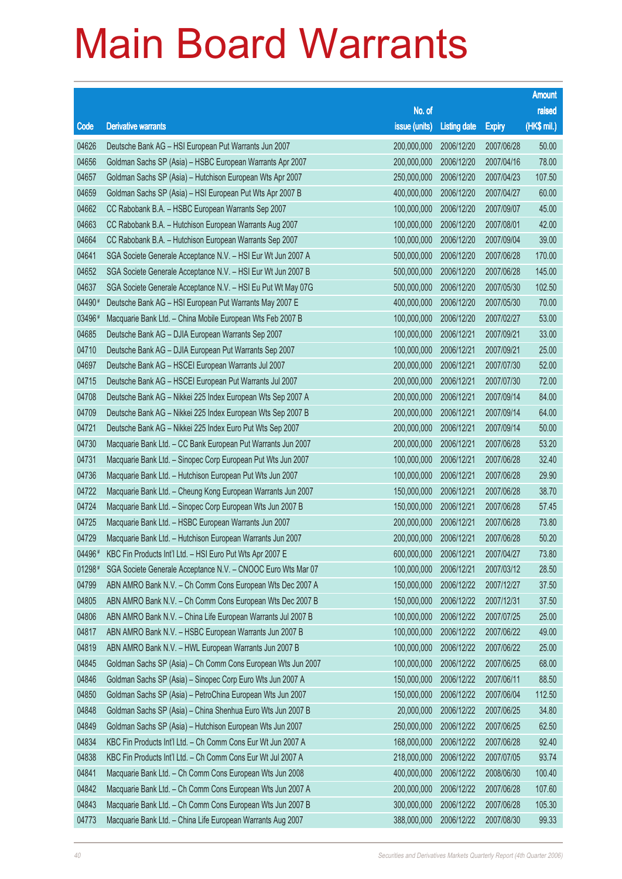|          |                                                              |               |                     |               | <b>Amount</b> |
|----------|--------------------------------------------------------------|---------------|---------------------|---------------|---------------|
|          |                                                              | No. of        |                     |               | raised        |
| Code     | <b>Derivative warrants</b>                                   | issue (units) | <b>Listing date</b> | <b>Expiry</b> | (HK\$ mil.)   |
| 04626    | Deutsche Bank AG - HSI European Put Warrants Jun 2007        | 200,000,000   | 2006/12/20          | 2007/06/28    | 50.00         |
| 04656    | Goldman Sachs SP (Asia) - HSBC European Warrants Apr 2007    | 200,000,000   | 2006/12/20          | 2007/04/16    | 78.00         |
| 04657    | Goldman Sachs SP (Asia) - Hutchison European Wts Apr 2007    | 250,000,000   | 2006/12/20          | 2007/04/23    | 107.50        |
| 04659    | Goldman Sachs SP (Asia) - HSI European Put Wts Apr 2007 B    | 400,000,000   | 2006/12/20          | 2007/04/27    | 60.00         |
| 04662    | CC Rabobank B.A. - HSBC European Warrants Sep 2007           | 100,000,000   | 2006/12/20          | 2007/09/07    | 45.00         |
| 04663    | CC Rabobank B.A. - Hutchison European Warrants Aug 2007      | 100,000,000   | 2006/12/20          | 2007/08/01    | 42.00         |
| 04664    | CC Rabobank B.A. - Hutchison European Warrants Sep 2007      | 100,000,000   | 2006/12/20          | 2007/09/04    | 39.00         |
| 04641    | SGA Societe Generale Acceptance N.V. - HSI Eur Wt Jun 2007 A | 500,000,000   | 2006/12/20          | 2007/06/28    | 170.00        |
| 04652    | SGA Societe Generale Acceptance N.V. - HSI Eur Wt Jun 2007 B | 500,000,000   | 2006/12/20          | 2007/06/28    | 145.00        |
| 04637    | SGA Societe Generale Acceptance N.V. - HSI Eu Put Wt May 07G | 500,000,000   | 2006/12/20          | 2007/05/30    | 102.50        |
| 04490#   | Deutsche Bank AG - HSI European Put Warrants May 2007 E      | 400,000,000   | 2006/12/20          | 2007/05/30    | 70.00         |
| 03496#   | Macquarie Bank Ltd. - China Mobile European Wts Feb 2007 B   | 100,000,000   | 2006/12/20          | 2007/02/27    | 53.00         |
| 04685    | Deutsche Bank AG - DJIA European Warrants Sep 2007           | 100,000,000   | 2006/12/21          | 2007/09/21    | 33.00         |
| 04710    | Deutsche Bank AG - DJIA European Put Warrants Sep 2007       | 100,000,000   | 2006/12/21          | 2007/09/21    | 25.00         |
| 04697    | Deutsche Bank AG - HSCEI European Warrants Jul 2007          | 200,000,000   | 2006/12/21          | 2007/07/30    | 52.00         |
| 04715    | Deutsche Bank AG - HSCEI European Put Warrants Jul 2007      | 200,000,000   | 2006/12/21          | 2007/07/30    | 72.00         |
| 04708    | Deutsche Bank AG - Nikkei 225 Index European Wts Sep 2007 A  | 200,000,000   | 2006/12/21          | 2007/09/14    | 84.00         |
| 04709    | Deutsche Bank AG - Nikkei 225 Index European Wts Sep 2007 B  | 200,000,000   | 2006/12/21          | 2007/09/14    | 64.00         |
| 04721    | Deutsche Bank AG - Nikkei 225 Index Euro Put Wts Sep 2007    | 200,000,000   | 2006/12/21          | 2007/09/14    | 50.00         |
| 04730    | Macquarie Bank Ltd. - CC Bank European Put Warrants Jun 2007 | 200,000,000   | 2006/12/21          | 2007/06/28    | 53.20         |
| 04731    | Macquarie Bank Ltd. - Sinopec Corp European Put Wts Jun 2007 | 100,000,000   | 2006/12/21          | 2007/06/28    | 32.40         |
| 04736    | Macquarie Bank Ltd. - Hutchison European Put Wts Jun 2007    | 100,000,000   | 2006/12/21          | 2007/06/28    | 29.90         |
| 04722    | Macquarie Bank Ltd. - Cheung Kong European Warrants Jun 2007 | 150,000,000   | 2006/12/21          | 2007/06/28    | 38.70         |
| 04724    | Macquarie Bank Ltd. - Sinopec Corp European Wts Jun 2007 B   | 150,000,000   | 2006/12/21          | 2007/06/28    | 57.45         |
| 04725    | Macquarie Bank Ltd. - HSBC European Warrants Jun 2007        | 200,000,000   | 2006/12/21          | 2007/06/28    | 73.80         |
| 04729    | Macquarie Bank Ltd. - Hutchison European Warrants Jun 2007   | 200,000,000   | 2006/12/21          | 2007/06/28    | 50.20         |
| 04496#   | KBC Fin Products Int'l Ltd. - HSI Euro Put Wts Apr 2007 E    | 600,000,000   | 2006/12/21          | 2007/04/27    | 73.80         |
| $01298*$ | SGA Societe Generale Acceptance N.V. - CNOOC Euro Wts Mar 07 | 100,000,000   | 2006/12/21          | 2007/03/12    | 28.50         |
| 04799    | ABN AMRO Bank N.V. - Ch Comm Cons European Wts Dec 2007 A    | 150,000,000   | 2006/12/22          | 2007/12/27    | 37.50         |
| 04805    | ABN AMRO Bank N.V. - Ch Comm Cons European Wts Dec 2007 B    | 150,000,000   | 2006/12/22          | 2007/12/31    | 37.50         |
| 04806    | ABN AMRO Bank N.V. - China Life European Warrants Jul 2007 B | 100,000,000   | 2006/12/22          | 2007/07/25    | 25.00         |
| 04817    | ABN AMRO Bank N.V. - HSBC European Warrants Jun 2007 B       | 100,000,000   | 2006/12/22          | 2007/06/22    | 49.00         |
| 04819    | ABN AMRO Bank N.V. - HWL European Warrants Jun 2007 B        | 100,000,000   | 2006/12/22          | 2007/06/22    | 25.00         |
| 04845    | Goldman Sachs SP (Asia) - Ch Comm Cons European Wts Jun 2007 | 100,000,000   | 2006/12/22          | 2007/06/25    | 68.00         |
| 04846    | Goldman Sachs SP (Asia) - Sinopec Corp Euro Wts Jun 2007 A   | 150,000,000   | 2006/12/22          | 2007/06/11    | 88.50         |
| 04850    | Goldman Sachs SP (Asia) - PetroChina European Wts Jun 2007   | 150,000,000   | 2006/12/22          | 2007/06/04    | 112.50        |
| 04848    | Goldman Sachs SP (Asia) - China Shenhua Euro Wts Jun 2007 B  | 20,000,000    | 2006/12/22          | 2007/06/25    | 34.80         |
| 04849    | Goldman Sachs SP (Asia) - Hutchison European Wts Jun 2007    | 250,000,000   | 2006/12/22          | 2007/06/25    | 62.50         |
| 04834    | KBC Fin Products Int'l Ltd. - Ch Comm Cons Eur Wt Jun 2007 A | 168,000,000   | 2006/12/22          | 2007/06/28    | 92.40         |
| 04838    | KBC Fin Products Int'l Ltd. - Ch Comm Cons Eur Wt Jul 2007 A | 218,000,000   | 2006/12/22          | 2007/07/05    | 93.74         |
| 04841    | Macquarie Bank Ltd. - Ch Comm Cons European Wts Jun 2008     | 400,000,000   | 2006/12/22          | 2008/06/30    | 100.40        |
| 04842    | Macquarie Bank Ltd. - Ch Comm Cons European Wts Jun 2007 A   | 200,000,000   | 2006/12/22          | 2007/06/28    | 107.60        |
| 04843    | Macquarie Bank Ltd. - Ch Comm Cons European Wts Jun 2007 B   | 300,000,000   | 2006/12/22          | 2007/06/28    | 105.30        |
| 04773    | Macquarie Bank Ltd. - China Life European Warrants Aug 2007  | 388,000,000   | 2006/12/22          | 2007/08/30    | 99.33         |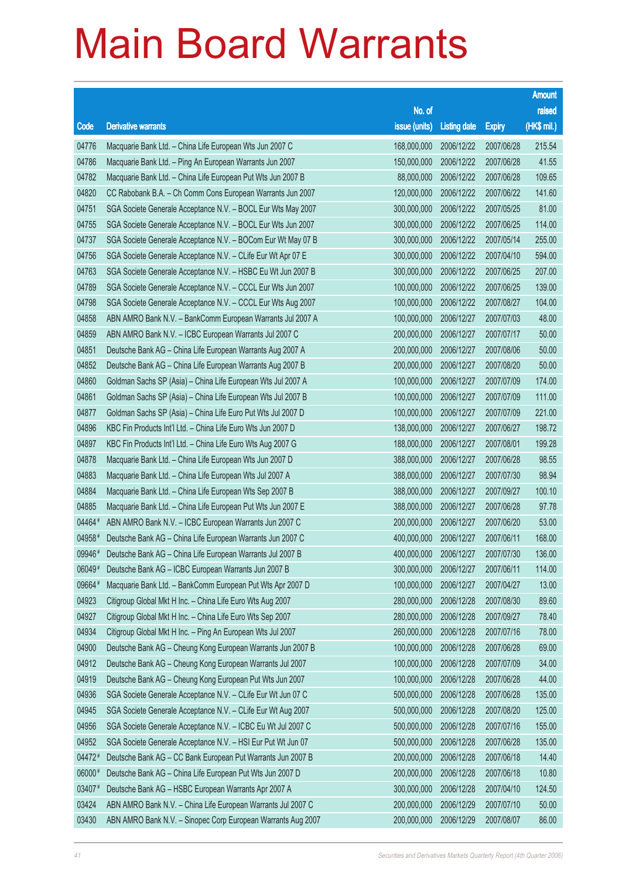|        |                                                              |               |                     |               | <b>Amount</b> |
|--------|--------------------------------------------------------------|---------------|---------------------|---------------|---------------|
|        |                                                              | No. of        |                     |               | raised        |
| Code   | <b>Derivative warrants</b>                                   | issue (units) | <b>Listing date</b> | <b>Expiry</b> | (HK\$ mil.)   |
| 04776  | Macquarie Bank Ltd. - China Life European Wts Jun 2007 C     | 168,000,000   | 2006/12/22          | 2007/06/28    | 215.54        |
| 04786  | Macquarie Bank Ltd. - Ping An European Warrants Jun 2007     | 150,000,000   | 2006/12/22          | 2007/06/28    | 41.55         |
| 04782  | Macquarie Bank Ltd. - China Life European Put Wts Jun 2007 B | 88,000,000    | 2006/12/22          | 2007/06/28    | 109.65        |
| 04820  | CC Rabobank B.A. - Ch Comm Cons European Warrants Jun 2007   | 120,000,000   | 2006/12/22          | 2007/06/22    | 141.60        |
| 04751  | SGA Societe Generale Acceptance N.V. - BOCL Eur Wts May 2007 | 300,000,000   | 2006/12/22          | 2007/05/25    | 81.00         |
| 04755  | SGA Societe Generale Acceptance N.V. - BOCL Eur Wts Jun 2007 | 300,000,000   | 2006/12/22          | 2007/06/25    | 114.00        |
| 04737  | SGA Societe Generale Acceptance N.V. - BOCom Eur Wt May 07 B | 300,000,000   | 2006/12/22          | 2007/05/14    | 255.00        |
| 04756  | SGA Societe Generale Acceptance N.V. - CLife Eur Wt Apr 07 E | 300,000,000   | 2006/12/22          | 2007/04/10    | 594.00        |
| 04763  | SGA Societe Generale Acceptance N.V. - HSBC Eu Wt Jun 2007 B | 300,000,000   | 2006/12/22          | 2007/06/25    | 207.00        |
| 04789  | SGA Societe Generale Acceptance N.V. - CCCL Eur Wts Jun 2007 | 100,000,000   | 2006/12/22          | 2007/06/25    | 139.00        |
| 04798  | SGA Societe Generale Acceptance N.V. - CCCL Eur Wts Aug 2007 | 100,000,000   | 2006/12/22          | 2007/08/27    | 104.00        |
| 04858  | ABN AMRO Bank N.V. - BankComm European Warrants Jul 2007 A   | 100,000,000   | 2006/12/27          | 2007/07/03    | 48.00         |
| 04859  | ABN AMRO Bank N.V. - ICBC European Warrants Jul 2007 C       | 200,000,000   | 2006/12/27          | 2007/07/17    | 50.00         |
| 04851  | Deutsche Bank AG - China Life European Warrants Aug 2007 A   | 200,000,000   | 2006/12/27          | 2007/08/06    | 50.00         |
| 04852  | Deutsche Bank AG - China Life European Warrants Aug 2007 B   | 200,000,000   | 2006/12/27          | 2007/08/20    | 50.00         |
| 04860  | Goldman Sachs SP (Asia) - China Life European Wts Jul 2007 A | 100,000,000   | 2006/12/27          | 2007/07/09    | 174.00        |
| 04861  | Goldman Sachs SP (Asia) - China Life European Wts Jul 2007 B | 100,000,000   | 2006/12/27          | 2007/07/09    | 111.00        |
| 04877  | Goldman Sachs SP (Asia) - China Life Euro Put Wts Jul 2007 D | 100,000,000   | 2006/12/27          | 2007/07/09    | 221.00        |
| 04896  | KBC Fin Products Int'l Ltd. - China Life Euro Wts Jun 2007 D | 138,000,000   | 2006/12/27          | 2007/06/27    | 198.72        |
| 04897  | KBC Fin Products Int'l Ltd. - China Life Euro Wts Aug 2007 G | 188,000,000   | 2006/12/27          | 2007/08/01    | 199.28        |
| 04878  | Macquarie Bank Ltd. - China Life European Wts Jun 2007 D     | 388,000,000   | 2006/12/27          | 2007/06/28    | 98.55         |
| 04883  | Macquarie Bank Ltd. - China Life European Wts Jul 2007 A     | 388,000,000   | 2006/12/27          | 2007/07/30    | 98.94         |
| 04884  | Macquarie Bank Ltd. - China Life European Wts Sep 2007 B     | 388,000,000   | 2006/12/27          | 2007/09/27    | 100.10        |
| 04885  | Macquarie Bank Ltd. - China Life European Put Wts Jun 2007 E | 388,000,000   | 2006/12/27          | 2007/06/28    | 97.78         |
| 04464# | ABN AMRO Bank N.V. - ICBC European Warrants Jun 2007 C       | 200,000,000   | 2006/12/27          | 2007/06/20    | 53.00         |
| 04958# | Deutsche Bank AG - China Life European Warrants Jun 2007 C   | 400,000,000   | 2006/12/27          | 2007/06/11    | 168.00        |
| 09946# | Deutsche Bank AG - China Life European Warrants Jul 2007 B   | 400,000,000   | 2006/12/27          | 2007/07/30    | 136.00        |
| 06049# | Deutsche Bank AG - ICBC European Warrants Jun 2007 B         | 300,000,000   | 2006/12/27          | 2007/06/11    | 114.00        |
| 09664# | Macquarie Bank Ltd. - BankComm European Put Wts Apr 2007 D   | 100,000,000   | 2006/12/27          | 2007/04/27    | 13.00         |
| 04923  | Citigroup Global Mkt H Inc. - China Life Euro Wts Aug 2007   | 280,000,000   | 2006/12/28          | 2007/08/30    | 89.60         |
| 04927  | Citigroup Global Mkt H Inc. - China Life Euro Wts Sep 2007   | 280,000,000   | 2006/12/28          | 2007/09/27    | 78.40         |
| 04934  | Citigroup Global Mkt H Inc. - Ping An European Wts Jul 2007  | 260,000,000   | 2006/12/28          | 2007/07/16    | 78.00         |
| 04900  | Deutsche Bank AG - Cheung Kong European Warrants Jun 2007 B  | 100,000,000   | 2006/12/28          | 2007/06/28    | 69.00         |
| 04912  | Deutsche Bank AG - Cheung Kong European Warrants Jul 2007    | 100,000,000   | 2006/12/28          | 2007/07/09    | 34.00         |
| 04919  | Deutsche Bank AG - Cheung Kong European Put Wts Jun 2007     | 100,000,000   | 2006/12/28          | 2007/06/28    | 44.00         |
| 04936  | SGA Societe Generale Acceptance N.V. - CLife Eur Wt Jun 07 C | 500,000,000   | 2006/12/28          | 2007/06/28    | 135.00        |
| 04945  | SGA Societe Generale Acceptance N.V. - CLife Eur Wt Aug 2007 | 500,000,000   | 2006/12/28          | 2007/08/20    | 125.00        |
| 04956  | SGA Societe Generale Acceptance N.V. - ICBC Eu Wt Jul 2007 C | 500,000,000   | 2006/12/28          | 2007/07/16    | 155.00        |
| 04952  | SGA Societe Generale Acceptance N.V. - HSI Eur Put Wt Jun 07 | 500,000,000   | 2006/12/28          | 2007/06/28    | 135.00        |
| 04472# | Deutsche Bank AG - CC Bank European Put Warrants Jun 2007 B  | 200,000,000   | 2006/12/28          | 2007/06/18    | 14.40         |
| 06000# | Deutsche Bank AG - China Life European Put Wts Jun 2007 D    | 200,000,000   | 2006/12/28          | 2007/06/18    | 10.80         |
| 03407# | Deutsche Bank AG - HSBC European Warrants Apr 2007 A         | 300,000,000   | 2006/12/28          | 2007/04/10    | 124.50        |
| 03424  | ABN AMRO Bank N.V. - China Life European Warrants Jul 2007 C | 200,000,000   | 2006/12/29          | 2007/07/10    | 50.00         |
| 03430  | ABN AMRO Bank N.V. - Sinopec Corp European Warrants Aug 2007 | 200,000,000   | 2006/12/29          | 2007/08/07    | 86.00         |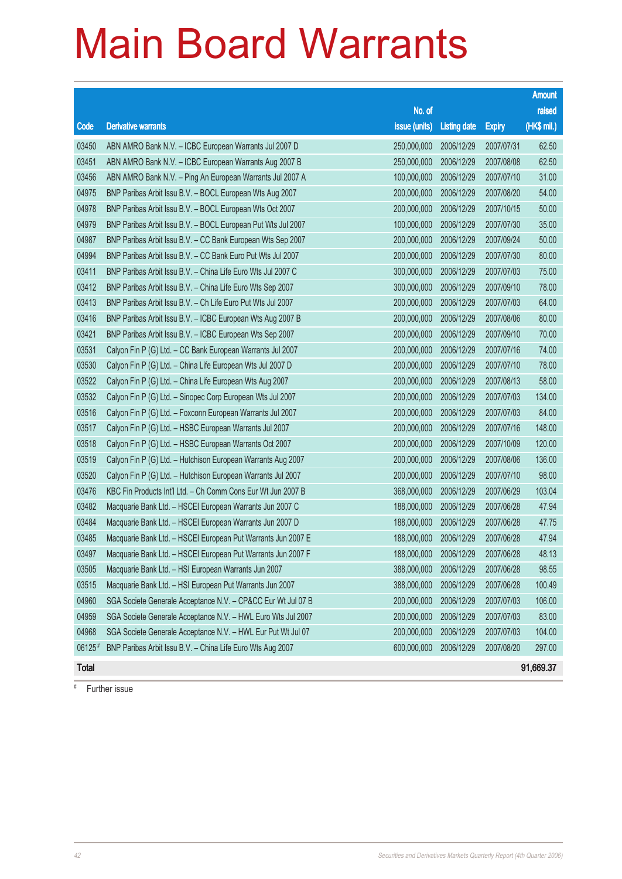|              |                                                              |               |                     |               | <b>Amount</b> |
|--------------|--------------------------------------------------------------|---------------|---------------------|---------------|---------------|
|              |                                                              | No. of        |                     |               | raised        |
| Code         | <b>Derivative warrants</b>                                   | issue (units) | <b>Listing date</b> | <b>Expiry</b> | (HK\$ mil.)   |
| 03450        | ABN AMRO Bank N.V. - ICBC European Warrants Jul 2007 D       | 250,000,000   | 2006/12/29          | 2007/07/31    | 62.50         |
| 03451        | ABN AMRO Bank N.V. - ICBC European Warrants Aug 2007 B       | 250,000,000   | 2006/12/29          | 2007/08/08    | 62.50         |
| 03456        | ABN AMRO Bank N.V. - Ping An European Warrants Jul 2007 A    | 100,000,000   | 2006/12/29          | 2007/07/10    | 31.00         |
| 04975        | BNP Paribas Arbit Issu B.V. - BOCL European Wts Aug 2007     | 200,000,000   | 2006/12/29          | 2007/08/20    | 54.00         |
| 04978        | BNP Paribas Arbit Issu B.V. - BOCL European Wts Oct 2007     | 200,000,000   | 2006/12/29          | 2007/10/15    | 50.00         |
| 04979        | BNP Paribas Arbit Issu B.V. - BOCL European Put Wts Jul 2007 | 100,000,000   | 2006/12/29          | 2007/07/30    | 35.00         |
| 04987        | BNP Paribas Arbit Issu B.V. - CC Bank European Wts Sep 2007  | 200,000,000   | 2006/12/29          | 2007/09/24    | 50.00         |
| 04994        | BNP Paribas Arbit Issu B.V. - CC Bank Euro Put Wts Jul 2007  | 200,000,000   | 2006/12/29          | 2007/07/30    | 80.00         |
| 03411        | BNP Paribas Arbit Issu B.V. - China Life Euro Wts Jul 2007 C | 300,000,000   | 2006/12/29          | 2007/07/03    | 75.00         |
| 03412        | BNP Paribas Arbit Issu B.V. - China Life Euro Wts Sep 2007   | 300,000,000   | 2006/12/29          | 2007/09/10    | 78.00         |
| 03413        | BNP Paribas Arbit Issu B.V. - Ch Life Euro Put Wts Jul 2007  | 200,000,000   | 2006/12/29          | 2007/07/03    | 64.00         |
| 03416        | BNP Paribas Arbit Issu B.V. - ICBC European Wts Aug 2007 B   | 200,000,000   | 2006/12/29          | 2007/08/06    | 80.00         |
| 03421        | BNP Paribas Arbit Issu B.V. - ICBC European Wts Sep 2007     | 200,000,000   | 2006/12/29          | 2007/09/10    | 70.00         |
| 03531        | Calyon Fin P (G) Ltd. - CC Bank European Warrants Jul 2007   | 200,000,000   | 2006/12/29          | 2007/07/16    | 74.00         |
| 03530        | Calyon Fin P (G) Ltd. - China Life European Wts Jul 2007 D   | 200,000,000   | 2006/12/29          | 2007/07/10    | 78.00         |
| 03522        | Calyon Fin P (G) Ltd. - China Life European Wts Aug 2007     | 200,000,000   | 2006/12/29          | 2007/08/13    | 58.00         |
| 03532        | Calyon Fin P (G) Ltd. - Sinopec Corp European Wts Jul 2007   | 200,000,000   | 2006/12/29          | 2007/07/03    | 134.00        |
| 03516        | Calyon Fin P (G) Ltd. - Foxconn European Warrants Jul 2007   | 200,000,000   | 2006/12/29          | 2007/07/03    | 84.00         |
| 03517        | Calyon Fin P (G) Ltd. - HSBC European Warrants Jul 2007      | 200,000,000   | 2006/12/29          | 2007/07/16    | 148.00        |
| 03518        | Calyon Fin P (G) Ltd. - HSBC European Warrants Oct 2007      | 200,000,000   | 2006/12/29          | 2007/10/09    | 120.00        |
| 03519        | Calyon Fin P (G) Ltd. - Hutchison European Warrants Aug 2007 | 200,000,000   | 2006/12/29          | 2007/08/06    | 136.00        |
| 03520        | Calyon Fin P (G) Ltd. - Hutchison European Warrants Jul 2007 | 200,000,000   | 2006/12/29          | 2007/07/10    | 98.00         |
| 03476        | KBC Fin Products Int'l Ltd. - Ch Comm Cons Eur Wt Jun 2007 B | 368,000,000   | 2006/12/29          | 2007/06/29    | 103.04        |
| 03482        | Macquarie Bank Ltd. - HSCEI European Warrants Jun 2007 C     | 188,000,000   | 2006/12/29          | 2007/06/28    | 47.94         |
| 03484        | Macquarie Bank Ltd. - HSCEI European Warrants Jun 2007 D     | 188,000,000   | 2006/12/29          | 2007/06/28    | 47.75         |
| 03485        | Macquarie Bank Ltd. - HSCEI European Put Warrants Jun 2007 E | 188,000,000   | 2006/12/29          | 2007/06/28    | 47.94         |
| 03497        | Macquarie Bank Ltd. - HSCEI European Put Warrants Jun 2007 F | 188,000,000   | 2006/12/29          | 2007/06/28    | 48.13         |
| 03505        | Macquarie Bank Ltd. - HSI European Warrants Jun 2007         | 388,000,000   | 2006/12/29          | 2007/06/28    | 98.55         |
| 03515        | Macquarie Bank Ltd. - HSI European Put Warrants Jun 2007     | 388,000,000   | 2006/12/29          | 2007/06/28    | 100.49        |
| 04960        | SGA Societe Generale Acceptance N.V. - CP&CC Eur Wt Jul 07 B | 200,000,000   | 2006/12/29          | 2007/07/03    | 106.00        |
| 04959        | SGA Societe Generale Acceptance N.V. - HWL Euro Wts Jul 2007 | 200,000,000   | 2006/12/29          | 2007/07/03    | 83.00         |
| 04968        | SGA Societe Generale Acceptance N.V. - HWL Eur Put Wt Jul 07 | 200,000,000   | 2006/12/29          | 2007/07/03    | 104.00        |
| 06125#       | BNP Paribas Arbit Issu B.V. - China Life Euro Wts Aug 2007   | 600,000,000   | 2006/12/29          | 2007/08/20    | 297.00        |
| <b>Total</b> |                                                              |               |                     |               | 91,669.37     |

# Further issue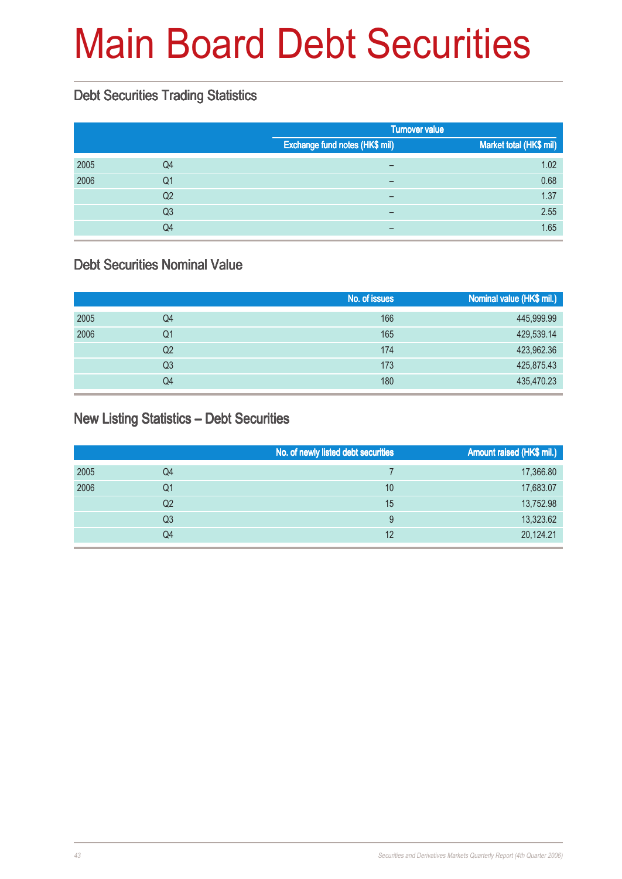# Main Board Debt Securities

#### Debt Securities Trading Statistics

|      |                |                                | <b>Turnover value</b>   |  |  |
|------|----------------|--------------------------------|-------------------------|--|--|
|      |                | Exchange fund notes (HK\$ mil) | Market total (HK\$ mil) |  |  |
| 2005 | Q4             | $\overline{\phantom{0}}$       | 1.02                    |  |  |
| 2006 | Q1             | -                              | 0.68                    |  |  |
|      | Q <sub>2</sub> |                                | 1.37                    |  |  |
|      | Q <sub>3</sub> | $\overline{\phantom{m}}$       | 2.55                    |  |  |
|      | Q4             |                                | 1.65                    |  |  |

#### Debt Securities Nominal Value

|      |    | No. of issues | Nominal value (HK\$ mil.) |
|------|----|---------------|---------------------------|
| 2005 | Q4 | 166           | 445,999.99                |
| 2006 | Q1 | 165           | 429,539.14                |
|      | Q2 | 174           | 423,962.36                |
|      | Q3 | 173           | 425,875.43                |
|      | Q4 | 180           | 435,470.23                |

#### New Listing Statistics – Debt Securities

|      |    | No. of newly listed debt securities | Amount raised (HK\$ mil.) |
|------|----|-------------------------------------|---------------------------|
| 2005 | Q4 |                                     | 17,366.80                 |
| 2006 | Q1 | 10                                  | 17,683.07                 |
|      | Q2 | 15                                  | 13,752.98                 |
|      | Q3 | 9                                   | 13,323.62                 |
|      | Q4 | 12                                  | 20,124.21                 |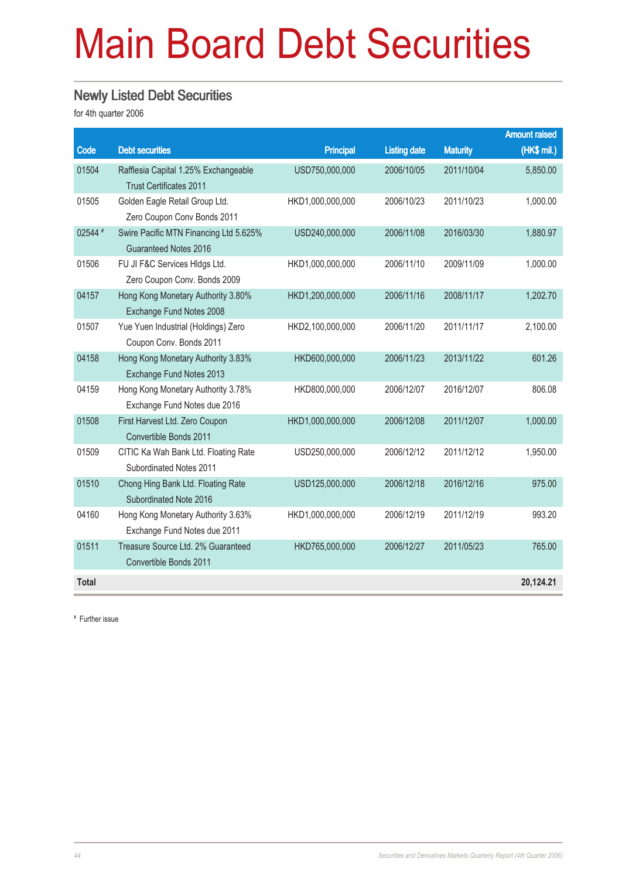# Main Board Debt Securities

#### Newly Listed Debt Securities

for 4th quarter 2006

|              |                                                              |                  |                     |                 | <b>Amount raised</b> |
|--------------|--------------------------------------------------------------|------------------|---------------------|-----------------|----------------------|
| Code         | <b>Debt securities</b>                                       | <b>Principal</b> | <b>Listing date</b> | <b>Maturity</b> | (HK\$ mil.)          |
| 01504        | Rafflesia Capital 1.25% Exchangeable                         | USD750,000,000   | 2006/10/05          | 2011/10/04      | 5,850.00             |
|              | <b>Trust Certificates 2011</b>                               |                  |                     |                 |                      |
| 01505        | Golden Eagle Retail Group Ltd.                               | HKD1,000,000,000 | 2006/10/23          | 2011/10/23      | 1,000.00             |
|              | Zero Coupon Conv Bonds 2011                                  |                  |                     |                 |                      |
| 02544 #      | Swire Pacific MTN Financing Ltd 5.625%                       | USD240,000,000   | 2006/11/08          | 2016/03/30      | 1,880.97             |
|              | Guaranteed Notes 2016                                        |                  |                     |                 |                      |
| 01506        | FU JI F&C Services HIdgs Ltd.                                | HKD1,000,000,000 | 2006/11/10          | 2009/11/09      | 1,000.00             |
|              | Zero Coupon Conv. Bonds 2009                                 |                  |                     |                 |                      |
| 04157        | Hong Kong Monetary Authority 3.80%                           | HKD1,200,000,000 | 2006/11/16          | 2008/11/17      | 1,202.70             |
|              | Exchange Fund Notes 2008                                     |                  |                     |                 |                      |
| 01507        | Yue Yuen Industrial (Holdings) Zero                          | HKD2,100,000,000 | 2006/11/20          | 2011/11/17      | 2,100.00             |
|              | Coupon Conv. Bonds 2011                                      |                  |                     |                 |                      |
| 04158        | Hong Kong Monetary Authority 3.83%                           | HKD600,000,000   | 2006/11/23          | 2013/11/22      | 601.26               |
|              | Exchange Fund Notes 2013                                     |                  |                     |                 |                      |
| 04159        | Hong Kong Monetary Authority 3.78%                           | HKD800,000,000   | 2006/12/07          | 2016/12/07      | 806.08               |
|              | Exchange Fund Notes due 2016                                 |                  |                     |                 |                      |
| 01508        | First Harvest Ltd. Zero Coupon                               | HKD1,000,000,000 | 2006/12/08          | 2011/12/07      | 1,000.00             |
|              | Convertible Bonds 2011                                       |                  |                     |                 |                      |
| 01509        | CITIC Ka Wah Bank Ltd. Floating Rate                         | USD250,000,000   | 2006/12/12          | 2011/12/12      | 1,950.00             |
|              | Subordinated Notes 2011                                      |                  |                     |                 |                      |
| 01510        | Chong Hing Bank Ltd. Floating Rate<br>Subordinated Note 2016 | USD125,000,000   | 2006/12/18          | 2016/12/16      | 975.00               |
| 04160        | Hong Kong Monetary Authority 3.63%                           | HKD1,000,000,000 | 2006/12/19          | 2011/12/19      | 993.20               |
|              | Exchange Fund Notes due 2011                                 |                  |                     |                 |                      |
| 01511        | Treasure Source Ltd. 2% Guaranteed                           | HKD765,000,000   | 2006/12/27          | 2011/05/23      | 765.00               |
|              | Convertible Bonds 2011                                       |                  |                     |                 |                      |
| <b>Total</b> |                                                              |                  |                     |                 | 20,124.21            |
|              |                                                              |                  |                     |                 |                      |

# Further issue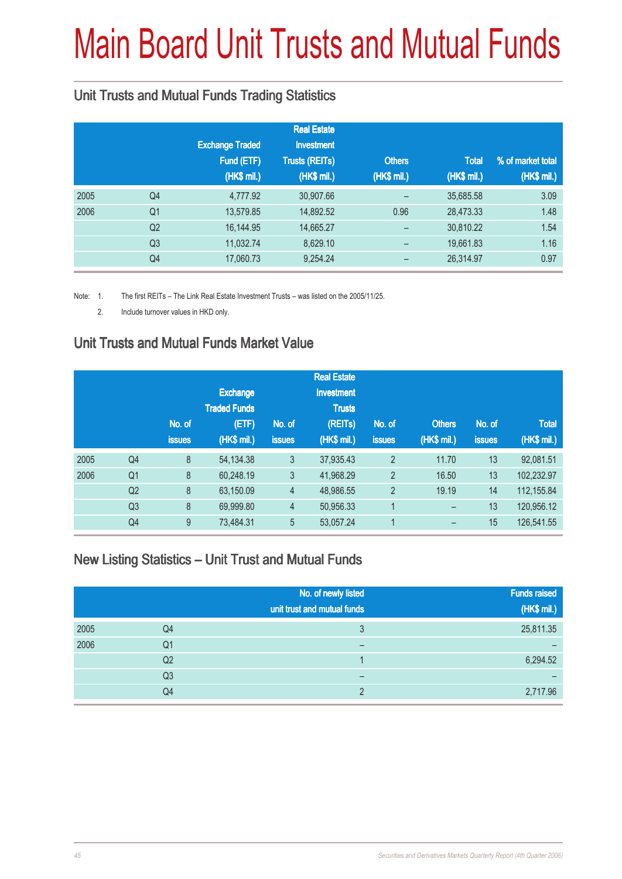# Main Board Unit Trusts and Mutual Funds

### Unit Trusts and Mutual Funds Trading Statistics

|      |                |                        | <b>Real Estate</b>    |                 |              |                   |
|------|----------------|------------------------|-----------------------|-----------------|--------------|-------------------|
|      |                | <b>Exchange Traded</b> | <b>Investment</b>     |                 |              |                   |
|      |                | Fund (ETF)             | <b>Trusts (REITs)</b> | <b>Others</b>   | <b>Total</b> | % of market total |
|      |                | (HK\$ mil.)            | (HK\$ mil.)           | (HK\$ mil.)     | (HK\$ mil.)  | (HK\$ mil.)       |
| 2005 | Q <sub>4</sub> | 4,777.92               | 30,907.66             |                 | 35,685.58    | 3.09              |
| 2006 | Q <sub>1</sub> | 13,579.85              | 14,892.52             | 0.96            | 28,473.33    | 1.48              |
|      | Q <sub>2</sub> | 16,144.95              | 14,665.27             |                 | 30,810.22    | 1.54              |
|      | Q <sub>3</sub> | 11,032.74              | 8,629.10              | $\qquad \qquad$ | 19,661.83    | 1.16              |
|      | Q4             | 17,060.73              | 9,254.24              |                 | 26,314.97    | 0.97              |

Note: 1. The first REITs – The Link Real Estate Investment Trusts – was listed on the 2005/11/25.

2. Include turnover values in HKD only.

### Unit Trusts and Mutual Funds Market Value

|                |               |                 |                     | <b>Real Estate</b> |                |               |               |              |
|----------------|---------------|-----------------|---------------------|--------------------|----------------|---------------|---------------|--------------|
|                |               | <b>Exchange</b> |                     | <b>Investment</b>  |                |               |               |              |
|                |               |                 |                     | <b>Trusts</b>      |                |               |               |              |
|                | No. of        | (ETF)           | No. of              | (REITs)            | No. of         | <b>Others</b> | No. of        | <b>Total</b> |
|                | <b>issues</b> | (HK\$ mil.)     | <b>issues</b>       | (HK\$ mil.)        | <b>issues</b>  | (HK\$ mil.)   | <b>issues</b> | (HK\$ mil.)  |
| Q <sub>4</sub> | 8             | 54, 134. 38     | 3                   | 37,935.43          | $\overline{2}$ | 11.70         | 13            | 92,081.51    |
| Q <sub>1</sub> | 8             | 60,248.19       | 3                   | 41,968.29          | $\overline{2}$ | 16.50         | 13            | 102,232.97   |
| Q <sub>2</sub> | 8             | 63,150.09       | $\overline{4}$      | 48,986.55          | $\overline{2}$ | 19.19         | 14            | 112,155.84   |
| Q <sub>3</sub> | 8             | 69,999.80       | $\overline{4}$      | 50,956.33          |                | -             | 13            | 120,956.12   |
| Q4             | 9             | 73,484.31       | 5                   | 53,057.24          |                |               | 15            | 126,541.55   |
|                |               |                 | <b>Traded Funds</b> |                    |                |               |               |              |

#### New Listing Statistics – Unit Trust and Mutual Funds

|      |                | No. of newly listed<br>unit trust and mutual funds | <b>Funds raised</b><br>(HK\$ mil.) |
|------|----------------|----------------------------------------------------|------------------------------------|
| 2005 | Q4             | 3                                                  | 25,811.35                          |
| 2006 | Q1             | -                                                  |                                    |
|      | Q <sub>2</sub> |                                                    | 6,294.52                           |
|      | Q3             |                                                    |                                    |
|      | Q4             | C                                                  | 2,717.96                           |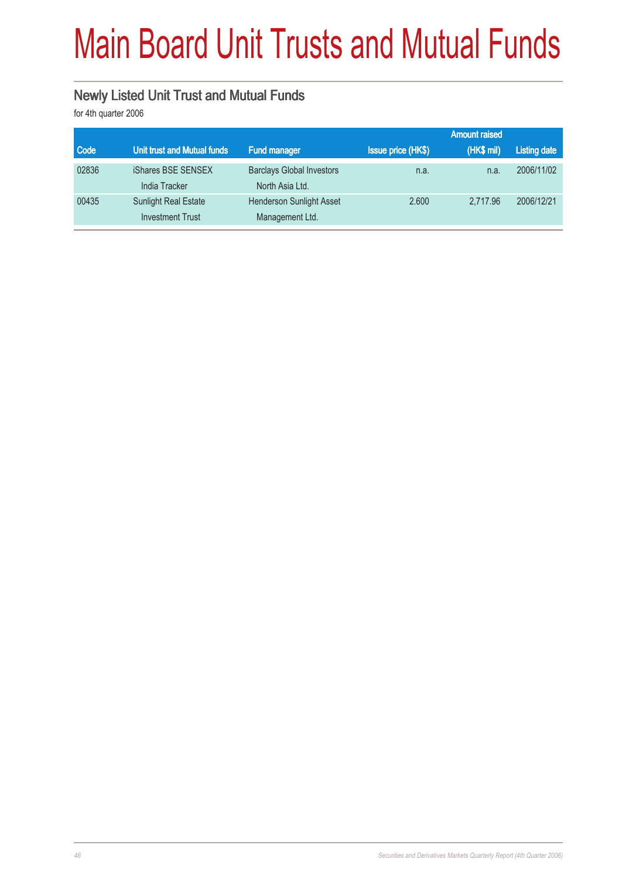# Main Board Unit Trusts and Mutual Funds

### Newly Listed Unit Trust and Mutual Funds

for 4th quarter 2006

|       |                                            |                                                     |                           | <b>Amount raised</b> |                     |
|-------|--------------------------------------------|-----------------------------------------------------|---------------------------|----------------------|---------------------|
| Code  | Unit trust and Mutual funds                | <b>Fund manager</b>                                 | <b>Issue price (HK\$)</b> | (HK\$ mil)           | <b>Listing date</b> |
| 02836 | iShares BSE SENSEX<br><b>India Tracker</b> | <b>Barclays Global Investors</b><br>North Asia Ltd. | n.a.                      | n.a.                 | 2006/11/02          |
| 00435 | <b>Sunlight Real Estate</b>                | <b>Henderson Sunlight Asset</b>                     | 2.600                     | 2.717.96             | 2006/12/21          |
|       | <b>Investment Trust</b>                    | Management Ltd.                                     |                           |                      |                     |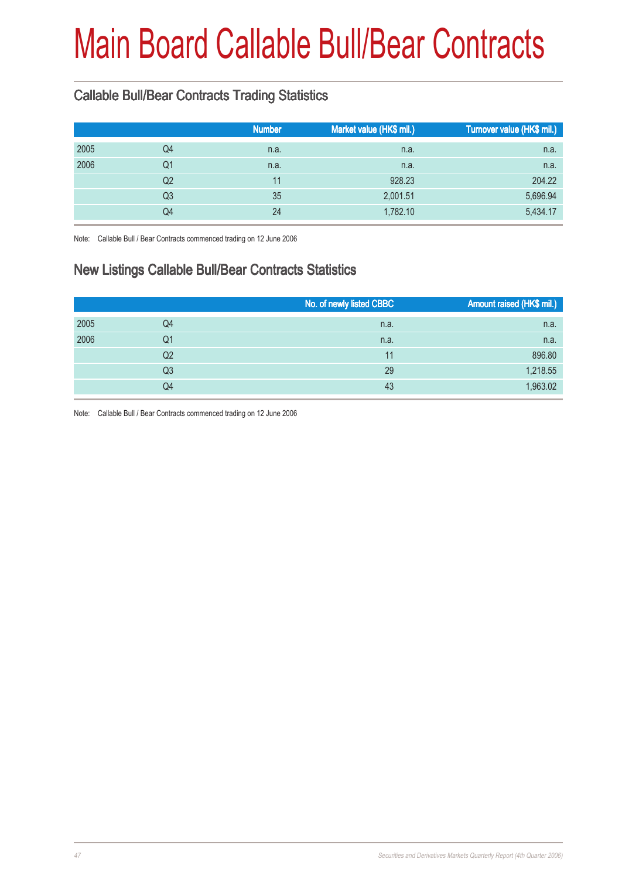# Main Board Callable Bull/Bear Contracts

### Callable Bull/Bear Contracts Trading Statistics

|      |                | <b>Number</b> | Market value (HK\$ mil.) | Turnover value (HK\$ mil.) |
|------|----------------|---------------|--------------------------|----------------------------|
| 2005 | Q4             | n.a.          | n.a.                     | n.a.                       |
| 2006 | Q1             | n.a.          | n.a.                     | n.a.                       |
|      | Q2             | 11            | 928.23                   | 204.22                     |
|      | Q <sub>3</sub> | 35            | 2,001.51                 | 5,696.94                   |
|      | Q4             | 24            | 1,782.10                 | 5,434.17                   |
|      |                |               |                          |                            |

Note: Callable Bull / Bear Contracts commenced trading on 12 June 2006

### New Listings Callable Bull/Bear Contracts Statistics

|      |                | No. of newly listed CBBC | Amount raised (HK\$ mil.) |
|------|----------------|--------------------------|---------------------------|
| 2005 | Q4             | n.a.                     | n.a.                      |
| 2006 | Q1             | n.a.                     | n.a.                      |
|      | Q <sub>2</sub> | 11                       | 896.80                    |
|      | Q <sub>3</sub> | 29                       | 1,218.55                  |
|      | Q4             | 43                       | 1,963.02                  |

Note: Callable Bull / Bear Contracts commenced trading on 12 June 2006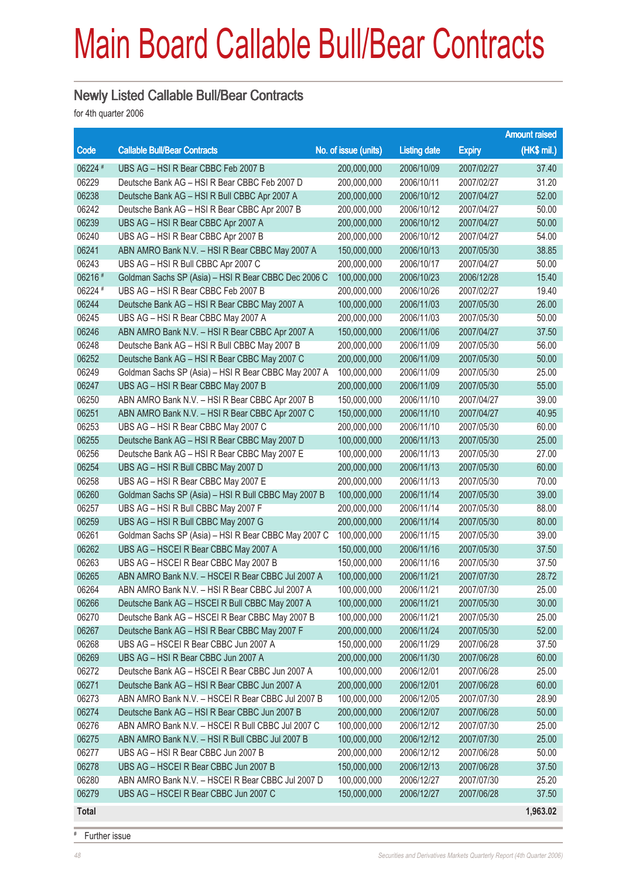### Main Board Callable Bull/Bear Contracts

### Newly Listed Callable Bull/Bear Contracts

for 4th quarter 2006

|              |                                                      |                      |                     |               | <b>Amount raised</b> |
|--------------|------------------------------------------------------|----------------------|---------------------|---------------|----------------------|
| Code         | <b>Callable Bull/Bear Contracts</b>                  | No. of issue (units) | <b>Listing date</b> | <b>Expiry</b> | $(HK$$ mil.)         |
| 06224 #      | UBS AG - HSI R Bear CBBC Feb 2007 B                  | 200,000,000          | 2006/10/09          | 2007/02/27    | 37.40                |
| 06229        | Deutsche Bank AG - HSI R Bear CBBC Feb 2007 D        | 200,000,000          | 2006/10/11          | 2007/02/27    | 31.20                |
| 06238        | Deutsche Bank AG - HSI R Bull CBBC Apr 2007 A        | 200,000,000          | 2006/10/12          | 2007/04/27    | 52.00                |
| 06242        | Deutsche Bank AG - HSI R Bear CBBC Apr 2007 B        | 200,000,000          | 2006/10/12          | 2007/04/27    | 50.00                |
| 06239        | UBS AG - HSI R Bear CBBC Apr 2007 A                  | 200,000,000          | 2006/10/12          | 2007/04/27    | 50.00                |
| 06240        | UBS AG - HSI R Bear CBBC Apr 2007 B                  | 200,000,000          | 2006/10/12          | 2007/04/27    | 54.00                |
| 06241        | ABN AMRO Bank N.V. - HSI R Bear CBBC May 2007 A      | 150,000,000          | 2006/10/13          | 2007/05/30    | 38.85                |
| 06243        | UBS AG - HSI R Bull CBBC Apr 2007 C                  | 200,000,000          | 2006/10/17          | 2007/04/27    | 50.00                |
| 06216 #      | Goldman Sachs SP (Asia) - HSI R Bear CBBC Dec 2006 C | 100,000,000          | 2006/10/23          | 2006/12/28    | 15.40                |
| 06224 #      | UBS AG - HSI R Bear CBBC Feb 2007 B                  | 200,000,000          | 2006/10/26          | 2007/02/27    | 19.40                |
| 06244        | Deutsche Bank AG - HSI R Bear CBBC May 2007 A        | 100,000,000          | 2006/11/03          | 2007/05/30    | 26.00                |
| 06245        | UBS AG - HSI R Bear CBBC May 2007 A                  | 200,000,000          | 2006/11/03          | 2007/05/30    | 50.00                |
| 06246        | ABN AMRO Bank N.V. - HSI R Bear CBBC Apr 2007 A      | 150,000,000          | 2006/11/06          | 2007/04/27    | 37.50                |
| 06248        | Deutsche Bank AG - HSI R Bull CBBC May 2007 B        | 200,000,000          | 2006/11/09          | 2007/05/30    | 56.00                |
| 06252        | Deutsche Bank AG - HSI R Bear CBBC May 2007 C        | 200,000,000          | 2006/11/09          | 2007/05/30    | 50.00                |
| 06249        | Goldman Sachs SP (Asia) - HSI R Bear CBBC May 2007 A | 100,000,000          | 2006/11/09          | 2007/05/30    | 25.00                |
| 06247        | UBS AG - HSI R Bear CBBC May 2007 B                  | 200,000,000          | 2006/11/09          | 2007/05/30    | 55.00                |
| 06250        | ABN AMRO Bank N.V. - HSI R Bear CBBC Apr 2007 B      | 150,000,000          | 2006/11/10          | 2007/04/27    | 39.00                |
| 06251        | ABN AMRO Bank N.V. - HSI R Bear CBBC Apr 2007 C      | 150,000,000          | 2006/11/10          | 2007/04/27    | 40.95                |
| 06253        | UBS AG - HSI R Bear CBBC May 2007 C                  | 200,000,000          | 2006/11/10          | 2007/05/30    | 60.00                |
| 06255        | Deutsche Bank AG - HSI R Bear CBBC May 2007 D        | 100,000,000          | 2006/11/13          | 2007/05/30    | 25.00                |
| 06256        | Deutsche Bank AG - HSI R Bear CBBC May 2007 E        | 100,000,000          | 2006/11/13          | 2007/05/30    | 27.00                |
| 06254        | UBS AG - HSI R Bull CBBC May 2007 D                  | 200,000,000          | 2006/11/13          | 2007/05/30    | 60.00                |
| 06258        | UBS AG - HSI R Bear CBBC May 2007 E                  | 200,000,000          | 2006/11/13          | 2007/05/30    | 70.00                |
| 06260        | Goldman Sachs SP (Asia) - HSI R Bull CBBC May 2007 B | 100,000,000          | 2006/11/14          | 2007/05/30    | 39.00                |
| 06257        | UBS AG - HSI R Bull CBBC May 2007 F                  | 200,000,000          | 2006/11/14          | 2007/05/30    | 88.00                |
| 06259        | UBS AG - HSI R Bull CBBC May 2007 G                  | 200,000,000          | 2006/11/14          | 2007/05/30    | 80.00                |
| 06261        | Goldman Sachs SP (Asia) - HSI R Bear CBBC May 2007 C | 100,000,000          | 2006/11/15          | 2007/05/30    | 39.00                |
| 06262        | UBS AG - HSCEI R Bear CBBC May 2007 A                | 150,000,000          | 2006/11/16          | 2007/05/30    | 37.50                |
| 06263        | UBS AG - HSCEI R Bear CBBC May 2007 B                | 150,000,000          | 2006/11/16          | 2007/05/30    | 37.50                |
| 06265        | ABN AMRO Bank N.V. - HSCEI R Bear CBBC Jul 2007 A    | 100,000,000          | 2006/11/21          | 2007/07/30    | 28.72                |
| 06264        | ABN AMRO Bank N.V. - HSI R Bear CBBC Jul 2007 A      | 100,000,000          | 2006/11/21          | 2007/07/30    | 25.00                |
| 06266        | Deutsche Bank AG - HSCEI R Bull CBBC May 2007 A      | 100,000,000          | 2006/11/21          | 2007/05/30    | 30.00                |
| 06270        | Deutsche Bank AG - HSCEI R Bear CBBC May 2007 B      | 100,000,000          | 2006/11/21          | 2007/05/30    | 25.00                |
| 06267        | Deutsche Bank AG - HSI R Bear CBBC May 2007 F        | 200,000,000          | 2006/11/24          | 2007/05/30    | 52.00                |
| 06268        | UBS AG - HSCEI R Bear CBBC Jun 2007 A                | 150,000,000          | 2006/11/29          | 2007/06/28    | 37.50                |
| 06269        | UBS AG - HSI R Bear CBBC Jun 2007 A                  | 200,000,000          | 2006/11/30          | 2007/06/28    | 60.00                |
| 06272        | Deutsche Bank AG - HSCEI R Bear CBBC Jun 2007 A      | 100,000,000          | 2006/12/01          | 2007/06/28    | 25.00                |
| 06271        | Deutsche Bank AG - HSI R Bear CBBC Jun 2007 A        | 200,000,000          | 2006/12/01          | 2007/06/28    | 60.00                |
| 06273        | ABN AMRO Bank N.V. - HSCEI R Bear CBBC Jul 2007 B    | 100,000,000          | 2006/12/05          | 2007/07/30    | 28.90                |
| 06274        | Deutsche Bank AG - HSI R Bear CBBC Jun 2007 B        | 200,000,000          | 2006/12/07          | 2007/06/28    | 50.00                |
| 06276        | ABN AMRO Bank N.V. - HSCEI R Bull CBBC Jul 2007 C    | 100,000,000          | 2006/12/12          | 2007/07/30    | 25.00                |
| 06275        | ABN AMRO Bank N.V. - HSI R Bull CBBC Jul 2007 B      | 100,000,000          | 2006/12/12          | 2007/07/30    | 25.00                |
| 06277        | UBS AG - HSI R Bear CBBC Jun 2007 B                  | 200,000,000          | 2006/12/12          | 2007/06/28    | 50.00                |
| 06278        | UBS AG - HSCEI R Bear CBBC Jun 2007 B                | 150,000,000          | 2006/12/13          | 2007/06/28    | 37.50                |
| 06280        | ABN AMRO Bank N.V. - HSCEI R Bear CBBC Jul 2007 D    | 100,000,000          | 2006/12/27          | 2007/07/30    | 25.20                |
| 06279        | UBS AG - HSCEI R Bear CBBC Jun 2007 C                | 150,000,000          | 2006/12/27          | 2007/06/28    | 37.50                |
| <b>Total</b> |                                                      |                      |                     |               | 1,963.02             |

# Further issue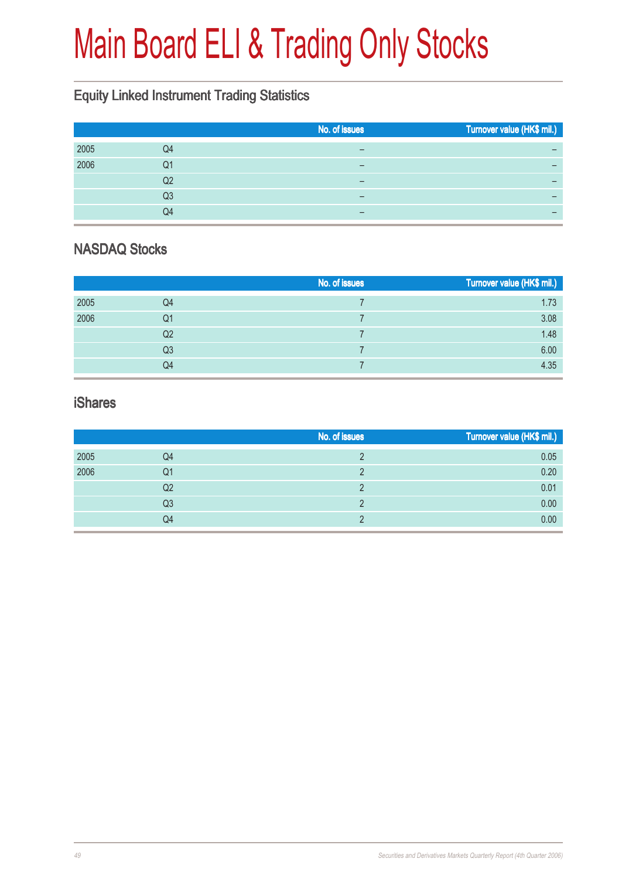# Main Board ELI & Trading Only Stocks

### Equity Linked Instrument Trading Statistics

| No. of issues<br>Turnover value (HK\$ mil.) |
|---------------------------------------------|
| –                                           |
| -                                           |
| -                                           |
| -                                           |
| -                                           |
|                                             |

### NASDAQ Stocks

|      |    | No. of issues | Turnover value (HK\$ mil.) |
|------|----|---------------|----------------------------|
| 2005 | Q4 |               | 1.73                       |
| 2006 | Q1 |               | 3.08                       |
|      | Q2 |               | 1.48                       |
|      | Q3 |               | 6.00                       |
|      | Q4 |               | 4.35                       |

#### iShares

|      |    | No. of issues | Turnover value (HK\$ mil.) |
|------|----|---------------|----------------------------|
| 2005 | Q4 |               | 0.05                       |
| 2006 | Q1 |               | 0.20                       |
|      | Q2 |               | 0.01                       |
|      | Q3 |               | 0.00                       |
|      | Q4 |               | 0.00                       |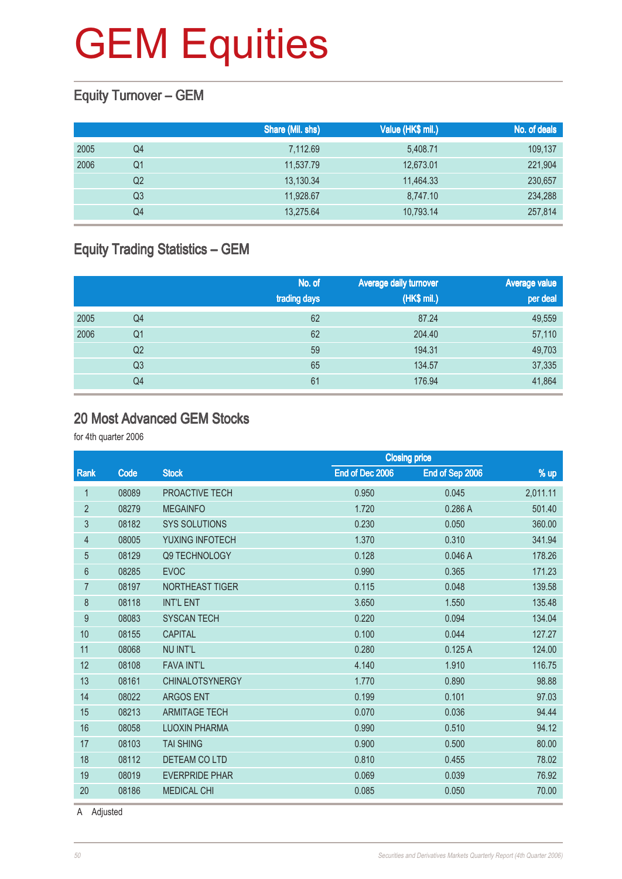### Equity Turnover – GEM

|      |                | Share (Mil. shs) | Value (HK\$ mil.) | No. of deals |
|------|----------------|------------------|-------------------|--------------|
| 2005 | Q4             | 7,112.69         | 5,408.71          | 109,137      |
| 2006 | Q1             | 11,537.79        | 12,673.01         | 221,904      |
|      | Q <sub>2</sub> | 13,130.34        | 11,464.33         | 230,657      |
|      | Q3             | 11.928.67        | 8,747.10          | 234,288      |
|      | Q4             | 13,275.64        | 10,793.14         | 257,814      |

### Equity Trading Statistics – GEM

|      |                | No. of<br>trading days | Average daily turnover<br>(HK\$ mil.) | <b>Average value</b><br>per deal |
|------|----------------|------------------------|---------------------------------------|----------------------------------|
| 2005 | Q4             | 62                     | 87.24                                 | 49,559                           |
| 2006 | Q <sub>1</sub> | 62                     | 204.40                                | 57,110                           |
|      | Q <sub>2</sub> | 59                     | 194.31                                | 49,703                           |
|      | Q <sub>3</sub> | 65                     | 134.57                                | 37,335                           |
|      | Q4             | 61                     | 176.94                                | 41,864                           |

#### 20 Most Advanced GEM Stocks

for 4th quarter 2006

|                |       |                        | <b>Closing price</b> |                 |          |
|----------------|-------|------------------------|----------------------|-----------------|----------|
| Rank           | Code  | <b>Stock</b>           | End of Dec 2006      | End of Sep 2006 | % up     |
| 1              | 08089 | PROACTIVE TECH         | 0.950                | 0.045           | 2,011.11 |
| $\overline{2}$ | 08279 | <b>MEGAINFO</b>        | 1.720                | 0.286A          | 501.40   |
| 3              | 08182 | <b>SYS SOLUTIONS</b>   | 0.230                | 0.050           | 360.00   |
| 4              | 08005 | YUXING INFOTECH        | 1.370                | 0.310           | 341.94   |
| 5              | 08129 | <b>Q9 TECHNOLOGY</b>   | 0.128                | 0.046A          | 178.26   |
| 6              | 08285 | <b>EVOC</b>            | 0.990                | 0.365           | 171.23   |
| $\overline{7}$ | 08197 | <b>NORTHEAST TIGER</b> | 0.115                | 0.048           | 139.58   |
| 8              | 08118 | <b>INT'L ENT</b>       | 3.650                | 1.550           | 135.48   |
| 9              | 08083 | <b>SYSCAN TECH</b>     | 0.220                | 0.094           | 134.04   |
| 10             | 08155 | <b>CAPITAL</b>         | 0.100                | 0.044           | 127.27   |
| 11             | 08068 | <b>NU INT'L</b>        | 0.280                | 0.125A          | 124.00   |
| 12             | 08108 | <b>FAVA INT'L</b>      | 4.140                | 1.910           | 116.75   |
| 13             | 08161 | <b>CHINALOTSYNERGY</b> | 1.770                | 0.890           | 98.88    |
| 14             | 08022 | <b>ARGOS ENT</b>       | 0.199                | 0.101           | 97.03    |
| 15             | 08213 | <b>ARMITAGE TECH</b>   | 0.070                | 0.036           | 94.44    |
| 16             | 08058 | <b>LUOXIN PHARMA</b>   | 0.990                | 0.510           | 94.12    |
| 17             | 08103 | <b>TAI SHING</b>       | 0.900                | 0.500           | 80.00    |
| 18             | 08112 | DETEAM CO LTD          | 0.810                | 0.455           | 78.02    |
| 19             | 08019 | <b>EVERPRIDE PHAR</b>  | 0.069                | 0.039           | 76.92    |
| 20             | 08186 | <b>MEDICAL CHI</b>     | 0.085                | 0.050           | 70.00    |
|                |       |                        |                      |                 |          |

A Adjusted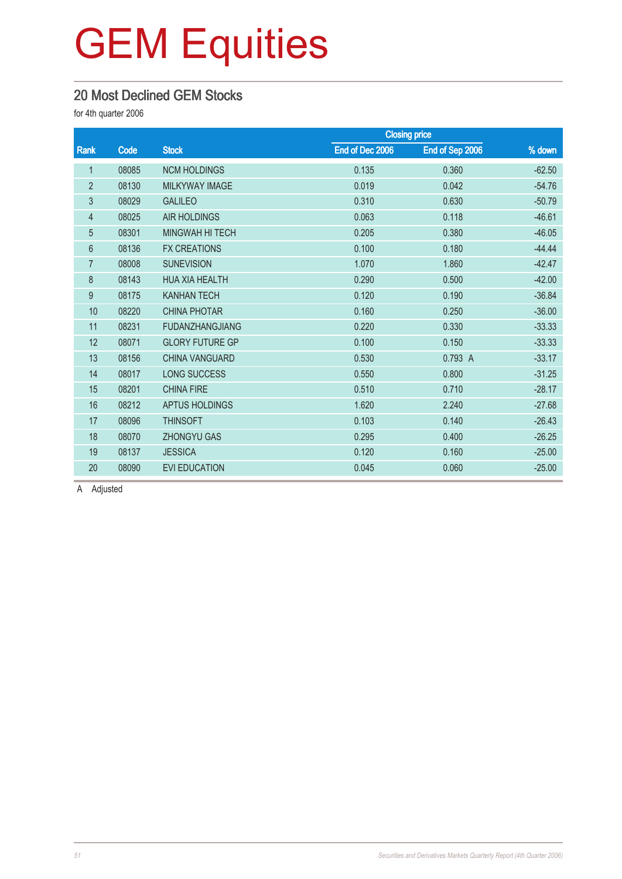### 20 Most Declined GEM Stocks

for 4th quarter 2006

|                |       |                        |                 | <b>Closing price</b> |          |
|----------------|-------|------------------------|-----------------|----------------------|----------|
| Rank           | Code  | <b>Stock</b>           | End of Dec 2006 | End of Sep 2006      | % down   |
| $\mathbf 1$    | 08085 | <b>NCM HOLDINGS</b>    | 0.135           | 0.360                | $-62.50$ |
| $\overline{2}$ | 08130 | MILKYWAY IMAGE         | 0.019           | 0.042                | $-54.76$ |
| 3              | 08029 | <b>GALILEO</b>         | 0.310           | 0.630                | $-50.79$ |
| $\overline{4}$ | 08025 | <b>AIR HOLDINGS</b>    | 0.063           | 0.118                | $-46.61$ |
| 5              | 08301 | <b>MINGWAH HI TECH</b> | 0.205           | 0.380                | $-46.05$ |
| 6              | 08136 | <b>FX CREATIONS</b>    | 0.100           | 0.180                | $-44.44$ |
| $\overline{7}$ | 08008 | <b>SUNEVISION</b>      | 1.070           | 1.860                | $-42.47$ |
| 8              | 08143 | <b>HUA XIA HEALTH</b>  | 0.290           | 0.500                | $-42.00$ |
| 9              | 08175 | <b>KANHAN TECH</b>     | 0.120           | 0.190                | $-36.84$ |
| 10             | 08220 | <b>CHINA PHOTAR</b>    | 0.160           | 0.250                | $-36.00$ |
| 11             | 08231 | <b>FUDANZHANGJIANG</b> | 0.220           | 0.330                | $-33.33$ |
| 12             | 08071 | <b>GLORY FUTURE GP</b> | 0.100           | 0.150                | $-33.33$ |
| 13             | 08156 | <b>CHINA VANGUARD</b>  | 0.530           | 0.793 A              | $-33.17$ |
| 14             | 08017 | <b>LONG SUCCESS</b>    | 0.550           | 0.800                | $-31.25$ |
| 15             | 08201 | <b>CHINA FIRE</b>      | 0.510           | 0.710                | $-28.17$ |
| 16             | 08212 | <b>APTUS HOLDINGS</b>  | 1.620           | 2.240                | $-27.68$ |
| 17             | 08096 | <b>THINSOFT</b>        | 0.103           | 0.140                | $-26.43$ |
| 18             | 08070 | <b>ZHONGYU GAS</b>     | 0.295           | 0.400                | $-26.25$ |
| 19             | 08137 | <b>JESSICA</b>         | 0.120           | 0.160                | $-25.00$ |
| 20             | 08090 | <b>EVI EDUCATION</b>   | 0.045           | 0.060                | $-25.00$ |

A Adjusted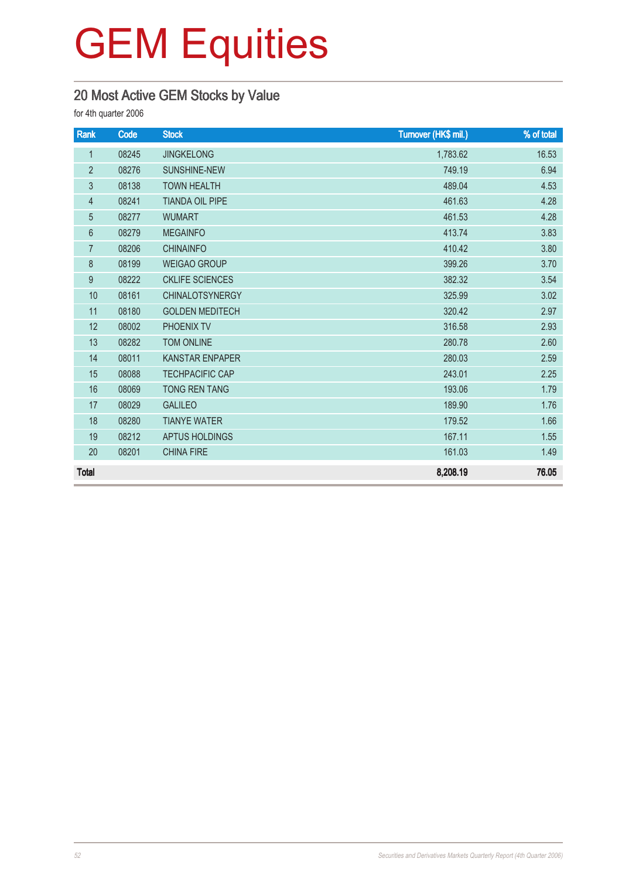### 20 Most Active GEM Stocks by Value

for 4th quarter 2006

| Rank             | Code  | <b>Stock</b>           | Turnover (HK\$ mil.) | % of total |
|------------------|-------|------------------------|----------------------|------------|
| $\mathbf{1}$     | 08245 | <b>JINGKELONG</b>      | 1,783.62             | 16.53      |
| $\overline{2}$   | 08276 | <b>SUNSHINE-NEW</b>    | 749.19               | 6.94       |
| $\mathfrak{Z}$   | 08138 | <b>TOWN HEALTH</b>     | 489.04               | 4.53       |
| $\overline{4}$   | 08241 | <b>TIANDA OIL PIPE</b> | 461.63               | 4.28       |
| $\overline{5}$   | 08277 | <b>WUMART</b>          | 461.53               | 4.28       |
| $6\phantom{a}$   | 08279 | <b>MEGAINFO</b>        | 413.74               | 3.83       |
| $\overline{7}$   | 08206 | <b>CHINAINFO</b>       | 410.42               | 3.80       |
| $\,8\,$          | 08199 | <b>WEIGAO GROUP</b>    | 399.26               | 3.70       |
| $\boldsymbol{9}$ | 08222 | <b>CKLIFE SCIENCES</b> | 382.32               | 3.54       |
| 10               | 08161 | <b>CHINALOTSYNERGY</b> | 325.99               | 3.02       |
| 11               | 08180 | <b>GOLDEN MEDITECH</b> | 320.42               | 2.97       |
| 12               | 08002 | PHOENIX TV             | 316.58               | 2.93       |
| 13               | 08282 | <b>TOM ONLINE</b>      | 280.78               | 2.60       |
| 14               | 08011 | <b>KANSTAR ENPAPER</b> | 280.03               | 2.59       |
| 15               | 08088 | <b>TECHPACIFIC CAP</b> | 243.01               | 2.25       |
| 16               | 08069 | <b>TONG REN TANG</b>   | 193.06               | 1.79       |
| 17               | 08029 | <b>GALILEO</b>         | 189.90               | 1.76       |
| 18               | 08280 | <b>TIANYE WATER</b>    | 179.52               | 1.66       |
| 19               | 08212 | APTUS HOLDINGS         | 167.11               | 1.55       |
| 20               | 08201 | <b>CHINA FIRE</b>      | 161.03               | 1.49       |
| <b>Total</b>     |       |                        | 8,208.19             | 76.05      |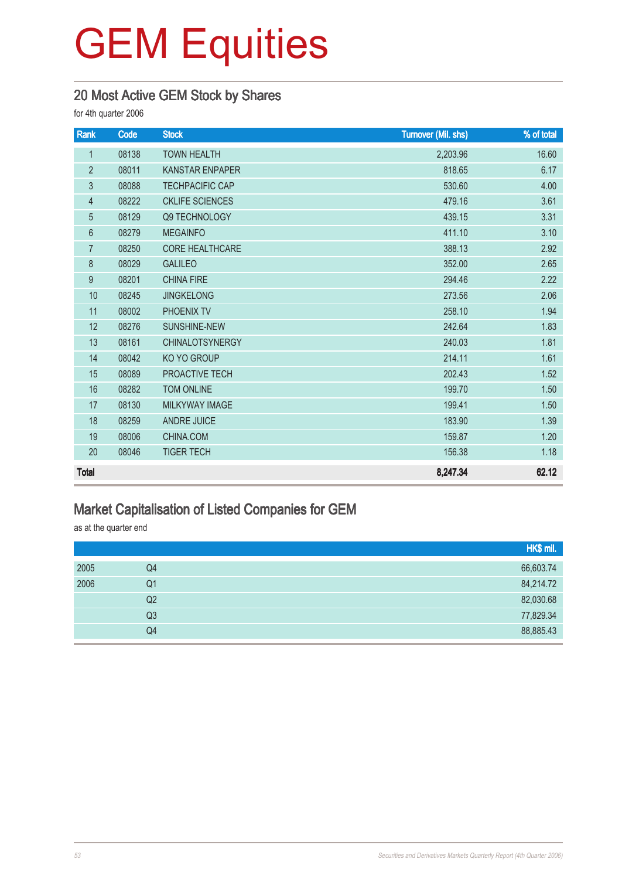### 20 Most Active GEM Stock by Shares

for 4th quarter 2006

| Rank           | Code  | <b>Stock</b>           | <b>Turnover (Mil. shs)</b> | % of total |
|----------------|-------|------------------------|----------------------------|------------|
| $\mathbf 1$    | 08138 | <b>TOWN HEALTH</b>     | 2,203.96                   | 16.60      |
| $\overline{2}$ | 08011 | <b>KANSTAR ENPAPER</b> | 818.65                     | 6.17       |
| 3              | 08088 | <b>TECHPACIFIC CAP</b> | 530.60                     | 4.00       |
| $\overline{4}$ | 08222 | <b>CKLIFE SCIENCES</b> | 479.16                     | 3.61       |
| $\overline{5}$ | 08129 | Q9 TECHNOLOGY          | 439.15                     | 3.31       |
| 6              | 08279 | <b>MEGAINFO</b>        | 411.10                     | 3.10       |
| $\overline{7}$ | 08250 | <b>CORE HEALTHCARE</b> | 388.13                     | 2.92       |
| 8              | 08029 | <b>GALILEO</b>         | 352.00                     | 2.65       |
| 9              | 08201 | <b>CHINA FIRE</b>      | 294.46                     | 2.22       |
| 10             | 08245 | <b>JINGKELONG</b>      | 273.56                     | 2.06       |
| 11             | 08002 | PHOENIX TV             | 258.10                     | 1.94       |
| 12             | 08276 | <b>SUNSHINE-NEW</b>    | 242.64                     | 1.83       |
| 13             | 08161 | <b>CHINALOTSYNERGY</b> | 240.03                     | 1.81       |
| 14             | 08042 | KO YO GROUP            | 214.11                     | 1.61       |
| 15             | 08089 | PROACTIVE TECH         | 202.43                     | 1.52       |
| 16             | 08282 | TOM ONLINE             | 199.70                     | 1.50       |
| 17             | 08130 | <b>MILKYWAY IMAGE</b>  | 199.41                     | 1.50       |
| 18             | 08259 | <b>ANDRE JUICE</b>     | 183.90                     | 1.39       |
| 19             | 08006 | CHINA.COM              | 159.87                     | 1.20       |
| 20             | 08046 | <b>TIGER TECH</b>      | 156.38                     | 1.18       |
| <b>Total</b>   |       |                        | 8,247.34                   | 62.12      |

### Market Capitalisation of Listed Companies for GEM

as at the quarter end

|      |    | HK\$ mil. |
|------|----|-----------|
| 2005 | Q4 | 66,603.74 |
| 2006 | Q1 | 84,214.72 |
|      | Q2 | 82,030.68 |
|      | Q3 | 77,829.34 |
|      | Q4 | 88,885.43 |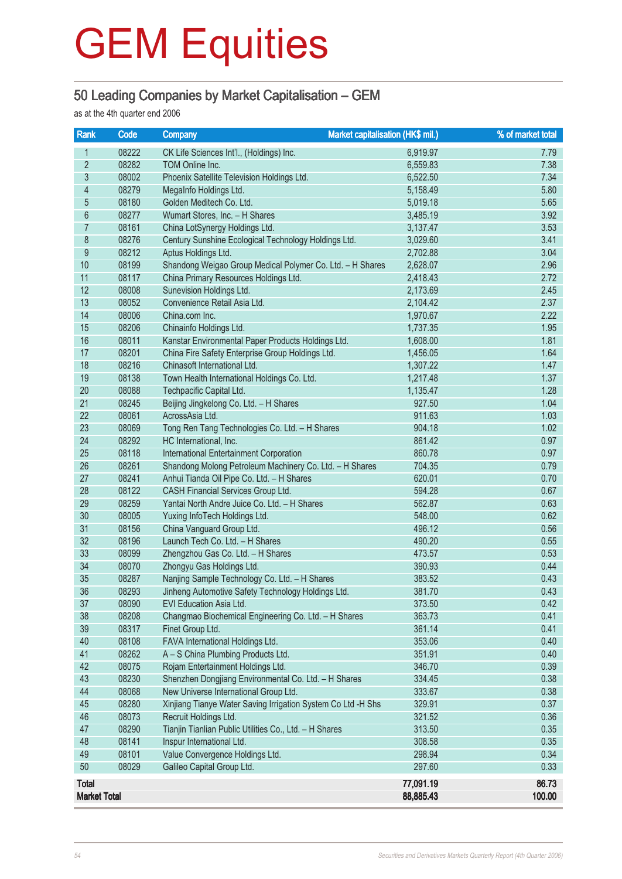### 50 Leading Companies by Market Capitalisation – GEM

as at the 4th quarter end 2006

| <b>Rank</b>                         | Code           | Market capitalisation (HK\$ mil.)<br><b>Company</b>                      |                        | % of market total |
|-------------------------------------|----------------|--------------------------------------------------------------------------|------------------------|-------------------|
| 1                                   | 08222          | CK Life Sciences Int'l., (Holdings) Inc.                                 | 6,919.97               | 7.79              |
| $\overline{2}$                      | 08282          | TOM Online Inc.                                                          | 6,559.83               | 7.38              |
| $\overline{3}$                      | 08002          | Phoenix Satellite Television Holdings Ltd.                               | 6,522.50               | 7.34              |
| $\overline{\mathcal{A}}$            | 08279          | MegaInfo Holdings Ltd.                                                   | 5,158.49               | 5.80              |
| $\overline{5}$                      | 08180          | Golden Meditech Co. Ltd.                                                 | 5,019.18               | 5.65              |
| $\boldsymbol{6}$                    | 08277          | Wumart Stores, Inc. - H Shares                                           | 3,485.19               | 3.92              |
| 7                                   | 08161          | China LotSynergy Holdings Ltd.                                           | 3,137.47               | 3.53              |
| $8\,$                               | 08276          | Century Sunshine Ecological Technology Holdings Ltd.                     | 3,029.60               | 3.41              |
| $\overline{9}$                      | 08212          | Aptus Holdings Ltd.                                                      | 2,702.88               | 3.04              |
| 10                                  | 08199          | Shandong Weigao Group Medical Polymer Co. Ltd. - H Shares                | 2,628.07               | 2.96              |
| 11                                  | 08117          | China Primary Resources Holdings Ltd.                                    | 2,418.43               | 2.72              |
| 12                                  | 08008          | Sunevision Holdings Ltd.                                                 | 2,173.69               | 2.45              |
| 13                                  | 08052          | Convenience Retail Asia Ltd.                                             | 2,104.42               | 2.37              |
| 14                                  | 08006          | China.com Inc.                                                           | 1,970.67               | 2.22              |
| 15                                  | 08206          | Chinainfo Holdings Ltd.                                                  | 1,737.35               | 1.95              |
| 16                                  | 08011          | Kanstar Environmental Paper Products Holdings Ltd.                       | 1,608.00               | 1.81              |
| 17                                  | 08201          | China Fire Safety Enterprise Group Holdings Ltd.                         | 1,456.05               | 1.64              |
| 18                                  | 08216          | Chinasoft International Ltd.                                             | 1,307.22               | 1.47              |
| 19                                  | 08138          | Town Health International Holdings Co. Ltd.                              | 1,217.48               | 1.37              |
| 20                                  | 08088          | Techpacific Capital Ltd.                                                 | 1,135.47               | 1.28              |
| 21                                  | 08245          | Beijing Jingkelong Co. Ltd. - H Shares                                   | 927.50                 | 1.04              |
| 22                                  | 08061          | AcrossAsia Ltd.                                                          | 911.63                 | 1.03              |
| 23                                  | 08069          | Tong Ren Tang Technologies Co. Ltd. - H Shares                           | 904.18                 | 1.02              |
| 24                                  | 08292          | HC International, Inc.                                                   | 861.42                 | 0.97              |
| 25                                  | 08118          | International Entertainment Corporation                                  | 860.78                 | 0.97              |
| 26                                  | 08261          | Shandong Molong Petroleum Machinery Co. Ltd. - H Shares                  | 704.35                 | 0.79              |
| 27                                  | 08241          | Anhui Tianda Oil Pipe Co. Ltd. - H Shares                                | 620.01                 | 0.70              |
| 28                                  | 08122          | CASH Financial Services Group Ltd.                                       | 594.28                 | 0.67              |
| 29                                  | 08259          | Yantai North Andre Juice Co. Ltd. - H Shares                             | 562.87                 | 0.63              |
| 30                                  | 08005          | Yuxing InfoTech Holdings Ltd.                                            | 548.00                 | 0.62              |
| 31                                  | 08156          | China Vanguard Group Ltd.                                                | 496.12                 | 0.56              |
| 32                                  | 08196          | Launch Tech Co. Ltd. - H Shares                                          | 490.20                 | 0.55              |
| 33                                  | 08099          | Zhengzhou Gas Co. Ltd. - H Shares                                        | 473.57                 | 0.53              |
| 34                                  | 08070          | Zhongyu Gas Holdings Ltd.                                                | 390.93                 | 0.44              |
| 35                                  | 08287          | Nanjing Sample Technology Co. Ltd. - H Shares                            | 383.52                 | 0.43              |
| 36                                  | 08293          | Jinheng Automotive Safety Technology Holdings Ltd.                       | 381.70                 | 0.43              |
| 37                                  | 08090          | EVI Education Asia Ltd.                                                  | 373.50                 | 0.42              |
| 38<br>39                            | 08208          | Changmao Biochemical Engineering Co. Ltd. - H Shares<br>Finet Group Ltd. | 363.73                 | 0.41              |
| 40                                  | 08317<br>08108 | FAVA International Holdings Ltd.                                         | 361.14<br>353.06       | 0.41<br>0.40      |
| 41                                  | 08262          | A - S China Plumbing Products Ltd.                                       | 351.91                 | 0.40              |
| 42                                  | 08075          | Rojam Entertainment Holdings Ltd.                                        | 346.70                 | 0.39              |
| 43                                  | 08230          | Shenzhen Dongjiang Environmental Co. Ltd. - H Shares                     | 334.45                 | 0.38              |
| 44                                  | 08068          | New Universe International Group Ltd.                                    | 333.67                 | 0.38              |
| 45                                  | 08280          | Xinjiang Tianye Water Saving Irrigation System Co Ltd -H Shs             | 329.91                 | 0.37              |
| 46                                  | 08073          | Recruit Holdings Ltd.                                                    | 321.52                 | 0.36              |
| 47                                  | 08290          | Tianjin Tianlian Public Utilities Co., Ltd. - H Shares                   | 313.50                 | 0.35              |
| 48                                  | 08141          | Inspur International Ltd.                                                | 308.58                 | 0.35              |
| 49                                  | 08101          | Value Convergence Holdings Ltd.                                          | 298.94                 | 0.34              |
| 50                                  | 08029          | Galileo Capital Group Ltd.                                               | 297.60                 | 0.33              |
|                                     |                |                                                                          |                        | 86.73             |
| <b>Total</b><br><b>Market Total</b> |                |                                                                          | 77,091.19<br>88,885.43 | 100.00            |
|                                     |                |                                                                          |                        |                   |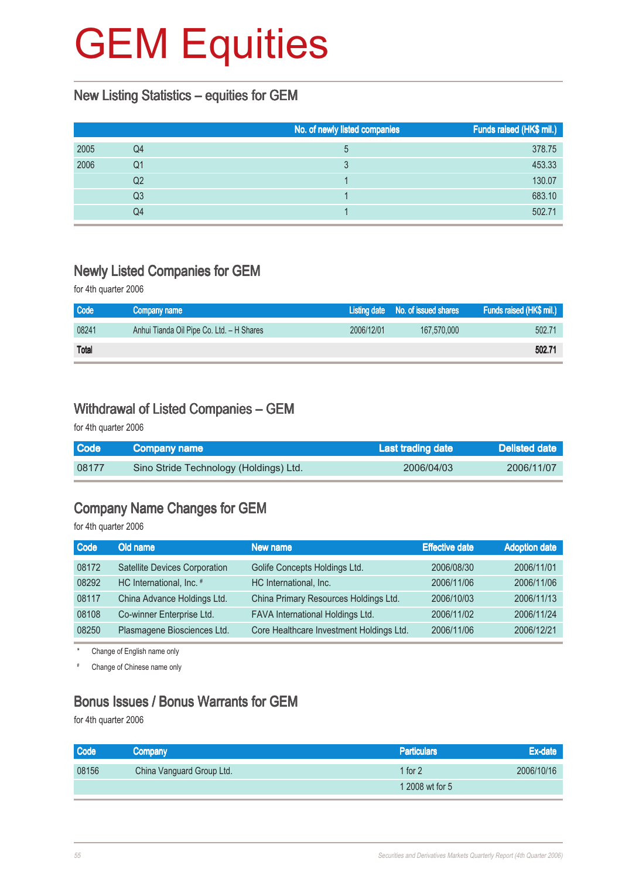#### New Listing Statistics – equities for GEM

|      |    | No. of newly listed companies | Funds raised (HK\$ mil.) |
|------|----|-------------------------------|--------------------------|
| 2005 | Q4 | 5                             | 378.75                   |
| 2006 | Q1 |                               | 453.33                   |
|      | Q2 |                               | 130.07                   |
|      | Q3 |                               | 683.10                   |
|      | Q4 |                               | 502.71                   |

#### Newly Listed Companies for GEM

for 4th quarter 2006

| Code         | Company name                              |            | Listing date No. of issued shares | Funds raised (HK\$ mil.) |
|--------------|-------------------------------------------|------------|-----------------------------------|--------------------------|
| 08241        | Anhui Tianda Oil Pipe Co. Ltd. - H Shares | 2006/12/01 | 167,570,000                       | 502.71                   |
| <b>Total</b> |                                           |            |                                   | 502.71                   |

#### Withdrawal of Listed Companies – GEM

for 4th quarter 2006

| Code  | <b>Company name</b>                    | Last trading date \ | Delisted date |
|-------|----------------------------------------|---------------------|---------------|
| 08177 | Sino Stride Technology (Holdings) Ltd. | 2006/04/03          | 2006/11/07    |

#### Company Name Changes for GEM

for 4th quarter 2006

| <b>Code</b> | Old name                      | New name                                 | <b>Effective date</b> | <b>Adoption date</b> |
|-------------|-------------------------------|------------------------------------------|-----------------------|----------------------|
| 08172       | Satellite Devices Corporation | Golife Concepts Holdings Ltd.            | 2006/08/30            | 2006/11/01           |
| 08292       | HC International, Inc. #      | HC International, Inc.                   | 2006/11/06            | 2006/11/06           |
| 08117       | China Advance Holdings Ltd.   | China Primary Resources Holdings Ltd.    | 2006/10/03            | 2006/11/13           |
| 08108       | Co-winner Enterprise Ltd.     | FAVA International Holdings Ltd.         | 2006/11/02            | 2006/11/24           |
| 08250       | Plasmagene Biosciences Ltd.   | Core Healthcare Investment Holdings Ltd. | 2006/11/06            | 2006/12/21           |

Change of English name only

# Change of Chinese name only

#### Bonus Issues / Bonus Warrants for GEM

for 4th quarter 2006

| <b>Code</b> | Company                   | <b>Particulars</b> | Ex-date    |
|-------------|---------------------------|--------------------|------------|
| 08156       | China Vanguard Group Ltd. | 1 for $2$          | 2006/10/16 |
|             |                           | 1 2008 wt for 5    |            |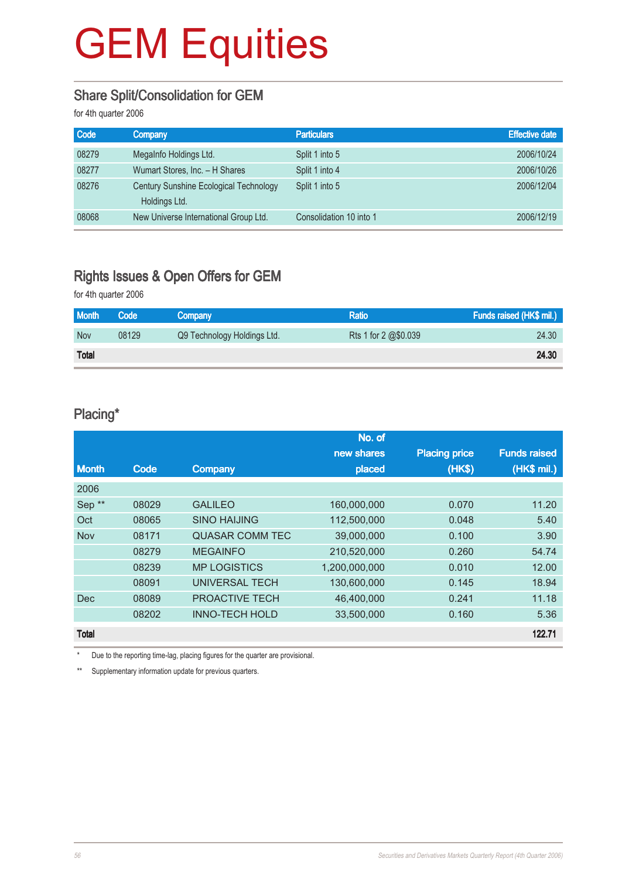#### Share Split/Consolidation for GEM

for 4th quarter 2006

| Company                                | <b>Particulars</b>      | <b>Effective date</b> |
|----------------------------------------|-------------------------|-----------------------|
| Megalnfo Holdings Ltd.                 | Split 1 into 5          | 2006/10/24            |
| Wumart Stores, Inc. - H Shares         | Split 1 into 4          | 2006/10/26            |
| Century Sunshine Ecological Technology | Split 1 into 5          | 2006/12/04            |
| Holdings Ltd.                          |                         |                       |
| New Universe International Group Ltd.  | Consolidation 10 into 1 | 2006/12/19            |
|                                        |                         |                       |

### Rights Issues & Open Offers for GEM

for 4th quarter 2006

| <b>Month</b> | Code  | Company                     | <b>Ratio</b>         | Funds raised (HK\$ mil.) |
|--------------|-------|-----------------------------|----------------------|--------------------------|
| <b>Nov</b>   | 08129 | Q9 Technology Holdings Ltd. | Rts 1 for 2 @\$0.039 | 24.30                    |
| <b>Total</b> |       |                             |                      | 24.30                    |

#### Placing\*

|                   |       |                        | No. of        |                      |                     |
|-------------------|-------|------------------------|---------------|----------------------|---------------------|
|                   |       |                        | new shares    | <b>Placing price</b> | <b>Funds raised</b> |
| <b>Month</b>      | Code  | Company                | placed        | (HK\$)               | (HK\$ mil.)         |
| 2006              |       |                        |               |                      |                     |
| Sep <sup>**</sup> | 08029 | <b>GALILEO</b>         | 160,000,000   | 0.070                | 11.20               |
| Oct               | 08065 | <b>SINO HAIJING</b>    | 112,500,000   | 0.048                | 5.40                |
| <b>Nov</b>        | 08171 | <b>QUASAR COMM TEC</b> | 39,000,000    | 0.100                | 3.90                |
|                   | 08279 | <b>MEGAINFO</b>        | 210,520,000   | 0.260                | 54.74               |
|                   | 08239 | <b>MP LOGISTICS</b>    | 1,200,000,000 | 0.010                | 12.00               |
|                   | 08091 | <b>UNIVERSAL TECH</b>  | 130,600,000   | 0.145                | 18.94               |
| <b>Dec</b>        | 08089 | PROACTIVE TECH         | 46.400.000    | 0.241                | 11.18               |
|                   | 08202 | <b>INNO-TECH HOLD</b>  | 33,500,000    | 0.160                | 5.36                |
| <b>Total</b>      |       |                        |               |                      | 122.71              |

\* Due to the reporting time-lag, placing figures for the quarter are provisional.

\*\* Supplementary information update for previous quarters.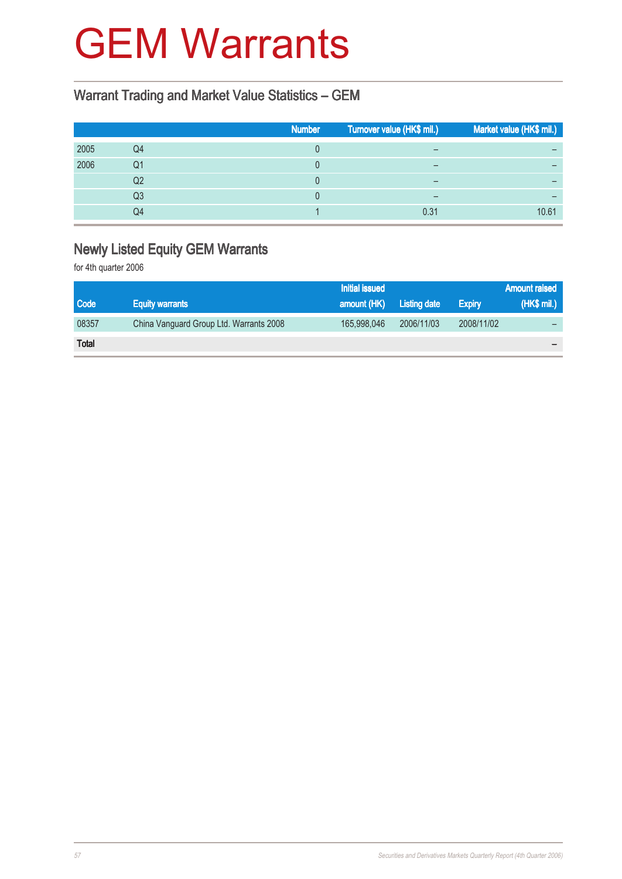### GEM Warrants

### Warrant Trading and Market Value Statistics – GEM

|      |    | <b>Number</b> | Turnover value (HK\$ mil.) | Market value (HK\$ mil.) |
|------|----|---------------|----------------------------|--------------------------|
| 2005 | Q4 |               | $\overline{\phantom{0}}$   |                          |
| 2006 | Q1 |               | $\overline{\phantom{0}}$   |                          |
|      | Q2 |               |                            |                          |
|      | Q3 |               |                            | -                        |
|      | Q4 |               | 0.31                       | 10.61                    |

### Newly Listed Equity GEM Warrants

for 4th quarter 2006

|              |                                         | <b>Initial issued</b> |                     |               | <b>Amount raised</b> |
|--------------|-----------------------------------------|-----------------------|---------------------|---------------|----------------------|
| <b>Code</b>  | <b>Equity warrants</b>                  | amount (HK)           | <b>Listing date</b> | <b>Expiry</b> | (HK\$ mil.)          |
| 08357        | China Vanguard Group Ltd. Warrants 2008 | 165,998,046           | 2006/11/03          | 2008/11/02    |                      |
| <b>Total</b> |                                         |                       |                     |               |                      |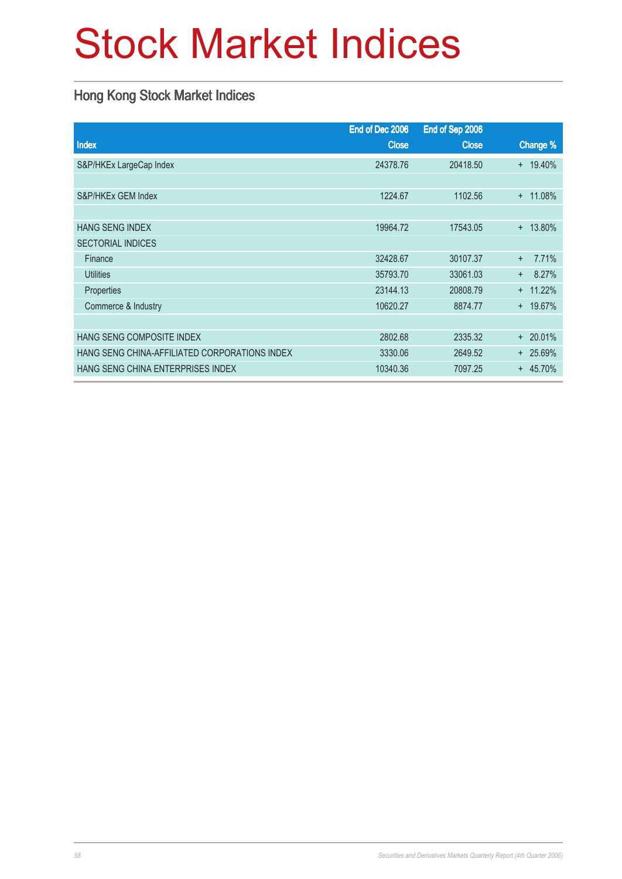# Stock Market Indices

### Hong Kong Stock Market Indices

|                                               | End of Dec 2006 | End of Sep 2006 |               |
|-----------------------------------------------|-----------------|-----------------|---------------|
| Index                                         | <b>Close</b>    | <b>Close</b>    | Change %      |
| S&P/HKEx LargeCap Index                       | 24378.76        | 20418.50        | $+ 19.40\%$   |
|                                               |                 |                 |               |
| S&P/HKEx GEM Index                            | 1224.67         | 1102.56         | 11.08%<br>$+$ |
|                                               |                 |                 |               |
| <b>HANG SENG INDEX</b>                        | 19964.72        | 17543.05        | $+ 13.80\%$   |
| <b>SECTORIAL INDICES</b>                      |                 |                 |               |
| Finance                                       | 32428.67        | 30107.37        | 7.71%<br>$+$  |
| <b>Utilities</b>                              | 35793.70        | 33061.03        | 8.27%<br>$+$  |
| Properties                                    | 23144.13        | 20808.79        | $+ 11.22%$    |
| Commerce & Industry                           | 10620.27        | 8874.77         | + 19.67%      |
|                                               |                 |                 |               |
| HANG SENG COMPOSITE INDEX                     | 2802.68         | 2335.32         | 20.01%<br>$+$ |
| HANG SENG CHINA-AFFILIATED CORPORATIONS INDEX | 3330.06         | 2649.52         | + 25.69%      |
| HANG SENG CHINA ENTERPRISES INDEX             | 10340.36        | 7097.25         | $+ 45.70%$    |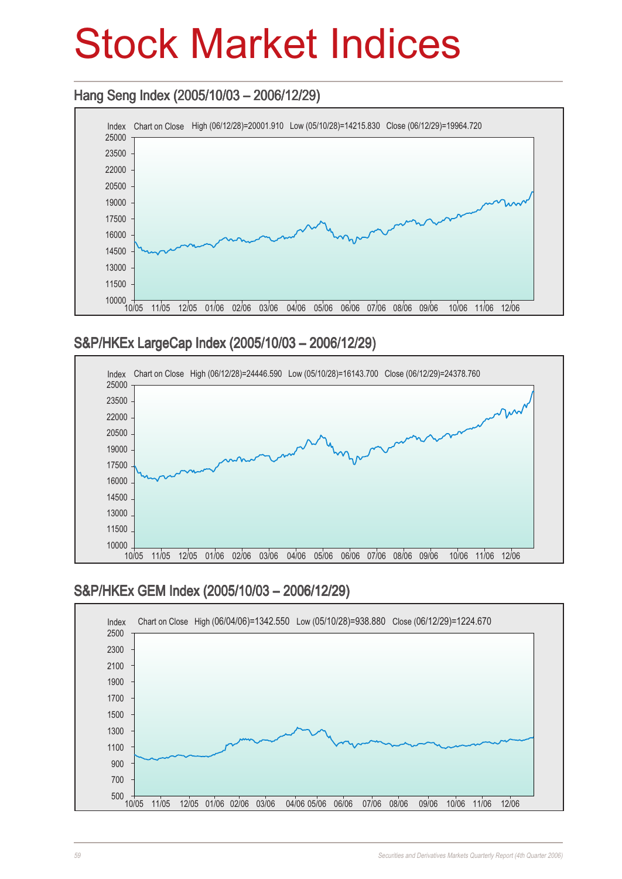## Stock Market Indices

### Hang Seng Index (2005/10/03 - 2006/12/29)



### S&P/HKEx LargeCap Index (2005/10/03 – 2006/12/29)



### S&P/HKEx GEM Index (2005/10/03 – 2006/12/29)

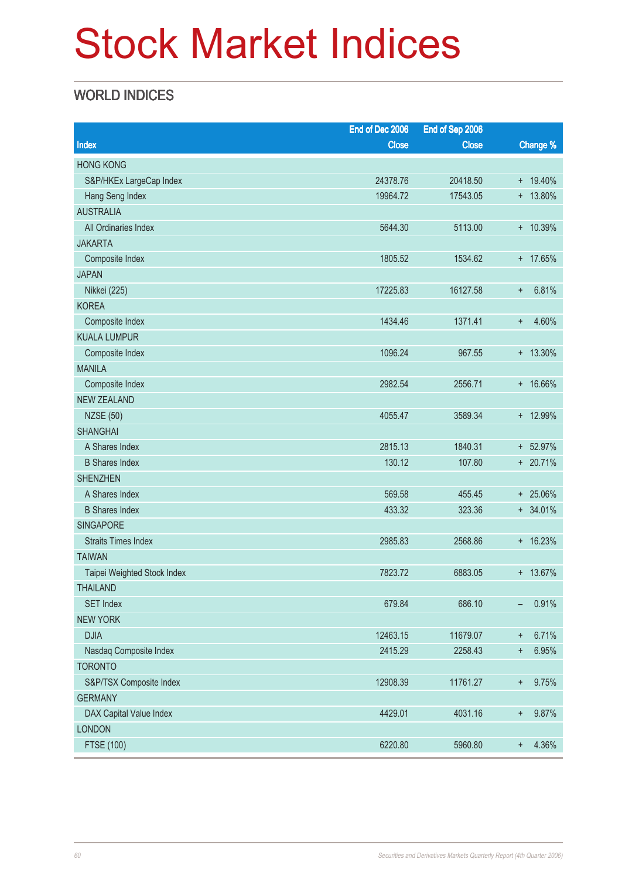# Stock Market Indices

### WORLD INDICES

| Change %<br>Index<br><b>Close</b><br><b>Close</b><br><b>HONG KONG</b><br>S&P/HKEx LargeCap Index<br>24378.76<br>20418.50<br>+ 19.40%<br>19964.72<br>$+ 13.80\%$<br>Hang Seng Index<br>17543.05<br><b>AUSTRALIA</b><br>5113.00<br>+ 10.39%<br>All Ordinaries Index<br>5644.30<br><b>JAKARTA</b><br>+ 17.65%<br>Composite Index<br>1805.52<br>1534.62<br><b>JAPAN</b><br>6.81%<br>Nikkei (225)<br>17225.83<br>16127.58<br>$\ddagger$<br><b>KOREA</b><br>1434.46<br>1371.41<br>4.60%<br>Composite Index<br>$\ddot{}$<br><b>KUALA LUMPUR</b><br>1096.24<br>$+ 13.30\%$<br>Composite Index<br>967.55<br><b>MANILA</b><br>2556.71<br>+ 16.66%<br>Composite Index<br>2982.54<br><b>NEW ZEALAND</b><br>+ 12.99%<br><b>NZSE (50)</b><br>4055.47<br>3589.34<br><b>SHANGHAI</b><br>A Shares Index<br>2815.13<br>1840.31<br>+ 52.97%<br>130.12<br>+ 20.71%<br><b>B</b> Shares Index<br>107.80<br><b>SHENZHEN</b><br>A Shares Index<br>569.58<br>455.45<br>+ 25.06%<br><b>B</b> Shares Index<br>433.32<br>323.36<br>$+ 34.01%$<br><b>SINGAPORE</b><br>$+ 16.23%$<br><b>Straits Times Index</b><br>2985.83<br>2568.86<br><b>TAIWAN</b><br>7823.72<br>+ 13.67%<br>Taipei Weighted Stock Index<br>6883.05<br><b>THAILAND</b><br><b>SET Index</b><br>679.84<br>686.10<br>0.91%<br>-<br><b>NEW YORK</b><br><b>DJIA</b><br>12463.15<br>11679.07<br>6.71%<br>$\ddagger$<br>2415.29<br>Nasdaq Composite Index<br>2258.43<br>6.95%<br>$\ddot{}$<br><b>TORONTO</b><br>S&P/TSX Composite Index<br>12908.39<br>11761.27<br>9.75%<br>$\ddot{}$<br><b>GERMANY</b><br>DAX Capital Value Index<br>4429.01<br>4031.16<br>9.87%<br>$\ddot{}$<br><b>LONDON</b> |            | End of Dec 2006 | End of Sep 2006 |                    |
|--------------------------------------------------------------------------------------------------------------------------------------------------------------------------------------------------------------------------------------------------------------------------------------------------------------------------------------------------------------------------------------------------------------------------------------------------------------------------------------------------------------------------------------------------------------------------------------------------------------------------------------------------------------------------------------------------------------------------------------------------------------------------------------------------------------------------------------------------------------------------------------------------------------------------------------------------------------------------------------------------------------------------------------------------------------------------------------------------------------------------------------------------------------------------------------------------------------------------------------------------------------------------------------------------------------------------------------------------------------------------------------------------------------------------------------------------------------------------------------------------------------------------------------------------------------------------------------------------------------------------------|------------|-----------------|-----------------|--------------------|
|                                                                                                                                                                                                                                                                                                                                                                                                                                                                                                                                                                                                                                                                                                                                                                                                                                                                                                                                                                                                                                                                                                                                                                                                                                                                                                                                                                                                                                                                                                                                                                                                                                |            |                 |                 |                    |
|                                                                                                                                                                                                                                                                                                                                                                                                                                                                                                                                                                                                                                                                                                                                                                                                                                                                                                                                                                                                                                                                                                                                                                                                                                                                                                                                                                                                                                                                                                                                                                                                                                |            |                 |                 |                    |
|                                                                                                                                                                                                                                                                                                                                                                                                                                                                                                                                                                                                                                                                                                                                                                                                                                                                                                                                                                                                                                                                                                                                                                                                                                                                                                                                                                                                                                                                                                                                                                                                                                |            |                 |                 |                    |
|                                                                                                                                                                                                                                                                                                                                                                                                                                                                                                                                                                                                                                                                                                                                                                                                                                                                                                                                                                                                                                                                                                                                                                                                                                                                                                                                                                                                                                                                                                                                                                                                                                |            |                 |                 |                    |
|                                                                                                                                                                                                                                                                                                                                                                                                                                                                                                                                                                                                                                                                                                                                                                                                                                                                                                                                                                                                                                                                                                                                                                                                                                                                                                                                                                                                                                                                                                                                                                                                                                |            |                 |                 |                    |
|                                                                                                                                                                                                                                                                                                                                                                                                                                                                                                                                                                                                                                                                                                                                                                                                                                                                                                                                                                                                                                                                                                                                                                                                                                                                                                                                                                                                                                                                                                                                                                                                                                |            |                 |                 |                    |
|                                                                                                                                                                                                                                                                                                                                                                                                                                                                                                                                                                                                                                                                                                                                                                                                                                                                                                                                                                                                                                                                                                                                                                                                                                                                                                                                                                                                                                                                                                                                                                                                                                |            |                 |                 |                    |
|                                                                                                                                                                                                                                                                                                                                                                                                                                                                                                                                                                                                                                                                                                                                                                                                                                                                                                                                                                                                                                                                                                                                                                                                                                                                                                                                                                                                                                                                                                                                                                                                                                |            |                 |                 |                    |
|                                                                                                                                                                                                                                                                                                                                                                                                                                                                                                                                                                                                                                                                                                                                                                                                                                                                                                                                                                                                                                                                                                                                                                                                                                                                                                                                                                                                                                                                                                                                                                                                                                |            |                 |                 |                    |
|                                                                                                                                                                                                                                                                                                                                                                                                                                                                                                                                                                                                                                                                                                                                                                                                                                                                                                                                                                                                                                                                                                                                                                                                                                                                                                                                                                                                                                                                                                                                                                                                                                |            |                 |                 |                    |
|                                                                                                                                                                                                                                                                                                                                                                                                                                                                                                                                                                                                                                                                                                                                                                                                                                                                                                                                                                                                                                                                                                                                                                                                                                                                                                                                                                                                                                                                                                                                                                                                                                |            |                 |                 |                    |
|                                                                                                                                                                                                                                                                                                                                                                                                                                                                                                                                                                                                                                                                                                                                                                                                                                                                                                                                                                                                                                                                                                                                                                                                                                                                                                                                                                                                                                                                                                                                                                                                                                |            |                 |                 |                    |
|                                                                                                                                                                                                                                                                                                                                                                                                                                                                                                                                                                                                                                                                                                                                                                                                                                                                                                                                                                                                                                                                                                                                                                                                                                                                                                                                                                                                                                                                                                                                                                                                                                |            |                 |                 |                    |
|                                                                                                                                                                                                                                                                                                                                                                                                                                                                                                                                                                                                                                                                                                                                                                                                                                                                                                                                                                                                                                                                                                                                                                                                                                                                                                                                                                                                                                                                                                                                                                                                                                |            |                 |                 |                    |
|                                                                                                                                                                                                                                                                                                                                                                                                                                                                                                                                                                                                                                                                                                                                                                                                                                                                                                                                                                                                                                                                                                                                                                                                                                                                                                                                                                                                                                                                                                                                                                                                                                |            |                 |                 |                    |
|                                                                                                                                                                                                                                                                                                                                                                                                                                                                                                                                                                                                                                                                                                                                                                                                                                                                                                                                                                                                                                                                                                                                                                                                                                                                                                                                                                                                                                                                                                                                                                                                                                |            |                 |                 |                    |
|                                                                                                                                                                                                                                                                                                                                                                                                                                                                                                                                                                                                                                                                                                                                                                                                                                                                                                                                                                                                                                                                                                                                                                                                                                                                                                                                                                                                                                                                                                                                                                                                                                |            |                 |                 |                    |
|                                                                                                                                                                                                                                                                                                                                                                                                                                                                                                                                                                                                                                                                                                                                                                                                                                                                                                                                                                                                                                                                                                                                                                                                                                                                                                                                                                                                                                                                                                                                                                                                                                |            |                 |                 |                    |
|                                                                                                                                                                                                                                                                                                                                                                                                                                                                                                                                                                                                                                                                                                                                                                                                                                                                                                                                                                                                                                                                                                                                                                                                                                                                                                                                                                                                                                                                                                                                                                                                                                |            |                 |                 |                    |
|                                                                                                                                                                                                                                                                                                                                                                                                                                                                                                                                                                                                                                                                                                                                                                                                                                                                                                                                                                                                                                                                                                                                                                                                                                                                                                                                                                                                                                                                                                                                                                                                                                |            |                 |                 |                    |
|                                                                                                                                                                                                                                                                                                                                                                                                                                                                                                                                                                                                                                                                                                                                                                                                                                                                                                                                                                                                                                                                                                                                                                                                                                                                                                                                                                                                                                                                                                                                                                                                                                |            |                 |                 |                    |
|                                                                                                                                                                                                                                                                                                                                                                                                                                                                                                                                                                                                                                                                                                                                                                                                                                                                                                                                                                                                                                                                                                                                                                                                                                                                                                                                                                                                                                                                                                                                                                                                                                |            |                 |                 |                    |
|                                                                                                                                                                                                                                                                                                                                                                                                                                                                                                                                                                                                                                                                                                                                                                                                                                                                                                                                                                                                                                                                                                                                                                                                                                                                                                                                                                                                                                                                                                                                                                                                                                |            |                 |                 |                    |
|                                                                                                                                                                                                                                                                                                                                                                                                                                                                                                                                                                                                                                                                                                                                                                                                                                                                                                                                                                                                                                                                                                                                                                                                                                                                                                                                                                                                                                                                                                                                                                                                                                |            |                 |                 |                    |
|                                                                                                                                                                                                                                                                                                                                                                                                                                                                                                                                                                                                                                                                                                                                                                                                                                                                                                                                                                                                                                                                                                                                                                                                                                                                                                                                                                                                                                                                                                                                                                                                                                |            |                 |                 |                    |
|                                                                                                                                                                                                                                                                                                                                                                                                                                                                                                                                                                                                                                                                                                                                                                                                                                                                                                                                                                                                                                                                                                                                                                                                                                                                                                                                                                                                                                                                                                                                                                                                                                |            |                 |                 |                    |
|                                                                                                                                                                                                                                                                                                                                                                                                                                                                                                                                                                                                                                                                                                                                                                                                                                                                                                                                                                                                                                                                                                                                                                                                                                                                                                                                                                                                                                                                                                                                                                                                                                |            |                 |                 |                    |
|                                                                                                                                                                                                                                                                                                                                                                                                                                                                                                                                                                                                                                                                                                                                                                                                                                                                                                                                                                                                                                                                                                                                                                                                                                                                                                                                                                                                                                                                                                                                                                                                                                |            |                 |                 |                    |
|                                                                                                                                                                                                                                                                                                                                                                                                                                                                                                                                                                                                                                                                                                                                                                                                                                                                                                                                                                                                                                                                                                                                                                                                                                                                                                                                                                                                                                                                                                                                                                                                                                |            |                 |                 |                    |
|                                                                                                                                                                                                                                                                                                                                                                                                                                                                                                                                                                                                                                                                                                                                                                                                                                                                                                                                                                                                                                                                                                                                                                                                                                                                                                                                                                                                                                                                                                                                                                                                                                |            |                 |                 |                    |
|                                                                                                                                                                                                                                                                                                                                                                                                                                                                                                                                                                                                                                                                                                                                                                                                                                                                                                                                                                                                                                                                                                                                                                                                                                                                                                                                                                                                                                                                                                                                                                                                                                |            |                 |                 |                    |
|                                                                                                                                                                                                                                                                                                                                                                                                                                                                                                                                                                                                                                                                                                                                                                                                                                                                                                                                                                                                                                                                                                                                                                                                                                                                                                                                                                                                                                                                                                                                                                                                                                |            |                 |                 |                    |
|                                                                                                                                                                                                                                                                                                                                                                                                                                                                                                                                                                                                                                                                                                                                                                                                                                                                                                                                                                                                                                                                                                                                                                                                                                                                                                                                                                                                                                                                                                                                                                                                                                |            |                 |                 |                    |
|                                                                                                                                                                                                                                                                                                                                                                                                                                                                                                                                                                                                                                                                                                                                                                                                                                                                                                                                                                                                                                                                                                                                                                                                                                                                                                                                                                                                                                                                                                                                                                                                                                |            |                 |                 |                    |
|                                                                                                                                                                                                                                                                                                                                                                                                                                                                                                                                                                                                                                                                                                                                                                                                                                                                                                                                                                                                                                                                                                                                                                                                                                                                                                                                                                                                                                                                                                                                                                                                                                |            |                 |                 |                    |
|                                                                                                                                                                                                                                                                                                                                                                                                                                                                                                                                                                                                                                                                                                                                                                                                                                                                                                                                                                                                                                                                                                                                                                                                                                                                                                                                                                                                                                                                                                                                                                                                                                |            |                 |                 |                    |
|                                                                                                                                                                                                                                                                                                                                                                                                                                                                                                                                                                                                                                                                                                                                                                                                                                                                                                                                                                                                                                                                                                                                                                                                                                                                                                                                                                                                                                                                                                                                                                                                                                |            |                 |                 |                    |
|                                                                                                                                                                                                                                                                                                                                                                                                                                                                                                                                                                                                                                                                                                                                                                                                                                                                                                                                                                                                                                                                                                                                                                                                                                                                                                                                                                                                                                                                                                                                                                                                                                |            |                 |                 |                    |
|                                                                                                                                                                                                                                                                                                                                                                                                                                                                                                                                                                                                                                                                                                                                                                                                                                                                                                                                                                                                                                                                                                                                                                                                                                                                                                                                                                                                                                                                                                                                                                                                                                | FTSE (100) | 6220.80         | 5960.80         | 4.36%<br>$\ddot{}$ |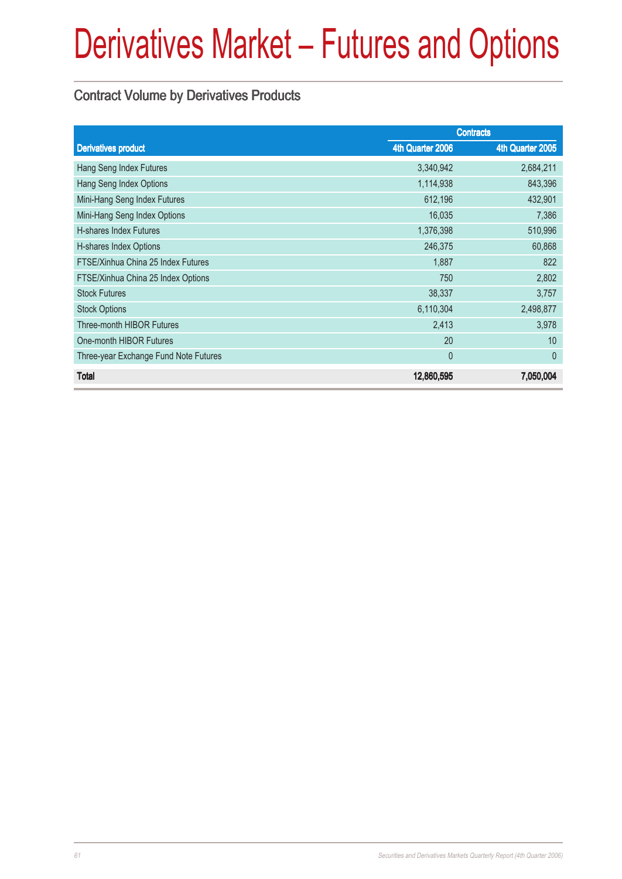### Contract Volume by Derivatives Products

|                                       | <b>Contracts</b> |                  |  |
|---------------------------------------|------------------|------------------|--|
| <b>Derivatives product</b>            | 4th Quarter 2006 | 4th Quarter 2005 |  |
| Hang Seng Index Futures               | 3,340,942        | 2,684,211        |  |
| Hang Seng Index Options               | 1,114,938        | 843,396          |  |
| Mini-Hang Seng Index Futures          | 612,196          | 432,901          |  |
| Mini-Hang Seng Index Options          | 16,035           | 7,386            |  |
| H-shares Index Futures                | 1,376,398        | 510,996          |  |
| H-shares Index Options                | 246,375          | 60,868           |  |
| FTSE/Xinhua China 25 Index Futures    | 1,887            | 822              |  |
| FTSE/Xinhua China 25 Index Options    | 750              | 2,802            |  |
| <b>Stock Futures</b>                  | 38,337           | 3,757            |  |
| <b>Stock Options</b>                  | 6,110,304        | 2,498,877        |  |
| <b>Three-month HIBOR Futures</b>      | 2,413            | 3,978            |  |
| One-month HIBOR Futures               | 20               | 10               |  |
| Three-year Exchange Fund Note Futures | $\theta$         | $\theta$         |  |
| <b>Total</b>                          | 12,860,595       | 7,050,004        |  |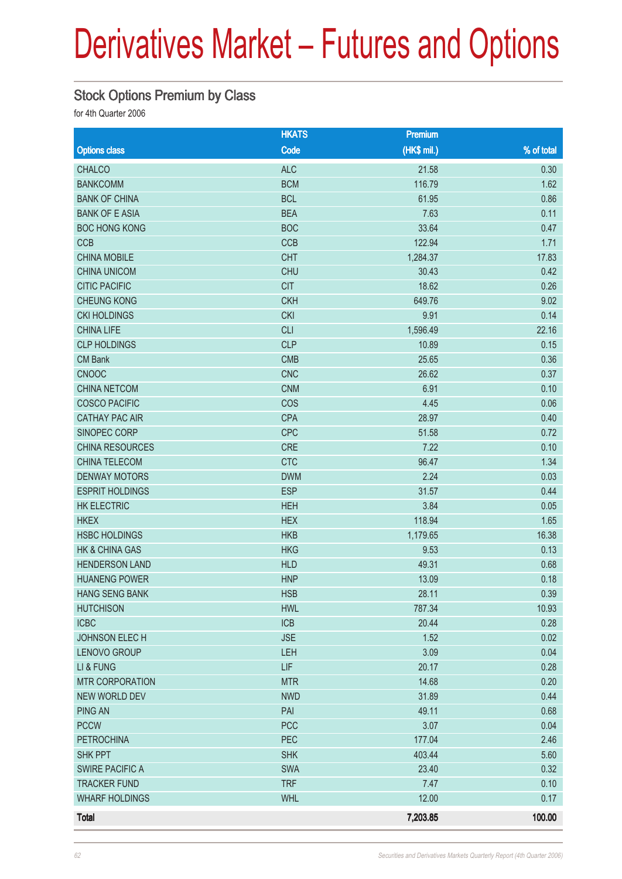#### Stock Options Premium by Class

for 4th Quarter 2006

|                           | <b>HKATS</b> | Premium     |            |
|---------------------------|--------------|-------------|------------|
| <b>Options class</b>      | Code         | (HK\$ mil.) | % of total |
| <b>CHALCO</b>             | <b>ALC</b>   | 21.58       | 0.30       |
| <b>BANKCOMM</b>           | <b>BCM</b>   | 116.79      | 1.62       |
| <b>BANK OF CHINA</b>      | <b>BCL</b>   | 61.95       | 0.86       |
| <b>BANK OF E ASIA</b>     | <b>BEA</b>   | 7.63        | 0.11       |
| <b>BOC HONG KONG</b>      | <b>BOC</b>   | 33.64       | 0.47       |
| CCB                       | CCB          | 122.94      | 1.71       |
| <b>CHINA MOBILE</b>       | <b>CHT</b>   | 1,284.37    | 17.83      |
| <b>CHINA UNICOM</b>       | <b>CHU</b>   | 30.43       | 0.42       |
| <b>CITIC PACIFIC</b>      | <b>CIT</b>   | 18.62       | 0.26       |
| <b>CHEUNG KONG</b>        | <b>CKH</b>   | 649.76      | 9.02       |
| <b>CKI HOLDINGS</b>       | <b>CKI</b>   | 9.91        | 0.14       |
| <b>CHINA LIFE</b>         | <b>CLI</b>   | 1,596.49    | 22.16      |
| <b>CLP HOLDINGS</b>       | <b>CLP</b>   | 10.89       | 0.15       |
| <b>CM Bank</b>            | <b>CMB</b>   | 25.65       | 0.36       |
| <b>CNOOC</b>              | <b>CNC</b>   | 26.62       | 0.37       |
| <b>CHINA NETCOM</b>       | <b>CNM</b>   | 6.91        | 0.10       |
| <b>COSCO PACIFIC</b>      | COS          | 4.45        | 0.06       |
| <b>CATHAY PAC AIR</b>     | <b>CPA</b>   | 28.97       | 0.40       |
| SINOPEC CORP              | CPC          | 51.58       | 0.72       |
| <b>CHINA RESOURCES</b>    | <b>CRE</b>   | 7.22        | 0.10       |
| <b>CHINA TELECOM</b>      | <b>CTC</b>   | 96.47       | 1.34       |
| <b>DENWAY MOTORS</b>      | <b>DWM</b>   | 2.24        | 0.03       |
| <b>ESPRIT HOLDINGS</b>    | <b>ESP</b>   | 31.57       | 0.44       |
| <b>HK ELECTRIC</b>        | <b>HEH</b>   | 3.84        | 0.05       |
| <b>HKEX</b>               | <b>HEX</b>   | 118.94      | 1.65       |
| <b>HSBC HOLDINGS</b>      | <b>HKB</b>   | 1,179.65    | 16.38      |
| <b>HK &amp; CHINA GAS</b> | <b>HKG</b>   | 9.53        | 0.13       |
| <b>HENDERSON LAND</b>     | <b>HLD</b>   | 49.31       | 0.68       |
| <b>HUANENG POWER</b>      | <b>HNP</b>   | 13.09       | 0.18       |
| <b>HANG SENG BANK</b>     | <b>HSB</b>   | 28.11       | 0.39       |
| <b>HUTCHISON</b>          | <b>HWL</b>   | 787.34      | 10.93      |
| <b>ICBC</b>               | <b>ICB</b>   | 20.44       | 0.28       |
| JOHNSON ELECH             | <b>JSE</b>   | 1.52        | 0.02       |
| LENOVO GROUP              | LEH          | 3.09        | 0.04       |
| LI & FUNG                 | <b>LIF</b>   | 20.17       | 0.28       |
| <b>MTR CORPORATION</b>    | <b>MTR</b>   | 14.68       | 0.20       |
| <b>NEW WORLD DEV</b>      | <b>NWD</b>   | 31.89       | 0.44       |
| <b>PING AN</b>            | PAI          | 49.11       | 0.68       |
| <b>PCCW</b>               | <b>PCC</b>   | 3.07        | 0.04       |
| <b>PETROCHINA</b>         | PEC          | 177.04      | 2.46       |
| <b>SHK PPT</b>            | <b>SHK</b>   | 403.44      | 5.60       |
| SWIRE PACIFIC A           | SWA          | 23.40       | 0.32       |
| <b>TRACKER FUND</b>       | <b>TRF</b>   | 7.47        | 0.10       |
| <b>WHARF HOLDINGS</b>     | <b>WHL</b>   | 12.00       | 0.17       |
| <b>Total</b>              |              | 7,203.85    | 100.00     |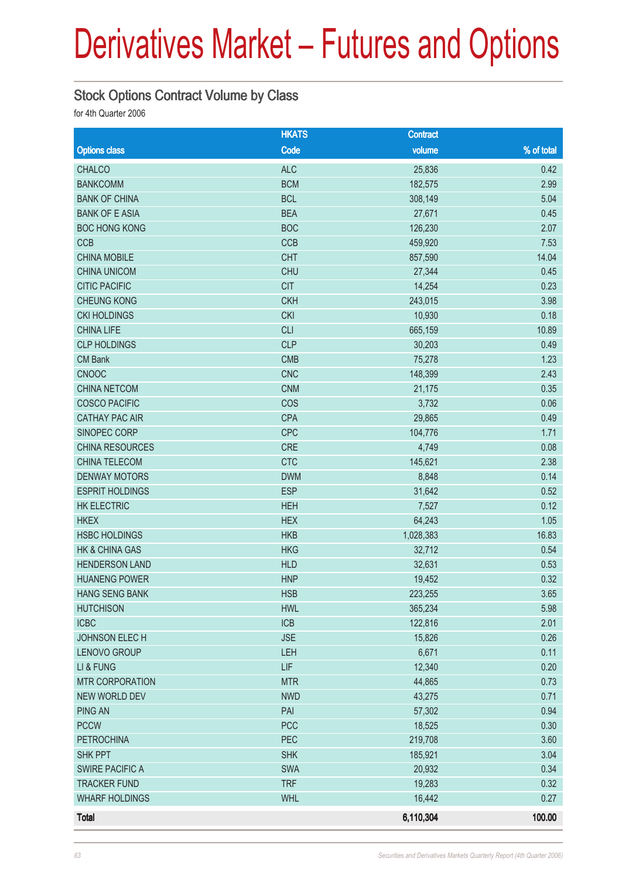#### Stock Options Contract Volume by Class

for 4th Quarter 2006

|                                     | <b>HKATS</b> | <b>Contract</b>   |              |
|-------------------------------------|--------------|-------------------|--------------|
| <b>Options class</b>                | Code         | volume            | % of total   |
| <b>CHALCO</b>                       | <b>ALC</b>   | 25,836            | 0.42         |
| <b>BANKCOMM</b>                     | <b>BCM</b>   | 182,575           | 2.99         |
| <b>BANK OF CHINA</b>                | <b>BCL</b>   | 308,149           | 5.04         |
| <b>BANK OF E ASIA</b>               | <b>BEA</b>   | 27,671            | 0.45         |
| <b>BOC HONG KONG</b>                | <b>BOC</b>   | 126,230           | 2.07         |
| <b>CCB</b>                          | CCB          | 459,920           | 7.53         |
| <b>CHINA MOBILE</b>                 | <b>CHT</b>   | 857,590           | 14.04        |
| <b>CHINA UNICOM</b>                 | <b>CHU</b>   | 27,344            | 0.45         |
| <b>CITIC PACIFIC</b>                | <b>CIT</b>   | 14,254            | 0.23         |
| <b>CHEUNG KONG</b>                  | <b>CKH</b>   | 243,015           | 3.98         |
| <b>CKI HOLDINGS</b>                 | <b>CKI</b>   | 10,930            | 0.18         |
| <b>CHINA LIFE</b>                   | <b>CLI</b>   | 665,159           | 10.89        |
| <b>CLP HOLDINGS</b>                 | <b>CLP</b>   | 30,203            | 0.49         |
| <b>CM Bank</b>                      | <b>CMB</b>   | 75,278            | 1.23         |
| <b>CNOOC</b>                        | <b>CNC</b>   | 148,399           | 2.43         |
| <b>CHINA NETCOM</b>                 | <b>CNM</b>   | 21,175            | 0.35         |
| <b>COSCO PACIFIC</b>                | COS          | 3,732             | 0.06         |
| <b>CATHAY PAC AIR</b>               | <b>CPA</b>   | 29,865            | 0.49         |
| SINOPEC CORP                        | <b>CPC</b>   | 104,776           | 1.71         |
| CHINA RESOURCES                     | <b>CRE</b>   | 4,749             | 0.08         |
| <b>CHINA TELECOM</b>                | <b>CTC</b>   | 145,621           | 2.38         |
| <b>DENWAY MOTORS</b>                | <b>DWM</b>   | 8,848             | 0.14         |
| <b>ESPRIT HOLDINGS</b>              | <b>ESP</b>   | 31,642            | 0.52         |
| <b>HK ELECTRIC</b>                  | <b>HEH</b>   | 7,527             | 0.12         |
| <b>HKEX</b>                         | <b>HEX</b>   | 64,243            | 1.05         |
| <b>HSBC HOLDINGS</b>                | <b>HKB</b>   | 1,028,383         | 16.83        |
| HK & CHINA GAS                      | <b>HKG</b>   | 32,712            | 0.54         |
| <b>HENDERSON LAND</b>               | <b>HLD</b>   | 32,631            | 0.53         |
| <b>HUANENG POWER</b>                | <b>HNP</b>   | 19,452            | 0.32         |
| <b>HANG SENG BANK</b>               | <b>HSB</b>   | 223,255           | 3.65         |
| <b>HUTCHISON</b>                    | <b>HWL</b>   | 365,234           | 5.98         |
| <b>ICBC</b>                         | <b>ICB</b>   | 122,816           | 2.01         |
| JOHNSON ELECH                       | <b>JSE</b>   | 15,826            | 0.26         |
| LENOVO GROUP                        | LEH<br>LIF   | 6,671             | 0.11         |
| LI & FUNG<br><b>MTR CORPORATION</b> | <b>MTR</b>   | 12,340            | 0.20         |
| NEW WORLD DEV                       | <b>NWD</b>   | 44,865<br>43,275  | 0.73<br>0.71 |
| <b>PING AN</b>                      | PAI          |                   | 0.94         |
| <b>PCCW</b>                         | <b>PCC</b>   | 57,302            | 0.30         |
| <b>PETROCHINA</b>                   | PEC          | 18,525<br>219,708 | 3.60         |
| SHK PPT                             | <b>SHK</b>   | 185,921           | 3.04         |
| <b>SWIRE PACIFIC A</b>              | <b>SWA</b>   | 20,932            | 0.34         |
| <b>TRACKER FUND</b>                 | <b>TRF</b>   | 19,283            | 0.32         |
| <b>WHARF HOLDINGS</b>               | <b>WHL</b>   | 16,442            | 0.27         |
|                                     |              |                   |              |
| <b>Total</b>                        |              | 6,110,304         | 100.00       |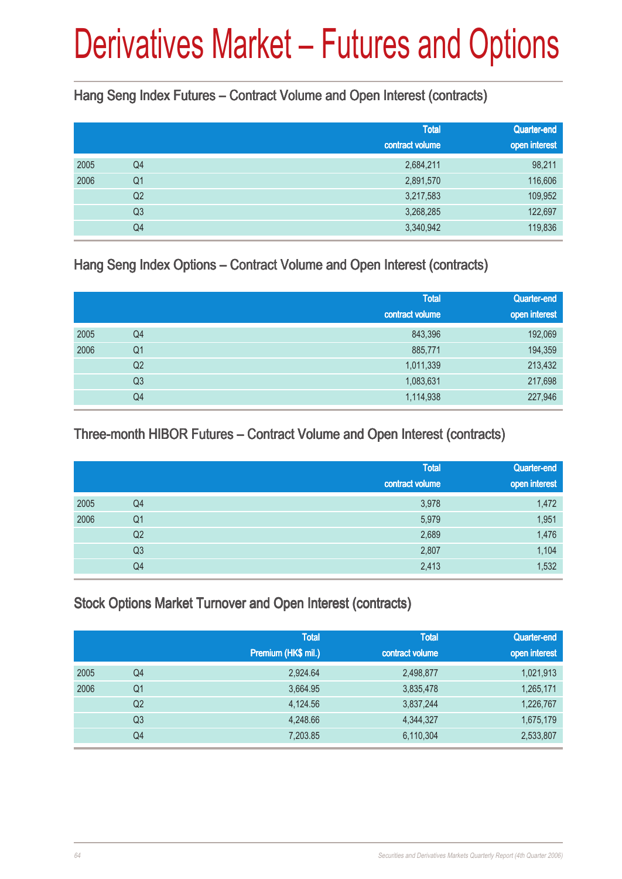Hang Seng Index Futures – Contract Volume and Open Interest (contracts)

|      |                | <b>Total</b><br>contract volume | Quarter-end<br>open interest |
|------|----------------|---------------------------------|------------------------------|
| 2005 | Q4             | 2,684,211                       | 98,211                       |
| 2006 | Q <sub>1</sub> | 2,891,570                       | 116,606                      |
|      | Q <sub>2</sub> | 3,217,583                       | 109,952                      |
|      | Q <sub>3</sub> | 3,268,285                       | 122,697                      |
|      | Q4             | 3,340,942                       | 119,836                      |

Hang Seng Index Options – Contract Volume and Open Interest (contracts)

|      |                | <b>Total</b><br>contract volume | Quarter-end<br>open interest |
|------|----------------|---------------------------------|------------------------------|
| 2005 | Q4             | 843,396                         | 192,069                      |
| 2006 | Q <sub>1</sub> | 885,771                         | 194,359                      |
|      | Q <sub>2</sub> | 1,011,339                       | 213,432                      |
|      | Q <sub>3</sub> | 1,083,631                       | 217,698                      |
|      | Q4             | 1,114,938                       | 227,946                      |

Three-month HIBOR Futures – Contract Volume and Open Interest (contracts)

|      |                | <b>Total</b><br>contract volume | Quarter-end<br>open interest |
|------|----------------|---------------------------------|------------------------------|
| 2005 | Q4             | 3,978                           | 1,472                        |
| 2006 | Q <sub>1</sub> | 5,979                           | 1,951                        |
|      | Q <sub>2</sub> | 2,689                           | 1,476                        |
|      | Q <sub>3</sub> | 2,807                           | 1,104                        |
|      | Q4             | 2,413                           | 1,532                        |

Stock Options Market Turnover and Open Interest (contracts)

|      |                | <b>Total</b><br>Premium (HK\$ mil.) | <b>Total</b><br>contract volume | Quarter-end<br>open interest |
|------|----------------|-------------------------------------|---------------------------------|------------------------------|
| 2005 | Q4             | 2,924.64                            | 2,498,877                       | 1,021,913                    |
| 2006 | Q1             | 3,664.95                            | 3,835,478                       | 1,265,171                    |
|      | Q <sub>2</sub> | 4,124.56                            | 3,837,244                       | 1,226,767                    |
|      | Q <sub>3</sub> | 4,248.66                            | 4,344,327                       | 1,675,179                    |
|      | Q4             | 7,203.85                            | 6,110,304                       | 2,533,807                    |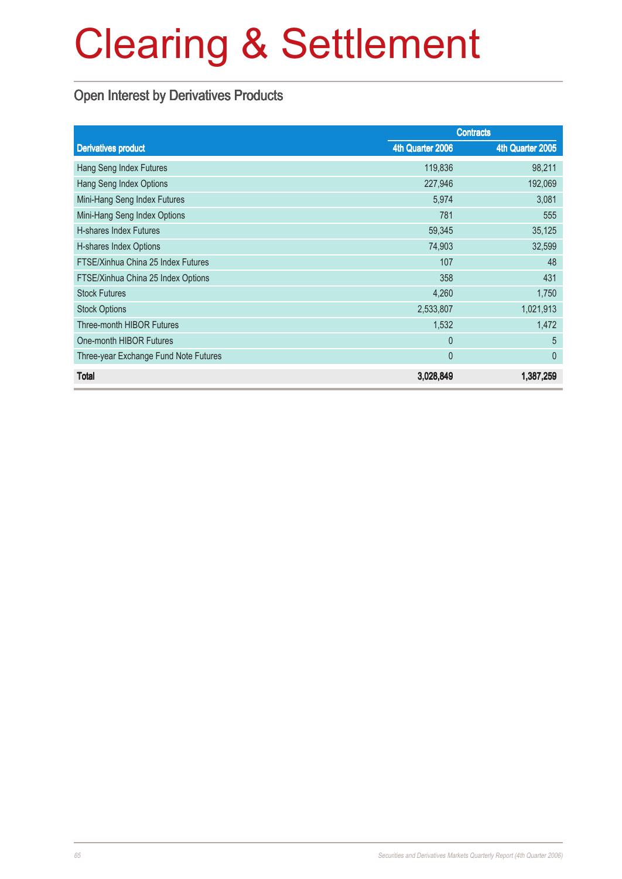### Open Interest by Derivatives Products

|                                       | <b>Contracts</b> |                  |  |
|---------------------------------------|------------------|------------------|--|
| <b>Derivatives product</b>            | 4th Quarter 2006 | 4th Quarter 2005 |  |
| Hang Seng Index Futures               | 119,836          | 98,211           |  |
| Hang Seng Index Options               | 227,946          | 192,069          |  |
| Mini-Hang Seng Index Futures          | 5,974            | 3,081            |  |
| Mini-Hang Seng Index Options          | 781              | 555              |  |
| <b>H-shares Index Futures</b>         | 59,345           | 35,125           |  |
| H-shares Index Options                | 74,903           | 32,599           |  |
| FTSE/Xinhua China 25 Index Futures    | 107              | 48               |  |
| FTSE/Xinhua China 25 Index Options    | 358              | 431              |  |
| <b>Stock Futures</b>                  | 4,260            | 1,750            |  |
| <b>Stock Options</b>                  | 2,533,807        | 1,021,913        |  |
| Three-month HIBOR Futures             | 1,532            | 1,472            |  |
| One-month HIBOR Futures               | $\theta$         | 5                |  |
| Three-year Exchange Fund Note Futures | $\mathbf{0}$     | $\theta$         |  |
| Total                                 | 3,028,849        | 1,387,259        |  |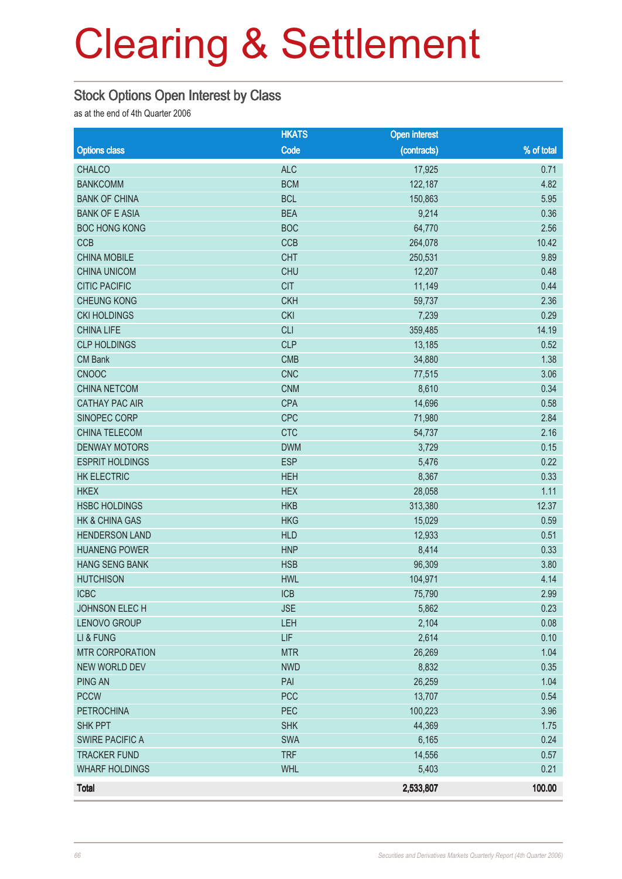#### Stock Options Open Interest by Class

as at the end of 4th Quarter 2006

|                           | <b>HKATS</b> | <b>Open interest</b> |            |
|---------------------------|--------------|----------------------|------------|
| <b>Options class</b>      | Code         | (contracts)          | % of total |
| <b>CHALCO</b>             | <b>ALC</b>   | 17,925               | 0.71       |
| <b>BANKCOMM</b>           | <b>BCM</b>   | 122,187              | 4.82       |
| <b>BANK OF CHINA</b>      | <b>BCL</b>   | 150,863              | 5.95       |
| <b>BANK OF E ASIA</b>     | <b>BEA</b>   | 9,214                | 0.36       |
| <b>BOC HONG KONG</b>      | <b>BOC</b>   | 64,770               | 2.56       |
| <b>CCB</b>                | CCB          | 264,078              | 10.42      |
| <b>CHINA MOBILE</b>       | <b>CHT</b>   | 250,531              | 9.89       |
| <b>CHINA UNICOM</b>       | <b>CHU</b>   | 12,207               | 0.48       |
| <b>CITIC PACIFIC</b>      | <b>CIT</b>   | 11,149               | 0.44       |
| <b>CHEUNG KONG</b>        | <b>CKH</b>   | 59,737               | 2.36       |
| <b>CKI HOLDINGS</b>       | <b>CKI</b>   | 7,239                | 0.29       |
| <b>CHINA LIFE</b>         | <b>CLI</b>   | 359,485              | 14.19      |
| <b>CLP HOLDINGS</b>       | <b>CLP</b>   | 13,185               | 0.52       |
| <b>CM Bank</b>            | <b>CMB</b>   | 34,880               | 1.38       |
| <b>CNOOC</b>              | <b>CNC</b>   | 77,515               | 3.06       |
| <b>CHINA NETCOM</b>       | <b>CNM</b>   | 8,610                | 0.34       |
| <b>CATHAY PAC AIR</b>     | <b>CPA</b>   | 14,696               | 0.58       |
| SINOPEC CORP              | <b>CPC</b>   | 71,980               | 2.84       |
| CHINA TELECOM             | <b>CTC</b>   | 54,737               | 2.16       |
| <b>DENWAY MOTORS</b>      | <b>DWM</b>   | 3,729                | 0.15       |
| <b>ESPRIT HOLDINGS</b>    | <b>ESP</b>   | 5,476                | 0.22       |
| <b>HK ELECTRIC</b>        | <b>HEH</b>   | 8,367                | 0.33       |
| <b>HKEX</b>               | <b>HEX</b>   | 28,058               | 1.11       |
| <b>HSBC HOLDINGS</b>      | <b>HKB</b>   | 313,380              | 12.37      |
| <b>HK &amp; CHINA GAS</b> | <b>HKG</b>   | 15,029               | 0.59       |
| <b>HENDERSON LAND</b>     | <b>HLD</b>   | 12,933               | 0.51       |
| <b>HUANENG POWER</b>      | <b>HNP</b>   | 8,414                | 0.33       |
| <b>HANG SENG BANK</b>     | <b>HSB</b>   | 96,309               | 3.80       |
| <b>HUTCHISON</b>          | <b>HWL</b>   | 104,971              | 4.14       |
| <b>ICBC</b>               | <b>ICB</b>   | 75,790               | 2.99       |
| JOHNSON ELECH             | <b>JSE</b>   | 5,862                | 0.23       |
| LENOVO GROUP              | LEH          | 2,104                | 0.08       |
| LI & FUNG                 | LIF          | 2,614                | 0.10       |
| <b>MTR CORPORATION</b>    | <b>MTR</b>   | 26,269               | 1.04       |
| <b>NEW WORLD DEV</b>      | <b>NWD</b>   | 8,832                | 0.35       |
| <b>PING AN</b>            | PAI          | 26,259               | 1.04       |
| <b>PCCW</b>               | <b>PCC</b>   | 13,707               | 0.54       |
| <b>PETROCHINA</b>         | PEC          | 100,223              | 3.96       |
| SHK PPT                   | <b>SHK</b>   | 44,369               | 1.75       |
| <b>SWIRE PACIFIC A</b>    | SWA          | 6,165                | 0.24       |
| <b>TRACKER FUND</b>       | <b>TRF</b>   | 14,556               | 0.57       |
| <b>WHARF HOLDINGS</b>     | <b>WHL</b>   | 5,403                | 0.21       |
| <b>Total</b>              |              | 2,533,807            | 100.00     |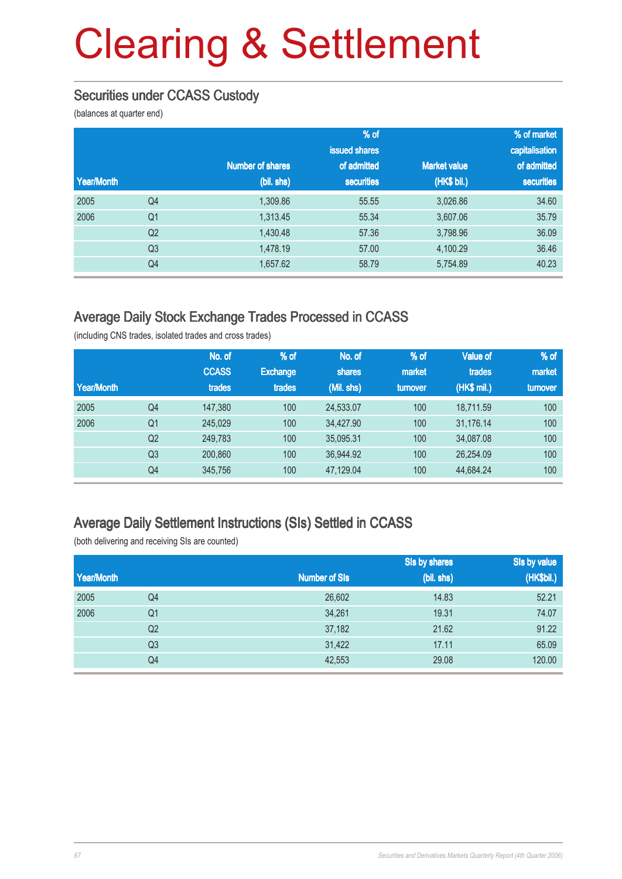#### Securities under CCASS Custody

(balances at quarter end)

|            |                |                         | $%$ of            |                     | % of market    |
|------------|----------------|-------------------------|-------------------|---------------------|----------------|
|            |                |                         | issued shares     |                     | capitalisation |
|            |                | <b>Number of shares</b> | of admitted       | <b>Market value</b> | of admitted    |
| Year/Month |                | (bil. shs)              | <b>securities</b> | (HK\$ bil.)         | securities     |
| 2005       | Q <sub>4</sub> | 1,309.86                | 55.55             | 3,026.86            | 34.60          |
| 2006       | Q <sub>1</sub> | 1,313.45                | 55.34             | 3,607.06            | 35.79          |
|            | Q <sub>2</sub> | 1,430.48                | 57.36             | 3,798.96            | 36.09          |
|            | Q <sub>3</sub> | 1,478.19                | 57.00             | 4,100.29            | 36.46          |
|            | Q <sub>4</sub> | 1,657.62                | 58.79             | 5,754.89            | 40.23          |

#### Average Daily Stock Exchange Trades Processed in CCASS

(including CNS trades, isolated trades and cross trades)

| Year/Month |                | No. of<br><b>CCASS</b><br>trades | % of<br><b>Exchange</b><br>trades | No. of<br>shares<br>(Mil. shs) | % of<br>market<br>turnover | <b>Value of</b><br>trades<br>(HK\$ mil.) | % of<br>market<br>turnover |
|------------|----------------|----------------------------------|-----------------------------------|--------------------------------|----------------------------|------------------------------------------|----------------------------|
| 2005       | Q4             | 147,380                          | 100                               | 24.533.07                      | 100                        | 18.711.59                                | 100                        |
| 2006       | Q1             | 245,029                          | 100                               | 34.427.90                      | 100                        | 31,176.14                                | 100                        |
|            | Q <sub>2</sub> | 249.783                          | 100                               | 35.095.31                      | 100                        | 34.087.08                                | 100                        |
|            | Q <sub>3</sub> | 200,860                          | 100                               | 36,944.92                      | 100                        | 26,254.09                                | 100                        |
|            | Q4             | 345,756                          | 100                               | 47.129.04                      | 100                        | 44,684.24                                | 100                        |

#### Average Daily Settlement Instructions (SIs) Settled in CCASS

(both delivering and receiving SIs are counted)

|            |                |                      | Sis by shares | Sis by value |
|------------|----------------|----------------------|---------------|--------------|
| Year/Month |                | <b>Number of SIs</b> | (bil. shs)    | (HK\$bil.)   |
| 2005       | Q4             | 26,602               | 14.83         | 52.21        |
| 2006       | Q <sub>1</sub> | 34,261               | 19.31         | 74.07        |
|            | Q <sub>2</sub> | 37,182               | 21.62         | 91.22        |
|            | Q <sub>3</sub> | 31,422               | 17.11         | 65.09        |
|            | Q4             | 42,553               | 29.08         | 120.00       |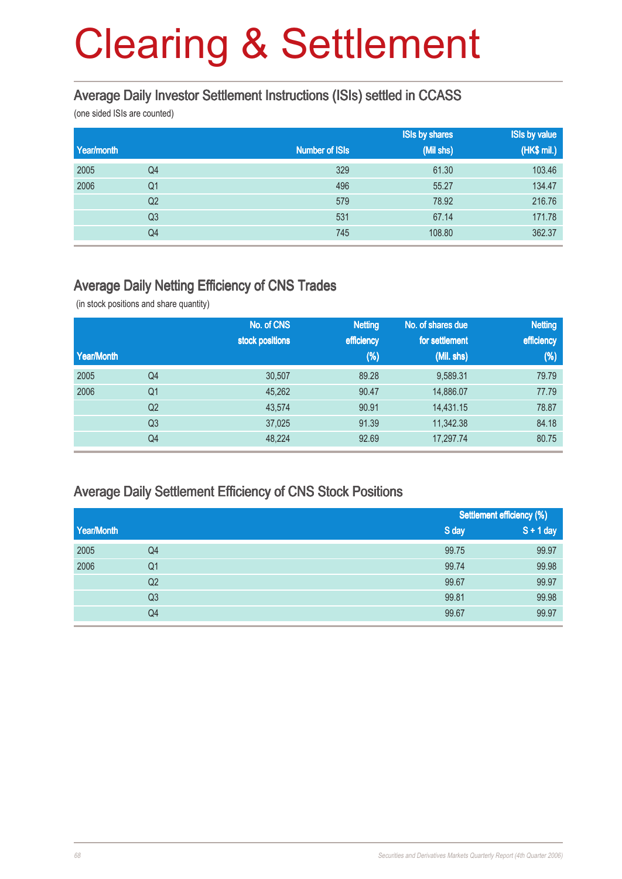#### Average Daily Investor Settlement Instructions (ISIs) settled in CCASS

(one sided ISIs are counted)

|            |                |                       | <b>ISIs by shares</b> | <b>ISIs by value</b> |
|------------|----------------|-----------------------|-----------------------|----------------------|
| Year/month |                | <b>Number of ISIs</b> | (Mil shs)             | (HK\$ mil.)          |
| 2005       | Q4             | 329                   | 61.30                 | 103.46               |
| 2006       | Q <sub>1</sub> | 496                   | 55.27                 | 134.47               |
|            | Q <sub>2</sub> | 579                   | 78.92                 | 216.76               |
|            | Q <sub>3</sub> | 531                   | 67.14                 | 171.78               |
|            | Q4             | 745                   | 108.80                | 362.37               |

#### Average Daily Netting Efficiency of CNS Trades

(in stock positions and share quantity)

|            |                | No. of CNS      | <b>Netting</b> | No. of shares due | <b>Netting</b> |
|------------|----------------|-----------------|----------------|-------------------|----------------|
|            |                | stock positions | efficiency     | for settlement    | efficiency     |
| Year/Month |                |                 | (%)            | (Mil. shs)        | $(\%)$         |
| 2005       | Q <sub>4</sub> | 30,507          | 89.28          | 9,589.31          | 79.79          |
| 2006       | Q <sub>1</sub> | 45,262          | 90.47          | 14,886.07         | 77.79          |
|            | Q <sub>2</sub> | 43,574          | 90.91          | 14,431.15         | 78.87          |
|            | Q <sub>3</sub> | 37,025          | 91.39          | 11,342.38         | 84.18          |
|            | Q4             | 48,224          | 92.69          | 17,297.74         | 80.75          |

#### Average Daily Settlement Efficiency of CNS Stock Positions

|            |                |       | Settlement efficiency (%) |
|------------|----------------|-------|---------------------------|
| Year/Month |                | S day | $S + 1$ day               |
| 2005       | Q4             | 99.75 | 99.97                     |
| 2006       | Q <sub>1</sub> | 99.74 | 99.98                     |
|            | Q <sub>2</sub> | 99.67 | 99.97                     |
|            | Q <sub>3</sub> | 99.81 | 99.98                     |
|            | Q4             | 99.67 | 99.97                     |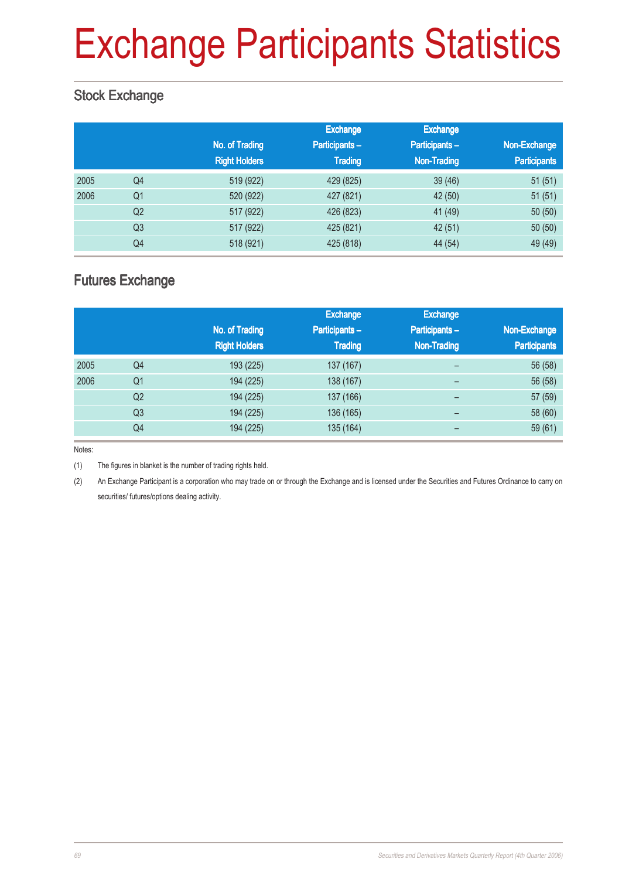# Exchange Participants Statistics

### Stock Exchange

|      |                | No. of Trading<br><b>Right Holders</b> | Exchange<br>Participants-<br><b>Trading</b> | <b>Exchange</b><br>Participants-<br><b>Non-Trading</b> | Non-Exchange<br><b>Participants</b> |
|------|----------------|----------------------------------------|---------------------------------------------|--------------------------------------------------------|-------------------------------------|
| 2005 | Q4             | 519 (922)                              | 429 (825)                                   | 39(46)                                                 | 51(51)                              |
| 2006 | Q <sub>1</sub> | 520 (922)                              | 427 (821)                                   | 42 (50)                                                | 51(51)                              |
|      | Q <sub>2</sub> | 517 (922)                              | 426 (823)                                   | 41 (49)                                                | 50(50)                              |
|      | Q3             | 517 (922)                              | 425 (821)                                   | 42(51)                                                 | 50(50)                              |
|      | Q4             | 518 (921)                              | 425 (818)                                   | 44 (54)                                                | 49 (49)                             |

### Futures Exchange

|      |                |                      | <b>Exchange</b> | <b>Exchange</b>          |                     |
|------|----------------|----------------------|-----------------|--------------------------|---------------------|
|      |                | No. of Trading       | Participants-   | <b>Participants-</b>     | Non-Exchange        |
|      |                | <b>Right Holders</b> | <b>Trading</b>  | Non-Trading              | <b>Participants</b> |
| 2005 | Q4             | 193 (225)            | 137 (167)       | $\overline{\phantom{0}}$ | 56 (58)             |
| 2006 | Q <sub>1</sub> | 194 (225)            | 138 (167)       | $\overline{\phantom{0}}$ | 56 (58)             |
|      | Q <sub>2</sub> | 194 (225)            | 137 (166)       | -                        | 57 (59)             |
|      | Q <sub>3</sub> | 194 (225)            | 136 (165)       | -                        | 58 (60)             |
|      | Q4             | 194 (225)            | 135 (164)       |                          | 59(61)              |

Notes:

(1) The figures in blanket is the number of trading rights held.

(2) An Exchange Participant is a corporation who may trade on or through the Exchange and is licensed under the Securities and Futures Ordinance to carry on securities/ futures/options dealing activity.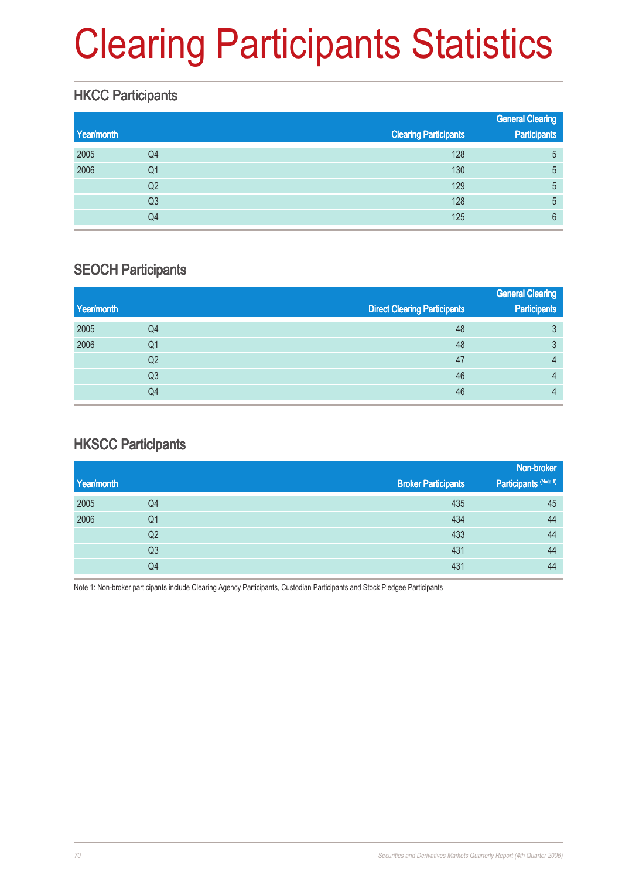# Clearing Participants Statistics

### **HKCC Participants**

| Year/month |                | <b>Clearing Participants</b> | <b>General Clearing</b><br><b>Participants</b> |
|------------|----------------|------------------------------|------------------------------------------------|
|            |                |                              |                                                |
| 2005       | Q4             | 128                          | 5                                              |
| 2006       | Q <sub>1</sub> | 130                          | 5                                              |
|            | Q <sub>2</sub> | 129                          | 5                                              |
|            | Q <sub>3</sub> | 128                          | 5                                              |
|            | Q4             | 125                          | 6                                              |

#### SEOCH Participants

|            |                |                                     | <b>General Clearing</b> |
|------------|----------------|-------------------------------------|-------------------------|
| Year/month |                | <b>Direct Clearing Participants</b> | <b>Participants</b>     |
| 2005       | Q4             | 48                                  | 3                       |
| 2006       | Q1             | 48                                  | 3                       |
|            | Q <sub>2</sub> | 47                                  | 4                       |
|            | Q3             | 46                                  | 4                       |
|            | Q4             | 46                                  | 4                       |

### HKSCC Participants

|                |                            | Non-broker            |
|----------------|----------------------------|-----------------------|
|                | <b>Broker Participants</b> | Participants (Note 1) |
| Q4             | 435                        | 45                    |
| Q1             | 434                        | 44                    |
| Q2             | 433                        | 44                    |
| Q <sub>3</sub> | 431                        | 44                    |
| Q4             | 431                        | 44                    |
|                |                            |                       |

Note 1: Non-broker participants include Clearing Agency Participants, Custodian Participants and Stock Pledgee Participants